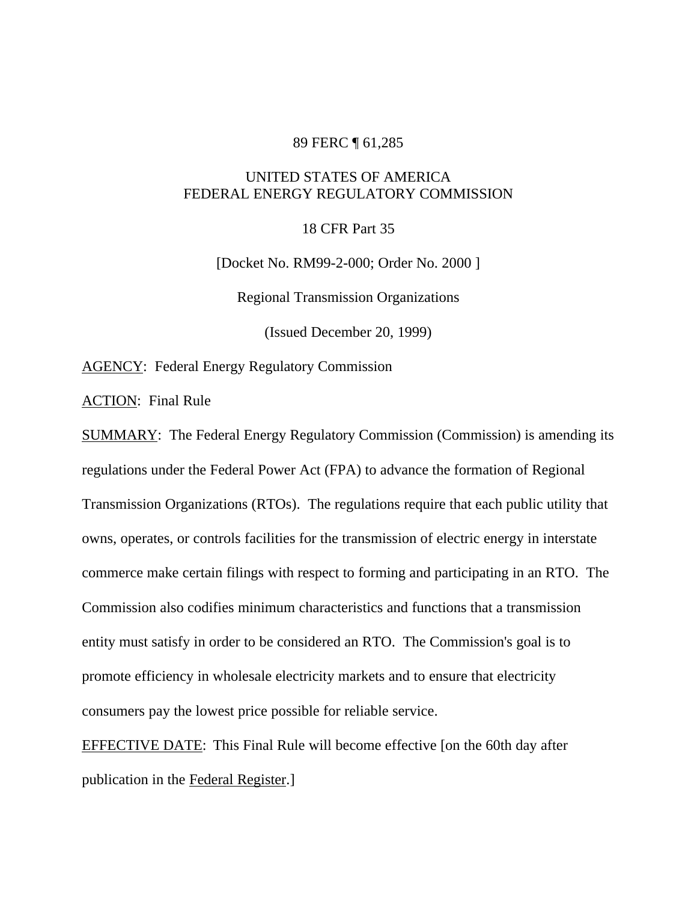#### 89 FERC ¶ 61,285

# UNITED STATES OF AMERICA FEDERAL ENERGY REGULATORY COMMISSION

18 CFR Part 35

[Docket No. RM99-2-000; Order No. 2000 ]

Regional Transmission Organizations

(Issued December 20, 1999)

**AGENCY:** Federal Energy Regulatory Commission

ACTION: Final Rule

SUMMARY: The Federal Energy Regulatory Commission (Commission) is amending its regulations under the Federal Power Act (FPA) to advance the formation of Regional Transmission Organizations (RTOs). The regulations require that each public utility that owns, operates, or controls facilities for the transmission of electric energy in interstate commerce make certain filings with respect to forming and participating in an RTO. The Commission also codifies minimum characteristics and functions that a transmission entity must satisfy in order to be considered an RTO. The Commission's goal is to promote efficiency in wholesale electricity markets and to ensure that electricity consumers pay the lowest price possible for reliable service.

EFFECTIVE DATE: This Final Rule will become effective [on the 60th day after publication in the Federal Register.]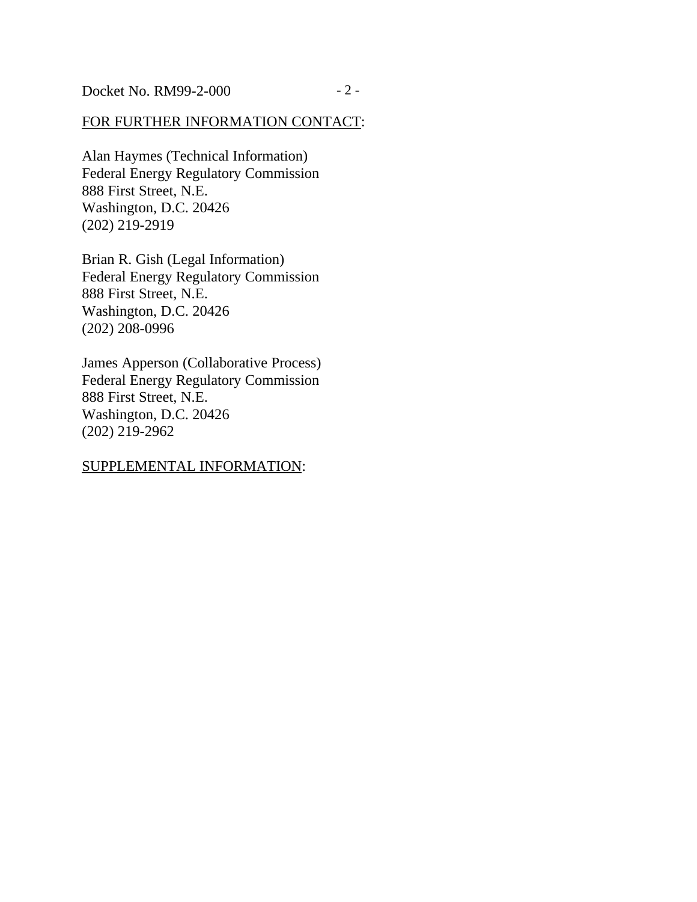# FOR FURTHER INFORMATION CONTACT:

Alan Haymes (Technical Information) Federal Energy Regulatory Commission 888 First Street, N.E. Washington, D.C. 20426 (202) 219-2919

Brian R. Gish (Legal Information) Federal Energy Regulatory Commission 888 First Street, N.E. Washington, D.C. 20426 (202) 208-0996

James Apperson (Collaborative Process) Federal Energy Regulatory Commission 888 First Street, N.E. Washington, D.C. 20426 (202) 219-2962

## SUPPLEMENTAL INFORMATION: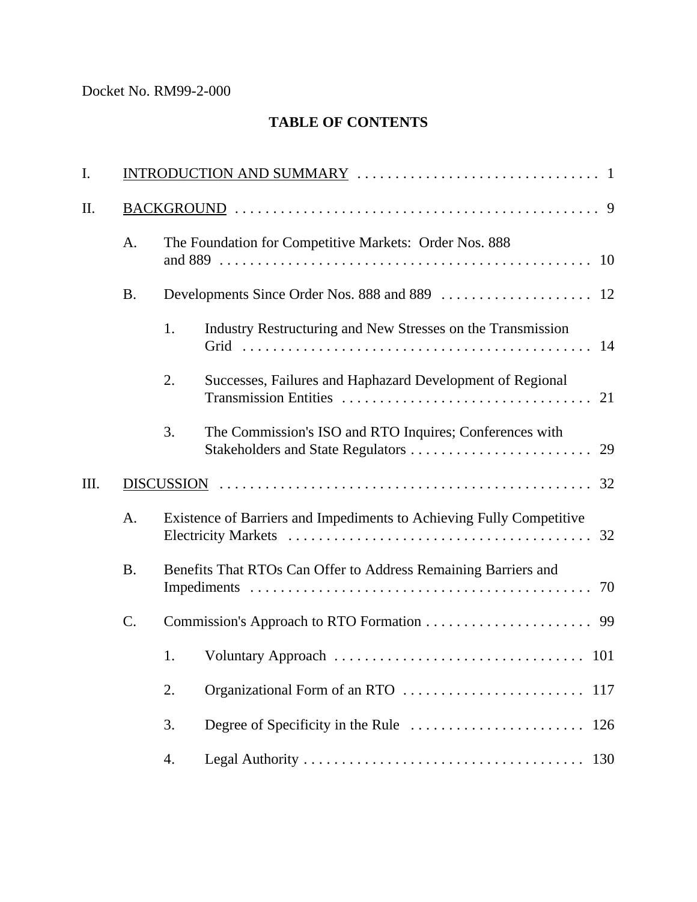# Docket No. RM99-2-000

# **TABLE OF CONTENTS**

| I.  |                 |                                                                            |                                                                 |  |  |
|-----|-----------------|----------------------------------------------------------------------------|-----------------------------------------------------------------|--|--|
| II. |                 |                                                                            |                                                                 |  |  |
|     | A.              | The Foundation for Competitive Markets: Order Nos. 888                     |                                                                 |  |  |
|     | <b>B.</b>       |                                                                            |                                                                 |  |  |
|     |                 | 1.                                                                         | Industry Restructuring and New Stresses on the Transmission     |  |  |
|     |                 | 2.                                                                         | Successes, Failures and Haphazard Development of Regional<br>21 |  |  |
|     |                 | 3.                                                                         | The Commission's ISO and RTO Inquires; Conferences with         |  |  |
| Ш.  |                 |                                                                            |                                                                 |  |  |
|     | A.              | Existence of Barriers and Impediments to Achieving Fully Competitive<br>32 |                                                                 |  |  |
|     | <b>B.</b>       | Benefits That RTOs Can Offer to Address Remaining Barriers and<br>70       |                                                                 |  |  |
|     | $\mathcal{C}$ . |                                                                            |                                                                 |  |  |
|     |                 | 1.                                                                         |                                                                 |  |  |
|     |                 | 2.                                                                         | Organizational Form of an RTO<br>117                            |  |  |
|     |                 | 3.                                                                         | 126                                                             |  |  |
|     |                 | 4.                                                                         | 130                                                             |  |  |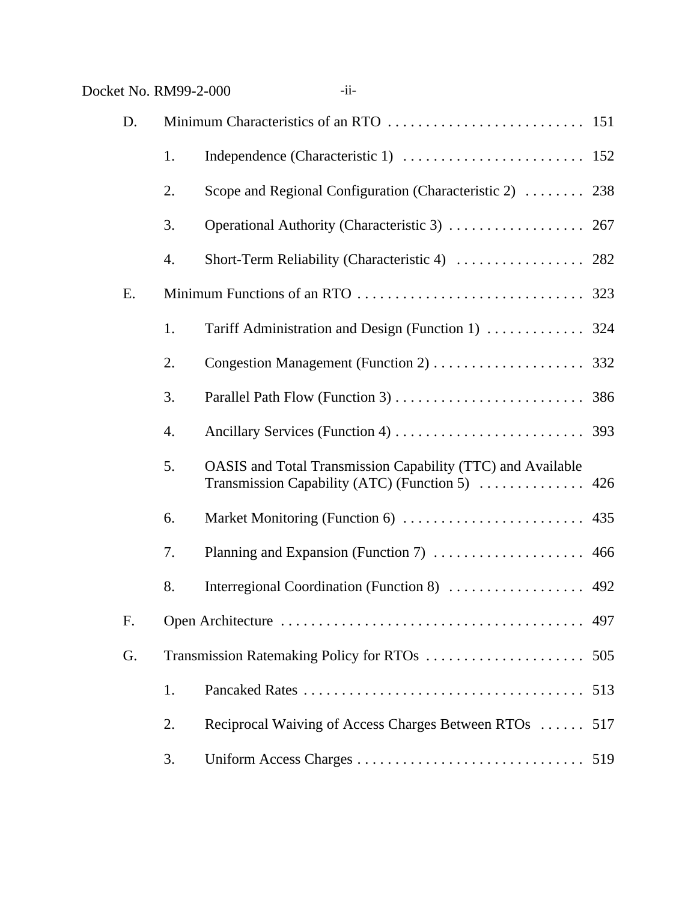| Docket No. RM99-2-000 |    | $-i$ i-                                                                                                        |     |
|-----------------------|----|----------------------------------------------------------------------------------------------------------------|-----|
| D.                    |    |                                                                                                                |     |
|                       | 1. |                                                                                                                |     |
|                       | 2. | Scope and Regional Configuration (Characteristic 2)  238                                                       |     |
|                       | 3. |                                                                                                                |     |
|                       | 4. |                                                                                                                |     |
| E.                    |    |                                                                                                                |     |
|                       | 1. |                                                                                                                |     |
|                       | 2. |                                                                                                                |     |
|                       | 3. |                                                                                                                |     |
|                       | 4. |                                                                                                                |     |
|                       | 5. | OASIS and Total Transmission Capability (TTC) and Available<br>Transmission Capability (ATC) (Function 5)  426 |     |
|                       | 6. |                                                                                                                |     |
|                       | 7. | Planning and Expansion (Function 7)  466                                                                       |     |
|                       | 8. |                                                                                                                |     |
| F.                    |    |                                                                                                                | 497 |
| G.                    |    |                                                                                                                | 505 |
|                       | 1. |                                                                                                                |     |
|                       | 2. | Reciprocal Waiving of Access Charges Between RTOs  517                                                         |     |

3. Uniform Access Charges .............................. 519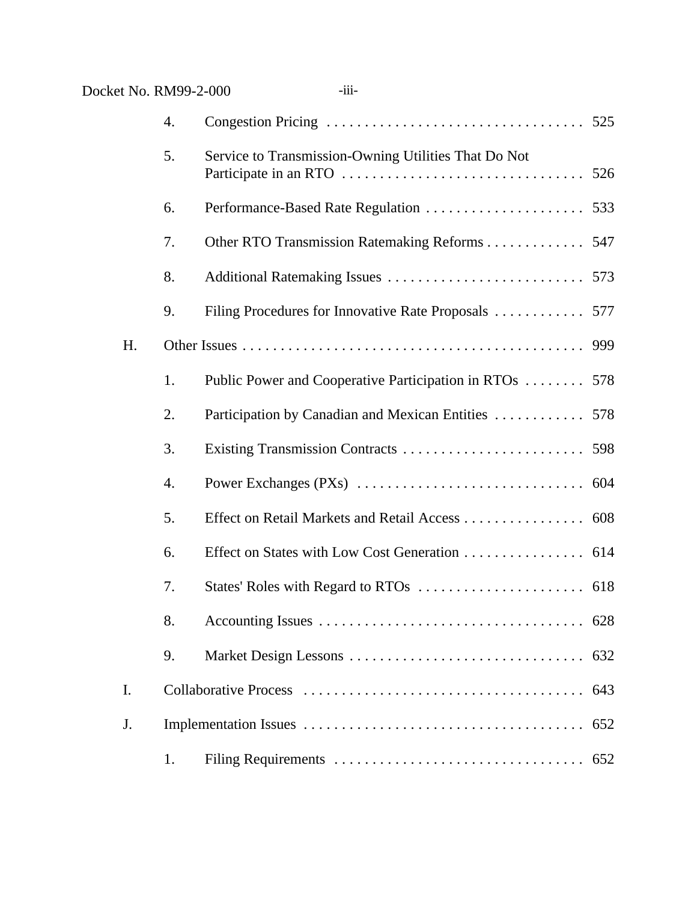| Docket No. RM99-2-000 |    | $-iii-$                                                 |
|-----------------------|----|---------------------------------------------------------|
|                       | 4. |                                                         |
|                       | 5. | Service to Transmission-Owning Utilities That Do Not    |
|                       | 6. |                                                         |
|                       | 7. | Other RTO Transmission Ratemaking Reforms 547           |
|                       | 8. |                                                         |
|                       | 9. |                                                         |
| H.                    |    |                                                         |
|                       | 1. | Public Power and Cooperative Participation in RTOs  578 |
|                       | 2. | Participation by Canadian and Mexican Entities  578     |
|                       | 3. |                                                         |
|                       | 4. |                                                         |
|                       | 5. | Effect on Retail Markets and Retail Access 608          |
|                       | 6. | Effect on States with Low Cost Generation 614           |
|                       | 7. |                                                         |
|                       | 8. |                                                         |
|                       | 9. |                                                         |
| I.                    |    |                                                         |
| J.                    |    |                                                         |
|                       | 1. | 652                                                     |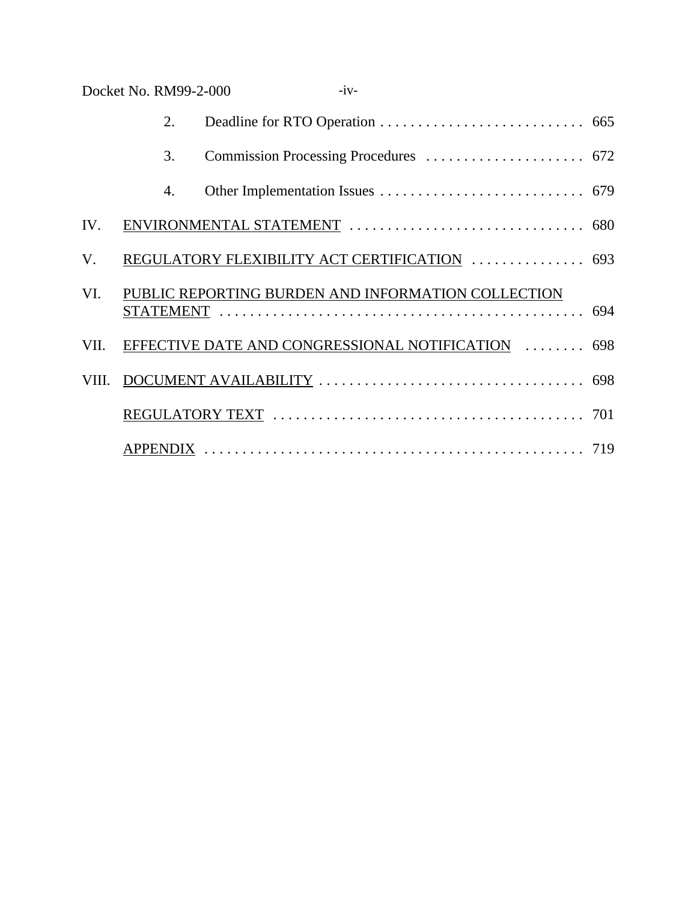|      | Docket No. RM99-2-000 | $-iv-$                                             |  |
|------|-----------------------|----------------------------------------------------|--|
|      | 2.                    |                                                    |  |
|      | 3.                    |                                                    |  |
|      | 4.                    |                                                    |  |
| IV.  |                       |                                                    |  |
| V.   |                       | REGULATORY FLEXIBILITY ACT CERTIFICATION  693      |  |
| VI.  |                       | PUBLIC REPORTING BURDEN AND INFORMATION COLLECTION |  |
| VII. |                       | EFFECTIVE DATE AND CONGRESSIONAL NOTIFICATION  698 |  |
|      |                       |                                                    |  |
|      |                       |                                                    |  |
|      |                       |                                                    |  |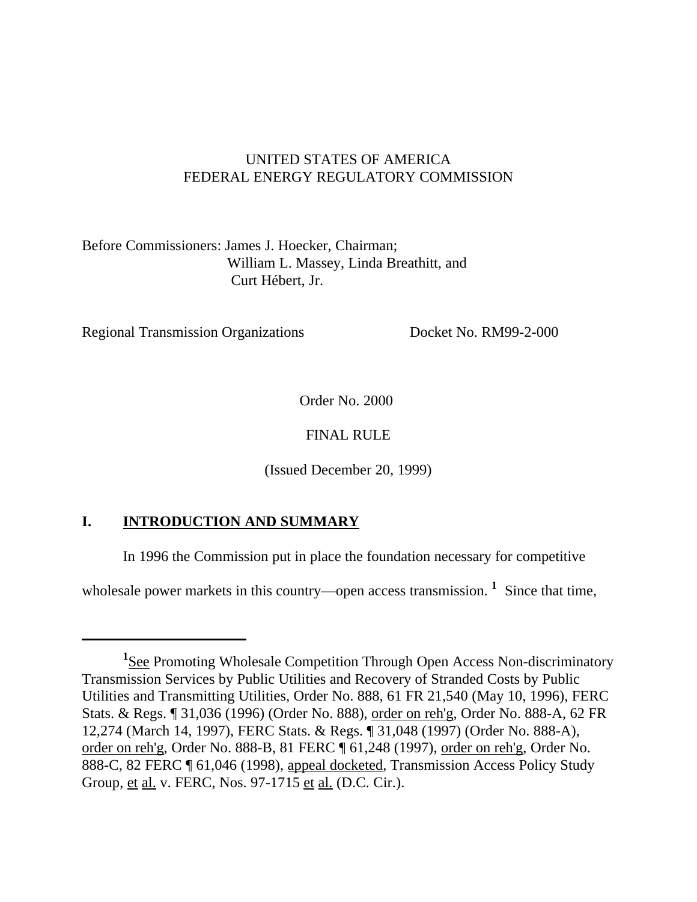# UNITED STATES OF AMERICA FEDERAL ENERGY REGULATORY COMMISSION

Before Commissioners: James J. Hoecker, Chairman; William L. Massey, Linda Breathitt, and Curt Hébert, Jr.

Regional Transmission Organizations Docket No. RM99-2-000

Order No. 2000

# FINAL RULE

(Issued December 20, 1999)

# **I. INTRODUCTION AND SUMMARY**

In 1996 the Commission put in place the foundation necessary for competitive

wholesale power markets in this country—open access transmission. <sup>1</sup> Since that time,

<sup>&</sup>lt;sup>1</sup>See Promoting Wholesale Competition Through Open Access Non-discriminatory Transmission Services by Public Utilities and Recovery of Stranded Costs by Public Utilities and Transmitting Utilities, Order No. 888, 61 FR 21,540 (May 10, 1996), FERC Stats. & Regs. ¶ 31,036 (1996) (Order No. 888), order on reh'g, Order No. 888-A, 62 FR 12,274 (March 14, 1997), FERC Stats. & Regs. ¶ 31,048 (1997) (Order No. 888-A), order on reh'g, Order No. 888-B, 81 FERC ¶ 61,248 (1997), order on reh'g, Order No. 888-C, 82 FERC ¶ 61,046 (1998), appeal docketed, Transmission Access Policy Study Group, et al. v. FERC, Nos. 97-1715 et al. (D.C. Cir.).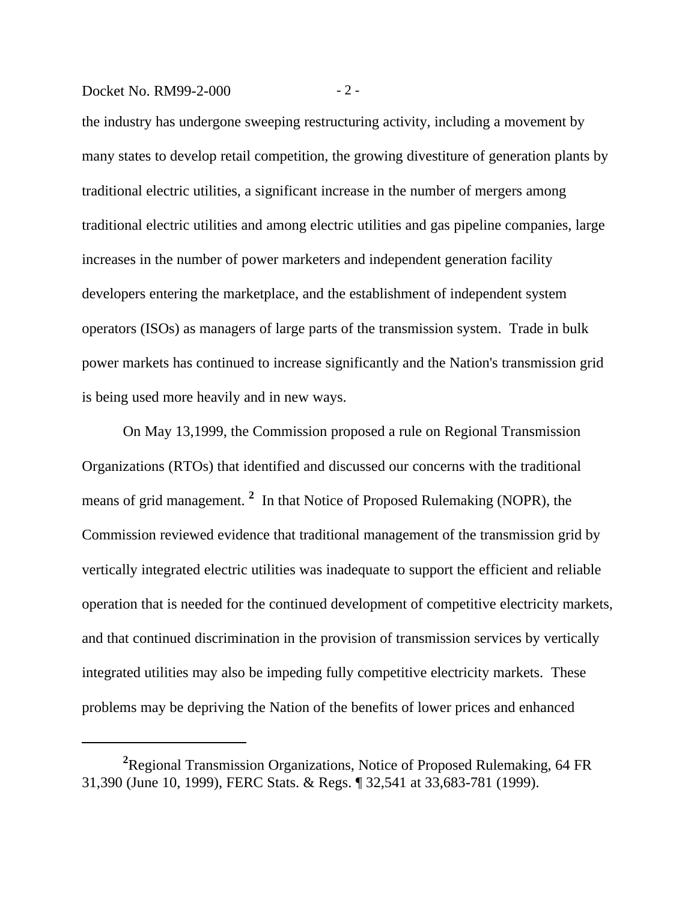## Docket No. RM99-2-000 - 2 -

the industry has undergone sweeping restructuring activity, including a movement by many states to develop retail competition, the growing divestiture of generation plants by traditional electric utilities, a significant increase in the number of mergers among traditional electric utilities and among electric utilities and gas pipeline companies, large increases in the number of power marketers and independent generation facility developers entering the marketplace, and the establishment of independent system operators (ISOs) as managers of large parts of the transmission system. Trade in bulk power markets has continued to increase significantly and the Nation's transmission grid is being used more heavily and in new ways.

On May 13,1999, the Commission proposed a rule on Regional Transmission Organizations (RTOs) that identified and discussed our concerns with the traditional means of grid management. **<sup>2</sup>** In that Notice of Proposed Rulemaking (NOPR), the Commission reviewed evidence that traditional management of the transmission grid by vertically integrated electric utilities was inadequate to support the efficient and reliable operation that is needed for the continued development of competitive electricity markets, and that continued discrimination in the provision of transmission services by vertically integrated utilities may also be impeding fully competitive electricity markets. These problems may be depriving the Nation of the benefits of lower prices and enhanced

**<sup>2</sup>**Regional Transmission Organizations, Notice of Proposed Rulemaking, 64 FR 31,390 (June 10, 1999), FERC Stats. & Regs. ¶ 32,541 at 33,683-781 (1999).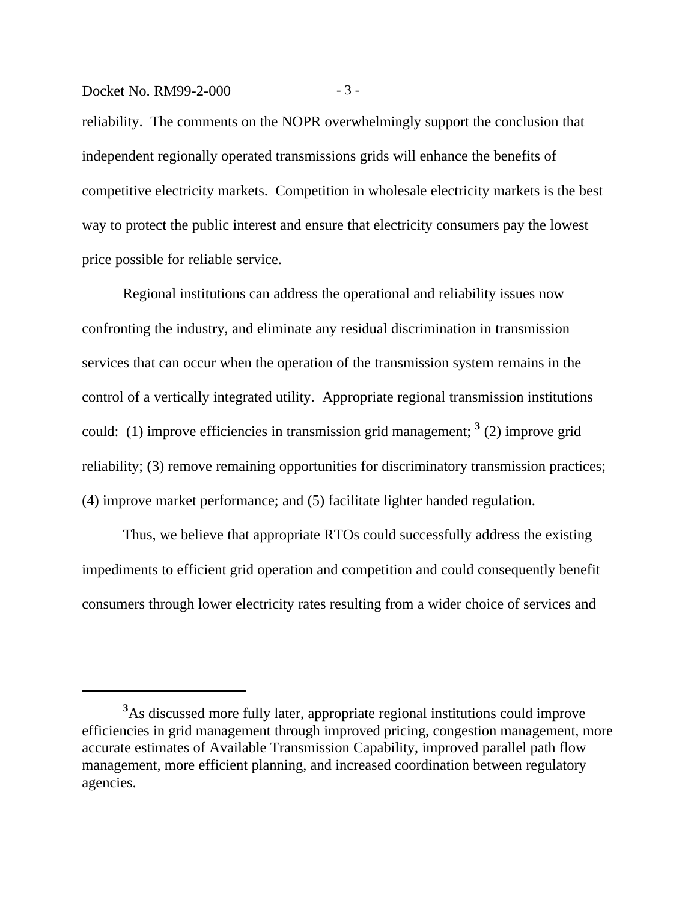#### Docket No. RM99-2-000 - 3 -

reliability. The comments on the NOPR overwhelmingly support the conclusion that independent regionally operated transmissions grids will enhance the benefits of competitive electricity markets. Competition in wholesale electricity markets is the best way to protect the public interest and ensure that electricity consumers pay the lowest price possible for reliable service.

Regional institutions can address the operational and reliability issues now confronting the industry, and eliminate any residual discrimination in transmission services that can occur when the operation of the transmission system remains in the control of a vertically integrated utility. Appropriate regional transmission institutions could: (1) improve efficiencies in transmission grid management; **<sup>3</sup>** (2) improve grid reliability; (3) remove remaining opportunities for discriminatory transmission practices; (4) improve market performance; and (5) facilitate lighter handed regulation.

Thus, we believe that appropriate RTOs could successfully address the existing impediments to efficient grid operation and competition and could consequently benefit consumers through lower electricity rates resulting from a wider choice of services and

**<sup>3</sup>**As discussed more fully later, appropriate regional institutions could improve efficiencies in grid management through improved pricing, congestion management, more accurate estimates of Available Transmission Capability, improved parallel path flow management, more efficient planning, and increased coordination between regulatory agencies.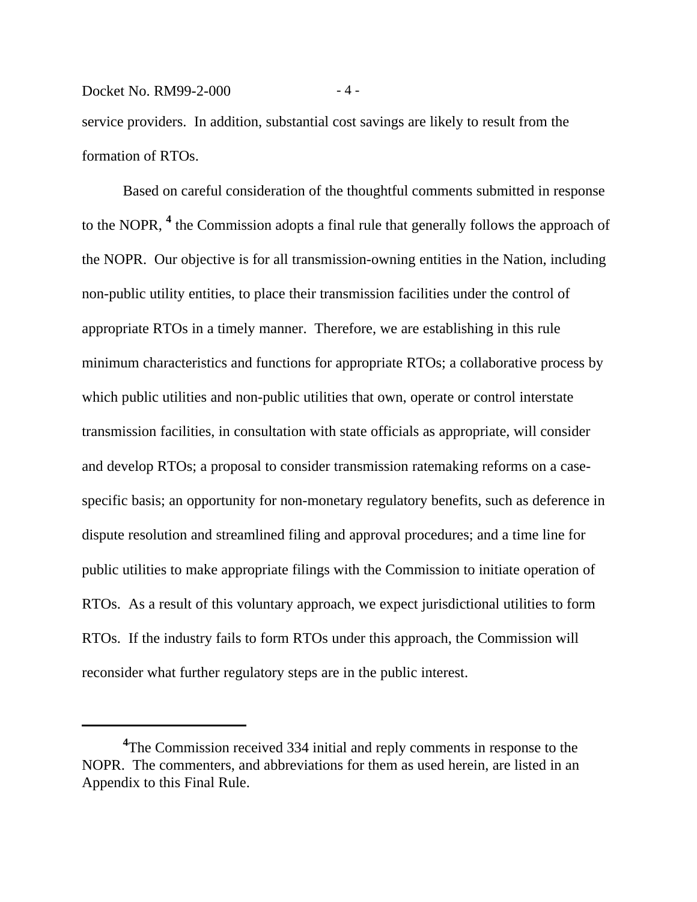#### Docket No. RM99-2-000 - 4 -

service providers. In addition, substantial cost savings are likely to result from the formation of RTOs.

Based on careful consideration of the thoughtful comments submitted in response to the NOPR, **<sup>4</sup>** the Commission adopts a final rule that generally follows the approach of the NOPR. Our objective is for all transmission-owning entities in the Nation, including non-public utility entities, to place their transmission facilities under the control of appropriate RTOs in a timely manner. Therefore, we are establishing in this rule minimum characteristics and functions for appropriate RTOs; a collaborative process by which public utilities and non-public utilities that own, operate or control interstate transmission facilities, in consultation with state officials as appropriate, will consider and develop RTOs; a proposal to consider transmission ratemaking reforms on a casespecific basis; an opportunity for non-monetary regulatory benefits, such as deference in dispute resolution and streamlined filing and approval procedures; and a time line for public utilities to make appropriate filings with the Commission to initiate operation of RTOs. As a result of this voluntary approach, we expect jurisdictional utilities to form RTOs. If the industry fails to form RTOs under this approach, the Commission will reconsider what further regulatory steps are in the public interest.

<sup>&</sup>lt;sup>4</sup>The Commission received 334 initial and reply comments in response to the NOPR. The commenters, and abbreviations for them as used herein, are listed in an Appendix to this Final Rule.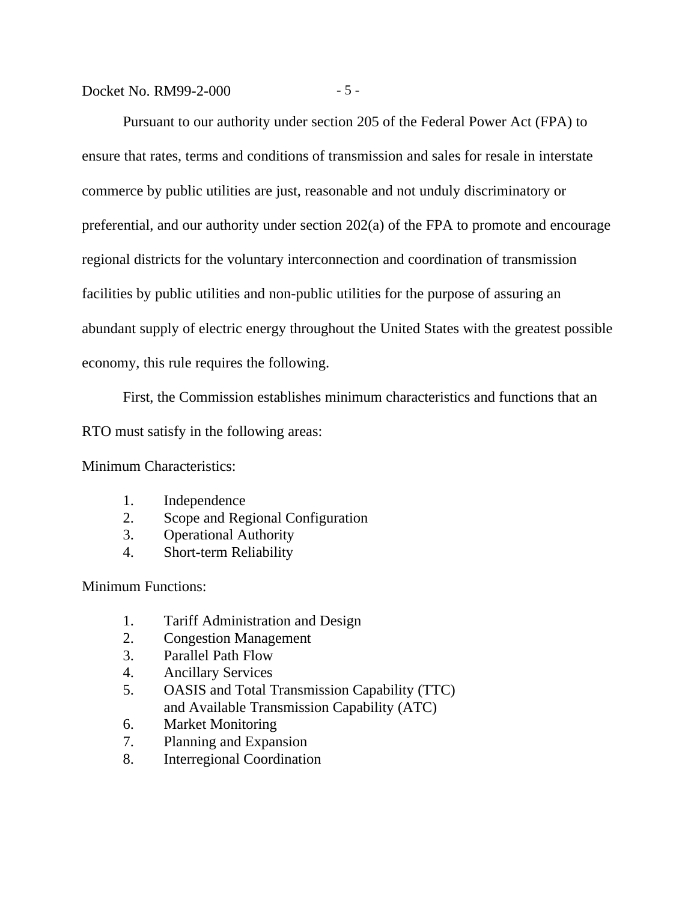# Docket No. RM99-2-000 - 5 -

Pursuant to our authority under section 205 of the Federal Power Act (FPA) to ensure that rates, terms and conditions of transmission and sales for resale in interstate commerce by public utilities are just, reasonable and not unduly discriminatory or preferential, and our authority under section 202(a) of the FPA to promote and encourage regional districts for the voluntary interconnection and coordination of transmission facilities by public utilities and non-public utilities for the purpose of assuring an abundant supply of electric energy throughout the United States with the greatest possible economy, this rule requires the following.

First, the Commission establishes minimum characteristics and functions that an

RTO must satisfy in the following areas:

Minimum Characteristics:

- 1. Independence
- 2. Scope and Regional Configuration
- 3. Operational Authority
- 4. Short-term Reliability

Minimum Functions:

- 1. Tariff Administration and Design
- 2. Congestion Management
- 3. Parallel Path Flow
- 4. Ancillary Services
- 5. OASIS and Total Transmission Capability (TTC) and Available Transmission Capability (ATC)
- 6. Market Monitoring
- 7. Planning and Expansion
- 8. Interregional Coordination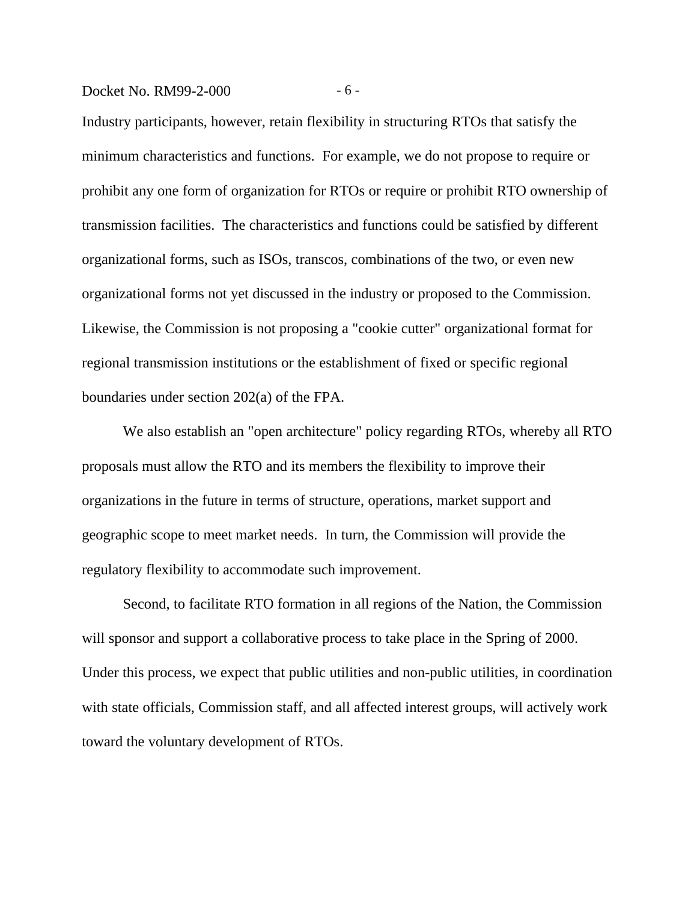#### Docket No. RM99-2-000 - 6 -

Industry participants, however, retain flexibility in structuring RTOs that satisfy the minimum characteristics and functions. For example, we do not propose to require or prohibit any one form of organization for RTOs or require or prohibit RTO ownership of transmission facilities. The characteristics and functions could be satisfied by different organizational forms, such as ISOs, transcos, combinations of the two, or even new organizational forms not yet discussed in the industry or proposed to the Commission. Likewise, the Commission is not proposing a "cookie cutter" organizational format for regional transmission institutions or the establishment of fixed or specific regional boundaries under section 202(a) of the FPA.

We also establish an "open architecture" policy regarding RTOs, whereby all RTO proposals must allow the RTO and its members the flexibility to improve their organizations in the future in terms of structure, operations, market support and geographic scope to meet market needs. In turn, the Commission will provide the regulatory flexibility to accommodate such improvement.

Second, to facilitate RTO formation in all regions of the Nation, the Commission will sponsor and support a collaborative process to take place in the Spring of 2000. Under this process, we expect that public utilities and non-public utilities, in coordination with state officials, Commission staff, and all affected interest groups, will actively work toward the voluntary development of RTOs.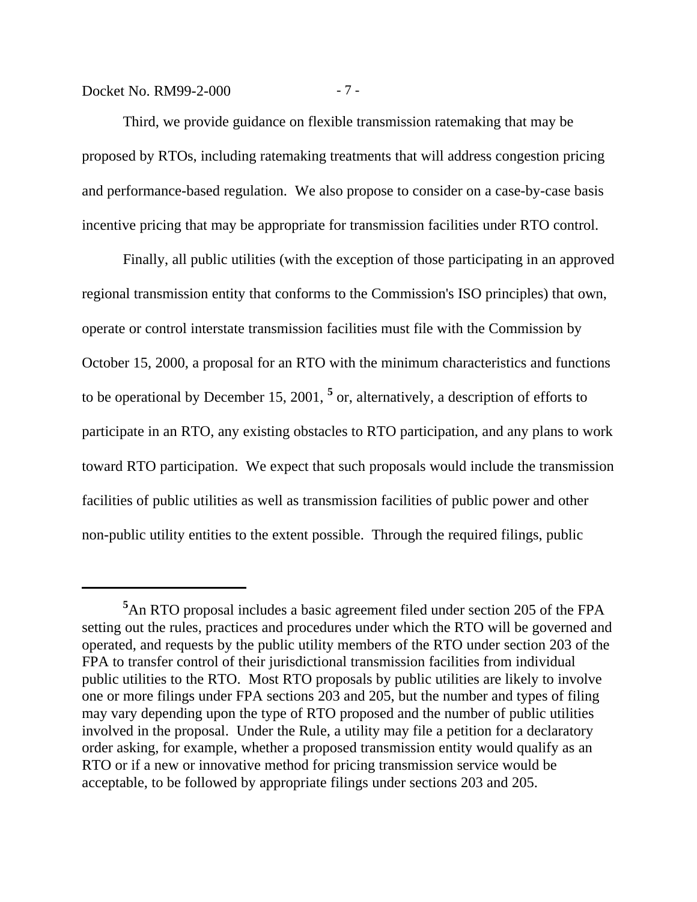# Docket No. RM99-2-000 - 7 -

Third, we provide guidance on flexible transmission ratemaking that may be proposed by RTOs, including ratemaking treatments that will address congestion pricing and performance-based regulation. We also propose to consider on a case-by-case basis incentive pricing that may be appropriate for transmission facilities under RTO control.

Finally, all public utilities (with the exception of those participating in an approved regional transmission entity that conforms to the Commission's ISO principles) that own, operate or control interstate transmission facilities must file with the Commission by October 15, 2000, a proposal for an RTO with the minimum characteristics and functions to be operational by December 15, 2001, <sup>5</sup> or, alternatively, a description of efforts to participate in an RTO, any existing obstacles to RTO participation, and any plans to work toward RTO participation. We expect that such proposals would include the transmission facilities of public utilities as well as transmission facilities of public power and other non-public utility entities to the extent possible. Through the required filings, public

**<sup>5</sup>**An RTO proposal includes a basic agreement filed under section 205 of the FPA setting out the rules, practices and procedures under which the RTO will be governed and operated, and requests by the public utility members of the RTO under section 203 of the FPA to transfer control of their jurisdictional transmission facilities from individual public utilities to the RTO. Most RTO proposals by public utilities are likely to involve one or more filings under FPA sections 203 and 205, but the number and types of filing may vary depending upon the type of RTO proposed and the number of public utilities involved in the proposal. Under the Rule, a utility may file a petition for a declaratory order asking, for example, whether a proposed transmission entity would qualify as an RTO or if a new or innovative method for pricing transmission service would be acceptable, to be followed by appropriate filings under sections 203 and 205.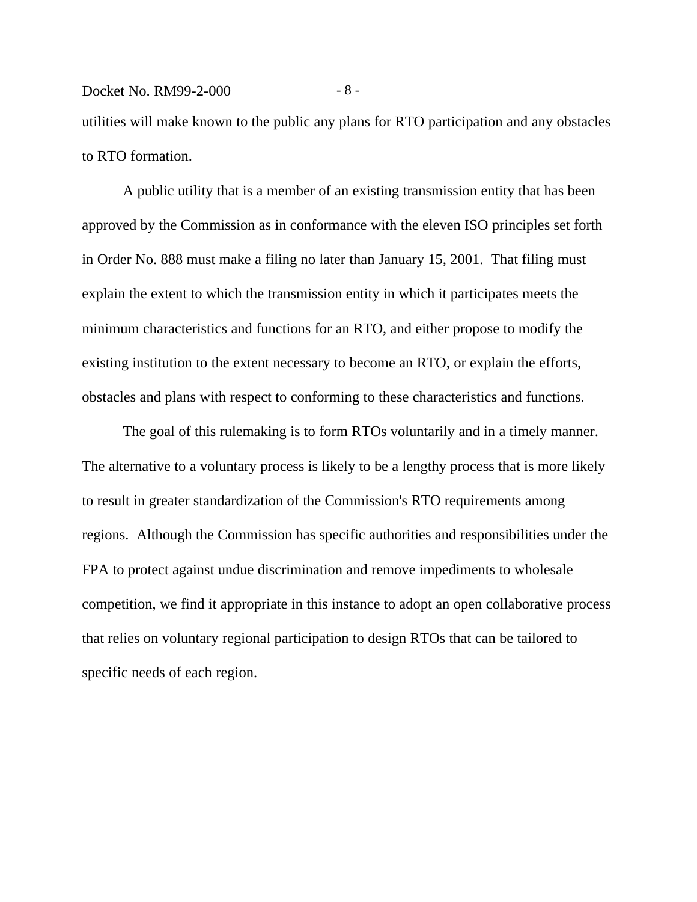# Docket No. RM99-2-000 - 8 utilities will make known to the public any plans for RTO participation and any obstacles to RTO formation.

A public utility that is a member of an existing transmission entity that has been approved by the Commission as in conformance with the eleven ISO principles set forth in Order No. 888 must make a filing no later than January 15, 2001. That filing must explain the extent to which the transmission entity in which it participates meets the minimum characteristics and functions for an RTO, and either propose to modify the existing institution to the extent necessary to become an RTO, or explain the efforts, obstacles and plans with respect to conforming to these characteristics and functions.

The goal of this rulemaking is to form RTOs voluntarily and in a timely manner. The alternative to a voluntary process is likely to be a lengthy process that is more likely to result in greater standardization of the Commission's RTO requirements among regions. Although the Commission has specific authorities and responsibilities under the FPA to protect against undue discrimination and remove impediments to wholesale competition, we find it appropriate in this instance to adopt an open collaborative process that relies on voluntary regional participation to design RTOs that can be tailored to specific needs of each region.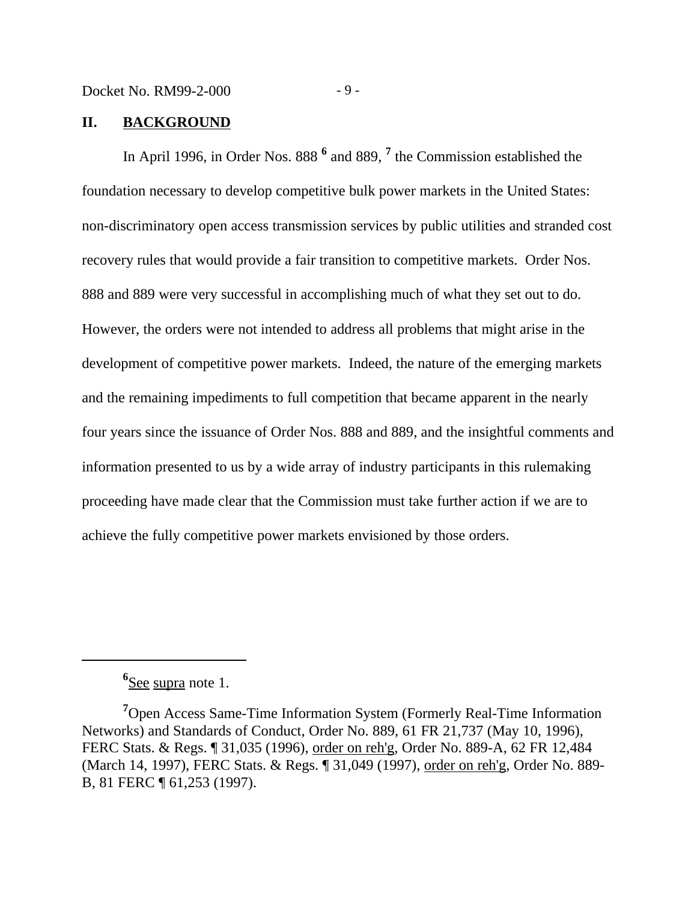#### **II. BACKGROUND**

In April 1996, in Order Nos. 888<sup>6</sup> and 889, <sup>7</sup> the Commission established the foundation necessary to develop competitive bulk power markets in the United States: non-discriminatory open access transmission services by public utilities and stranded cost recovery rules that would provide a fair transition to competitive markets. Order Nos. 888 and 889 were very successful in accomplishing much of what they set out to do. However, the orders were not intended to address all problems that might arise in the development of competitive power markets. Indeed, the nature of the emerging markets and the remaining impediments to full competition that became apparent in the nearly four years since the issuance of Order Nos. 888 and 889, and the insightful comments and information presented to us by a wide array of industry participants in this rulemaking proceeding have made clear that the Commission must take further action if we are to achieve the fully competitive power markets envisioned by those orders.

**<sup>6</sup>** See supra note 1.

**<sup>7</sup>**Open Access Same-Time Information System (Formerly Real-Time Information Networks) and Standards of Conduct, Order No. 889, 61 FR 21,737 (May 10, 1996), FERC Stats. & Regs. ¶ 31,035 (1996), order on reh'g, Order No. 889-A, 62 FR 12,484 (March 14, 1997), FERC Stats. & Regs. ¶ 31,049 (1997), order on reh'g, Order No. 889- B, 81 FERC ¶ 61,253 (1997).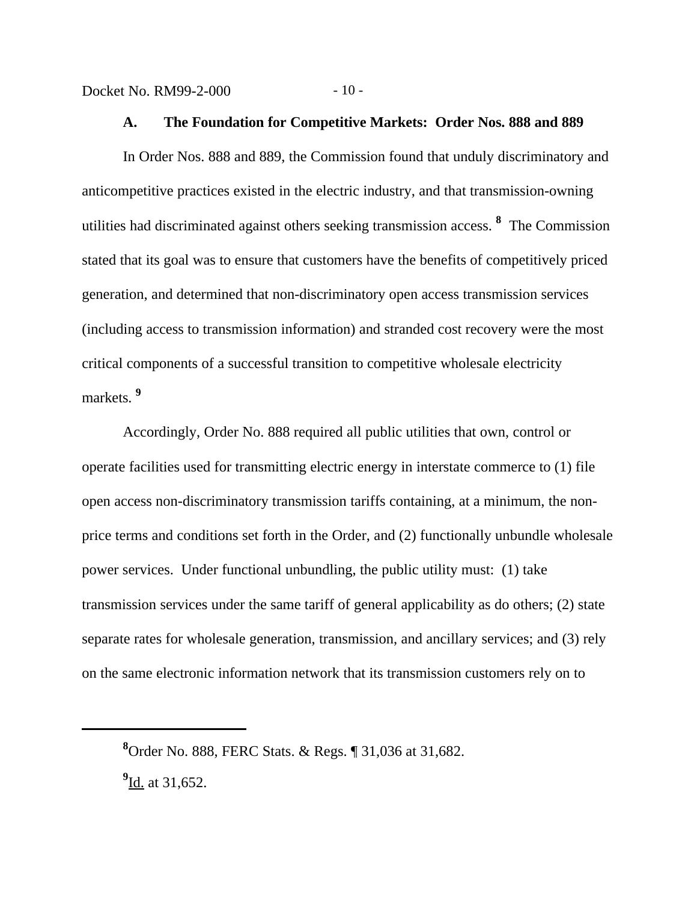Docket No. RM99-2-000 - 10 -

#### **A. The Foundation for Competitive Markets: Order Nos. 888 and 889**

In Order Nos. 888 and 889, the Commission found that unduly discriminatory and anticompetitive practices existed in the electric industry, and that transmission-owning utilities had discriminated against others seeking transmission access. **<sup>8</sup>** The Commission stated that its goal was to ensure that customers have the benefits of competitively priced generation, and determined that non-discriminatory open access transmission services (including access to transmission information) and stranded cost recovery were the most critical components of a successful transition to competitive wholesale electricity markets. **<sup>9</sup>**

Accordingly, Order No. 888 required all public utilities that own, control or operate facilities used for transmitting electric energy in interstate commerce to (1) file open access non-discriminatory transmission tariffs containing, at a minimum, the nonprice terms and conditions set forth in the Order, and (2) functionally unbundle wholesale power services. Under functional unbundling, the public utility must: (1) take transmission services under the same tariff of general applicability as do others; (2) state separate rates for wholesale generation, transmission, and ancillary services; and (3) rely on the same electronic information network that its transmission customers rely on to

**<sup>8</sup>**Order No. 888, FERC Stats. & Regs. ¶ 31,036 at 31,682.

<sup>&</sup>lt;sup>9</sup>Id. at 31,652.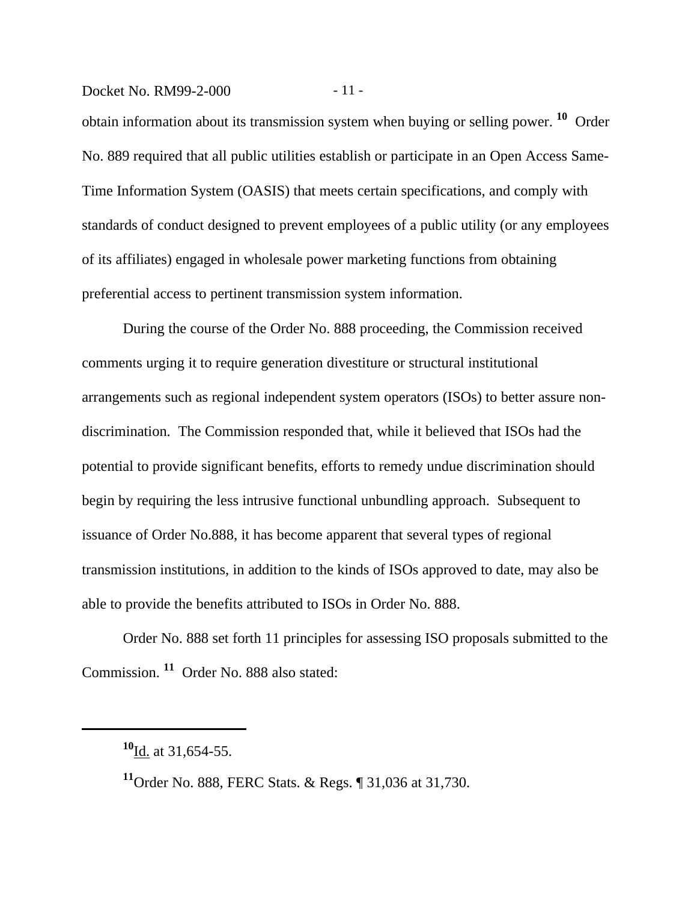#### Docket No. RM99-2-000 - 11 -

obtain information about its transmission system when buying or selling power. **10** Order No. 889 required that all public utilities establish or participate in an Open Access Same-Time Information System (OASIS) that meets certain specifications, and comply with standards of conduct designed to prevent employees of a public utility (or any employees of its affiliates) engaged in wholesale power marketing functions from obtaining preferential access to pertinent transmission system information.

During the course of the Order No. 888 proceeding, the Commission received comments urging it to require generation divestiture or structural institutional arrangements such as regional independent system operators (ISOs) to better assure nondiscrimination. The Commission responded that, while it believed that ISOs had the potential to provide significant benefits, efforts to remedy undue discrimination should begin by requiring the less intrusive functional unbundling approach. Subsequent to issuance of Order No.888, it has become apparent that several types of regional transmission institutions, in addition to the kinds of ISOs approved to date, may also be able to provide the benefits attributed to ISOs in Order No. 888.

Order No. 888 set forth 11 principles for assessing ISO proposals submitted to the Commission. **11** Order No. 888 also stated:

**<sup>10</sup>**Id. at 31,654-55.

**<sup>11</sup>**Order No. 888, FERC Stats. & Regs. ¶ 31,036 at 31,730.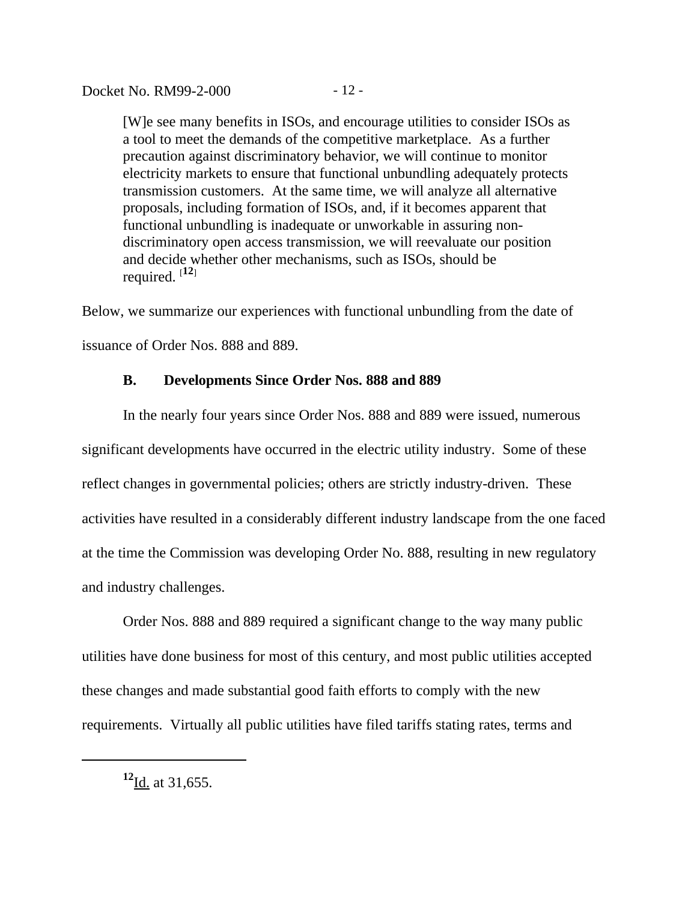[W]e see many benefits in ISOs, and encourage utilities to consider ISOs as a tool to meet the demands of the competitive marketplace. As a further precaution against discriminatory behavior, we will continue to monitor electricity markets to ensure that functional unbundling adequately protects transmission customers. At the same time, we will analyze all alternative proposals, including formation of ISOs, and, if it becomes apparent that functional unbundling is inadequate or unworkable in assuring nondiscriminatory open access transmission, we will reevaluate our position and decide whether other mechanisms, such as ISOs, should be required.  $[12]$ 

Below, we summarize our experiences with functional unbundling from the date of issuance of Order Nos. 888 and 889.

#### **B. Developments Since Order Nos. 888 and 889**

In the nearly four years since Order Nos. 888 and 889 were issued, numerous significant developments have occurred in the electric utility industry. Some of these reflect changes in governmental policies; others are strictly industry-driven. These activities have resulted in a considerably different industry landscape from the one faced at the time the Commission was developing Order No. 888, resulting in new regulatory and industry challenges.

Order Nos. 888 and 889 required a significant change to the way many public utilities have done business for most of this century, and most public utilities accepted these changes and made substantial good faith efforts to comply with the new requirements. Virtually all public utilities have filed tariffs stating rates, terms and

**<sup>12</sup>**Id. at 31,655.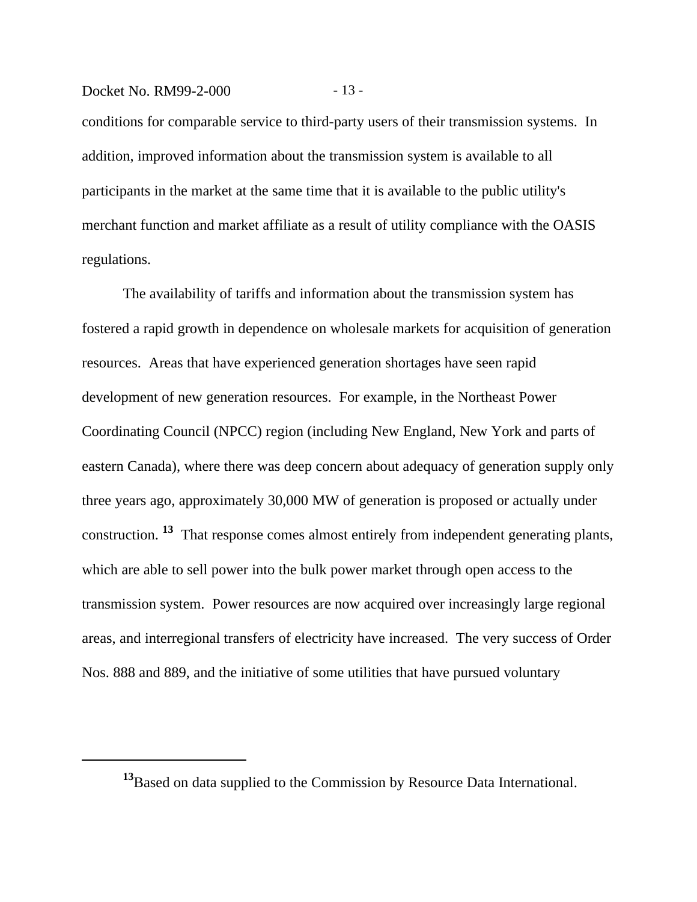# Docket No. RM99-2-000 - 13 -

conditions for comparable service to third-party users of their transmission systems. In addition, improved information about the transmission system is available to all participants in the market at the same time that it is available to the public utility's merchant function and market affiliate as a result of utility compliance with the OASIS regulations.

The availability of tariffs and information about the transmission system has fostered a rapid growth in dependence on wholesale markets for acquisition of generation resources. Areas that have experienced generation shortages have seen rapid development of new generation resources. For example, in the Northeast Power Coordinating Council (NPCC) region (including New England, New York and parts of eastern Canada), where there was deep concern about adequacy of generation supply only three years ago, approximately 30,000 MW of generation is proposed or actually under construction. **13** That response comes almost entirely from independent generating plants, which are able to sell power into the bulk power market through open access to the transmission system. Power resources are now acquired over increasingly large regional areas, and interregional transfers of electricity have increased. The very success of Order Nos. 888 and 889, and the initiative of some utilities that have pursued voluntary

**<sup>13</sup>**Based on data supplied to the Commission by Resource Data International.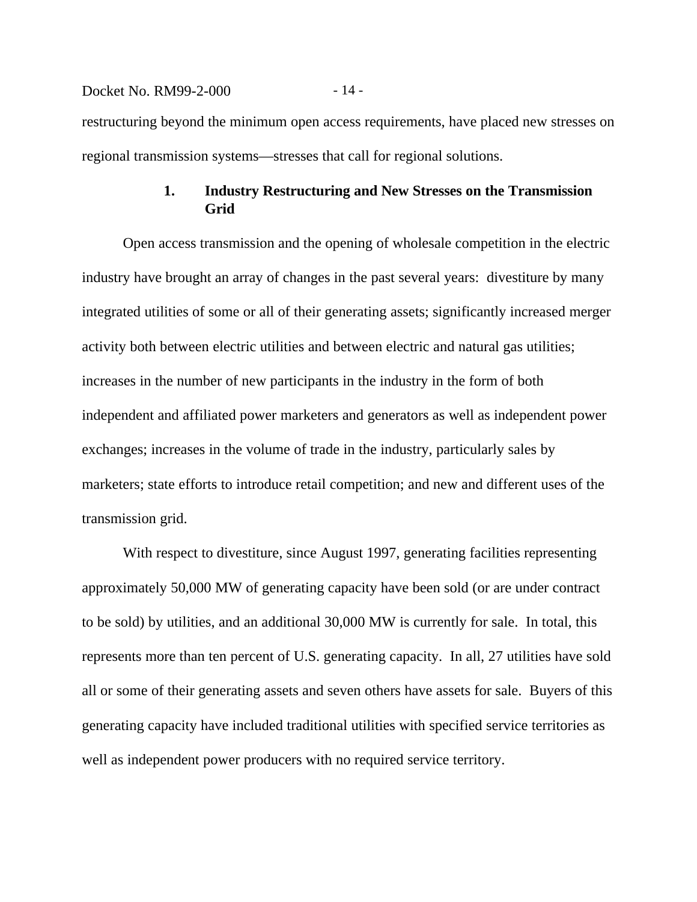# Docket No. RM99-2-000 - 14 restructuring beyond the minimum open access requirements, have placed new stresses on regional transmission systems—stresses that call for regional solutions.

# **1. Industry Restructuring and New Stresses on the Transmission Grid**

Open access transmission and the opening of wholesale competition in the electric industry have brought an array of changes in the past several years: divestiture by many integrated utilities of some or all of their generating assets; significantly increased merger activity both between electric utilities and between electric and natural gas utilities; increases in the number of new participants in the industry in the form of both independent and affiliated power marketers and generators as well as independent power exchanges; increases in the volume of trade in the industry, particularly sales by marketers; state efforts to introduce retail competition; and new and different uses of the transmission grid.

With respect to divestiture, since August 1997, generating facilities representing approximately 50,000 MW of generating capacity have been sold (or are under contract to be sold) by utilities, and an additional 30,000 MW is currently for sale. In total, this represents more than ten percent of U.S. generating capacity. In all, 27 utilities have sold all or some of their generating assets and seven others have assets for sale. Buyers of this generating capacity have included traditional utilities with specified service territories as well as independent power producers with no required service territory.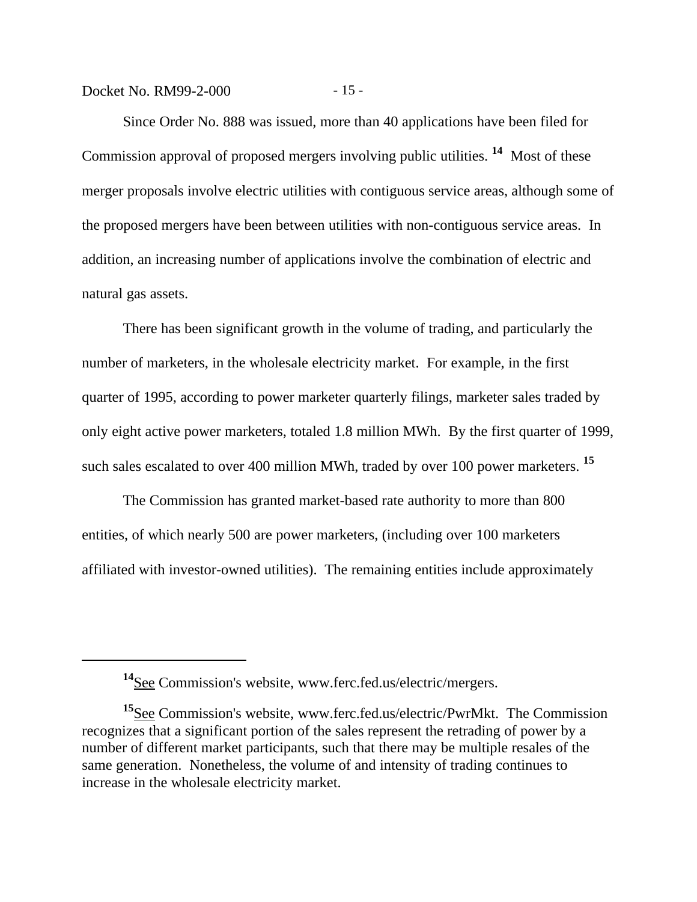Docket No. RM99-2-000 - 15 -

Since Order No. 888 was issued, more than 40 applications have been filed for Commission approval of proposed mergers involving public utilities. **14** Most of these merger proposals involve electric utilities with contiguous service areas, although some of the proposed mergers have been between utilities with non-contiguous service areas. In addition, an increasing number of applications involve the combination of electric and natural gas assets.

There has been significant growth in the volume of trading, and particularly the number of marketers, in the wholesale electricity market. For example, in the first quarter of 1995, according to power marketer quarterly filings, marketer sales traded by only eight active power marketers, totaled 1.8 million MWh. By the first quarter of 1999, such sales escalated to over 400 million MWh, traded by over 100 power marketers. **<sup>15</sup>**

The Commission has granted market-based rate authority to more than 800 entities, of which nearly 500 are power marketers, (including over 100 marketers affiliated with investor-owned utilities). The remaining entities include approximately

**<sup>14</sup>**See Commission's website, www.ferc.fed.us/electric/mergers.

**<sup>15</sup>**See Commission's website, www.ferc.fed.us/electric/PwrMkt. The Commission recognizes that a significant portion of the sales represent the retrading of power by a number of different market participants, such that there may be multiple resales of the same generation. Nonetheless, the volume of and intensity of trading continues to increase in the wholesale electricity market.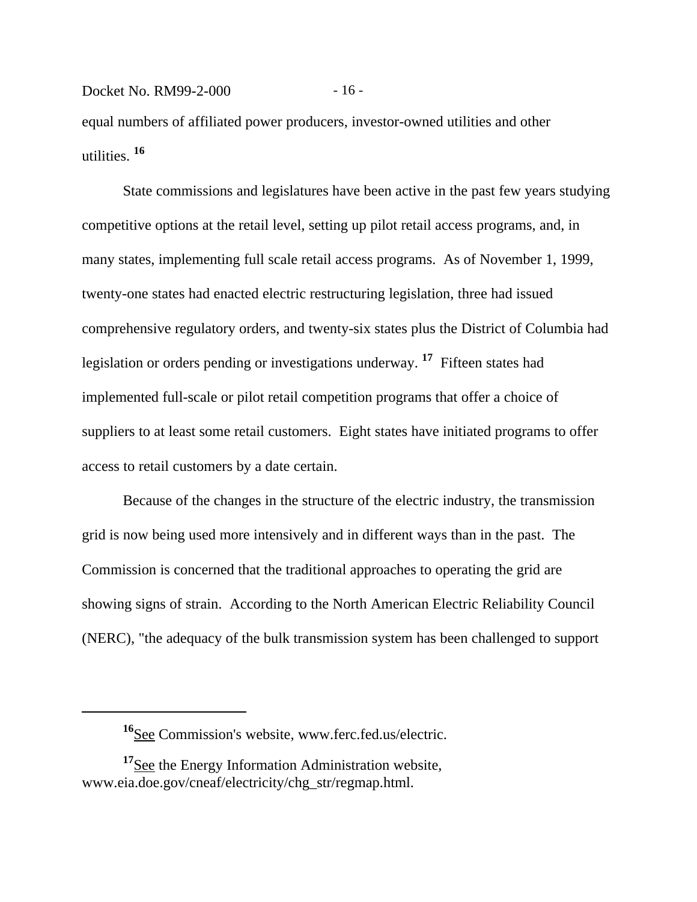Docket No. RM99-2-000 - 16 equal numbers of affiliated power producers, investor-owned utilities and other utilities. **<sup>16</sup>**

State commissions and legislatures have been active in the past few years studying competitive options at the retail level, setting up pilot retail access programs, and, in many states, implementing full scale retail access programs. As of November 1, 1999, twenty-one states had enacted electric restructuring legislation, three had issued comprehensive regulatory orders, and twenty-six states plus the District of Columbia had legislation or orders pending or investigations underway. **17** Fifteen states had implemented full-scale or pilot retail competition programs that offer a choice of suppliers to at least some retail customers. Eight states have initiated programs to offer access to retail customers by a date certain.

Because of the changes in the structure of the electric industry, the transmission grid is now being used more intensively and in different ways than in the past. The Commission is concerned that the traditional approaches to operating the grid are showing signs of strain. According to the North American Electric Reliability Council (NERC), "the adequacy of the bulk transmission system has been challenged to support

**<sup>16</sup>**See Commission's website, www.ferc.fed.us/electric.

**<sup>17</sup>**See the Energy Information Administration website, www.eia.doe.gov/cneaf/electricity/chg\_str/regmap.html.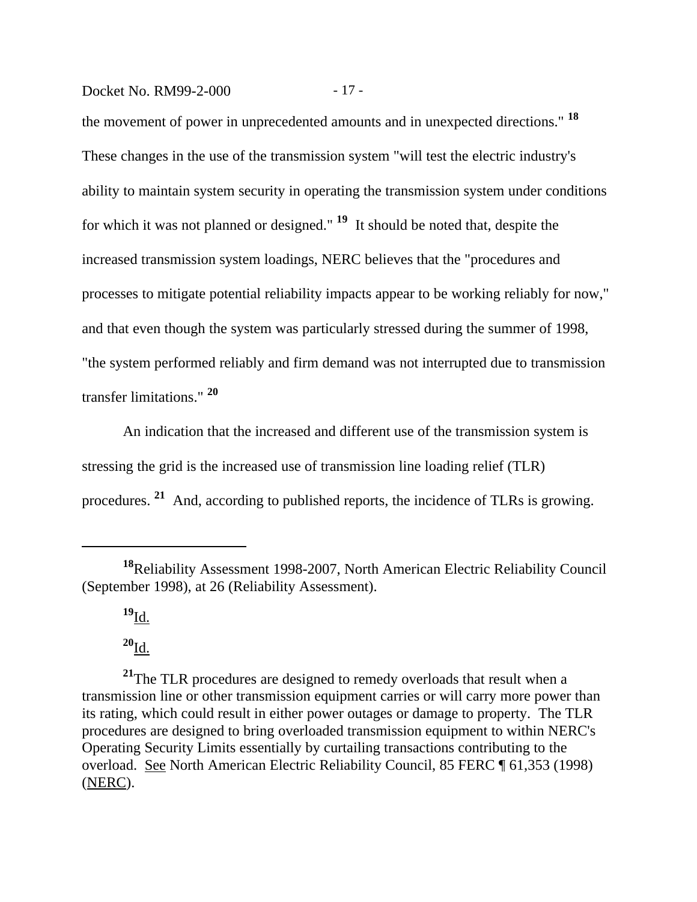# Docket No. RM99-2-000 - 17 -

the movement of power in unprecedented amounts and in unexpected directions." **<sup>18</sup>** These changes in the use of the transmission system "will test the electric industry's ability to maintain system security in operating the transmission system under conditions for which it was not planned or designed." **19** It should be noted that, despite the increased transmission system loadings, NERC believes that the "procedures and processes to mitigate potential reliability impacts appear to be working reliably for now," and that even though the system was particularly stressed during the summer of 1998, "the system performed reliably and firm demand was not interrupted due to transmission transfer limitations." **<sup>20</sup>**

An indication that the increased and different use of the transmission system is stressing the grid is the increased use of transmission line loading relief (TLR) procedures. **21** And, according to published reports, the incidence of TLRs is growing.

**<sup>19</sup>**Id.

 $^{20}I_{\underline{d}}$ .

<sup>21</sup>The TLR procedures are designed to remedy overloads that result when a transmission line or other transmission equipment carries or will carry more power than its rating, which could result in either power outages or damage to property. The TLR procedures are designed to bring overloaded transmission equipment to within NERC's Operating Security Limits essentially by curtailing transactions contributing to the overload. See North American Electric Reliability Council, 85 FERC ¶ 61,353 (1998) (NERC).

**<sup>18</sup>**Reliability Assessment 1998-2007, North American Electric Reliability Council (September 1998), at 26 (Reliability Assessment).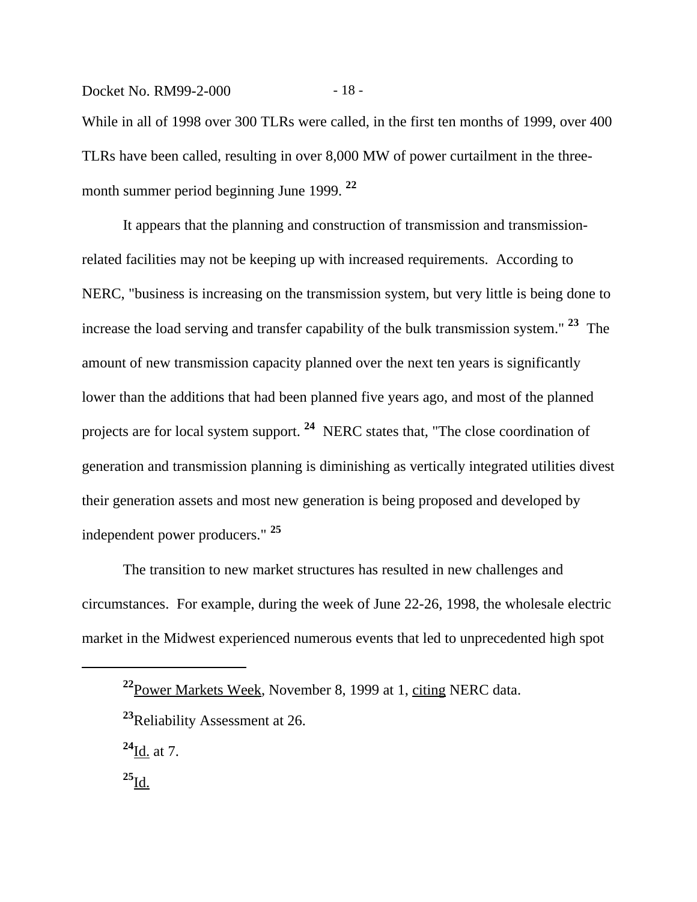Docket No. RM99-2-000 - 18 -While in all of 1998 over 300 TLRs were called, in the first ten months of 1999, over 400 TLRs have been called, resulting in over 8,000 MW of power curtailment in the threemonth summer period beginning June 1999. **<sup>22</sup>**

It appears that the planning and construction of transmission and transmissionrelated facilities may not be keeping up with increased requirements. According to NERC, "business is increasing on the transmission system, but very little is being done to increase the load serving and transfer capability of the bulk transmission system." **23** The amount of new transmission capacity planned over the next ten years is significantly lower than the additions that had been planned five years ago, and most of the planned projects are for local system support. **24** NERC states that, "The close coordination of generation and transmission planning is diminishing as vertically integrated utilities divest their generation assets and most new generation is being proposed and developed by independent power producers." **<sup>25</sup>**

The transition to new market structures has resulted in new challenges and circumstances. For example, during the week of June 22-26, 1998, the wholesale electric market in the Midwest experienced numerous events that led to unprecedented high spot

**<sup>22</sup>**Power Markets Week, November 8, 1999 at 1, citing NERC data.

**<sup>23</sup>**Reliability Assessment at 26.

**<sup>24</sup>**Id. at 7.

**<sup>25</sup>**Id.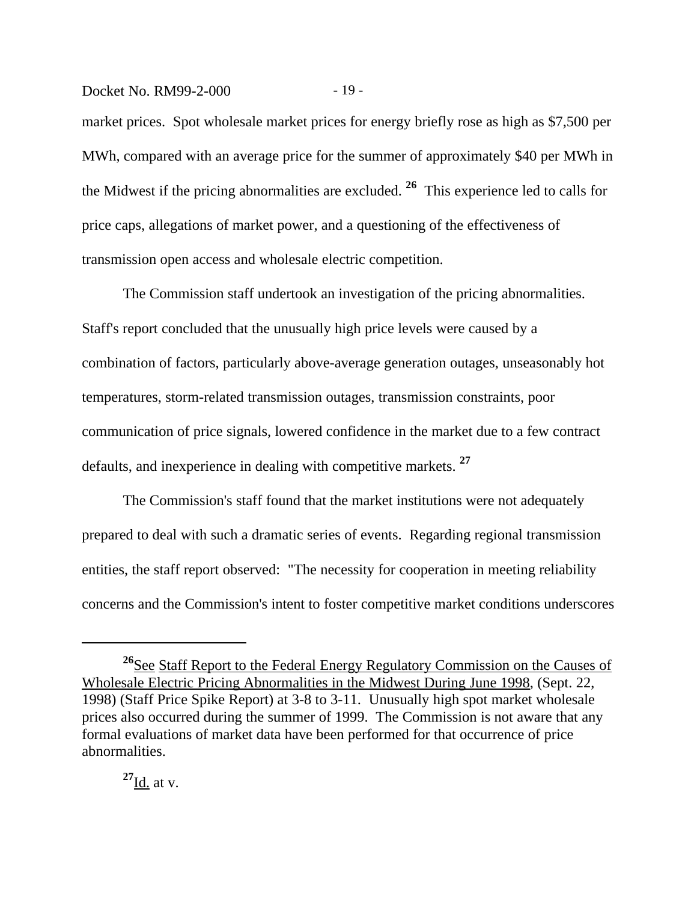#### Docket No. RM99-2-000 - 19 -

market prices. Spot wholesale market prices for energy briefly rose as high as \$7,500 per MWh, compared with an average price for the summer of approximately \$40 per MWh in the Midwest if the pricing abnormalities are excluded. **26** This experience led to calls for price caps, allegations of market power, and a questioning of the effectiveness of transmission open access and wholesale electric competition.

The Commission staff undertook an investigation of the pricing abnormalities. Staff's report concluded that the unusually high price levels were caused by a combination of factors, particularly above-average generation outages, unseasonably hot temperatures, storm-related transmission outages, transmission constraints, poor communication of price signals, lowered confidence in the market due to a few contract defaults, and inexperience in dealing with competitive markets. **<sup>27</sup>**

The Commission's staff found that the market institutions were not adequately prepared to deal with such a dramatic series of events. Regarding regional transmission entities, the staff report observed: "The necessity for cooperation in meeting reliability concerns and the Commission's intent to foster competitive market conditions underscores

<sup>&</sup>lt;sup>26</sup>See Staff Report to the Federal Energy Regulatory Commission on the Causes of Wholesale Electric Pricing Abnormalities in the Midwest During June 1998, (Sept. 22, 1998) (Staff Price Spike Report) at 3-8 to 3-11. Unusually high spot market wholesale prices also occurred during the summer of 1999. The Commission is not aware that any formal evaluations of market data have been performed for that occurrence of price abnormalities.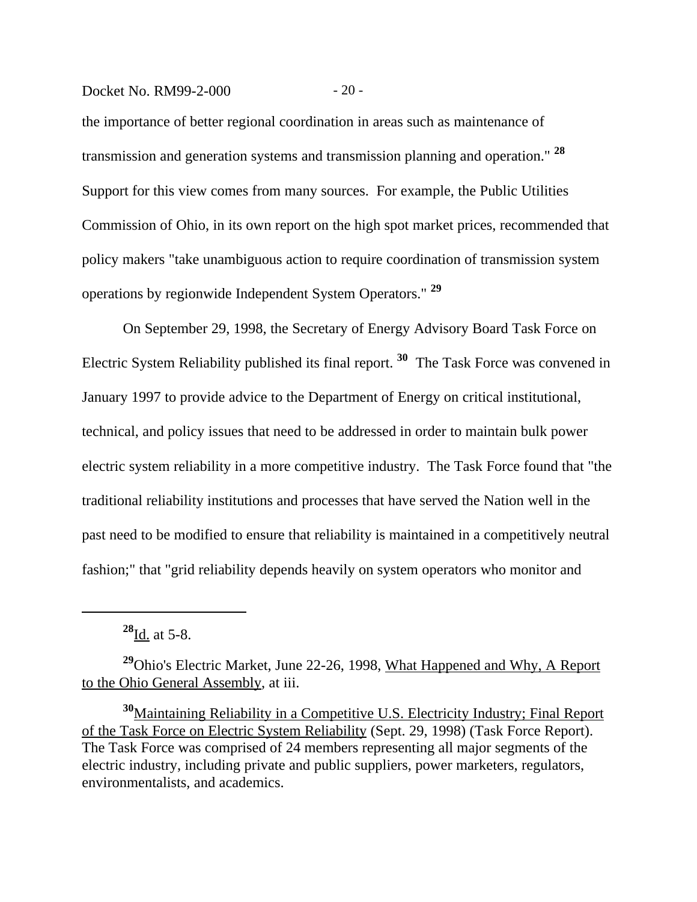## Docket No. RM99-2-000 - 20 -

the importance of better regional coordination in areas such as maintenance of transmission and generation systems and transmission planning and operation." **<sup>28</sup>** Support for this view comes from many sources. For example, the Public Utilities Commission of Ohio, in its own report on the high spot market prices, recommended that policy makers "take unambiguous action to require coordination of transmission system operations by regionwide Independent System Operators." **<sup>29</sup>**

On September 29, 1998, the Secretary of Energy Advisory Board Task Force on Electric System Reliability published its final report. **30** The Task Force was convened in January 1997 to provide advice to the Department of Energy on critical institutional, technical, and policy issues that need to be addressed in order to maintain bulk power electric system reliability in a more competitive industry. The Task Force found that "the traditional reliability institutions and processes that have served the Nation well in the past need to be modified to ensure that reliability is maintained in a competitively neutral fashion;" that "grid reliability depends heavily on system operators who monitor and

**<sup>28</sup>**Id. at 5-8.

**<sup>29</sup>**Ohio's Electric Market, June 22-26, 1998, What Happened and Why, A Report to the Ohio General Assembly, at iii.

**<sup>30</sup>**Maintaining Reliability in a Competitive U.S. Electricity Industry; Final Report of the Task Force on Electric System Reliability (Sept. 29, 1998) (Task Force Report). The Task Force was comprised of 24 members representing all major segments of the electric industry, including private and public suppliers, power marketers, regulators, environmentalists, and academics.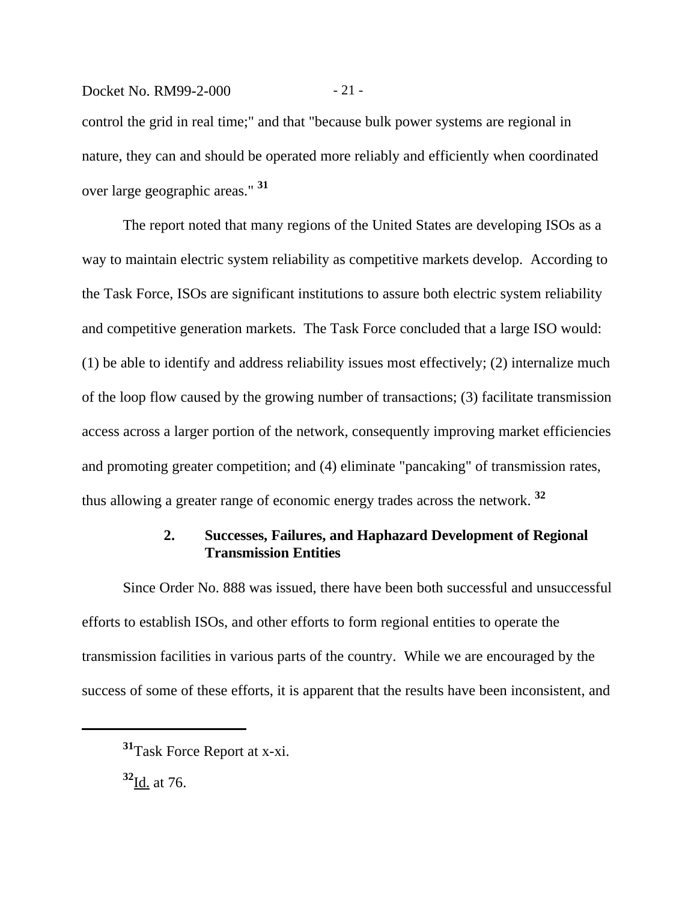Docket No. RM99-2-000 - 21 control the grid in real time;" and that "because bulk power systems are regional in nature, they can and should be operated more reliably and efficiently when coordinated over large geographic areas." **<sup>31</sup>**

The report noted that many regions of the United States are developing ISOs as a way to maintain electric system reliability as competitive markets develop. According to the Task Force, ISOs are significant institutions to assure both electric system reliability and competitive generation markets. The Task Force concluded that a large ISO would: (1) be able to identify and address reliability issues most effectively; (2) internalize much of the loop flow caused by the growing number of transactions; (3) facilitate transmission access across a larger portion of the network, consequently improving market efficiencies and promoting greater competition; and (4) eliminate "pancaking" of transmission rates, thus allowing a greater range of economic energy trades across the network. **<sup>32</sup>**

# **2. Successes, Failures, and Haphazard Development of Regional Transmission Entities**

Since Order No. 888 was issued, there have been both successful and unsuccessful efforts to establish ISOs, and other efforts to form regional entities to operate the transmission facilities in various parts of the country. While we are encouraged by the success of some of these efforts, it is apparent that the results have been inconsistent, and

**<sup>32</sup>**Id. at 76.

**<sup>31</sup>**Task Force Report at x-xi.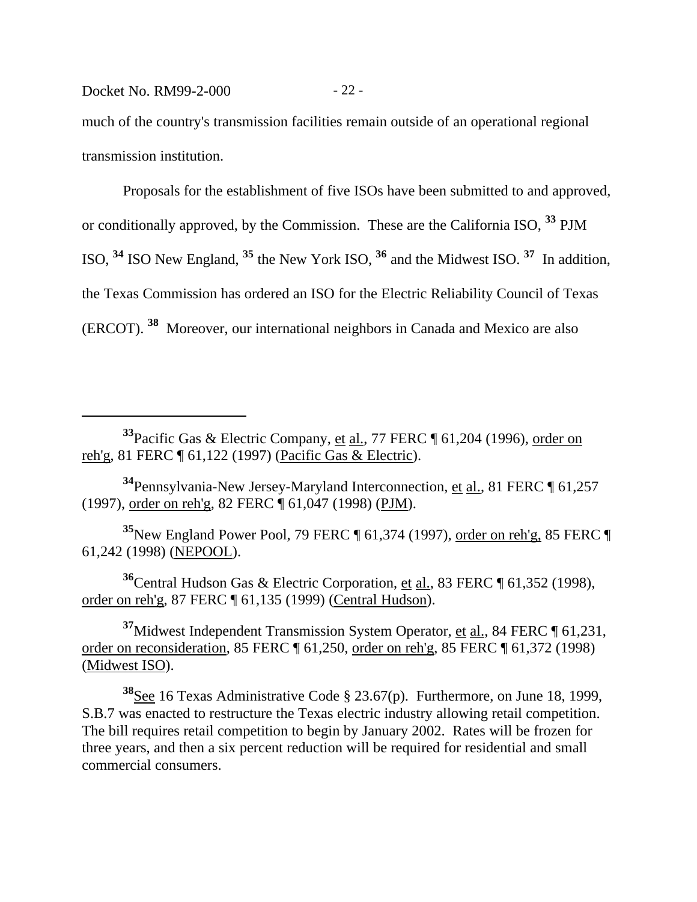Docket No. RM99-2-000 - 22 -

much of the country's transmission facilities remain outside of an operational regional transmission institution.

Proposals for the establishment of five ISOs have been submitted to and approved, or conditionally approved, by the Commission. These are the California ISO, **33** PJM ISO, **34** ISO New England, **35** the New York ISO, **36** and the Midwest ISO. **37** In addition, the Texas Commission has ordered an ISO for the Electric Reliability Council of Texas (ERCOT). **38** Moreover, our international neighbors in Canada and Mexico are also

**<sup>33</sup>**Pacific Gas & Electric Company, et al., 77 FERC ¶ 61,204 (1996), order on reh'g, 81 FERC ¶ 61,122 (1997) (Pacific Gas & Electric).

**<sup>34</sup>**Pennsylvania-New Jersey-Maryland Interconnection, et al., 81 FERC ¶ 61,257 (1997), order on reh'g, 82 FERC ¶ 61,047 (1998) (PJM).

**<sup>35</sup>**New England Power Pool, 79 FERC ¶ 61,374 (1997), order on reh'g, 85 FERC ¶ 61,242 (1998) (NEPOOL).

**<sup>36</sup>**Central Hudson Gas & Electric Corporation, et al., 83 FERC ¶ 61,352 (1998), order on reh'g, 87 FERC ¶ 61,135 (1999) (Central Hudson).

**<sup>37</sup>**Midwest Independent Transmission System Operator, et al., 84 FERC ¶ 61,231, order on reconsideration, 85 FERC ¶ 61,250, order on reh'g, 85 FERC ¶ 61,372 (1998) (Midwest ISO).

**<sup>38</sup>**See 16 Texas Administrative Code § 23.67(p). Furthermore, on June 18, 1999, S.B.7 was enacted to restructure the Texas electric industry allowing retail competition. The bill requires retail competition to begin by January 2002. Rates will be frozen for three years, and then a six percent reduction will be required for residential and small commercial consumers.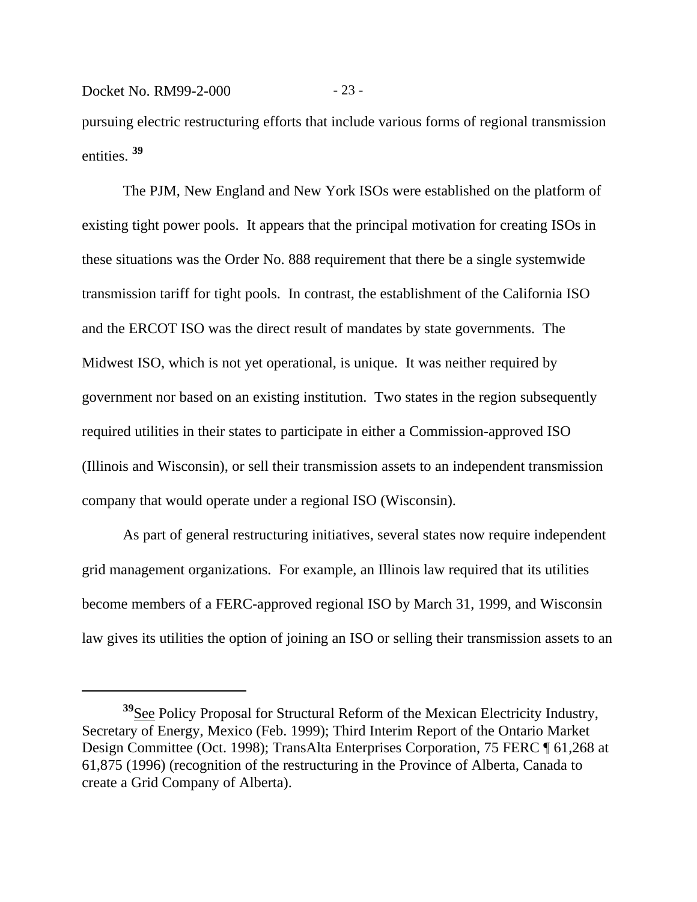pursuing electric restructuring efforts that include various forms of regional transmission entities. **<sup>39</sup>**

Docket No. RM99-2-000 - 23 -

The PJM, New England and New York ISOs were established on the platform of existing tight power pools. It appears that the principal motivation for creating ISOs in these situations was the Order No. 888 requirement that there be a single systemwide transmission tariff for tight pools. In contrast, the establishment of the California ISO and the ERCOT ISO was the direct result of mandates by state governments. The Midwest ISO, which is not yet operational, is unique. It was neither required by government nor based on an existing institution. Two states in the region subsequently required utilities in their states to participate in either a Commission-approved ISO (Illinois and Wisconsin), or sell their transmission assets to an independent transmission company that would operate under a regional ISO (Wisconsin).

As part of general restructuring initiatives, several states now require independent grid management organizations. For example, an Illinois law required that its utilities become members of a FERC-approved regional ISO by March 31, 1999, and Wisconsin law gives its utilities the option of joining an ISO or selling their transmission assets to an

**<sup>39</sup>**See Policy Proposal for Structural Reform of the Mexican Electricity Industry, Secretary of Energy, Mexico (Feb. 1999); Third Interim Report of the Ontario Market Design Committee (Oct. 1998); TransAlta Enterprises Corporation, 75 FERC ¶ 61,268 at 61,875 (1996) (recognition of the restructuring in the Province of Alberta, Canada to create a Grid Company of Alberta).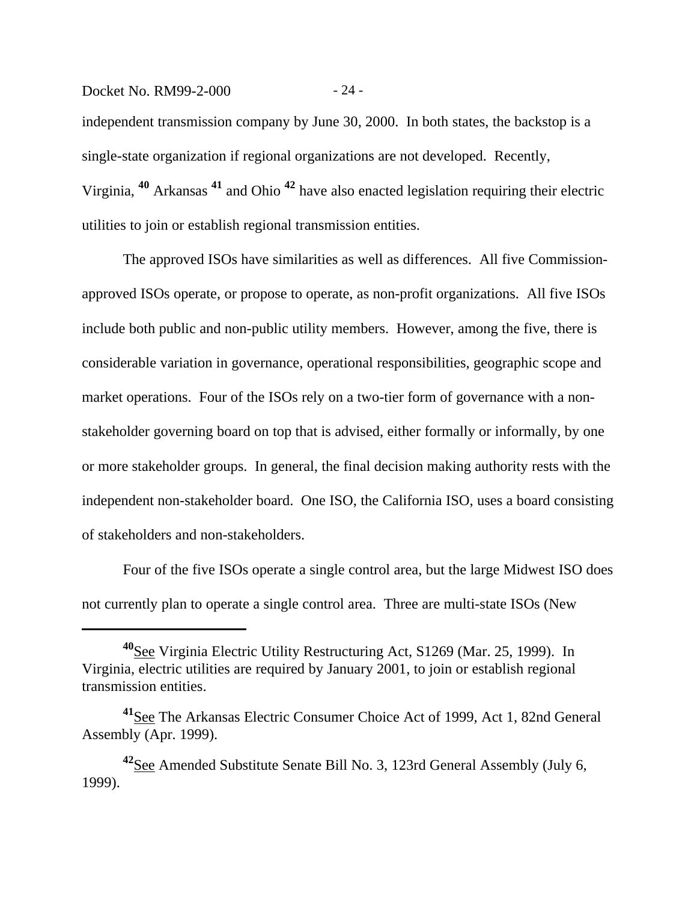independent transmission company by June 30, 2000. In both states, the backstop is a single-state organization if regional organizations are not developed. Recently, Virginia, **40** Arkansas **41** and Ohio **42** have also enacted legislation requiring their electric utilities to join or establish regional transmission entities.

The approved ISOs have similarities as well as differences. All five Commissionapproved ISOs operate, or propose to operate, as non-profit organizations. All five ISOs include both public and non-public utility members. However, among the five, there is considerable variation in governance, operational responsibilities, geographic scope and market operations. Four of the ISOs rely on a two-tier form of governance with a nonstakeholder governing board on top that is advised, either formally or informally, by one or more stakeholder groups. In general, the final decision making authority rests with the independent non-stakeholder board. One ISO, the California ISO, uses a board consisting of stakeholders and non-stakeholders.

Four of the five ISOs operate a single control area, but the large Midwest ISO does not currently plan to operate a single control area. Three are multi-state ISOs (New

Docket No. RM99-2-000 - 24 -

**<sup>40</sup>**See Virginia Electric Utility Restructuring Act, S1269 (Mar. 25, 1999). In Virginia, electric utilities are required by January 2001, to join or establish regional transmission entities.

**<sup>41</sup>**See The Arkansas Electric Consumer Choice Act of 1999, Act 1, 82nd General Assembly (Apr. 1999).

**<sup>42</sup>**See Amended Substitute Senate Bill No. 3, 123rd General Assembly (July 6, 1999).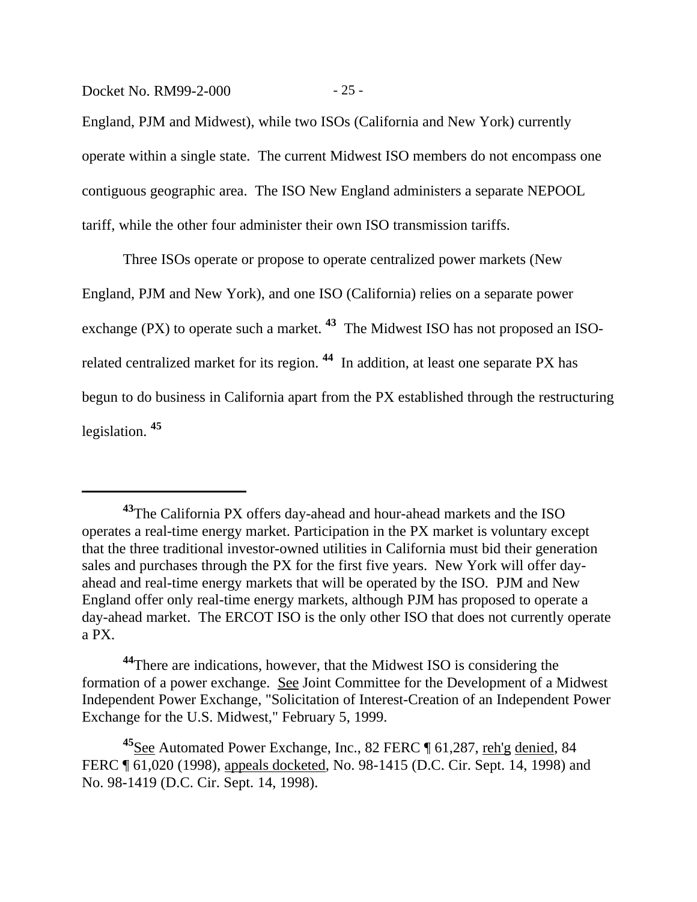Docket No. RM99-2-000 - 25 -

England, PJM and Midwest), while two ISOs (California and New York) currently operate within a single state. The current Midwest ISO members do not encompass one contiguous geographic area. The ISO New England administers a separate NEPOOL tariff, while the other four administer their own ISO transmission tariffs.

Three ISOs operate or propose to operate centralized power markets (New England, PJM and New York), and one ISO (California) relies on a separate power exchange (PX) to operate such a market. **43** The Midwest ISO has not proposed an ISOrelated centralized market for its region. **44** In addition, at least one separate PX has begun to do business in California apart from the PX established through the restructuring legislation. **<sup>45</sup>**

**<sup>43</sup>**The California PX offers day-ahead and hour-ahead markets and the ISO operates a real-time energy market. Participation in the PX market is voluntary except that the three traditional investor-owned utilities in California must bid their generation sales and purchases through the PX for the first five years. New York will offer dayahead and real-time energy markets that will be operated by the ISO. PJM and New England offer only real-time energy markets, although PJM has proposed to operate a day-ahead market. The ERCOT ISO is the only other ISO that does not currently operate a PX.

**<sup>44</sup>**There are indications, however, that the Midwest ISO is considering the formation of a power exchange. See Joint Committee for the Development of a Midwest Independent Power Exchange, "Solicitation of Interest-Creation of an Independent Power Exchange for the U.S. Midwest," February 5, 1999.

**<sup>45</sup>**See Automated Power Exchange, Inc., 82 FERC ¶ 61,287, reh'g denied, 84 FERC ¶ 61,020 (1998), appeals docketed, No. 98-1415 (D.C. Cir. Sept. 14, 1998) and No. 98-1419 (D.C. Cir. Sept. 14, 1998).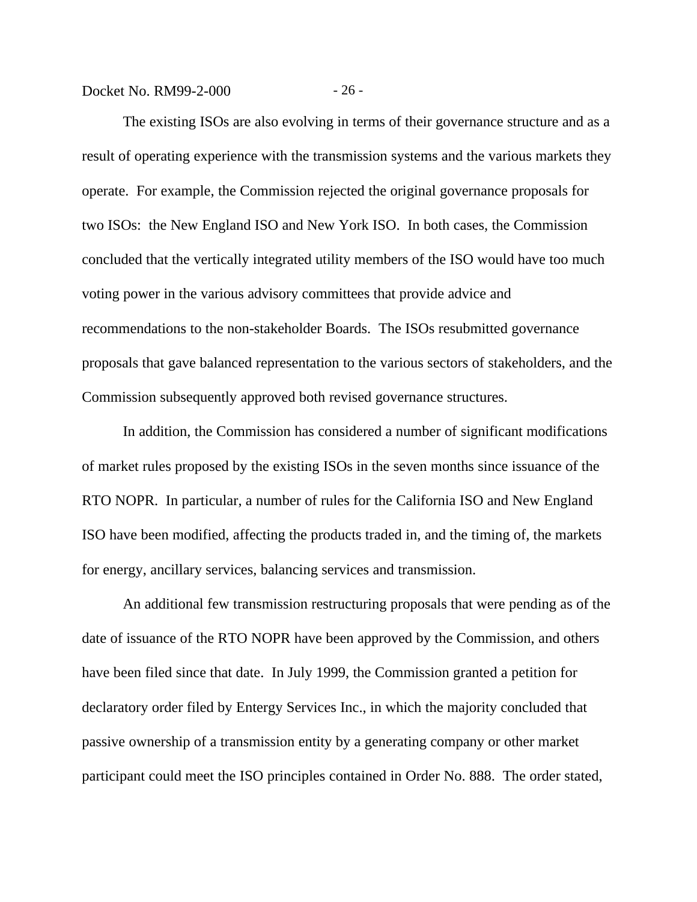Docket No. RM99-2-000 - 26 -

The existing ISOs are also evolving in terms of their governance structure and as a result of operating experience with the transmission systems and the various markets they operate. For example, the Commission rejected the original governance proposals for two ISOs: the New England ISO and New York ISO. In both cases, the Commission concluded that the vertically integrated utility members of the ISO would have too much voting power in the various advisory committees that provide advice and recommendations to the non-stakeholder Boards. The ISOs resubmitted governance proposals that gave balanced representation to the various sectors of stakeholders, and the Commission subsequently approved both revised governance structures.

In addition, the Commission has considered a number of significant modifications of market rules proposed by the existing ISOs in the seven months since issuance of the RTO NOPR. In particular, a number of rules for the California ISO and New England ISO have been modified, affecting the products traded in, and the timing of, the markets for energy, ancillary services, balancing services and transmission.

An additional few transmission restructuring proposals that were pending as of the date of issuance of the RTO NOPR have been approved by the Commission, and others have been filed since that date. In July 1999, the Commission granted a petition for declaratory order filed by Entergy Services Inc., in which the majority concluded that passive ownership of a transmission entity by a generating company or other market participant could meet the ISO principles contained in Order No. 888. The order stated,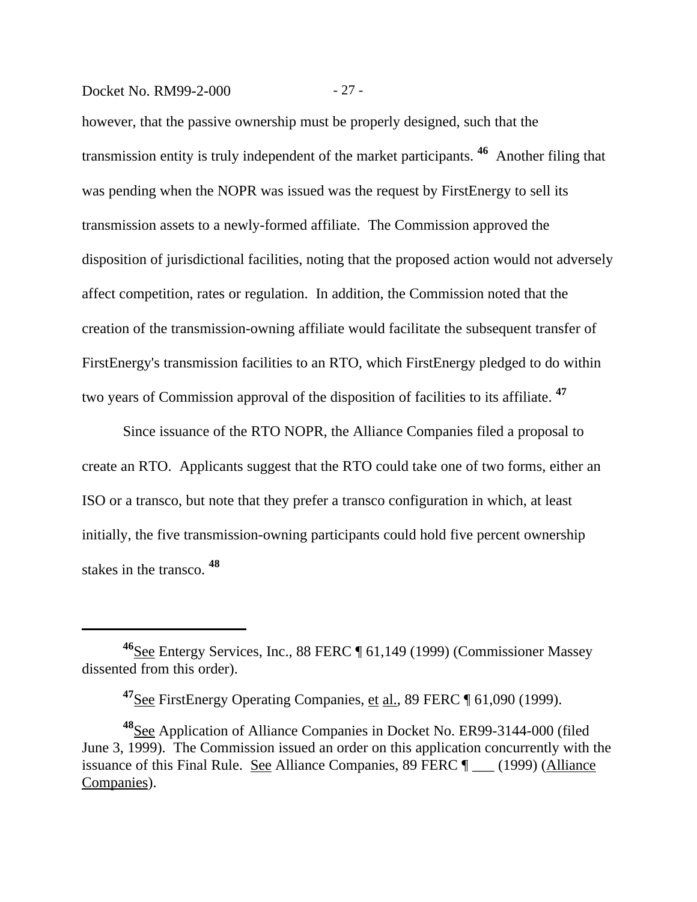#### Docket No. RM99-2-000 - 27 -

however, that the passive ownership must be properly designed, such that the transmission entity is truly independent of the market participants. **46** Another filing that was pending when the NOPR was issued was the request by FirstEnergy to sell its transmission assets to a newly-formed affiliate. The Commission approved the disposition of jurisdictional facilities, noting that the proposed action would not adversely affect competition, rates or regulation. In addition, the Commission noted that the creation of the transmission-owning affiliate would facilitate the subsequent transfer of FirstEnergy's transmission facilities to an RTO, which FirstEnergy pledged to do within two years of Commission approval of the disposition of facilities to its affiliate. **<sup>47</sup>**

Since issuance of the RTO NOPR, the Alliance Companies filed a proposal to create an RTO. Applicants suggest that the RTO could take one of two forms, either an ISO or a transco, but note that they prefer a transco configuration in which, at least initially, the five transmission-owning participants could hold five percent ownership stakes in the transco. **<sup>48</sup>**

**<sup>46</sup>**See Entergy Services, Inc., 88 FERC ¶ 61,149 (1999) (Commissioner Massey dissented from this order).

**<sup>47</sup>**See FirstEnergy Operating Companies, et al., 89 FERC ¶ 61,090 (1999).

**<sup>48</sup>**See Application of Alliance Companies in Docket No. ER99-3144-000 (filed June 3, 1999). The Commission issued an order on this application concurrently with the issuance of this Final Rule. See Alliance Companies, 89 FERC ¶ \_\_\_ (1999) (Alliance Companies).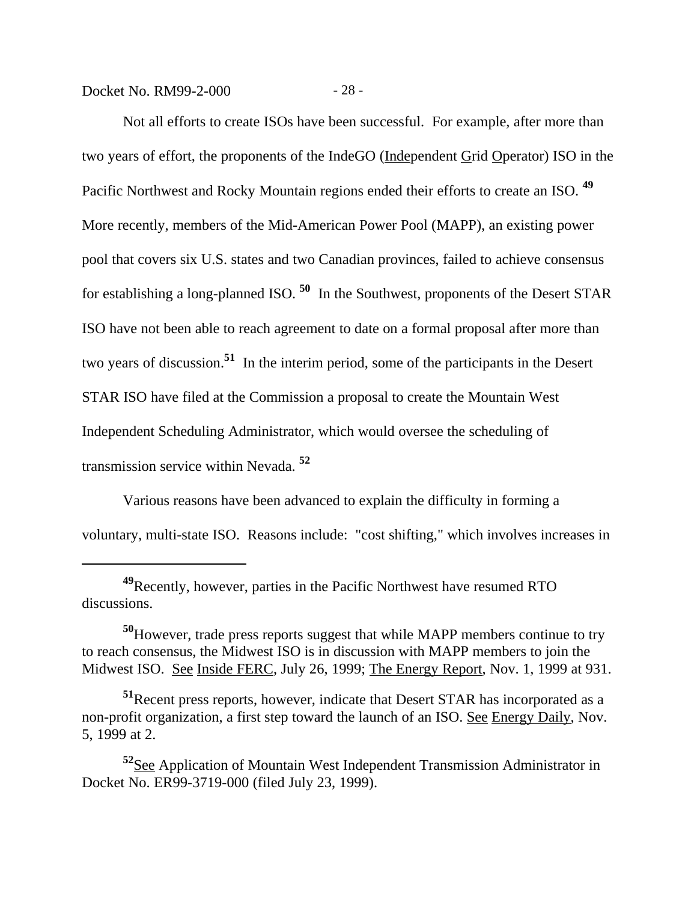Docket No. RM99-2-000 - 28 -

Not all efforts to create ISOs have been successful. For example, after more than two years of effort, the proponents of the IndeGO (Independent Grid Operator) ISO in the Pacific Northwest and Rocky Mountain regions ended their efforts to create an ISO. **<sup>49</sup>** More recently, members of the Mid-American Power Pool (MAPP), an existing power pool that covers six U.S. states and two Canadian provinces, failed to achieve consensus for establishing a long-planned ISO. **50** In the Southwest, proponents of the Desert STAR ISO have not been able to reach agreement to date on a formal proposal after more than two years of discussion.**51** In the interim period, some of the participants in the Desert STAR ISO have filed at the Commission a proposal to create the Mountain West Independent Scheduling Administrator, which would oversee the scheduling of transmission service within Nevada. **<sup>52</sup>**

Various reasons have been advanced to explain the difficulty in forming a voluntary, multi-state ISO. Reasons include: "cost shifting," which involves increases in

**<sup>49</sup>**Recently, however, parties in the Pacific Northwest have resumed RTO discussions.

**<sup>50</sup>**However, trade press reports suggest that while MAPP members continue to try to reach consensus, the Midwest ISO is in discussion with MAPP members to join the Midwest ISO. See Inside FERC, July 26, 1999; The Energy Report, Nov. 1, 1999 at 931.

**<sup>51</sup>**Recent press reports, however, indicate that Desert STAR has incorporated as a non-profit organization, a first step toward the launch of an ISO. See Energy Daily, Nov. 5, 1999 at 2.

**<sup>52</sup>**See Application of Mountain West Independent Transmission Administrator in Docket No. ER99-3719-000 (filed July 23, 1999).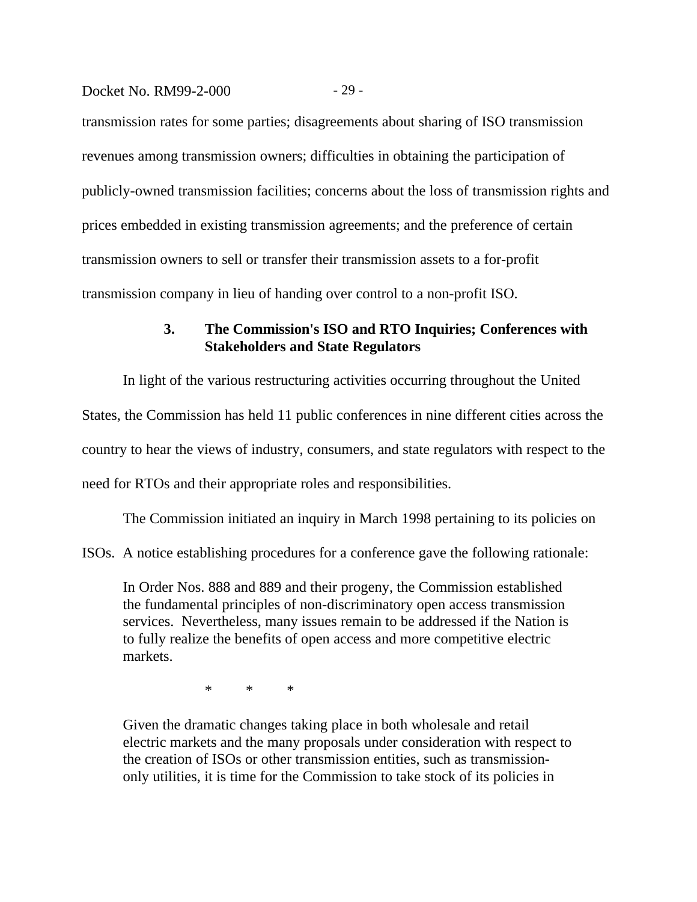#### Docket No. RM99-2-000 - 29 -

transmission rates for some parties; disagreements about sharing of ISO transmission revenues among transmission owners; difficulties in obtaining the participation of publicly-owned transmission facilities; concerns about the loss of transmission rights and prices embedded in existing transmission agreements; and the preference of certain transmission owners to sell or transfer their transmission assets to a for-profit transmission company in lieu of handing over control to a non-profit ISO.

# **3. The Commission's ISO and RTO Inquiries; Conferences with Stakeholders and State Regulators**

In light of the various restructuring activities occurring throughout the United States, the Commission has held 11 public conferences in nine different cities across the country to hear the views of industry, consumers, and state regulators with respect to the need for RTOs and their appropriate roles and responsibilities.

The Commission initiated an inquiry in March 1998 pertaining to its policies on

ISOs. A notice establishing procedures for a conference gave the following rationale:

In Order Nos. 888 and 889 and their progeny, the Commission established the fundamental principles of non-discriminatory open access transmission services. Nevertheless, many issues remain to be addressed if the Nation is to fully realize the benefits of open access and more competitive electric markets.

\* \* \*

Given the dramatic changes taking place in both wholesale and retail electric markets and the many proposals under consideration with respect to the creation of ISOs or other transmission entities, such as transmissiononly utilities, it is time for the Commission to take stock of its policies in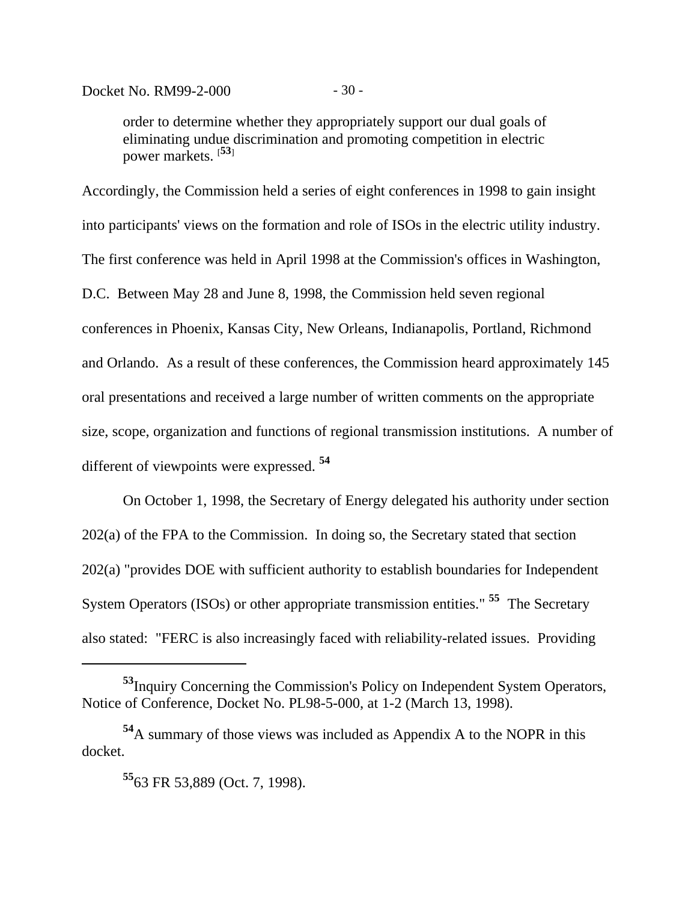order to determine whether they appropriately support our dual goals of eliminating undue discrimination and promoting competition in electric power markets. [**53**]

Accordingly, the Commission held a series of eight conferences in 1998 to gain insight into participants' views on the formation and role of ISOs in the electric utility industry. The first conference was held in April 1998 at the Commission's offices in Washington, D.C. Between May 28 and June 8, 1998, the Commission held seven regional conferences in Phoenix, Kansas City, New Orleans, Indianapolis, Portland, Richmond and Orlando. As a result of these conferences, the Commission heard approximately 145 oral presentations and received a large number of written comments on the appropriate size, scope, organization and functions of regional transmission institutions. A number of different of viewpoints were expressed. **<sup>54</sup>**

On October 1, 1998, the Secretary of Energy delegated his authority under section 202(a) of the FPA to the Commission. In doing so, the Secretary stated that section 202(a) "provides DOE with sufficient authority to establish boundaries for Independent System Operators (ISOs) or other appropriate transmission entities." **55** The Secretary also stated: "FERC is also increasingly faced with reliability-related issues. Providing

**<sup>53</sup>**Inquiry Concerning the Commission's Policy on Independent System Operators, Notice of Conference, Docket No. PL98-5-000, at 1-2 (March 13, 1998).

**<sup>54</sup>**A summary of those views was included as Appendix A to the NOPR in this docket.

**<sup>55</sup>**63 FR 53,889 (Oct. 7, 1998).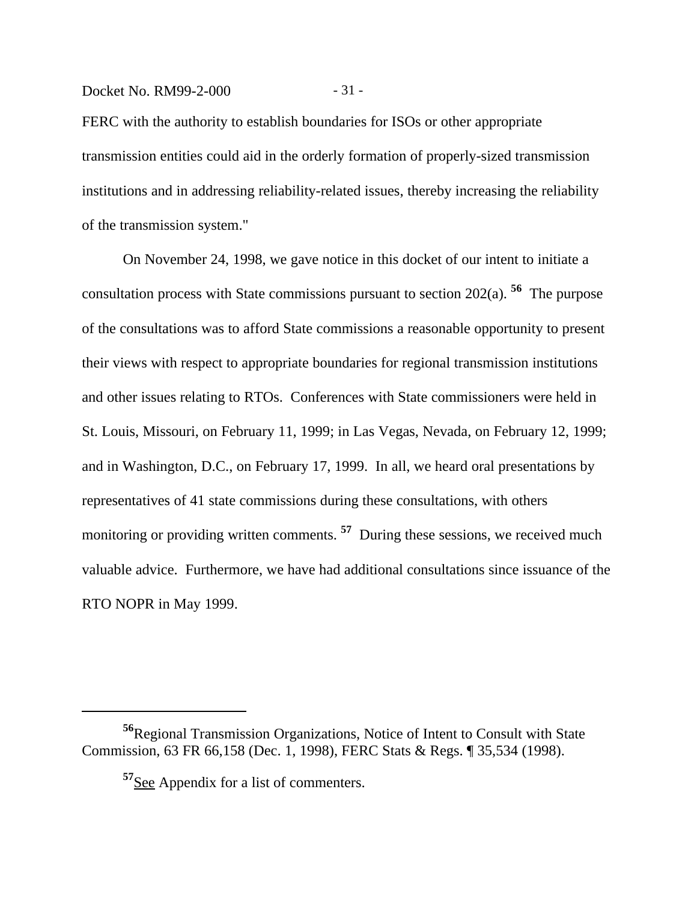## Docket No. RM99-2-000 - 31 -

FERC with the authority to establish boundaries for ISOs or other appropriate transmission entities could aid in the orderly formation of properly-sized transmission institutions and in addressing reliability-related issues, thereby increasing the reliability of the transmission system."

On November 24, 1998, we gave notice in this docket of our intent to initiate a consultation process with State commissions pursuant to section 202(a). **56** The purpose of the consultations was to afford State commissions a reasonable opportunity to present their views with respect to appropriate boundaries for regional transmission institutions and other issues relating to RTOs. Conferences with State commissioners were held in St. Louis, Missouri, on February 11, 1999; in Las Vegas, Nevada, on February 12, 1999; and in Washington, D.C., on February 17, 1999. In all, we heard oral presentations by representatives of 41 state commissions during these consultations, with others monitoring or providing written comments.<sup>57</sup> During these sessions, we received much valuable advice. Furthermore, we have had additional consultations since issuance of the RTO NOPR in May 1999.

**<sup>56</sup>**Regional Transmission Organizations, Notice of Intent to Consult with State Commission, 63 FR 66,158 (Dec. 1, 1998), FERC Stats & Regs. ¶ 35,534 (1998).

**<sup>57</sup>**See Appendix for a list of commenters.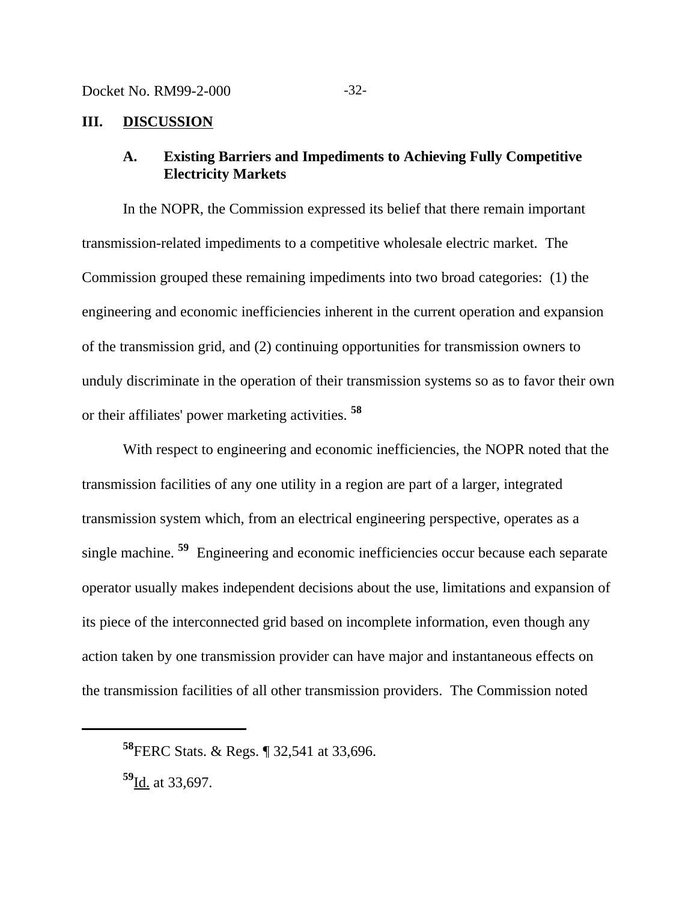## **III. DISCUSSION**

# **A. Existing Barriers and Impediments to Achieving Fully Competitive Electricity Markets**

In the NOPR, the Commission expressed its belief that there remain important transmission-related impediments to a competitive wholesale electric market. The Commission grouped these remaining impediments into two broad categories: (1) the engineering and economic inefficiencies inherent in the current operation and expansion of the transmission grid, and (2) continuing opportunities for transmission owners to unduly discriminate in the operation of their transmission systems so as to favor their own or their affiliates' power marketing activities. **<sup>58</sup>**

With respect to engineering and economic inefficiencies, the NOPR noted that the transmission facilities of any one utility in a region are part of a larger, integrated transmission system which, from an electrical engineering perspective, operates as a single machine. **59** Engineering and economic inefficiencies occur because each separate operator usually makes independent decisions about the use, limitations and expansion of its piece of the interconnected grid based on incomplete information, even though any action taken by one transmission provider can have major and instantaneous effects on the transmission facilities of all other transmission providers. The Commission noted

**<sup>58</sup>**FERC Stats. & Regs. ¶ 32,541 at 33,696.

**<sup>59</sup>**Id. at 33,697.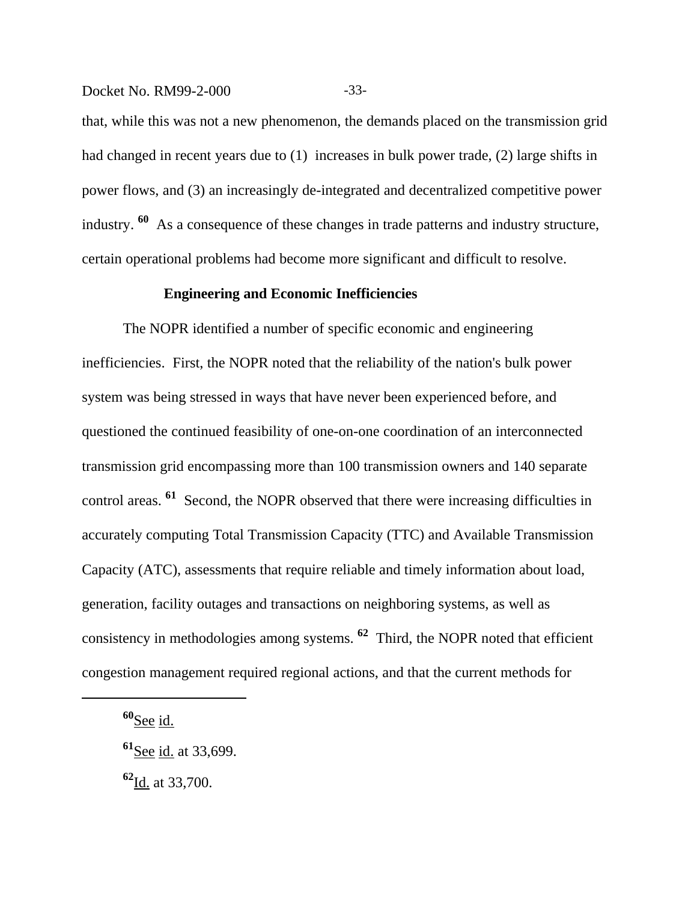#### Docket No. RM99-2-000 -33-

that, while this was not a new phenomenon, the demands placed on the transmission grid had changed in recent years due to (1) increases in bulk power trade, (2) large shifts in power flows, and (3) an increasingly de-integrated and decentralized competitive power industry. **60** As a consequence of these changes in trade patterns and industry structure, certain operational problems had become more significant and difficult to resolve.

## **Engineering and Economic Inefficiencies**

The NOPR identified a number of specific economic and engineering inefficiencies. First, the NOPR noted that the reliability of the nation's bulk power system was being stressed in ways that have never been experienced before, and questioned the continued feasibility of one-on-one coordination of an interconnected transmission grid encompassing more than 100 transmission owners and 140 separate control areas. **61** Second, the NOPR observed that there were increasing difficulties in accurately computing Total Transmission Capacity (TTC) and Available Transmission Capacity (ATC), assessments that require reliable and timely information about load, generation, facility outages and transactions on neighboring systems, as well as consistency in methodologies among systems. **62** Third, the NOPR noted that efficient congestion management required regional actions, and that the current methods for

**<sup>60</sup>**See id.

**<sup>62</sup>**Id. at 33,700.

**<sup>61</sup>**See id. at 33,699.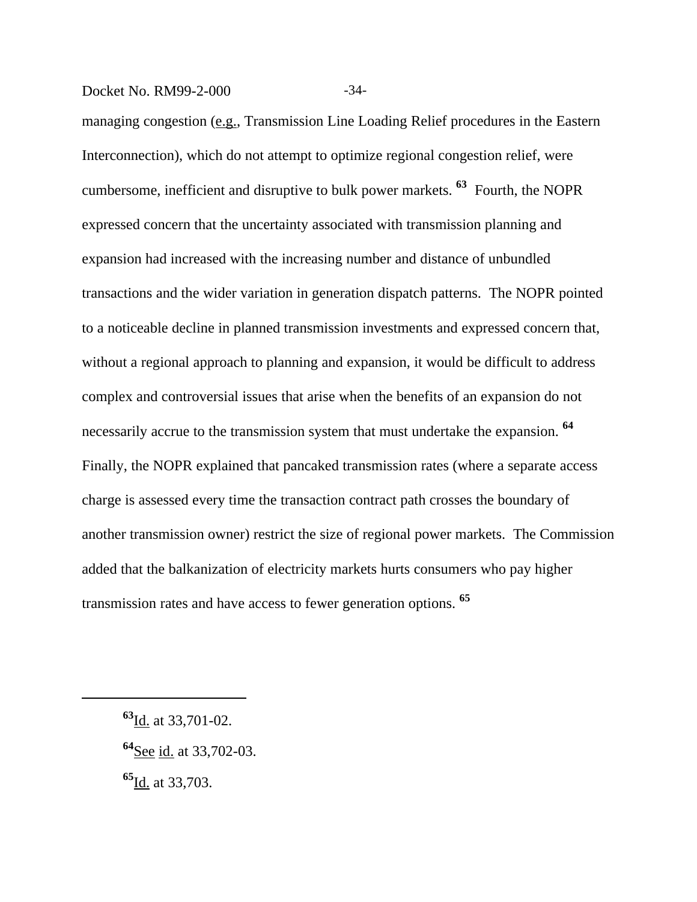#### Docket No. RM99-2-000 -34-

managing congestion (e.g., Transmission Line Loading Relief procedures in the Eastern Interconnection), which do not attempt to optimize regional congestion relief, were cumbersome, inefficient and disruptive to bulk power markets. **63** Fourth, the NOPR expressed concern that the uncertainty associated with transmission planning and expansion had increased with the increasing number and distance of unbundled transactions and the wider variation in generation dispatch patterns. The NOPR pointed to a noticeable decline in planned transmission investments and expressed concern that, without a regional approach to planning and expansion, it would be difficult to address complex and controversial issues that arise when the benefits of an expansion do not necessarily accrue to the transmission system that must undertake the expansion. **<sup>64</sup>** Finally, the NOPR explained that pancaked transmission rates (where a separate access charge is assessed every time the transaction contract path crosses the boundary of another transmission owner) restrict the size of regional power markets. The Commission added that the balkanization of electricity markets hurts consumers who pay higher transmission rates and have access to fewer generation options. **<sup>65</sup>**

**<sup>65</sup>**Id. at 33,703.

**<sup>63</sup>**Id. at 33,701-02.

**<sup>64</sup>**See id. at 33,702-03.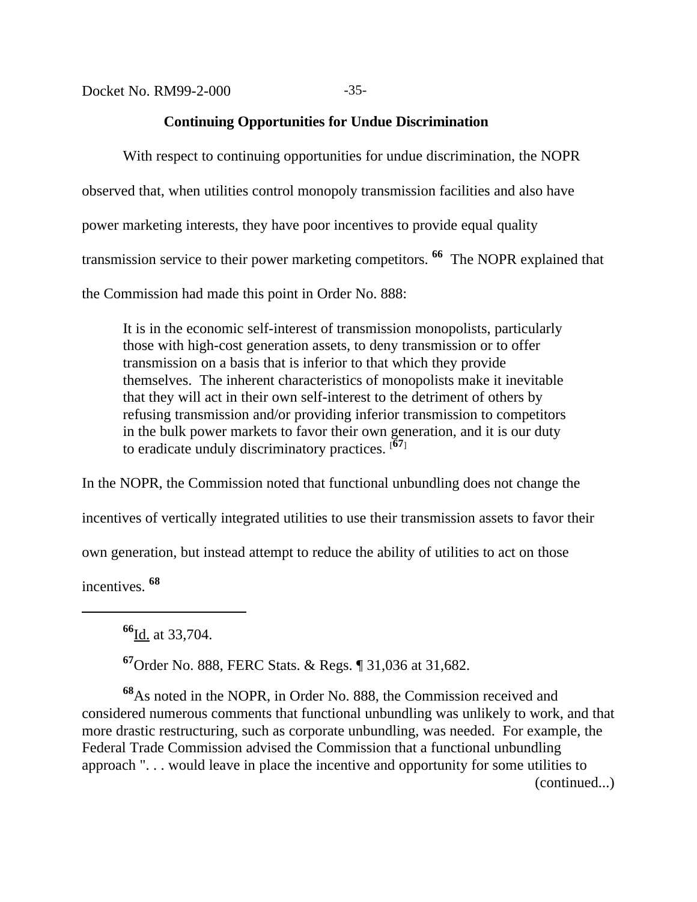# **Continuing Opportunities for Undue Discrimination**

With respect to continuing opportunities for undue discrimination, the NOPR observed that, when utilities control monopoly transmission facilities and also have power marketing interests, they have poor incentives to provide equal quality transmission service to their power marketing competitors. **66** The NOPR explained that the Commission had made this point in Order No. 888:

It is in the economic self-interest of transmission monopolists, particularly those with high-cost generation assets, to deny transmission or to offer transmission on a basis that is inferior to that which they provide themselves. The inherent characteristics of monopolists make it inevitable that they will act in their own self-interest to the detriment of others by refusing transmission and/or providing inferior transmission to competitors in the bulk power markets to favor their own generation, and it is our duty to eradicate unduly discriminatory practices. [**67**]

In the NOPR, the Commission noted that functional unbundling does not change the incentives of vertically integrated utilities to use their transmission assets to favor their own generation, but instead attempt to reduce the ability of utilities to act on those incentives. **<sup>68</sup>**

**<sup>66</sup>**Id. at 33,704.

**<sup>67</sup>**Order No. 888, FERC Stats. & Regs. ¶ 31,036 at 31,682.

**<sup>68</sup>**As noted in the NOPR, in Order No. 888, the Commission received and considered numerous comments that functional unbundling was unlikely to work, and that more drastic restructuring, such as corporate unbundling, was needed. For example, the Federal Trade Commission advised the Commission that a functional unbundling approach ". . . would leave in place the incentive and opportunity for some utilities to (continued...)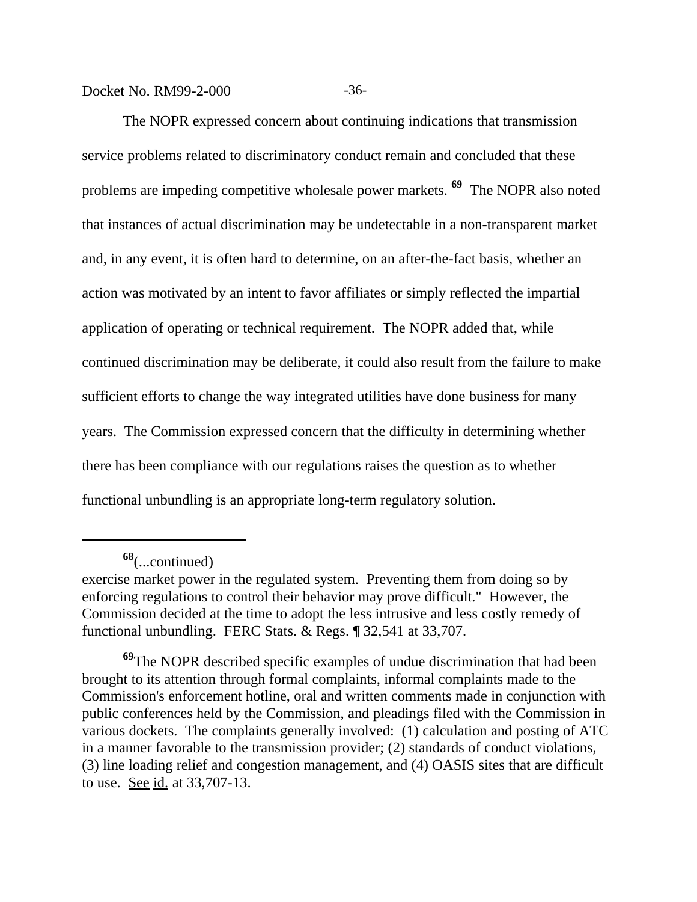Docket No. RM99-2-000 -36-

The NOPR expressed concern about continuing indications that transmission service problems related to discriminatory conduct remain and concluded that these problems are impeding competitive wholesale power markets. **69** The NOPR also noted that instances of actual discrimination may be undetectable in a non-transparent market and, in any event, it is often hard to determine, on an after-the-fact basis, whether an action was motivated by an intent to favor affiliates or simply reflected the impartial application of operating or technical requirement. The NOPR added that, while continued discrimination may be deliberate, it could also result from the failure to make sufficient efforts to change the way integrated utilities have done business for many years. The Commission expressed concern that the difficulty in determining whether there has been compliance with our regulations raises the question as to whether functional unbundling is an appropriate long-term regulatory solution.

**<sup>68</sup>**(...continued)

exercise market power in the regulated system. Preventing them from doing so by enforcing regulations to control their behavior may prove difficult." However, the Commission decided at the time to adopt the less intrusive and less costly remedy of functional unbundling. FERC Stats. & Regs. ¶ 32,541 at 33,707.

**<sup>69</sup>**The NOPR described specific examples of undue discrimination that had been brought to its attention through formal complaints, informal complaints made to the Commission's enforcement hotline, oral and written comments made in conjunction with public conferences held by the Commission, and pleadings filed with the Commission in various dockets. The complaints generally involved: (1) calculation and posting of ATC in a manner favorable to the transmission provider; (2) standards of conduct violations, (3) line loading relief and congestion management, and (4) OASIS sites that are difficult to use. <u>See id.</u> at 33,707-13.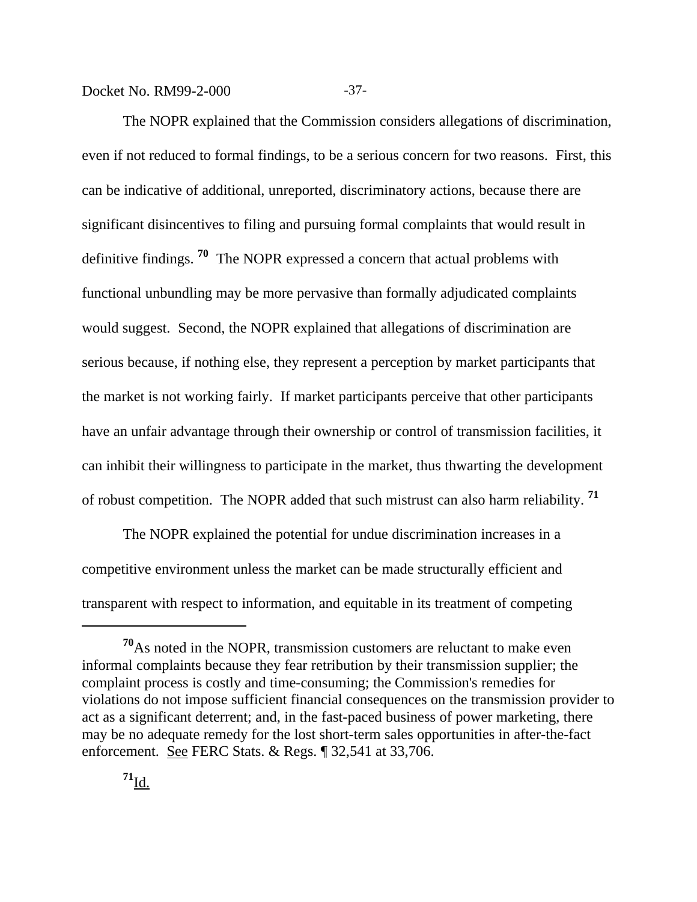Docket No. RM99-2-000 -37-

The NOPR explained that the Commission considers allegations of discrimination, even if not reduced to formal findings, to be a serious concern for two reasons. First, this can be indicative of additional, unreported, discriminatory actions, because there are significant disincentives to filing and pursuing formal complaints that would result in definitive findings. **70** The NOPR expressed a concern that actual problems with functional unbundling may be more pervasive than formally adjudicated complaints would suggest. Second, the NOPR explained that allegations of discrimination are serious because, if nothing else, they represent a perception by market participants that the market is not working fairly. If market participants perceive that other participants have an unfair advantage through their ownership or control of transmission facilities, it can inhibit their willingness to participate in the market, thus thwarting the development of robust competition. The NOPR added that such mistrust can also harm reliability. **<sup>71</sup>**

The NOPR explained the potential for undue discrimination increases in a competitive environment unless the market can be made structurally efficient and transparent with respect to information, and equitable in its treatment of competing

**<sup>70</sup>**As noted in the NOPR, transmission customers are reluctant to make even informal complaints because they fear retribution by their transmission supplier; the complaint process is costly and time-consuming; the Commission's remedies for violations do not impose sufficient financial consequences on the transmission provider to act as a significant deterrent; and, in the fast-paced business of power marketing, there may be no adequate remedy for the lost short-term sales opportunities in after-the-fact enforcement. See FERC Stats. & Regs. ¶ 32,541 at 33,706.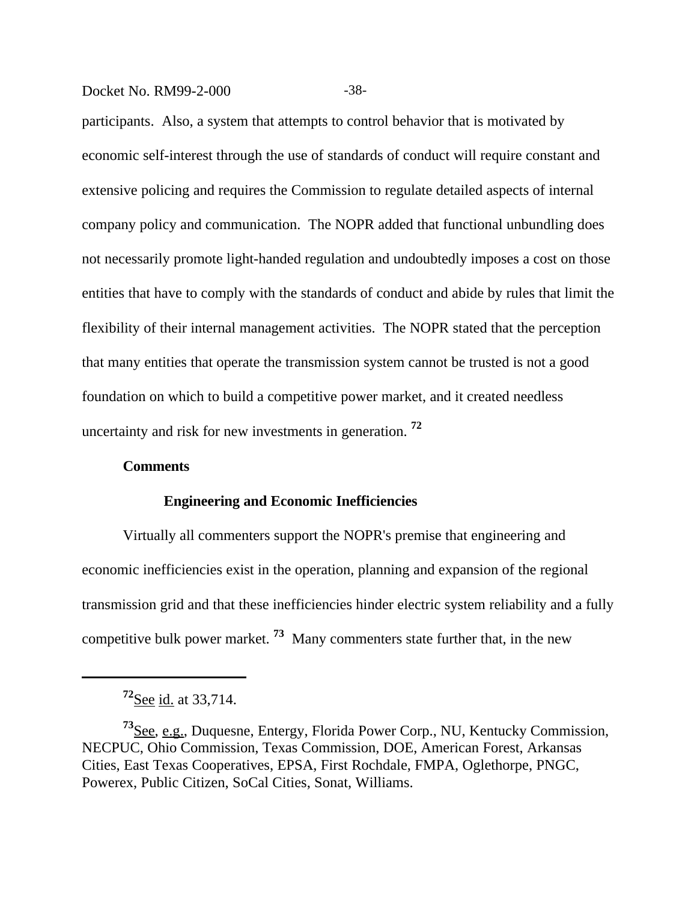#### Docket No. RM99-2-000 -38-

participants. Also, a system that attempts to control behavior that is motivated by economic self-interest through the use of standards of conduct will require constant and extensive policing and requires the Commission to regulate detailed aspects of internal company policy and communication. The NOPR added that functional unbundling does not necessarily promote light-handed regulation and undoubtedly imposes a cost on those entities that have to comply with the standards of conduct and abide by rules that limit the flexibility of their internal management activities. The NOPR stated that the perception that many entities that operate the transmission system cannot be trusted is not a good foundation on which to build a competitive power market, and it created needless uncertainty and risk for new investments in generation. **<sup>72</sup>**

#### **Comments**

#### **Engineering and Economic Inefficiencies**

Virtually all commenters support the NOPR's premise that engineering and economic inefficiencies exist in the operation, planning and expansion of the regional transmission grid and that these inefficiencies hinder electric system reliability and a fully competitive bulk power market. **73** Many commenters state further that, in the new

**<sup>72</sup>**See id. at 33,714.

**<sup>73</sup>**See, e.g., Duquesne, Entergy, Florida Power Corp., NU, Kentucky Commission, NECPUC, Ohio Commission, Texas Commission, DOE, American Forest, Arkansas Cities, East Texas Cooperatives, EPSA, First Rochdale, FMPA, Oglethorpe, PNGC, Powerex, Public Citizen, SoCal Cities, Sonat, Williams.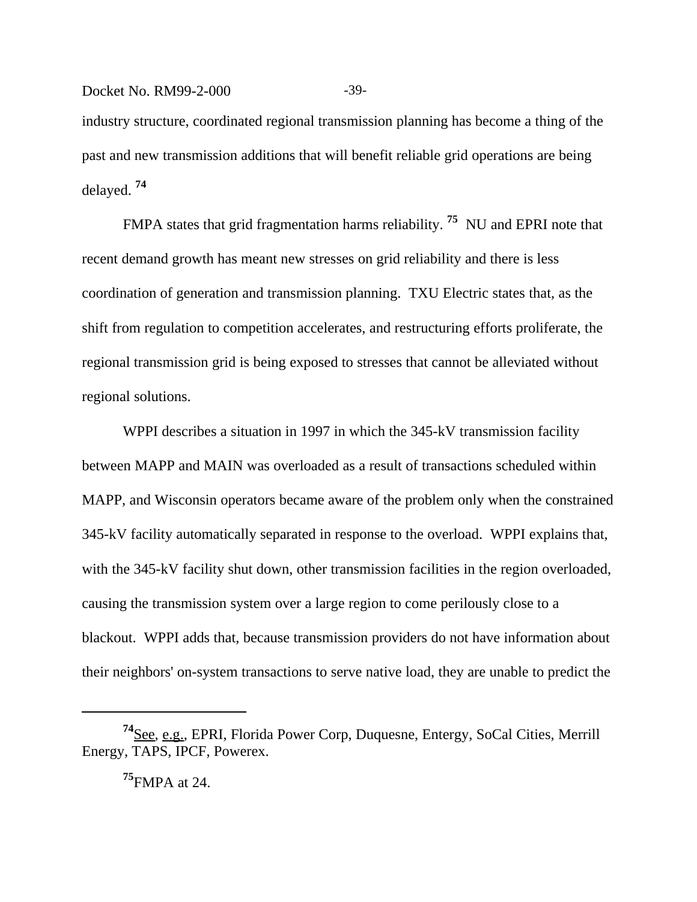Docket No. RM99-2-000 -39industry structure, coordinated regional transmission planning has become a thing of the past and new transmission additions that will benefit reliable grid operations are being delayed. **<sup>74</sup>**

FMPA states that grid fragmentation harms reliability. **75** NU and EPRI note that recent demand growth has meant new stresses on grid reliability and there is less coordination of generation and transmission planning. TXU Electric states that, as the shift from regulation to competition accelerates, and restructuring efforts proliferate, the regional transmission grid is being exposed to stresses that cannot be alleviated without regional solutions.

WPPI describes a situation in 1997 in which the 345-kV transmission facility between MAPP and MAIN was overloaded as a result of transactions scheduled within MAPP, and Wisconsin operators became aware of the problem only when the constrained 345-kV facility automatically separated in response to the overload. WPPI explains that, with the 345-kV facility shut down, other transmission facilities in the region overloaded, causing the transmission system over a large region to come perilously close to a blackout. WPPI adds that, because transmission providers do not have information about their neighbors' on-system transactions to serve native load, they are unable to predict the

**<sup>75</sup>**FMPA at 24.

**<sup>74</sup>**See, e.g., EPRI, Florida Power Corp, Duquesne, Entergy, SoCal Cities, Merrill Energy, TAPS, IPCF, Powerex.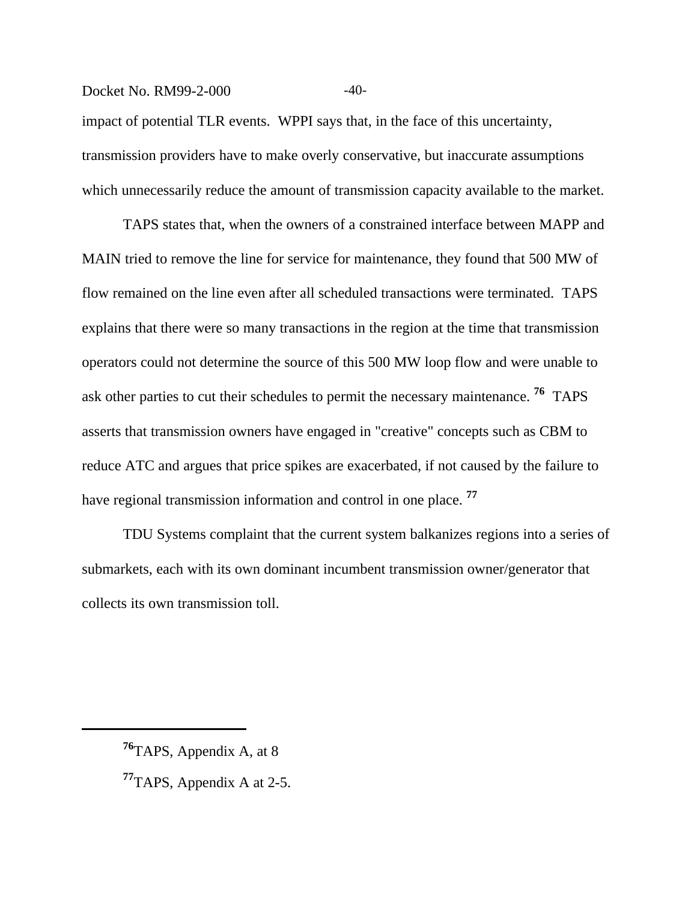# Docket No. RM99-2-000 -40impact of potential TLR events. WPPI says that, in the face of this uncertainty, transmission providers have to make overly conservative, but inaccurate assumptions which unnecessarily reduce the amount of transmission capacity available to the market.

TAPS states that, when the owners of a constrained interface between MAPP and MAIN tried to remove the line for service for maintenance, they found that 500 MW of flow remained on the line even after all scheduled transactions were terminated. TAPS explains that there were so many transactions in the region at the time that transmission operators could not determine the source of this 500 MW loop flow and were unable to ask other parties to cut their schedules to permit the necessary maintenance. **76** TAPS asserts that transmission owners have engaged in "creative" concepts such as CBM to reduce ATC and argues that price spikes are exacerbated, if not caused by the failure to have regional transmission information and control in one place. **<sup>77</sup>**

TDU Systems complaint that the current system balkanizes regions into a series of submarkets, each with its own dominant incumbent transmission owner/generator that collects its own transmission toll.

**<sup>77</sup>**TAPS, Appendix A at 2-5.

**<sup>76</sup>**TAPS, Appendix A, at 8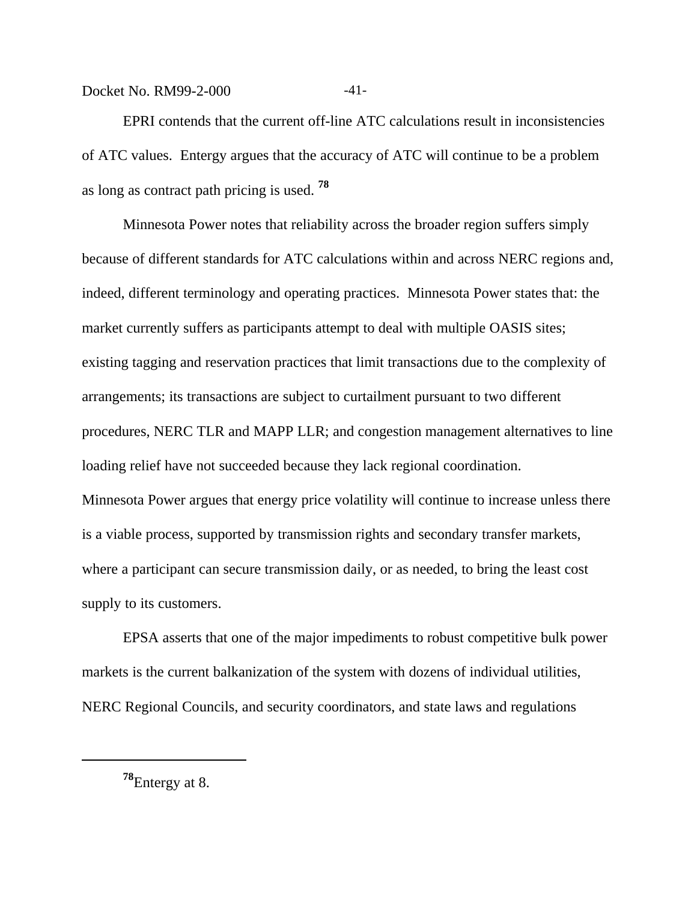Docket No. RM99-2-000 -41-

EPRI contends that the current off-line ATC calculations result in inconsistencies of ATC values. Entergy argues that the accuracy of ATC will continue to be a problem as long as contract path pricing is used. **<sup>78</sup>**

Minnesota Power notes that reliability across the broader region suffers simply because of different standards for ATC calculations within and across NERC regions and, indeed, different terminology and operating practices. Minnesota Power states that: the market currently suffers as participants attempt to deal with multiple OASIS sites; existing tagging and reservation practices that limit transactions due to the complexity of arrangements; its transactions are subject to curtailment pursuant to two different procedures, NERC TLR and MAPP LLR; and congestion management alternatives to line loading relief have not succeeded because they lack regional coordination. Minnesota Power argues that energy price volatility will continue to increase unless there is a viable process, supported by transmission rights and secondary transfer markets, where a participant can secure transmission daily, or as needed, to bring the least cost supply to its customers.

EPSA asserts that one of the major impediments to robust competitive bulk power markets is the current balkanization of the system with dozens of individual utilities, NERC Regional Councils, and security coordinators, and state laws and regulations

**<sup>78</sup>**Entergy at 8.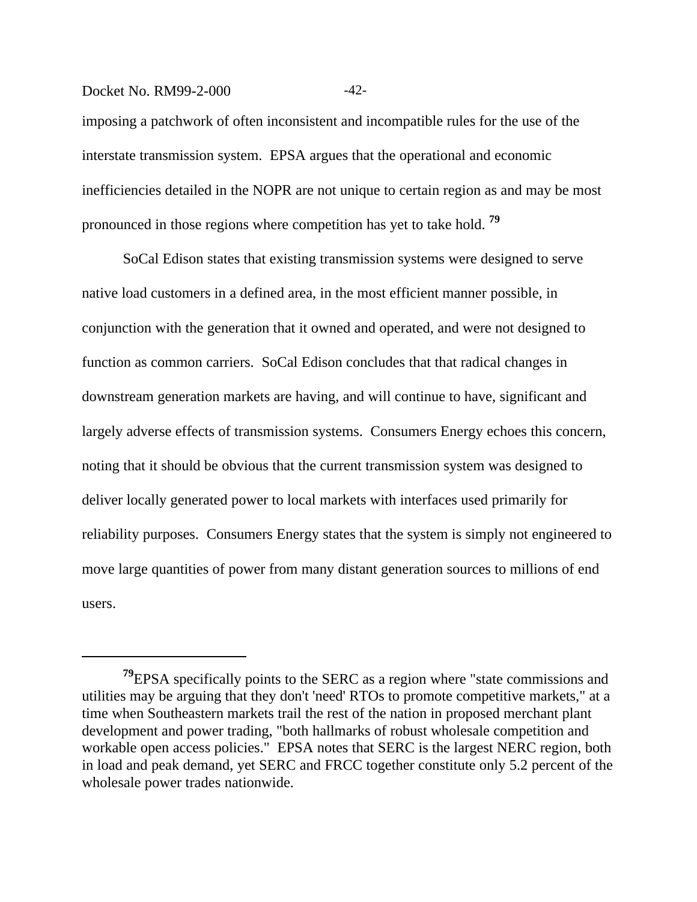imposing a patchwork of often inconsistent and incompatible rules for the use of the interstate transmission system. EPSA argues that the operational and economic inefficiencies detailed in the NOPR are not unique to certain region as and may be most pronounced in those regions where competition has yet to take hold. **<sup>79</sup>**

SoCal Edison states that existing transmission systems were designed to serve native load customers in a defined area, in the most efficient manner possible, in conjunction with the generation that it owned and operated, and were not designed to function as common carriers. SoCal Edison concludes that that radical changes in downstream generation markets are having, and will continue to have, significant and largely adverse effects of transmission systems. Consumers Energy echoes this concern, noting that it should be obvious that the current transmission system was designed to deliver locally generated power to local markets with interfaces used primarily for reliability purposes. Consumers Energy states that the system is simply not engineered to move large quantities of power from many distant generation sources to millions of end users.

Docket No. RM99-2-000 -42-

**<sup>79</sup>**EPSA specifically points to the SERC as a region where "state commissions and utilities may be arguing that they don't 'need' RTOs to promote competitive markets," at a time when Southeastern markets trail the rest of the nation in proposed merchant plant development and power trading, "both hallmarks of robust wholesale competition and workable open access policies." EPSA notes that SERC is the largest NERC region, both in load and peak demand, yet SERC and FRCC together constitute only 5.2 percent of the wholesale power trades nationwide.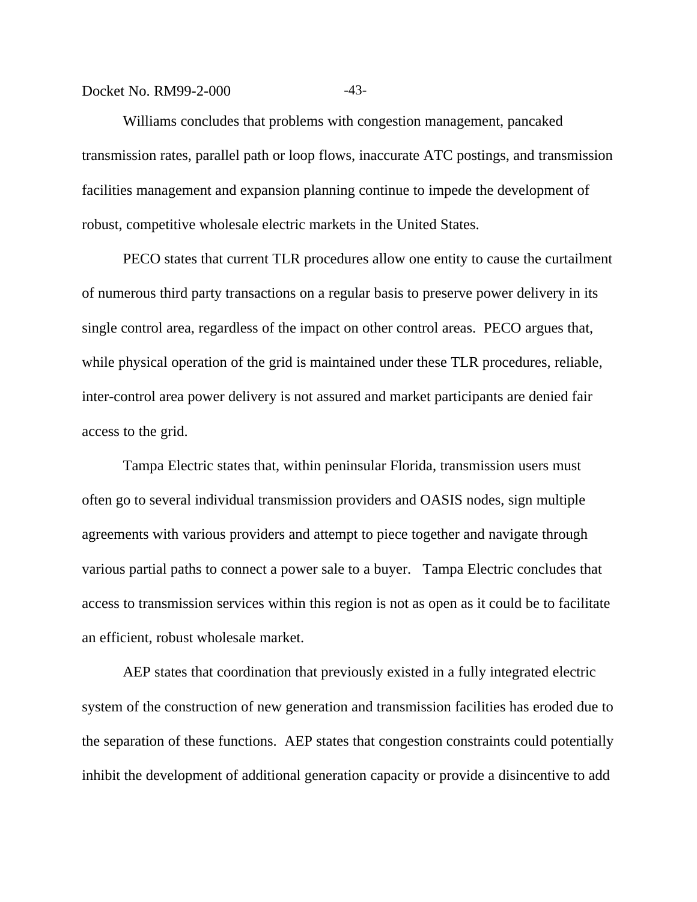#### Docket No. RM99-2-000 -43-

Williams concludes that problems with congestion management, pancaked transmission rates, parallel path or loop flows, inaccurate ATC postings, and transmission facilities management and expansion planning continue to impede the development of robust, competitive wholesale electric markets in the United States.

PECO states that current TLR procedures allow one entity to cause the curtailment of numerous third party transactions on a regular basis to preserve power delivery in its single control area, regardless of the impact on other control areas. PECO argues that, while physical operation of the grid is maintained under these TLR procedures, reliable, inter-control area power delivery is not assured and market participants are denied fair access to the grid.

Tampa Electric states that, within peninsular Florida, transmission users must often go to several individual transmission providers and OASIS nodes, sign multiple agreements with various providers and attempt to piece together and navigate through various partial paths to connect a power sale to a buyer. Tampa Electric concludes that access to transmission services within this region is not as open as it could be to facilitate an efficient, robust wholesale market.

AEP states that coordination that previously existed in a fully integrated electric system of the construction of new generation and transmission facilities has eroded due to the separation of these functions. AEP states that congestion constraints could potentially inhibit the development of additional generation capacity or provide a disincentive to add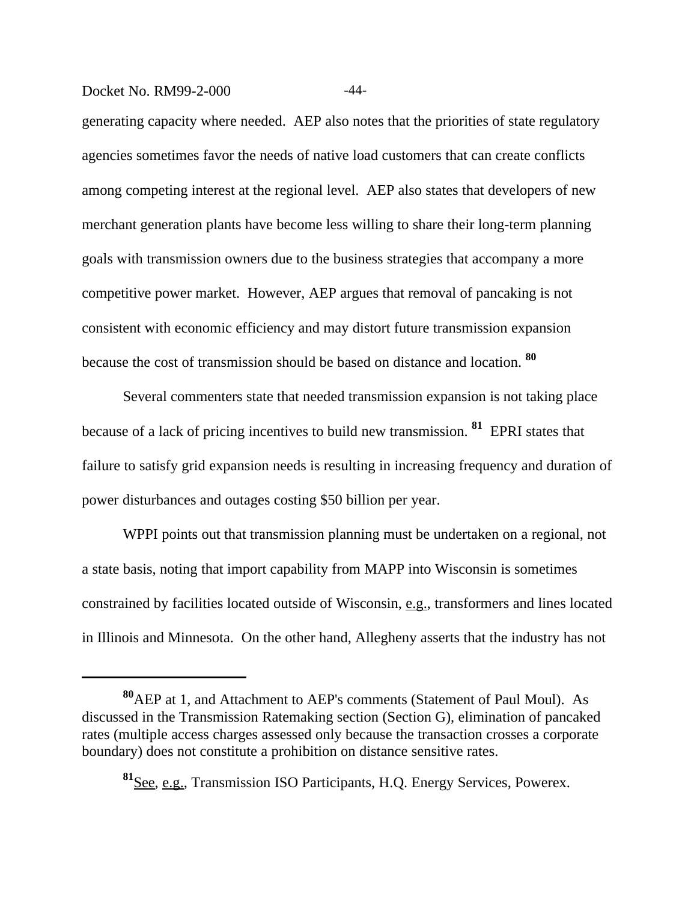## Docket No. RM99-2-000 -44-

generating capacity where needed. AEP also notes that the priorities of state regulatory agencies sometimes favor the needs of native load customers that can create conflicts among competing interest at the regional level. AEP also states that developers of new merchant generation plants have become less willing to share their long-term planning goals with transmission owners due to the business strategies that accompany a more competitive power market. However, AEP argues that removal of pancaking is not consistent with economic efficiency and may distort future transmission expansion because the cost of transmission should be based on distance and location. **<sup>80</sup>**

Several commenters state that needed transmission expansion is not taking place because of a lack of pricing incentives to build new transmission. **81** EPRI states that failure to satisfy grid expansion needs is resulting in increasing frequency and duration of power disturbances and outages costing \$50 billion per year.

WPPI points out that transmission planning must be undertaken on a regional, not a state basis, noting that import capability from MAPP into Wisconsin is sometimes constrained by facilities located outside of Wisconsin, e.g., transformers and lines located in Illinois and Minnesota. On the other hand, Allegheny asserts that the industry has not

**<sup>80</sup>**AEP at 1, and Attachment to AEP's comments (Statement of Paul Moul). As discussed in the Transmission Ratemaking section (Section G), elimination of pancaked rates (multiple access charges assessed only because the transaction crosses a corporate boundary) does not constitute a prohibition on distance sensitive rates.

**<sup>81</sup>**See, e.g., Transmission ISO Participants, H.Q. Energy Services, Powerex.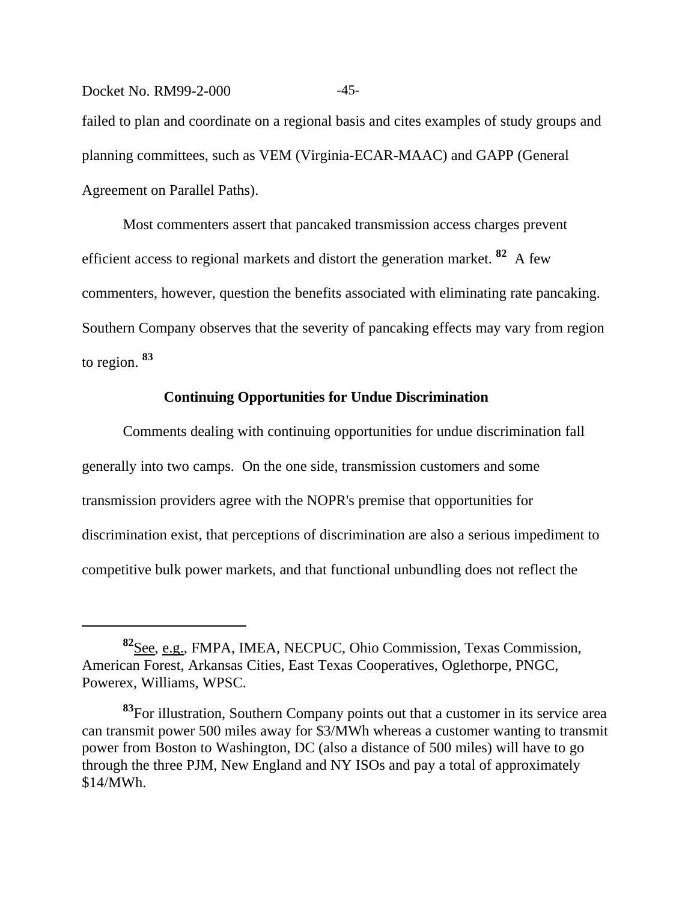Docket No. RM99-2-000 -45failed to plan and coordinate on a regional basis and cites examples of study groups and planning committees, such as VEM (Virginia-ECAR-MAAC) and GAPP (General Agreement on Parallel Paths).

Most commenters assert that pancaked transmission access charges prevent efficient access to regional markets and distort the generation market. **82** A few commenters, however, question the benefits associated with eliminating rate pancaking. Southern Company observes that the severity of pancaking effects may vary from region to region. **<sup>83</sup>**

## **Continuing Opportunities for Undue Discrimination**

Comments dealing with continuing opportunities for undue discrimination fall generally into two camps. On the one side, transmission customers and some transmission providers agree with the NOPR's premise that opportunities for discrimination exist, that perceptions of discrimination are also a serious impediment to competitive bulk power markets, and that functional unbundling does not reflect the

**<sup>82</sup>**See, e.g., FMPA, IMEA, NECPUC, Ohio Commission, Texas Commission, American Forest, Arkansas Cities, East Texas Cooperatives, Oglethorpe, PNGC, Powerex, Williams, WPSC.

**<sup>83</sup>**For illustration, Southern Company points out that a customer in its service area can transmit power 500 miles away for \$3/MWh whereas a customer wanting to transmit power from Boston to Washington, DC (also a distance of 500 miles) will have to go through the three PJM, New England and NY ISOs and pay a total of approximately \$14/MWh.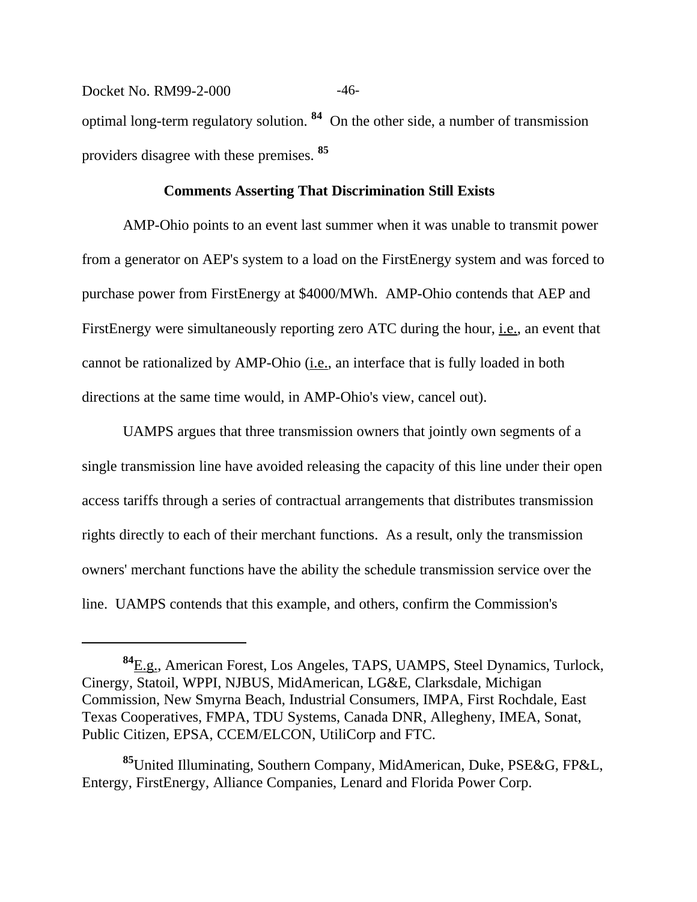Docket No. RM99-2-000 -46optimal long-term regulatory solution. **84** On the other side, a number of transmission providers disagree with these premises. **<sup>85</sup>**

#### **Comments Asserting That Discrimination Still Exists**

AMP-Ohio points to an event last summer when it was unable to transmit power from a generator on AEP's system to a load on the FirstEnergy system and was forced to purchase power from FirstEnergy at \$4000/MWh. AMP-Ohio contends that AEP and FirstEnergy were simultaneously reporting zero ATC during the hour, i.e., an event that cannot be rationalized by AMP-Ohio (i.e., an interface that is fully loaded in both directions at the same time would, in AMP-Ohio's view, cancel out).

UAMPS argues that three transmission owners that jointly own segments of a single transmission line have avoided releasing the capacity of this line under their open access tariffs through a series of contractual arrangements that distributes transmission rights directly to each of their merchant functions. As a result, only the transmission owners' merchant functions have the ability the schedule transmission service over the line. UAMPS contends that this example, and others, confirm the Commission's

**<sup>84</sup>**E.g., American Forest, Los Angeles, TAPS, UAMPS, Steel Dynamics, Turlock, Cinergy, Statoil, WPPI, NJBUS, MidAmerican, LG&E, Clarksdale, Michigan Commission, New Smyrna Beach, Industrial Consumers, IMPA, First Rochdale, East Texas Cooperatives, FMPA, TDU Systems, Canada DNR, Allegheny, IMEA, Sonat, Public Citizen, EPSA, CCEM/ELCON, UtiliCorp and FTC.

**<sup>85</sup>**United Illuminating, Southern Company, MidAmerican, Duke, PSE&G, FP&L, Entergy, FirstEnergy, Alliance Companies, Lenard and Florida Power Corp.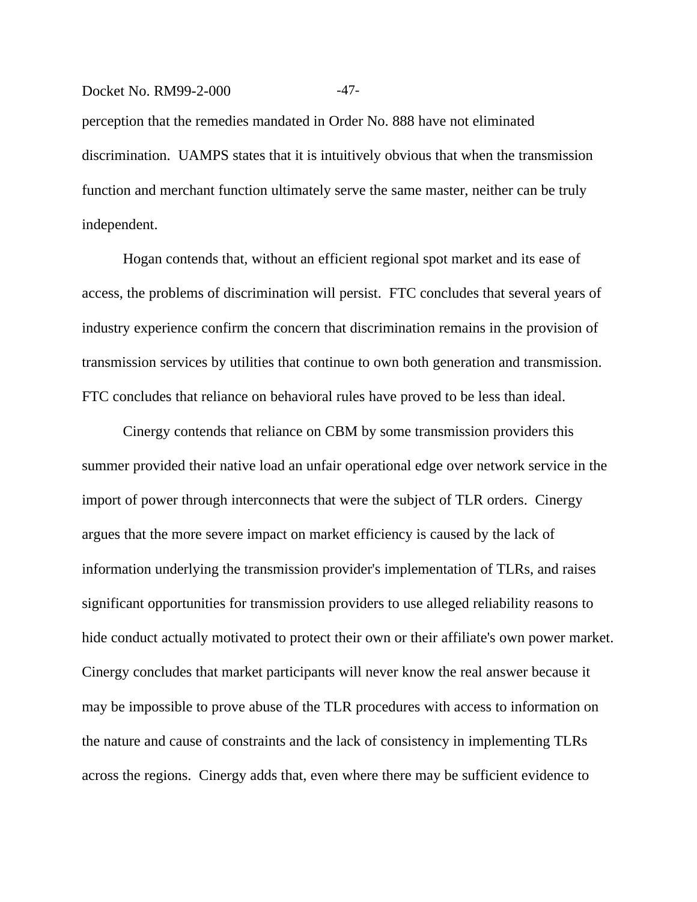#### Docket No. RM99-2-000 -47-

perception that the remedies mandated in Order No. 888 have not eliminated discrimination. UAMPS states that it is intuitively obvious that when the transmission function and merchant function ultimately serve the same master, neither can be truly independent.

Hogan contends that, without an efficient regional spot market and its ease of access, the problems of discrimination will persist. FTC concludes that several years of industry experience confirm the concern that discrimination remains in the provision of transmission services by utilities that continue to own both generation and transmission. FTC concludes that reliance on behavioral rules have proved to be less than ideal.

Cinergy contends that reliance on CBM by some transmission providers this summer provided their native load an unfair operational edge over network service in the import of power through interconnects that were the subject of TLR orders. Cinergy argues that the more severe impact on market efficiency is caused by the lack of information underlying the transmission provider's implementation of TLRs, and raises significant opportunities for transmission providers to use alleged reliability reasons to hide conduct actually motivated to protect their own or their affiliate's own power market. Cinergy concludes that market participants will never know the real answer because it may be impossible to prove abuse of the TLR procedures with access to information on the nature and cause of constraints and the lack of consistency in implementing TLRs across the regions. Cinergy adds that, even where there may be sufficient evidence to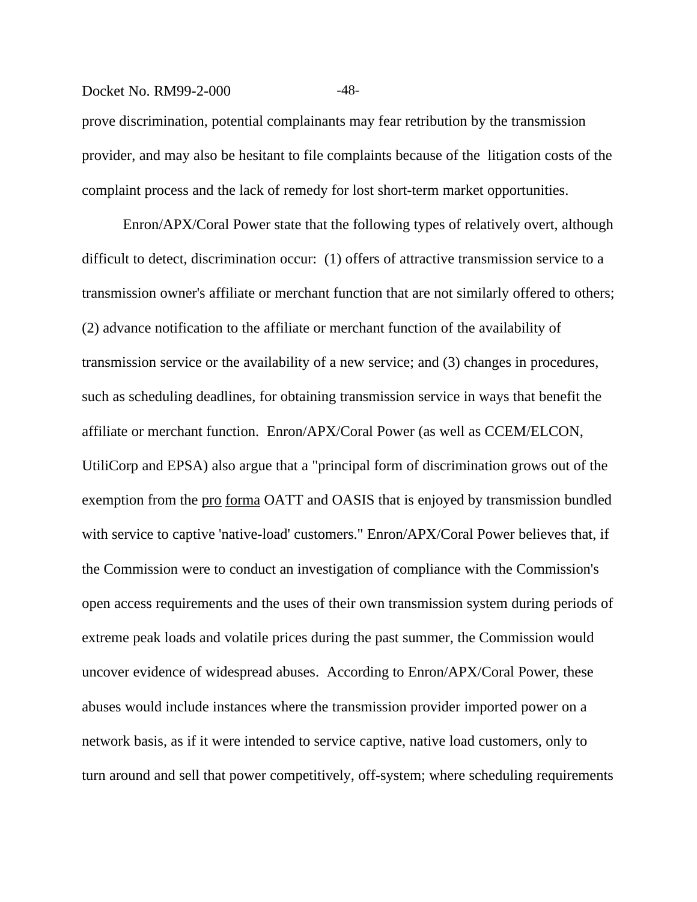#### Docket No. RM99-2-000 -48-

prove discrimination, potential complainants may fear retribution by the transmission provider, and may also be hesitant to file complaints because of the litigation costs of the complaint process and the lack of remedy for lost short-term market opportunities.

Enron/APX/Coral Power state that the following types of relatively overt, although difficult to detect, discrimination occur: (1) offers of attractive transmission service to a transmission owner's affiliate or merchant function that are not similarly offered to others; (2) advance notification to the affiliate or merchant function of the availability of transmission service or the availability of a new service; and (3) changes in procedures, such as scheduling deadlines, for obtaining transmission service in ways that benefit the affiliate or merchant function. Enron/APX/Coral Power (as well as CCEM/ELCON, UtiliCorp and EPSA) also argue that a "principal form of discrimination grows out of the exemption from the <u>pro forma</u> OATT and OASIS that is enjoyed by transmission bundled with service to captive 'native-load' customers." Enron/APX/Coral Power believes that, if the Commission were to conduct an investigation of compliance with the Commission's open access requirements and the uses of their own transmission system during periods of extreme peak loads and volatile prices during the past summer, the Commission would uncover evidence of widespread abuses. According to Enron/APX/Coral Power, these abuses would include instances where the transmission provider imported power on a network basis, as if it were intended to service captive, native load customers, only to turn around and sell that power competitively, off-system; where scheduling requirements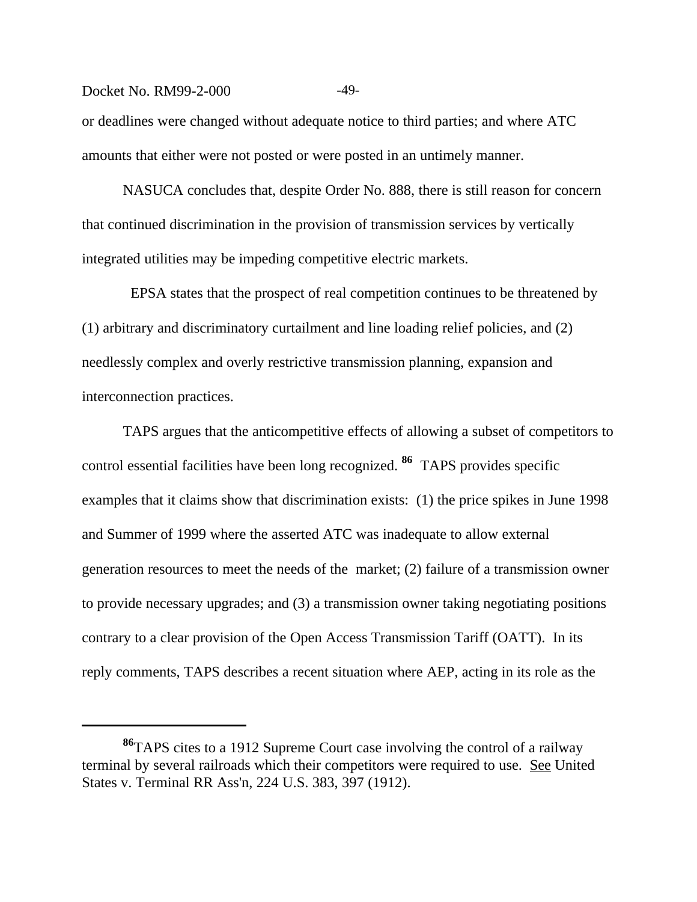#### Docket No. RM99-2-000 -49-

or deadlines were changed without adequate notice to third parties; and where ATC amounts that either were not posted or were posted in an untimely manner.

NASUCA concludes that, despite Order No. 888, there is still reason for concern that continued discrimination in the provision of transmission services by vertically integrated utilities may be impeding competitive electric markets.

 EPSA states that the prospect of real competition continues to be threatened by (1) arbitrary and discriminatory curtailment and line loading relief policies, and (2) needlessly complex and overly restrictive transmission planning, expansion and interconnection practices.

TAPS argues that the anticompetitive effects of allowing a subset of competitors to control essential facilities have been long recognized. **86** TAPS provides specific examples that it claims show that discrimination exists: (1) the price spikes in June 1998 and Summer of 1999 where the asserted ATC was inadequate to allow external generation resources to meet the needs of the market; (2) failure of a transmission owner to provide necessary upgrades; and (3) a transmission owner taking negotiating positions contrary to a clear provision of the Open Access Transmission Tariff (OATT). In its reply comments, TAPS describes a recent situation where AEP, acting in its role as the

**<sup>86</sup>**TAPS cites to a 1912 Supreme Court case involving the control of a railway terminal by several railroads which their competitors were required to use. See United States v. Terminal RR Ass'n, 224 U.S. 383, 397 (1912).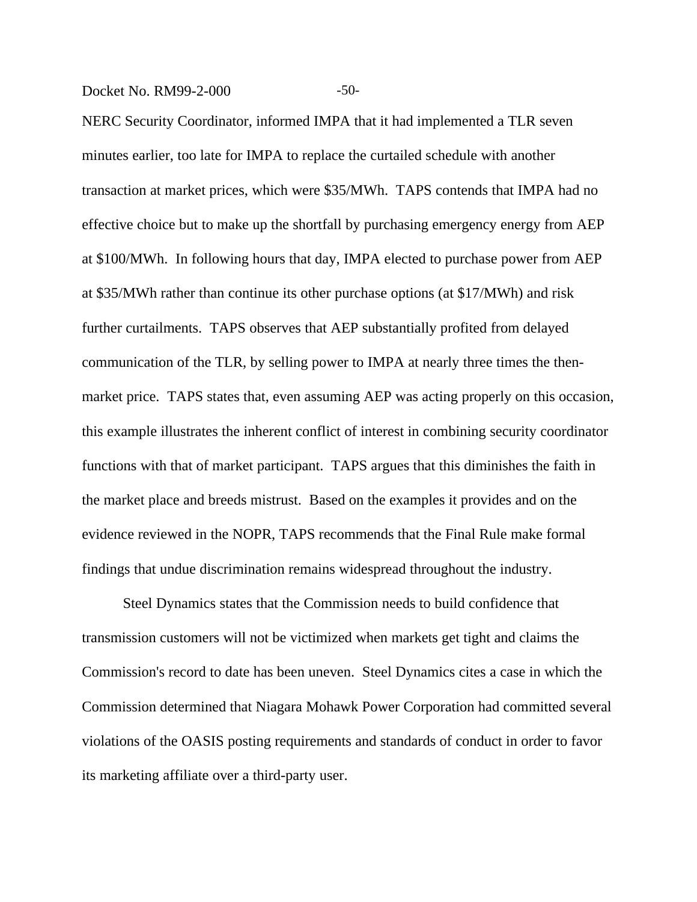Docket No. RM99-2-000 -50-

NERC Security Coordinator, informed IMPA that it had implemented a TLR seven minutes earlier, too late for IMPA to replace the curtailed schedule with another transaction at market prices, which were \$35/MWh. TAPS contends that IMPA had no effective choice but to make up the shortfall by purchasing emergency energy from AEP at \$100/MWh. In following hours that day, IMPA elected to purchase power from AEP at \$35/MWh rather than continue its other purchase options (at \$17/MWh) and risk further curtailments. TAPS observes that AEP substantially profited from delayed communication of the TLR, by selling power to IMPA at nearly three times the thenmarket price. TAPS states that, even assuming AEP was acting properly on this occasion, this example illustrates the inherent conflict of interest in combining security coordinator functions with that of market participant. TAPS argues that this diminishes the faith in the market place and breeds mistrust. Based on the examples it provides and on the evidence reviewed in the NOPR, TAPS recommends that the Final Rule make formal findings that undue discrimination remains widespread throughout the industry.

Steel Dynamics states that the Commission needs to build confidence that transmission customers will not be victimized when markets get tight and claims the Commission's record to date has been uneven. Steel Dynamics cites a case in which the Commission determined that Niagara Mohawk Power Corporation had committed several violations of the OASIS posting requirements and standards of conduct in order to favor its marketing affiliate over a third-party user.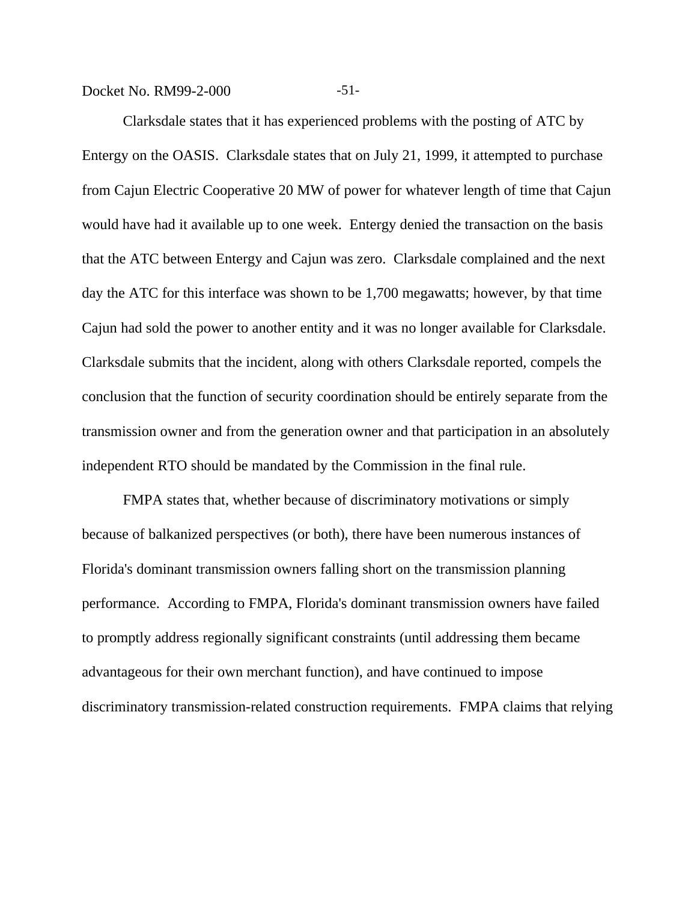Docket No. RM99-2-000 -51-

Clarksdale states that it has experienced problems with the posting of ATC by Entergy on the OASIS. Clarksdale states that on July 21, 1999, it attempted to purchase from Cajun Electric Cooperative 20 MW of power for whatever length of time that Cajun would have had it available up to one week. Entergy denied the transaction on the basis that the ATC between Entergy and Cajun was zero. Clarksdale complained and the next day the ATC for this interface was shown to be 1,700 megawatts; however, by that time Cajun had sold the power to another entity and it was no longer available for Clarksdale. Clarksdale submits that the incident, along with others Clarksdale reported, compels the conclusion that the function of security coordination should be entirely separate from the transmission owner and from the generation owner and that participation in an absolutely independent RTO should be mandated by the Commission in the final rule.

FMPA states that, whether because of discriminatory motivations or simply because of balkanized perspectives (or both), there have been numerous instances of Florida's dominant transmission owners falling short on the transmission planning performance. According to FMPA, Florida's dominant transmission owners have failed to promptly address regionally significant constraints (until addressing them became advantageous for their own merchant function), and have continued to impose discriminatory transmission-related construction requirements. FMPA claims that relying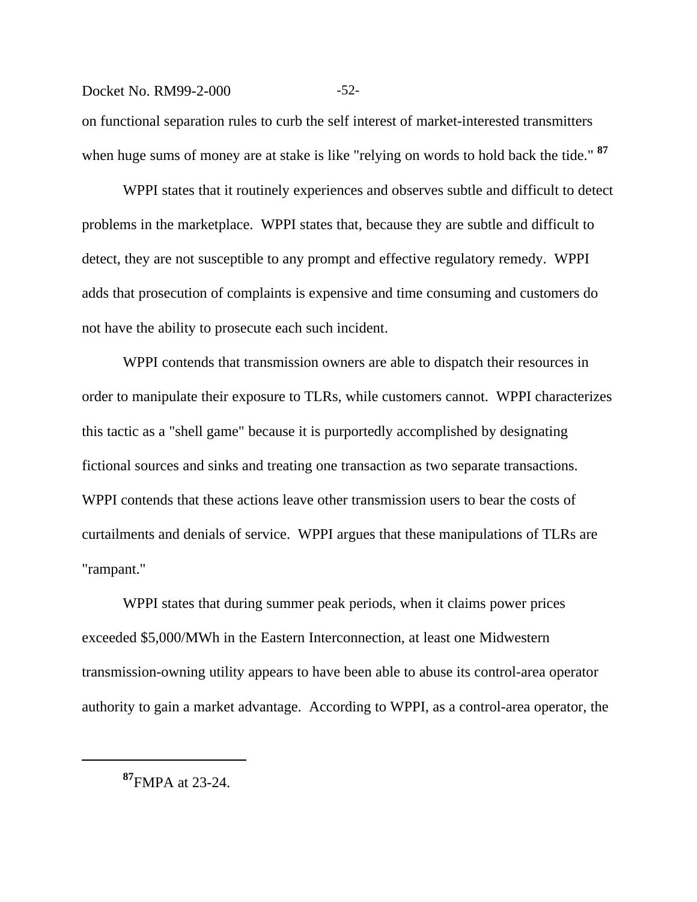#### Docket No. RM99-2-000 -52-

on functional separation rules to curb the self interest of market-interested transmitters when huge sums of money are at stake is like "relying on words to hold back the tide." **<sup>87</sup>**

WPPI states that it routinely experiences and observes subtle and difficult to detect problems in the marketplace. WPPI states that, because they are subtle and difficult to detect, they are not susceptible to any prompt and effective regulatory remedy. WPPI adds that prosecution of complaints is expensive and time consuming and customers do not have the ability to prosecute each such incident.

WPPI contends that transmission owners are able to dispatch their resources in order to manipulate their exposure to TLRs, while customers cannot. WPPI characterizes this tactic as a "shell game" because it is purportedly accomplished by designating fictional sources and sinks and treating one transaction as two separate transactions. WPPI contends that these actions leave other transmission users to bear the costs of curtailments and denials of service. WPPI argues that these manipulations of TLRs are "rampant."

WPPI states that during summer peak periods, when it claims power prices exceeded \$5,000/MWh in the Eastern Interconnection, at least one Midwestern transmission-owning utility appears to have been able to abuse its control-area operator authority to gain a market advantage. According to WPPI, as a control-area operator, the

**<sup>87</sup>**FMPA at 23-24.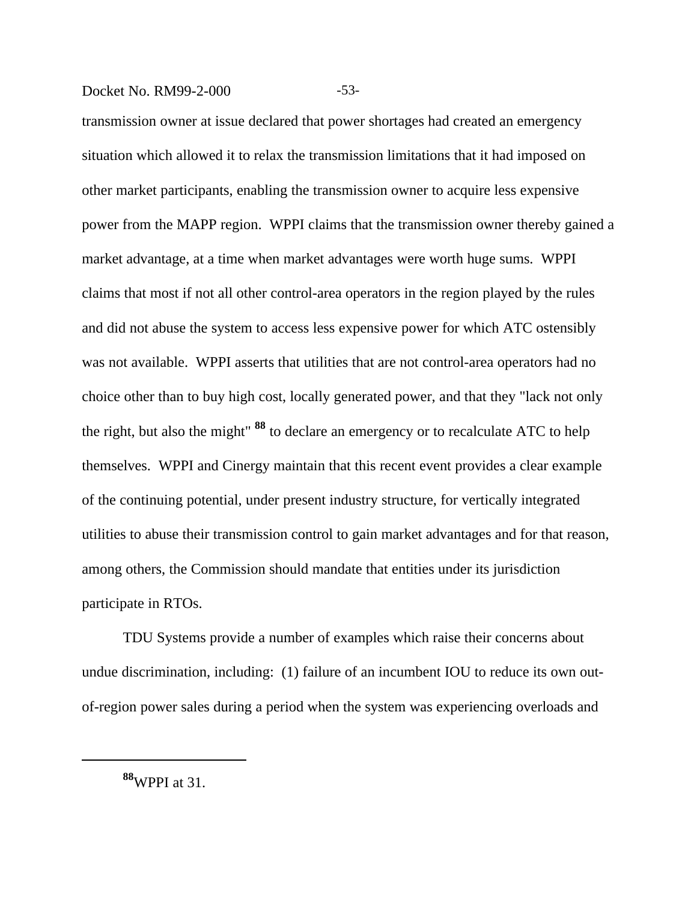#### Docket No. RM99-2-000 -53-

transmission owner at issue declared that power shortages had created an emergency situation which allowed it to relax the transmission limitations that it had imposed on other market participants, enabling the transmission owner to acquire less expensive power from the MAPP region. WPPI claims that the transmission owner thereby gained a market advantage, at a time when market advantages were worth huge sums. WPPI claims that most if not all other control-area operators in the region played by the rules and did not abuse the system to access less expensive power for which ATC ostensibly was not available. WPPI asserts that utilities that are not control-area operators had no choice other than to buy high cost, locally generated power, and that they "lack not only the right, but also the might" **88** to declare an emergency or to recalculate ATC to help themselves. WPPI and Cinergy maintain that this recent event provides a clear example of the continuing potential, under present industry structure, for vertically integrated utilities to abuse their transmission control to gain market advantages and for that reason, among others, the Commission should mandate that entities under its jurisdiction participate in RTOs.

TDU Systems provide a number of examples which raise their concerns about undue discrimination, including: (1) failure of an incumbent IOU to reduce its own outof-region power sales during a period when the system was experiencing overloads and

**<sup>88</sup>**WPPI at 31.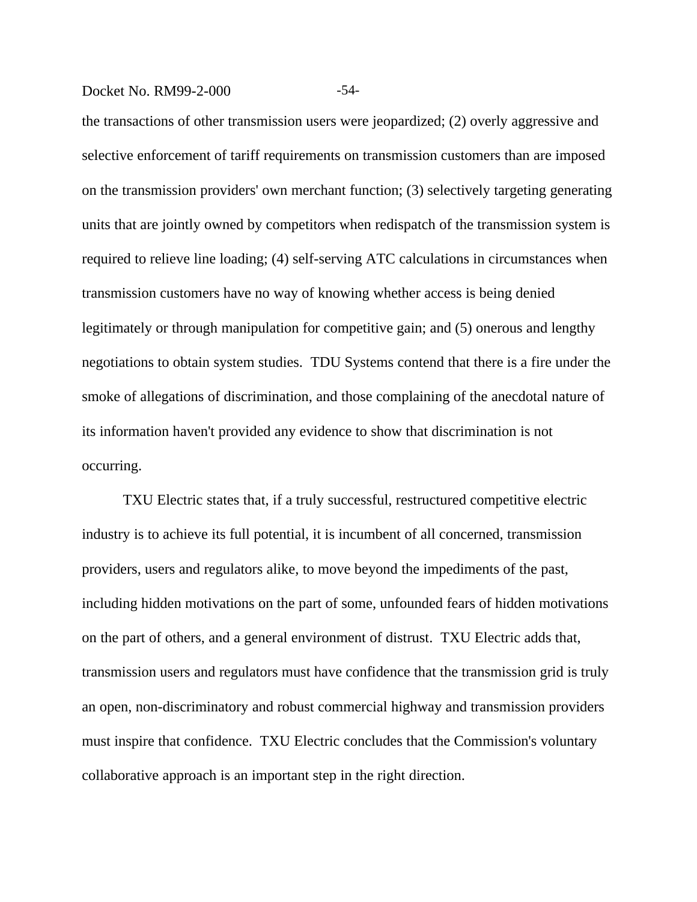#### Docket No. RM99-2-000 -54-

the transactions of other transmission users were jeopardized; (2) overly aggressive and selective enforcement of tariff requirements on transmission customers than are imposed on the transmission providers' own merchant function; (3) selectively targeting generating units that are jointly owned by competitors when redispatch of the transmission system is required to relieve line loading; (4) self-serving ATC calculations in circumstances when transmission customers have no way of knowing whether access is being denied legitimately or through manipulation for competitive gain; and (5) onerous and lengthy negotiations to obtain system studies. TDU Systems contend that there is a fire under the smoke of allegations of discrimination, and those complaining of the anecdotal nature of its information haven't provided any evidence to show that discrimination is not occurring.

TXU Electric states that, if a truly successful, restructured competitive electric industry is to achieve its full potential, it is incumbent of all concerned, transmission providers, users and regulators alike, to move beyond the impediments of the past, including hidden motivations on the part of some, unfounded fears of hidden motivations on the part of others, and a general environment of distrust. TXU Electric adds that, transmission users and regulators must have confidence that the transmission grid is truly an open, non-discriminatory and robust commercial highway and transmission providers must inspire that confidence. TXU Electric concludes that the Commission's voluntary collaborative approach is an important step in the right direction.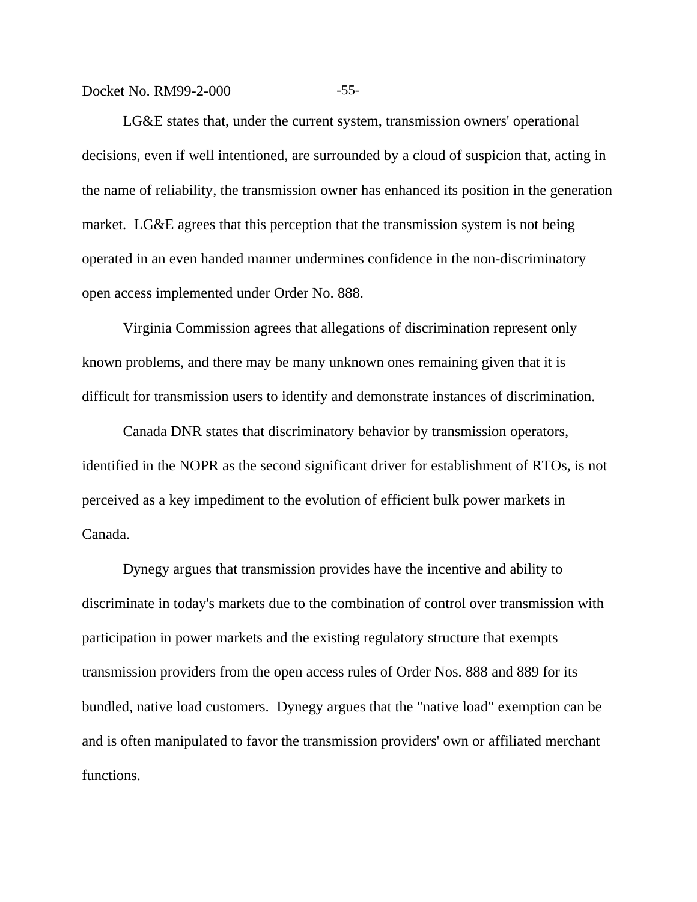Docket No. RM99-2-000 -55-

LG&E states that, under the current system, transmission owners' operational decisions, even if well intentioned, are surrounded by a cloud of suspicion that, acting in the name of reliability, the transmission owner has enhanced its position in the generation market. LG&E agrees that this perception that the transmission system is not being operated in an even handed manner undermines confidence in the non-discriminatory open access implemented under Order No. 888.

Virginia Commission agrees that allegations of discrimination represent only known problems, and there may be many unknown ones remaining given that it is difficult for transmission users to identify and demonstrate instances of discrimination.

Canada DNR states that discriminatory behavior by transmission operators, identified in the NOPR as the second significant driver for establishment of RTOs, is not perceived as a key impediment to the evolution of efficient bulk power markets in Canada.

Dynegy argues that transmission provides have the incentive and ability to discriminate in today's markets due to the combination of control over transmission with participation in power markets and the existing regulatory structure that exempts transmission providers from the open access rules of Order Nos. 888 and 889 for its bundled, native load customers. Dynegy argues that the "native load" exemption can be and is often manipulated to favor the transmission providers' own or affiliated merchant functions.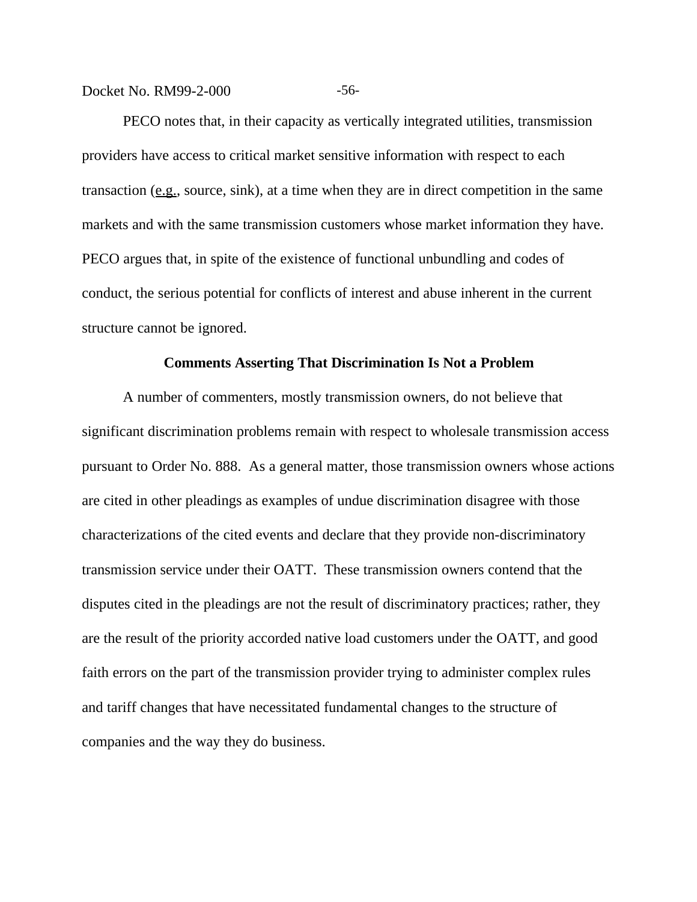Docket No. RM99-2-000 -56-

PECO notes that, in their capacity as vertically integrated utilities, transmission providers have access to critical market sensitive information with respect to each transaction (e.g., source, sink), at a time when they are in direct competition in the same markets and with the same transmission customers whose market information they have. PECO argues that, in spite of the existence of functional unbundling and codes of conduct, the serious potential for conflicts of interest and abuse inherent in the current structure cannot be ignored.

#### **Comments Asserting That Discrimination Is Not a Problem**

A number of commenters, mostly transmission owners, do not believe that significant discrimination problems remain with respect to wholesale transmission access pursuant to Order No. 888. As a general matter, those transmission owners whose actions are cited in other pleadings as examples of undue discrimination disagree with those characterizations of the cited events and declare that they provide non-discriminatory transmission service under their OATT. These transmission owners contend that the disputes cited in the pleadings are not the result of discriminatory practices; rather, they are the result of the priority accorded native load customers under the OATT, and good faith errors on the part of the transmission provider trying to administer complex rules and tariff changes that have necessitated fundamental changes to the structure of companies and the way they do business.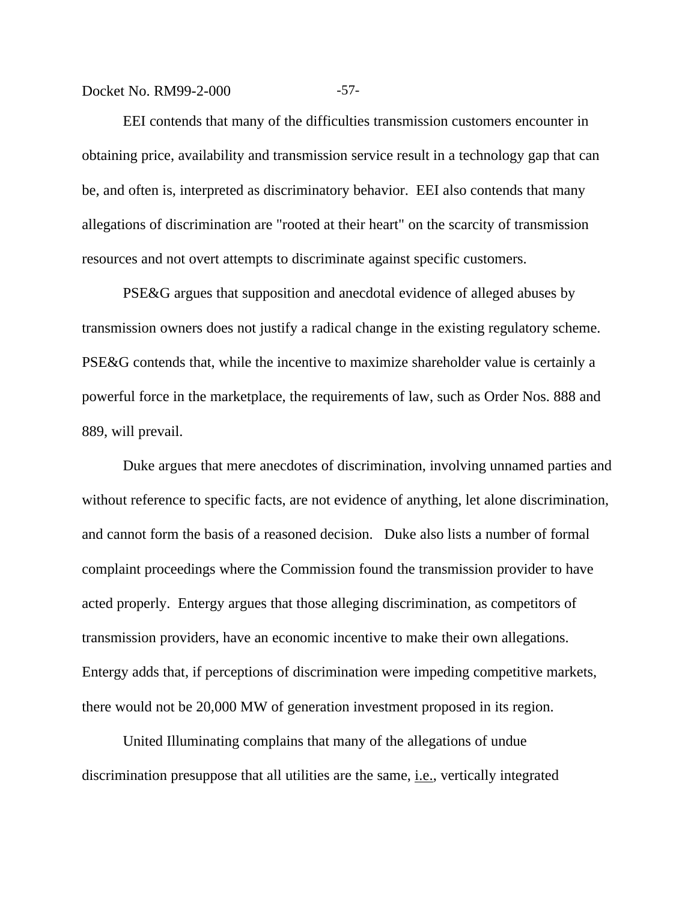Docket No. RM99-2-000 -57-

EEI contends that many of the difficulties transmission customers encounter in obtaining price, availability and transmission service result in a technology gap that can be, and often is, interpreted as discriminatory behavior. EEI also contends that many allegations of discrimination are "rooted at their heart" on the scarcity of transmission resources and not overt attempts to discriminate against specific customers.

PSE&G argues that supposition and anecdotal evidence of alleged abuses by transmission owners does not justify a radical change in the existing regulatory scheme. PSE&G contends that, while the incentive to maximize shareholder value is certainly a powerful force in the marketplace, the requirements of law, such as Order Nos. 888 and 889, will prevail.

Duke argues that mere anecdotes of discrimination, involving unnamed parties and without reference to specific facts, are not evidence of anything, let alone discrimination, and cannot form the basis of a reasoned decision. Duke also lists a number of formal complaint proceedings where the Commission found the transmission provider to have acted properly. Entergy argues that those alleging discrimination, as competitors of transmission providers, have an economic incentive to make their own allegations. Entergy adds that, if perceptions of discrimination were impeding competitive markets, there would not be 20,000 MW of generation investment proposed in its region.

United Illuminating complains that many of the allegations of undue discrimination presuppose that all utilities are the same, *i.e.*, vertically integrated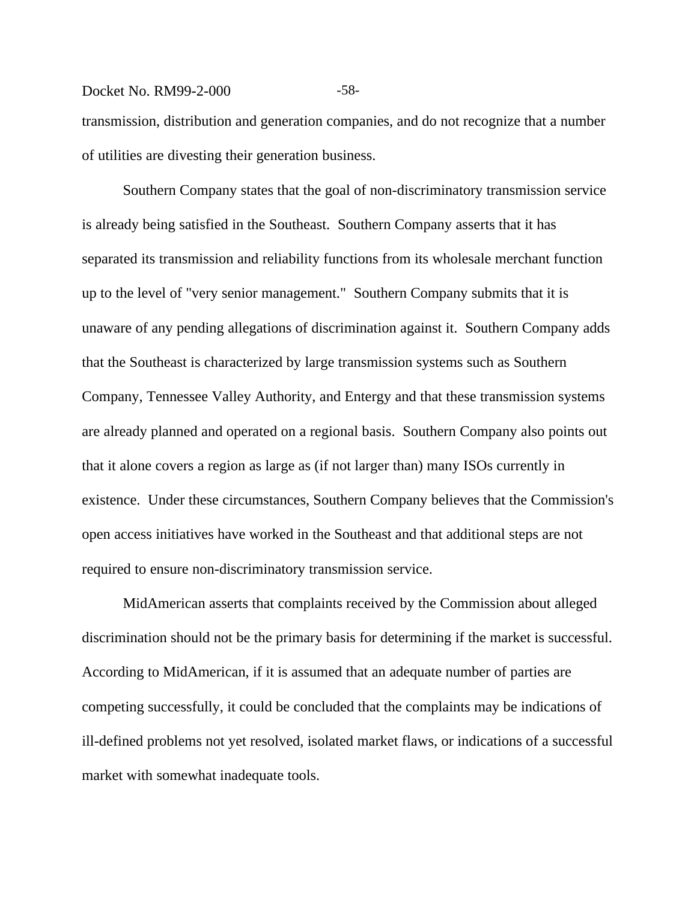#### Docket No. RM99-2-000 -58-

transmission, distribution and generation companies, and do not recognize that a number of utilities are divesting their generation business.

Southern Company states that the goal of non-discriminatory transmission service is already being satisfied in the Southeast. Southern Company asserts that it has separated its transmission and reliability functions from its wholesale merchant function up to the level of "very senior management." Southern Company submits that it is unaware of any pending allegations of discrimination against it. Southern Company adds that the Southeast is characterized by large transmission systems such as Southern Company, Tennessee Valley Authority, and Entergy and that these transmission systems are already planned and operated on a regional basis. Southern Company also points out that it alone covers a region as large as (if not larger than) many ISOs currently in existence. Under these circumstances, Southern Company believes that the Commission's open access initiatives have worked in the Southeast and that additional steps are not required to ensure non-discriminatory transmission service.

MidAmerican asserts that complaints received by the Commission about alleged discrimination should not be the primary basis for determining if the market is successful. According to MidAmerican, if it is assumed that an adequate number of parties are competing successfully, it could be concluded that the complaints may be indications of ill-defined problems not yet resolved, isolated market flaws, or indications of a successful market with somewhat inadequate tools.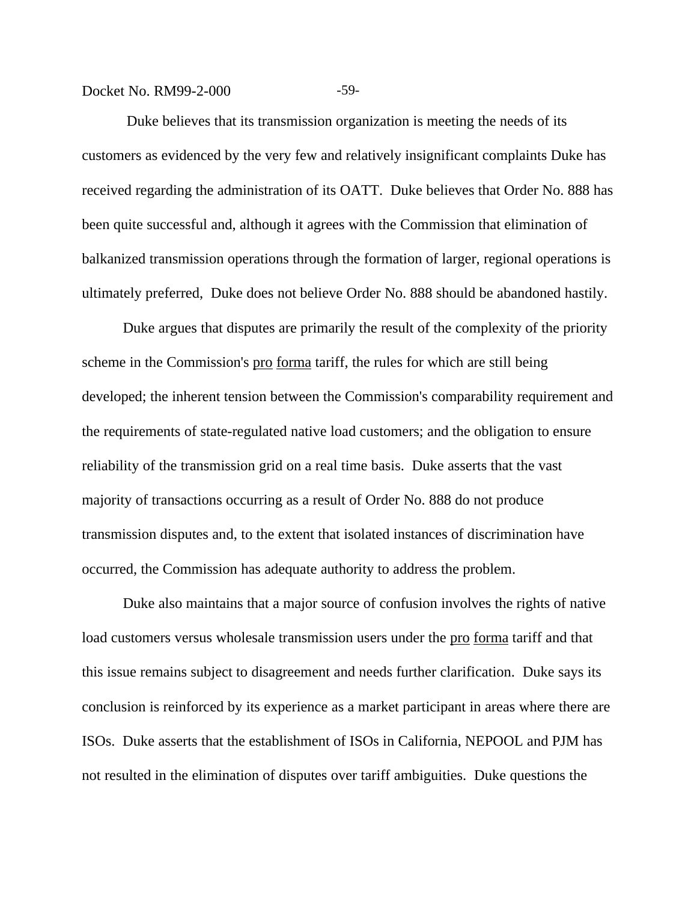## Docket No. RM99-2-000 -59-

 Duke believes that its transmission organization is meeting the needs of its customers as evidenced by the very few and relatively insignificant complaints Duke has received regarding the administration of its OATT. Duke believes that Order No. 888 has been quite successful and, although it agrees with the Commission that elimination of balkanized transmission operations through the formation of larger, regional operations is ultimately preferred, Duke does not believe Order No. 888 should be abandoned hastily.

Duke argues that disputes are primarily the result of the complexity of the priority scheme in the Commission's pro forma tariff, the rules for which are still being developed; the inherent tension between the Commission's comparability requirement and the requirements of state-regulated native load customers; and the obligation to ensure reliability of the transmission grid on a real time basis. Duke asserts that the vast majority of transactions occurring as a result of Order No. 888 do not produce transmission disputes and, to the extent that isolated instances of discrimination have occurred, the Commission has adequate authority to address the problem.

Duke also maintains that a major source of confusion involves the rights of native load customers versus wholesale transmission users under the pro forma tariff and that this issue remains subject to disagreement and needs further clarification. Duke says its conclusion is reinforced by its experience as a market participant in areas where there are ISOs. Duke asserts that the establishment of ISOs in California, NEPOOL and PJM has not resulted in the elimination of disputes over tariff ambiguities. Duke questions the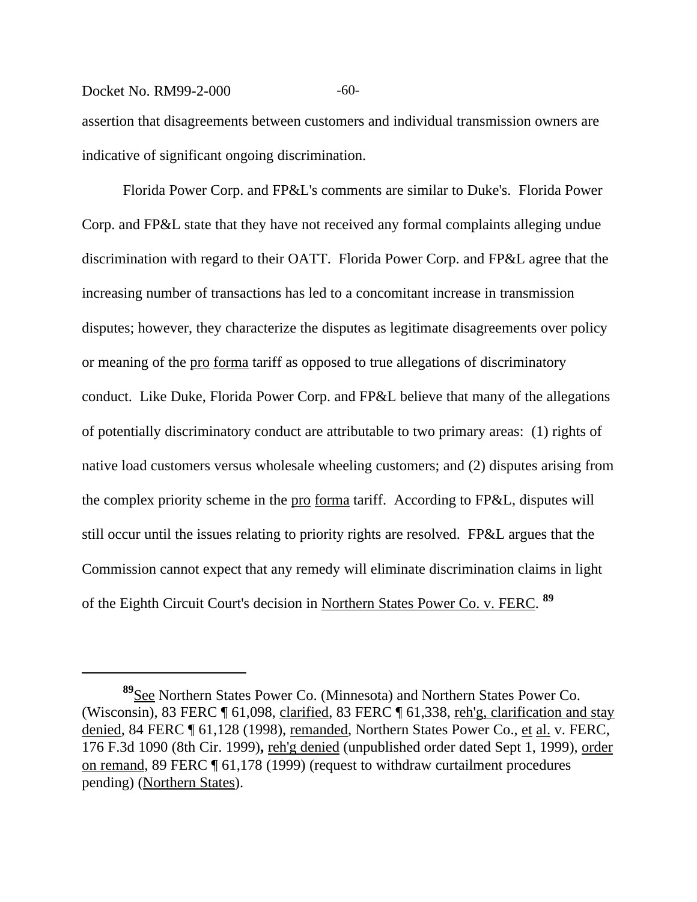## Docket No. RM99-2-000 -60-

assertion that disagreements between customers and individual transmission owners are indicative of significant ongoing discrimination.

Florida Power Corp. and FP&L's comments are similar to Duke's. Florida Power Corp. and FP&L state that they have not received any formal complaints alleging undue discrimination with regard to their OATT. Florida Power Corp. and FP&L agree that the increasing number of transactions has led to a concomitant increase in transmission disputes; however, they characterize the disputes as legitimate disagreements over policy or meaning of the pro forma tariff as opposed to true allegations of discriminatory conduct. Like Duke, Florida Power Corp. and FP&L believe that many of the allegations of potentially discriminatory conduct are attributable to two primary areas: (1) rights of native load customers versus wholesale wheeling customers; and (2) disputes arising from the complex priority scheme in the <u>pro forma</u> tariff. According to FP&L, disputes will still occur until the issues relating to priority rights are resolved. FP&L argues that the Commission cannot expect that any remedy will eliminate discrimination claims in light of the Eighth Circuit Court's decision in Northern States Power Co. v. FERC. **89**

**<sup>89</sup>**See Northern States Power Co. (Minnesota) and Northern States Power Co. (Wisconsin), 83 FERC ¶ 61,098, clarified, 83 FERC ¶ 61,338, reh'g, clarification and stay denied, 84 FERC ¶ 61,128 (1998), remanded, Northern States Power Co., et al. v. FERC, 176 F.3d 1090 (8th Cir. 1999)**,** reh'g denied (unpublished order dated Sept 1, 1999), order on remand, 89 FERC ¶ 61,178 (1999) (request to withdraw curtailment procedures pending) (Northern States).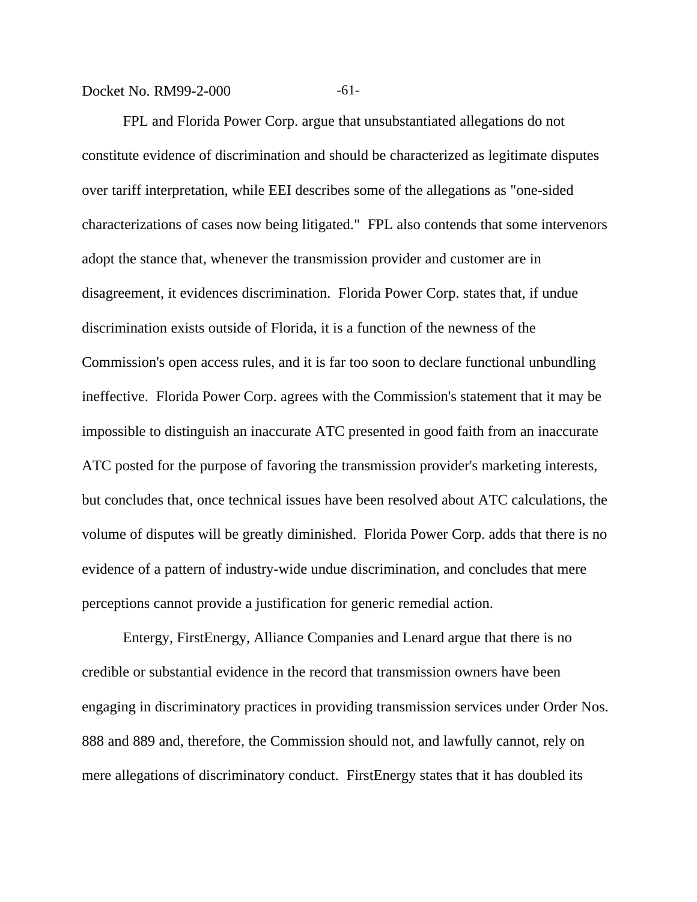#### Docket No. RM99-2-000 -61-

FPL and Florida Power Corp. argue that unsubstantiated allegations do not constitute evidence of discrimination and should be characterized as legitimate disputes over tariff interpretation, while EEI describes some of the allegations as "one-sided characterizations of cases now being litigated." FPL also contends that some intervenors adopt the stance that, whenever the transmission provider and customer are in disagreement, it evidences discrimination. Florida Power Corp. states that, if undue discrimination exists outside of Florida, it is a function of the newness of the Commission's open access rules, and it is far too soon to declare functional unbundling ineffective. Florida Power Corp. agrees with the Commission's statement that it may be impossible to distinguish an inaccurate ATC presented in good faith from an inaccurate ATC posted for the purpose of favoring the transmission provider's marketing interests, but concludes that, once technical issues have been resolved about ATC calculations, the volume of disputes will be greatly diminished. Florida Power Corp. adds that there is no evidence of a pattern of industry-wide undue discrimination, and concludes that mere perceptions cannot provide a justification for generic remedial action.

Entergy, FirstEnergy, Alliance Companies and Lenard argue that there is no credible or substantial evidence in the record that transmission owners have been engaging in discriminatory practices in providing transmission services under Order Nos. 888 and 889 and, therefore, the Commission should not, and lawfully cannot, rely on mere allegations of discriminatory conduct. FirstEnergy states that it has doubled its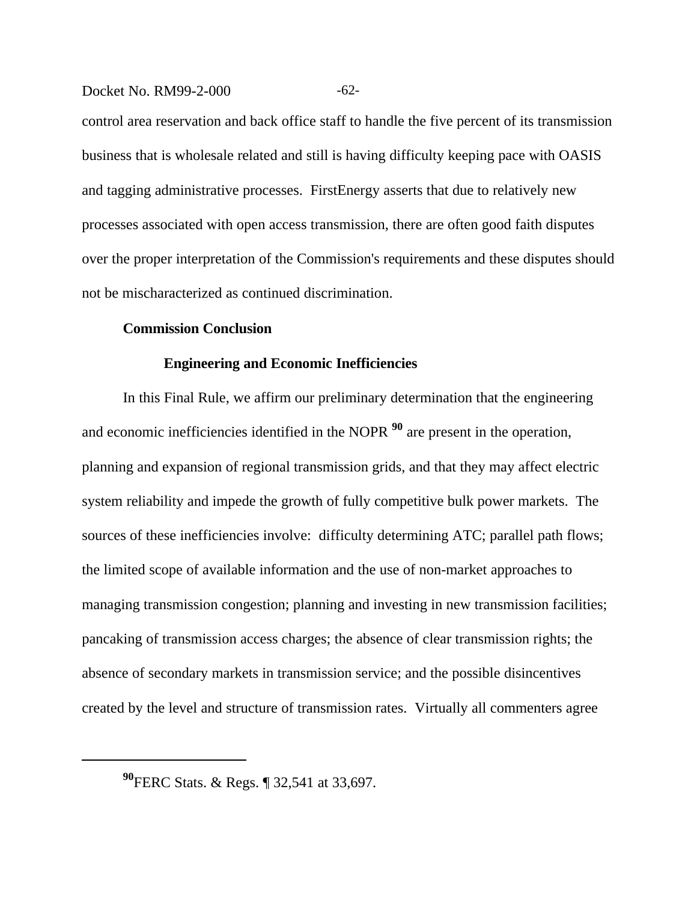#### Docket No. RM99-2-000 -62-

control area reservation and back office staff to handle the five percent of its transmission business that is wholesale related and still is having difficulty keeping pace with OASIS and tagging administrative processes. FirstEnergy asserts that due to relatively new processes associated with open access transmission, there are often good faith disputes over the proper interpretation of the Commission's requirements and these disputes should not be mischaracterized as continued discrimination.

#### **Commission Conclusion**

#### **Engineering and Economic Inefficiencies**

In this Final Rule, we affirm our preliminary determination that the engineering and economic inefficiencies identified in the NOPR **90** are present in the operation, planning and expansion of regional transmission grids, and that they may affect electric system reliability and impede the growth of fully competitive bulk power markets. The sources of these inefficiencies involve: difficulty determining ATC; parallel path flows; the limited scope of available information and the use of non-market approaches to managing transmission congestion; planning and investing in new transmission facilities; pancaking of transmission access charges; the absence of clear transmission rights; the absence of secondary markets in transmission service; and the possible disincentives created by the level and structure of transmission rates. Virtually all commenters agree

**<sup>90</sup>**FERC Stats. & Regs. ¶ 32,541 at 33,697.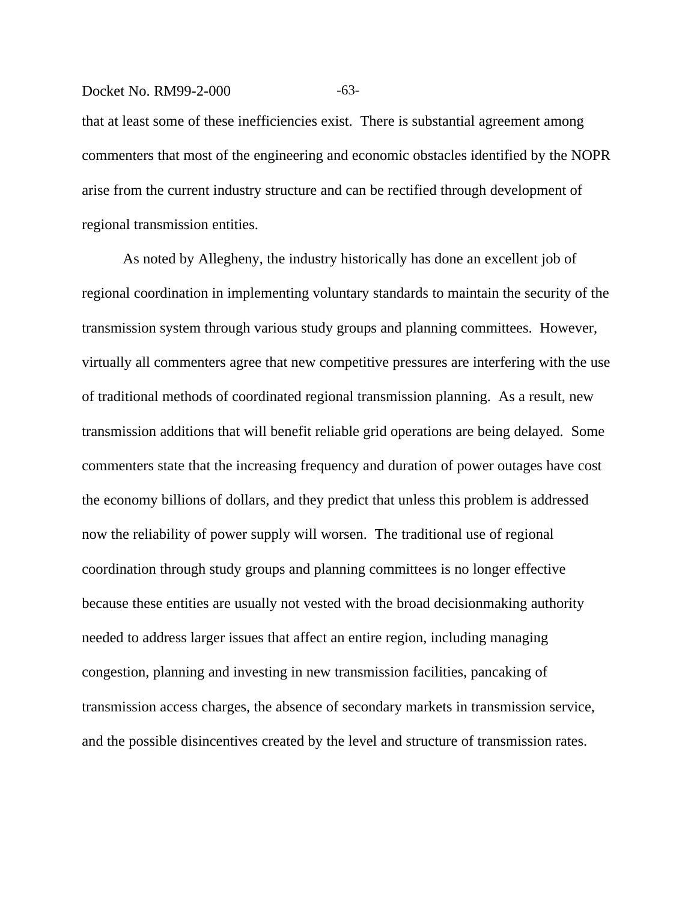#### Docket No. RM99-2-000 -63-

that at least some of these inefficiencies exist. There is substantial agreement among commenters that most of the engineering and economic obstacles identified by the NOPR arise from the current industry structure and can be rectified through development of regional transmission entities.

As noted by Allegheny, the industry historically has done an excellent job of regional coordination in implementing voluntary standards to maintain the security of the transmission system through various study groups and planning committees. However, virtually all commenters agree that new competitive pressures are interfering with the use of traditional methods of coordinated regional transmission planning. As a result, new transmission additions that will benefit reliable grid operations are being delayed. Some commenters state that the increasing frequency and duration of power outages have cost the economy billions of dollars, and they predict that unless this problem is addressed now the reliability of power supply will worsen. The traditional use of regional coordination through study groups and planning committees is no longer effective because these entities are usually not vested with the broad decisionmaking authority needed to address larger issues that affect an entire region, including managing congestion, planning and investing in new transmission facilities, pancaking of transmission access charges, the absence of secondary markets in transmission service, and the possible disincentives created by the level and structure of transmission rates.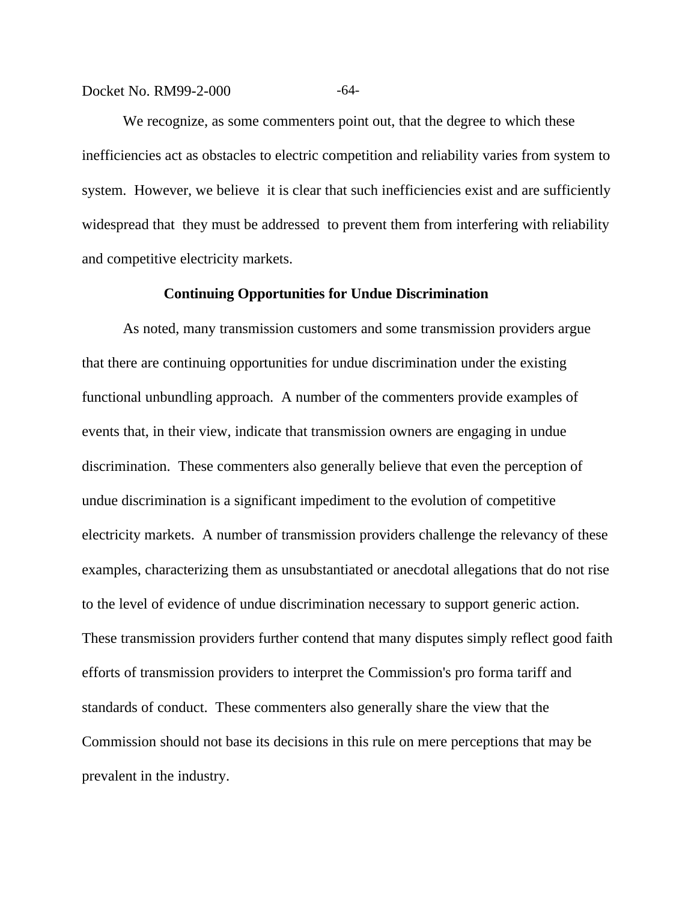#### Docket No. RM99-2-000 -64-

We recognize, as some commenters point out, that the degree to which these inefficiencies act as obstacles to electric competition and reliability varies from system to system. However, we believe it is clear that such inefficiencies exist and are sufficiently widespread that they must be addressed to prevent them from interfering with reliability and competitive electricity markets.

#### **Continuing Opportunities for Undue Discrimination**

As noted, many transmission customers and some transmission providers argue that there are continuing opportunities for undue discrimination under the existing functional unbundling approach. A number of the commenters provide examples of events that, in their view, indicate that transmission owners are engaging in undue discrimination. These commenters also generally believe that even the perception of undue discrimination is a significant impediment to the evolution of competitive electricity markets. A number of transmission providers challenge the relevancy of these examples, characterizing them as unsubstantiated or anecdotal allegations that do not rise to the level of evidence of undue discrimination necessary to support generic action. These transmission providers further contend that many disputes simply reflect good faith efforts of transmission providers to interpret the Commission's pro forma tariff and standards of conduct. These commenters also generally share the view that the Commission should not base its decisions in this rule on mere perceptions that may be prevalent in the industry.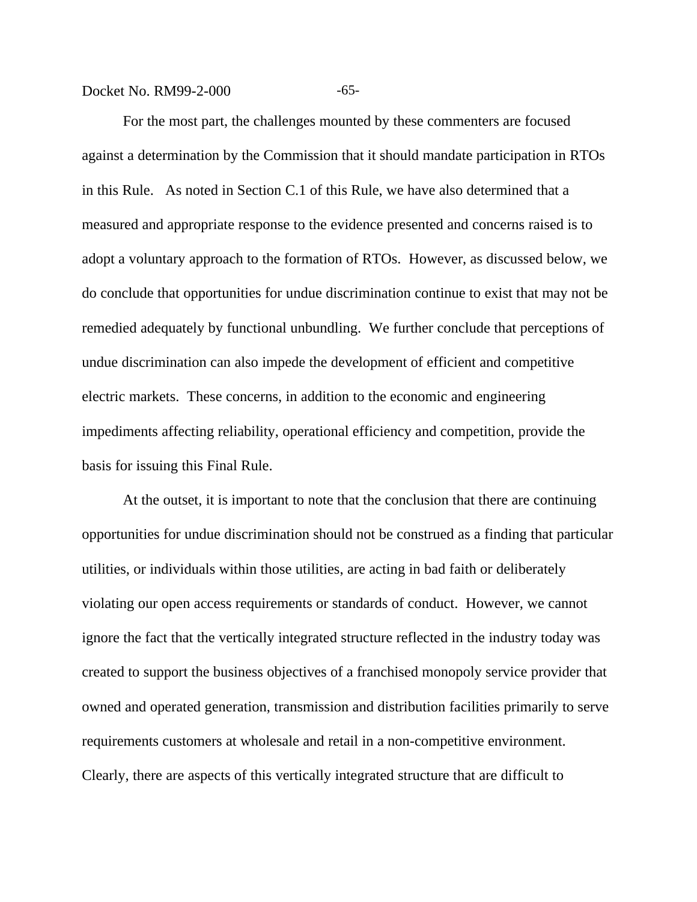Docket No. RM99-2-000 -65-

For the most part, the challenges mounted by these commenters are focused against a determination by the Commission that it should mandate participation in RTOs in this Rule. As noted in Section C.1 of this Rule, we have also determined that a measured and appropriate response to the evidence presented and concerns raised is to adopt a voluntary approach to the formation of RTOs. However, as discussed below, we do conclude that opportunities for undue discrimination continue to exist that may not be remedied adequately by functional unbundling. We further conclude that perceptions of undue discrimination can also impede the development of efficient and competitive electric markets. These concerns, in addition to the economic and engineering impediments affecting reliability, operational efficiency and competition, provide the basis for issuing this Final Rule.

At the outset, it is important to note that the conclusion that there are continuing opportunities for undue discrimination should not be construed as a finding that particular utilities, or individuals within those utilities, are acting in bad faith or deliberately violating our open access requirements or standards of conduct. However, we cannot ignore the fact that the vertically integrated structure reflected in the industry today was created to support the business objectives of a franchised monopoly service provider that owned and operated generation, transmission and distribution facilities primarily to serve requirements customers at wholesale and retail in a non-competitive environment. Clearly, there are aspects of this vertically integrated structure that are difficult to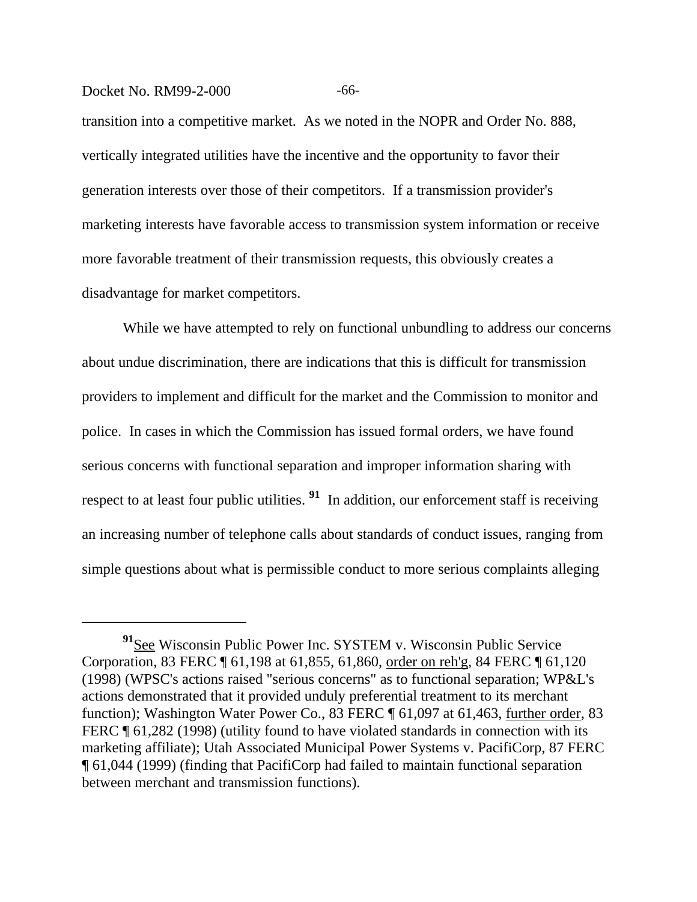#### Docket No. RM99-2-000 -66-

transition into a competitive market. As we noted in the NOPR and Order No. 888, vertically integrated utilities have the incentive and the opportunity to favor their generation interests over those of their competitors. If a transmission provider's marketing interests have favorable access to transmission system information or receive more favorable treatment of their transmission requests, this obviously creates a disadvantage for market competitors.

While we have attempted to rely on functional unbundling to address our concerns about undue discrimination, there are indications that this is difficult for transmission providers to implement and difficult for the market and the Commission to monitor and police. In cases in which the Commission has issued formal orders, we have found serious concerns with functional separation and improper information sharing with respect to at least four public utilities. **91** In addition, our enforcement staff is receiving an increasing number of telephone calls about standards of conduct issues, ranging from simple questions about what is permissible conduct to more serious complaints alleging

<sup>&</sup>lt;sup>91</sup>See Wisconsin Public Power Inc. SYSTEM v. Wisconsin Public Service Corporation, 83 FERC ¶ 61,198 at 61,855, 61,860, order on reh'g, 84 FERC ¶ 61,120 (1998) (WPSC's actions raised "serious concerns" as to functional separation; WP&L's actions demonstrated that it provided unduly preferential treatment to its merchant function); Washington Water Power Co., 83 FERC ¶ 61,097 at 61,463, further order, 83 FERC ¶ 61,282 (1998) (utility found to have violated standards in connection with its marketing affiliate); Utah Associated Municipal Power Systems v. PacifiCorp, 87 FERC ¶ 61,044 (1999) (finding that PacifiCorp had failed to maintain functional separation between merchant and transmission functions).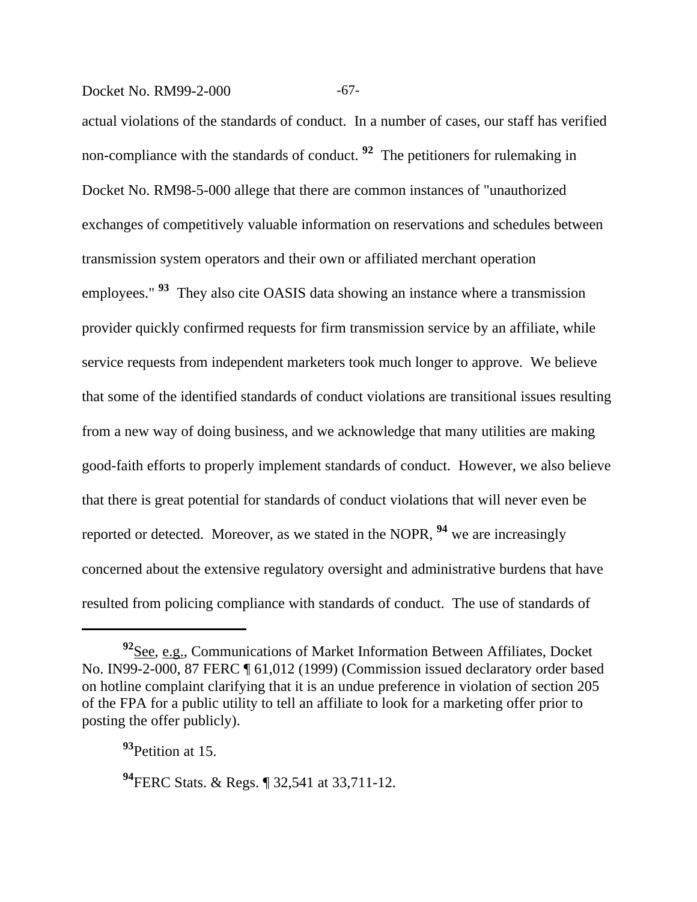## Docket No. RM99-2-000 -67-

actual violations of the standards of conduct. In a number of cases, our staff has verified non-compliance with the standards of conduct. <sup>92</sup> The petitioners for rulemaking in Docket No. RM98-5-000 allege that there are common instances of "unauthorized exchanges of competitively valuable information on reservations and schedules between transmission system operators and their own or affiliated merchant operation employees." **93** They also cite OASIS data showing an instance where a transmission provider quickly confirmed requests for firm transmission service by an affiliate, while service requests from independent marketers took much longer to approve. We believe that some of the identified standards of conduct violations are transitional issues resulting from a new way of doing business, and we acknowledge that many utilities are making good-faith efforts to properly implement standards of conduct. However, we also believe that there is great potential for standards of conduct violations that will never even be reported or detected. Moreover, as we stated in the NOPR, **94** we are increasingly concerned about the extensive regulatory oversight and administrative burdens that have resulted from policing compliance with standards of conduct. The use of standards of

**<sup>92</sup>**See, e.g., Communications of Market Information Between Affiliates, Docket No. IN99-2-000, 87 FERC ¶ 61,012 (1999) (Commission issued declaratory order based on hotline complaint clarifying that it is an undue preference in violation of section 205 of the FPA for a public utility to tell an affiliate to look for a marketing offer prior to posting the offer publicly).

**<sup>93</sup>**Petition at 15.

**<sup>94</sup>**FERC Stats. & Regs. ¶ 32,541 at 33,711-12.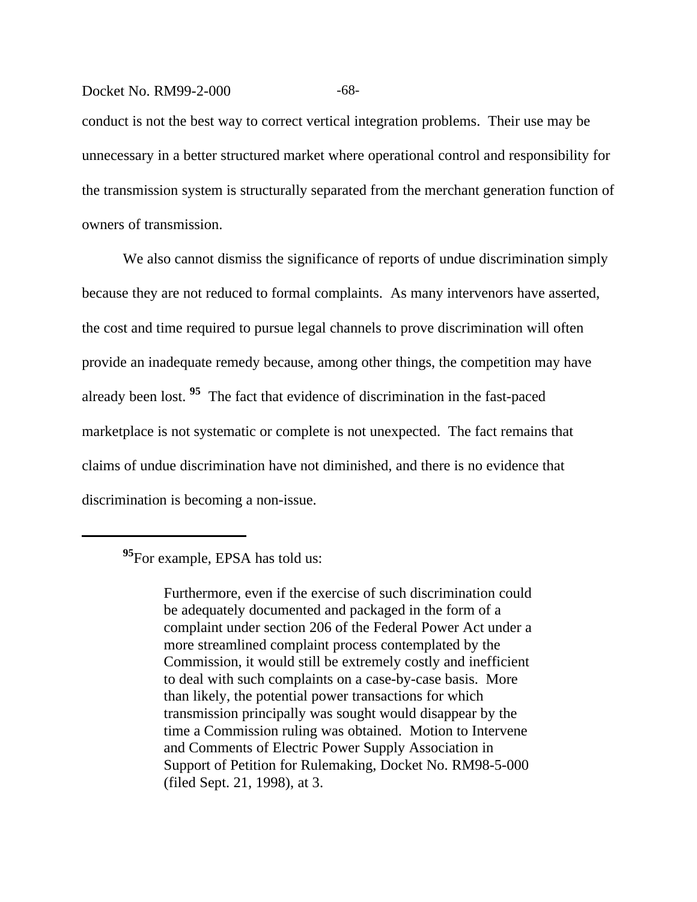#### Docket No. RM99-2-000 -68-

conduct is not the best way to correct vertical integration problems. Their use may be unnecessary in a better structured market where operational control and responsibility for the transmission system is structurally separated from the merchant generation function of owners of transmission.

We also cannot dismiss the significance of reports of undue discrimination simply because they are not reduced to formal complaints. As many intervenors have asserted, the cost and time required to pursue legal channels to prove discrimination will often provide an inadequate remedy because, among other things, the competition may have already been lost. **95** The fact that evidence of discrimination in the fast-paced marketplace is not systematic or complete is not unexpected. The fact remains that claims of undue discrimination have not diminished, and there is no evidence that discrimination is becoming a non-issue.

Furthermore, even if the exercise of such discrimination could be adequately documented and packaged in the form of a complaint under section 206 of the Federal Power Act under a more streamlined complaint process contemplated by the Commission, it would still be extremely costly and inefficient to deal with such complaints on a case-by-case basis. More than likely, the potential power transactions for which transmission principally was sought would disappear by the time a Commission ruling was obtained. Motion to Intervene and Comments of Electric Power Supply Association in Support of Petition for Rulemaking, Docket No. RM98-5-000 (filed Sept. 21, 1998), at 3.

**<sup>95</sup>**For example, EPSA has told us: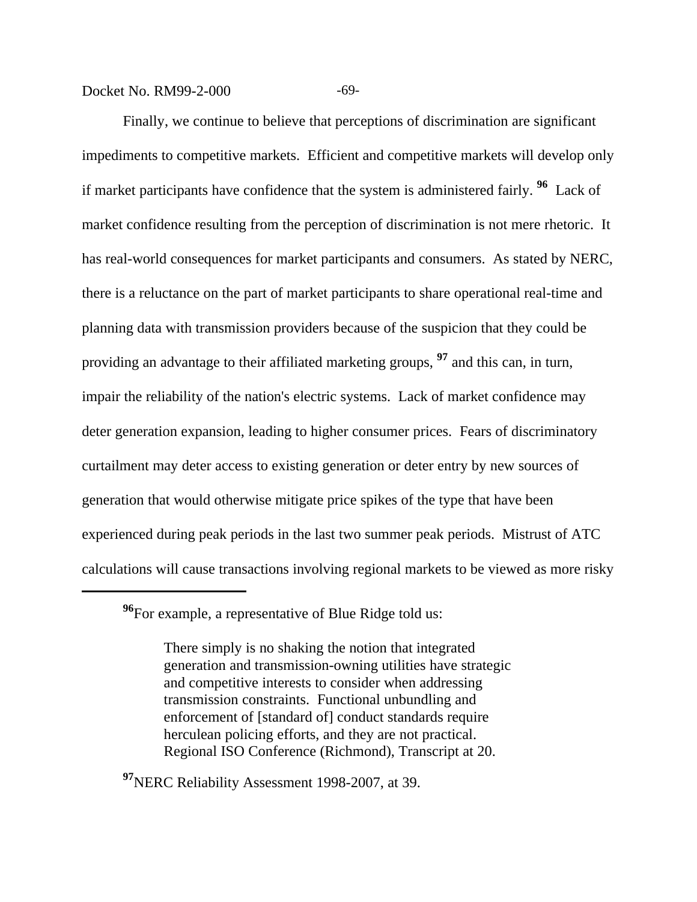Docket No. RM99-2-000 -69-

Finally, we continue to believe that perceptions of discrimination are significant impediments to competitive markets. Efficient and competitive markets will develop only if market participants have confidence that the system is administered fairly. **96** Lack of market confidence resulting from the perception of discrimination is not mere rhetoric. It has real-world consequences for market participants and consumers. As stated by NERC, there is a reluctance on the part of market participants to share operational real-time and planning data with transmission providers because of the suspicion that they could be providing an advantage to their affiliated marketing groups, **97** and this can, in turn, impair the reliability of the nation's electric systems. Lack of market confidence may deter generation expansion, leading to higher consumer prices. Fears of discriminatory curtailment may deter access to existing generation or deter entry by new sources of generation that would otherwise mitigate price spikes of the type that have been experienced during peak periods in the last two summer peak periods. Mistrust of ATC calculations will cause transactions involving regional markets to be viewed as more risky

There simply is no shaking the notion that integrated generation and transmission-owning utilities have strategic and competitive interests to consider when addressing transmission constraints. Functional unbundling and enforcement of [standard of] conduct standards require herculean policing efforts, and they are not practical. Regional ISO Conference (Richmond), Transcript at 20.

**<sup>97</sup>**NERC Reliability Assessment 1998-2007, at 39.

**<sup>96</sup>**For example, a representative of Blue Ridge told us: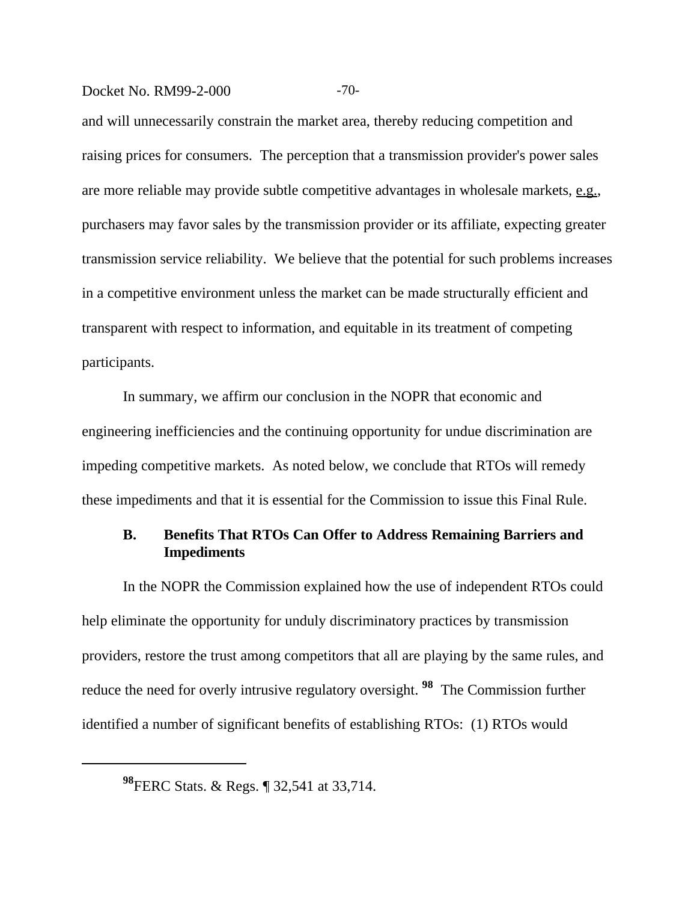## Docket No. RM99-2-000 -70-

and will unnecessarily constrain the market area, thereby reducing competition and raising prices for consumers. The perception that a transmission provider's power sales are more reliable may provide subtle competitive advantages in wholesale markets, e.g., purchasers may favor sales by the transmission provider or its affiliate, expecting greater transmission service reliability. We believe that the potential for such problems increases in a competitive environment unless the market can be made structurally efficient and transparent with respect to information, and equitable in its treatment of competing participants.

In summary, we affirm our conclusion in the NOPR that economic and engineering inefficiencies and the continuing opportunity for undue discrimination are impeding competitive markets. As noted below, we conclude that RTOs will remedy these impediments and that it is essential for the Commission to issue this Final Rule.

# **B. Benefits That RTOs Can Offer to Address Remaining Barriers and Impediments**

In the NOPR the Commission explained how the use of independent RTOs could help eliminate the opportunity for unduly discriminatory practices by transmission providers, restore the trust among competitors that all are playing by the same rules, and reduce the need for overly intrusive regulatory oversight. **98** The Commission further identified a number of significant benefits of establishing RTOs: (1) RTOs would

**<sup>98</sup>**FERC Stats. & Regs. ¶ 32,541 at 33,714.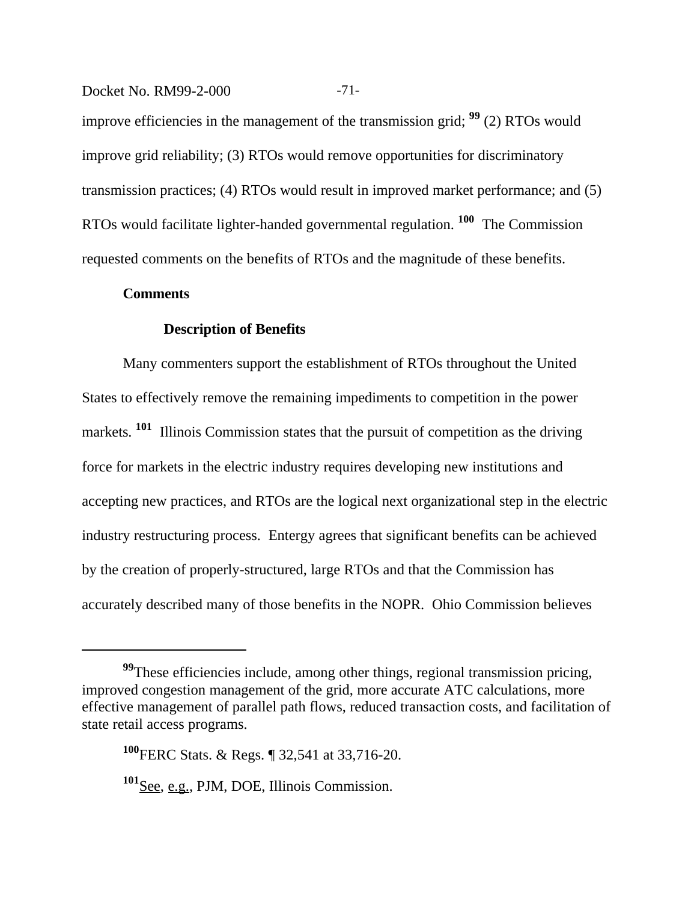Docket No. RM99-2-000 -71-

improve efficiencies in the management of the transmission grid; **99** (2) RTOs would improve grid reliability; (3) RTOs would remove opportunities for discriminatory transmission practices; (4) RTOs would result in improved market performance; and (5) RTOs would facilitate lighter-handed governmental regulation. **100** The Commission requested comments on the benefits of RTOs and the magnitude of these benefits.

#### **Comments**

## **Description of Benefits**

Many commenters support the establishment of RTOs throughout the United States to effectively remove the remaining impediments to competition in the power markets. <sup>101</sup> Illinois Commission states that the pursuit of competition as the driving force for markets in the electric industry requires developing new institutions and accepting new practices, and RTOs are the logical next organizational step in the electric industry restructuring process. Entergy agrees that significant benefits can be achieved by the creation of properly-structured, large RTOs and that the Commission has accurately described many of those benefits in the NOPR. Ohio Commission believes

**<sup>99</sup>**These efficiencies include, among other things, regional transmission pricing, improved congestion management of the grid, more accurate ATC calculations, more effective management of parallel path flows, reduced transaction costs, and facilitation of state retail access programs.

**<sup>100</sup>**FERC Stats. & Regs. ¶ 32,541 at 33,716-20.

**<sup>101</sup>**See, e.g., PJM, DOE, Illinois Commission.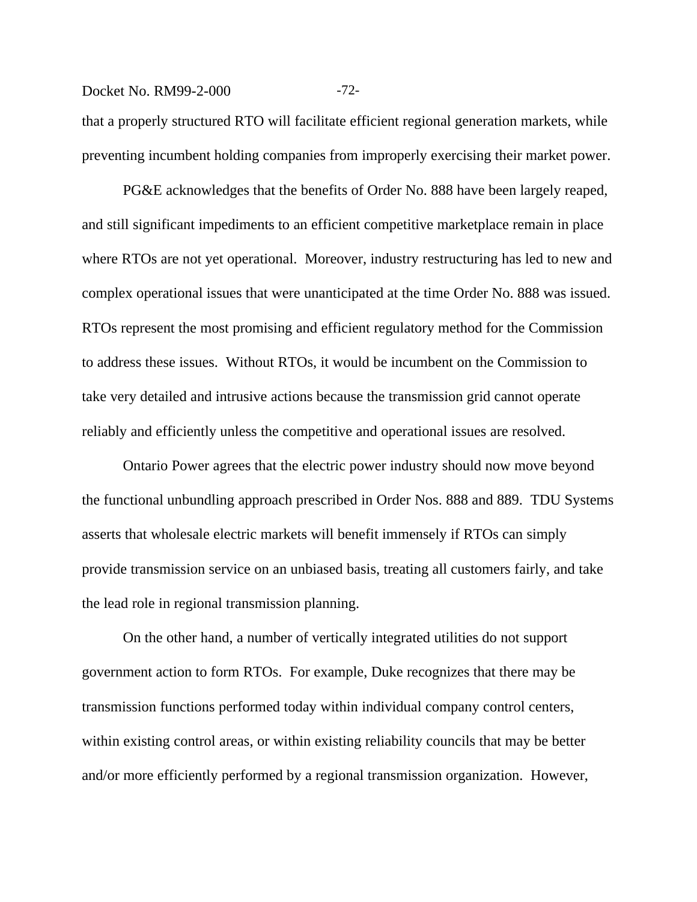## Docket No. RM99-2-000 -72-

that a properly structured RTO will facilitate efficient regional generation markets, while preventing incumbent holding companies from improperly exercising their market power.

PG&E acknowledges that the benefits of Order No. 888 have been largely reaped, and still significant impediments to an efficient competitive marketplace remain in place where RTOs are not yet operational. Moreover, industry restructuring has led to new and complex operational issues that were unanticipated at the time Order No. 888 was issued. RTOs represent the most promising and efficient regulatory method for the Commission to address these issues. Without RTOs, it would be incumbent on the Commission to take very detailed and intrusive actions because the transmission grid cannot operate reliably and efficiently unless the competitive and operational issues are resolved.

Ontario Power agrees that the electric power industry should now move beyond the functional unbundling approach prescribed in Order Nos. 888 and 889. TDU Systems asserts that wholesale electric markets will benefit immensely if RTOs can simply provide transmission service on an unbiased basis, treating all customers fairly, and take the lead role in regional transmission planning.

On the other hand, a number of vertically integrated utilities do not support government action to form RTOs. For example, Duke recognizes that there may be transmission functions performed today within individual company control centers, within existing control areas, or within existing reliability councils that may be better and/or more efficiently performed by a regional transmission organization. However,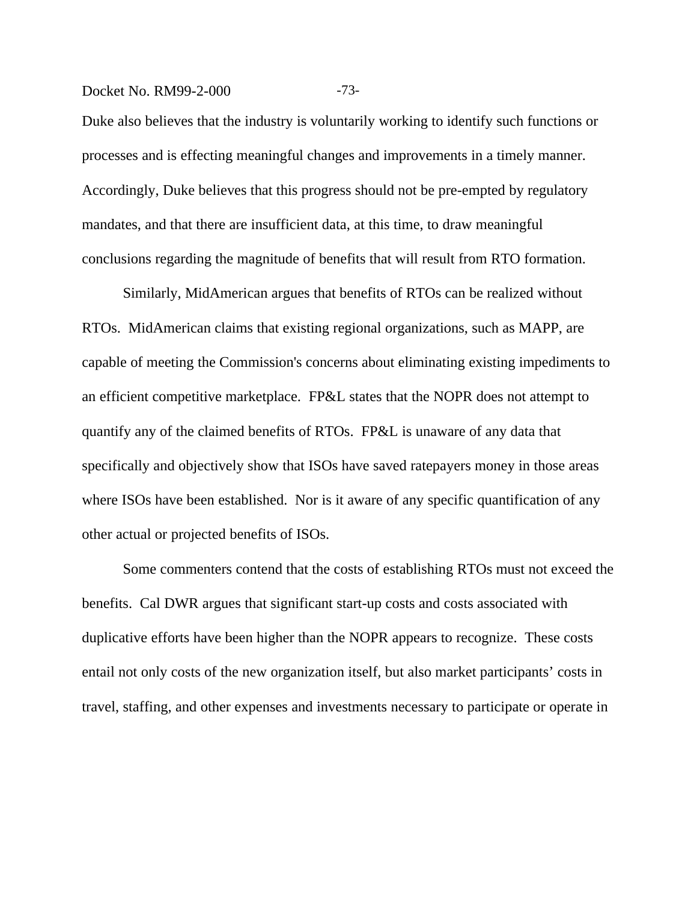## Docket No. RM99-2-000 -73-

Duke also believes that the industry is voluntarily working to identify such functions or processes and is effecting meaningful changes and improvements in a timely manner. Accordingly, Duke believes that this progress should not be pre-empted by regulatory mandates, and that there are insufficient data, at this time, to draw meaningful conclusions regarding the magnitude of benefits that will result from RTO formation.

Similarly, MidAmerican argues that benefits of RTOs can be realized without RTOs. MidAmerican claims that existing regional organizations, such as MAPP, are capable of meeting the Commission's concerns about eliminating existing impediments to an efficient competitive marketplace. FP&L states that the NOPR does not attempt to quantify any of the claimed benefits of RTOs. FP&L is unaware of any data that specifically and objectively show that ISOs have saved ratepayers money in those areas where ISOs have been established. Nor is it aware of any specific quantification of any other actual or projected benefits of ISOs.

Some commenters contend that the costs of establishing RTOs must not exceed the benefits. Cal DWR argues that significant start-up costs and costs associated with duplicative efforts have been higher than the NOPR appears to recognize. These costs entail not only costs of the new organization itself, but also market participants' costs in travel, staffing, and other expenses and investments necessary to participate or operate in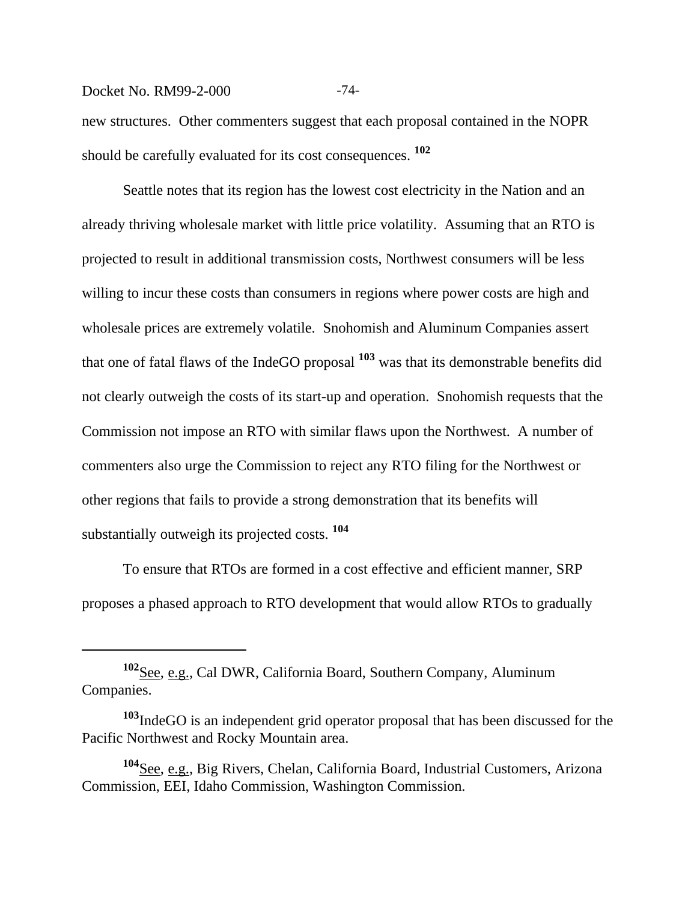## Docket No. RM99-2-000 -74-

new structures. Other commenters suggest that each proposal contained in the NOPR should be carefully evaluated for its cost consequences. **<sup>102</sup>**

Seattle notes that its region has the lowest cost electricity in the Nation and an already thriving wholesale market with little price volatility. Assuming that an RTO is projected to result in additional transmission costs, Northwest consumers will be less willing to incur these costs than consumers in regions where power costs are high and wholesale prices are extremely volatile. Snohomish and Aluminum Companies assert that one of fatal flaws of the IndeGO proposal **103** was that its demonstrable benefits did not clearly outweigh the costs of its start-up and operation. Snohomish requests that the Commission not impose an RTO with similar flaws upon the Northwest. A number of commenters also urge the Commission to reject any RTO filing for the Northwest or other regions that fails to provide a strong demonstration that its benefits will substantially outweigh its projected costs. **<sup>104</sup>**

To ensure that RTOs are formed in a cost effective and efficient manner, SRP proposes a phased approach to RTO development that would allow RTOs to gradually

**<sup>102</sup>**See, e.g., Cal DWR, California Board, Southern Company, Aluminum Companies.

**<sup>103</sup>**IndeGO is an independent grid operator proposal that has been discussed for the Pacific Northwest and Rocky Mountain area.

**<sup>104</sup>**See, e.g., Big Rivers, Chelan, California Board, Industrial Customers, Arizona Commission, EEI, Idaho Commission, Washington Commission.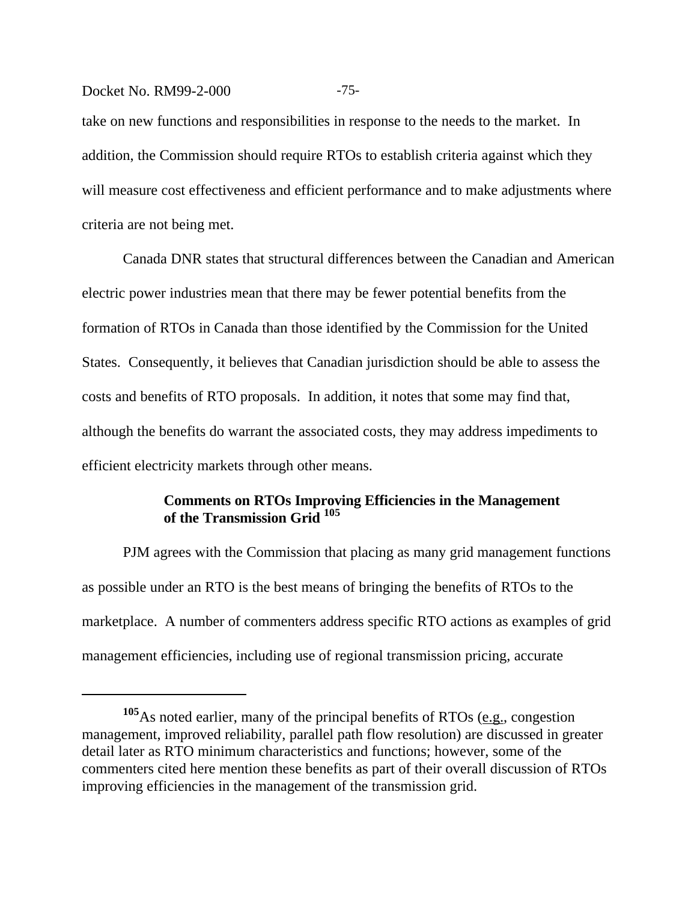## Docket No. RM99-2-000 -75-

take on new functions and responsibilities in response to the needs to the market. In addition, the Commission should require RTOs to establish criteria against which they will measure cost effectiveness and efficient performance and to make adjustments where criteria are not being met.

Canada DNR states that structural differences between the Canadian and American electric power industries mean that there may be fewer potential benefits from the formation of RTOs in Canada than those identified by the Commission for the United States. Consequently, it believes that Canadian jurisdiction should be able to assess the costs and benefits of RTO proposals. In addition, it notes that some may find that, although the benefits do warrant the associated costs, they may address impediments to efficient electricity markets through other means.

# **Comments on RTOs Improving Efficiencies in the Management of the Transmission Grid <sup>105</sup>**

PJM agrees with the Commission that placing as many grid management functions as possible under an RTO is the best means of bringing the benefits of RTOs to the marketplace. A number of commenters address specific RTO actions as examples of grid management efficiencies, including use of regional transmission pricing, accurate

<sup>&</sup>lt;sup>105</sup>As noted earlier, many of the principal benefits of RTOs (e.g., congestion management, improved reliability, parallel path flow resolution) are discussed in greater detail later as RTO minimum characteristics and functions; however, some of the commenters cited here mention these benefits as part of their overall discussion of RTOs improving efficiencies in the management of the transmission grid.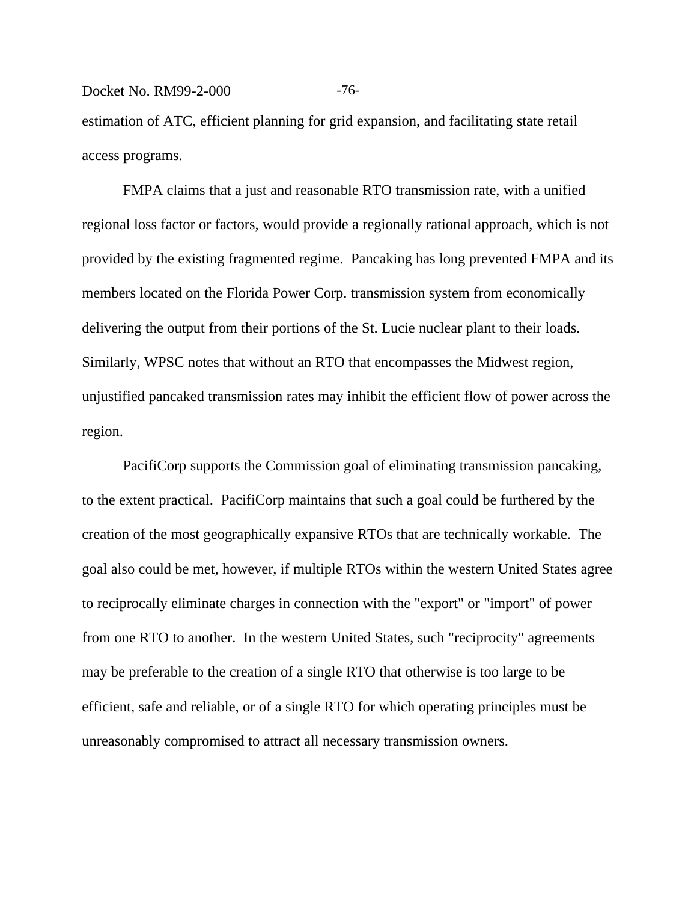#### Docket No. RM99-2-000 -76-

estimation of ATC, efficient planning for grid expansion, and facilitating state retail access programs.

FMPA claims that a just and reasonable RTO transmission rate, with a unified regional loss factor or factors, would provide a regionally rational approach, which is not provided by the existing fragmented regime. Pancaking has long prevented FMPA and its members located on the Florida Power Corp. transmission system from economically delivering the output from their portions of the St. Lucie nuclear plant to their loads. Similarly, WPSC notes that without an RTO that encompasses the Midwest region, unjustified pancaked transmission rates may inhibit the efficient flow of power across the region.

PacifiCorp supports the Commission goal of eliminating transmission pancaking, to the extent practical. PacifiCorp maintains that such a goal could be furthered by the creation of the most geographically expansive RTOs that are technically workable. The goal also could be met, however, if multiple RTOs within the western United States agree to reciprocally eliminate charges in connection with the "export" or "import" of power from one RTO to another. In the western United States, such "reciprocity" agreements may be preferable to the creation of a single RTO that otherwise is too large to be efficient, safe and reliable, or of a single RTO for which operating principles must be unreasonably compromised to attract all necessary transmission owners.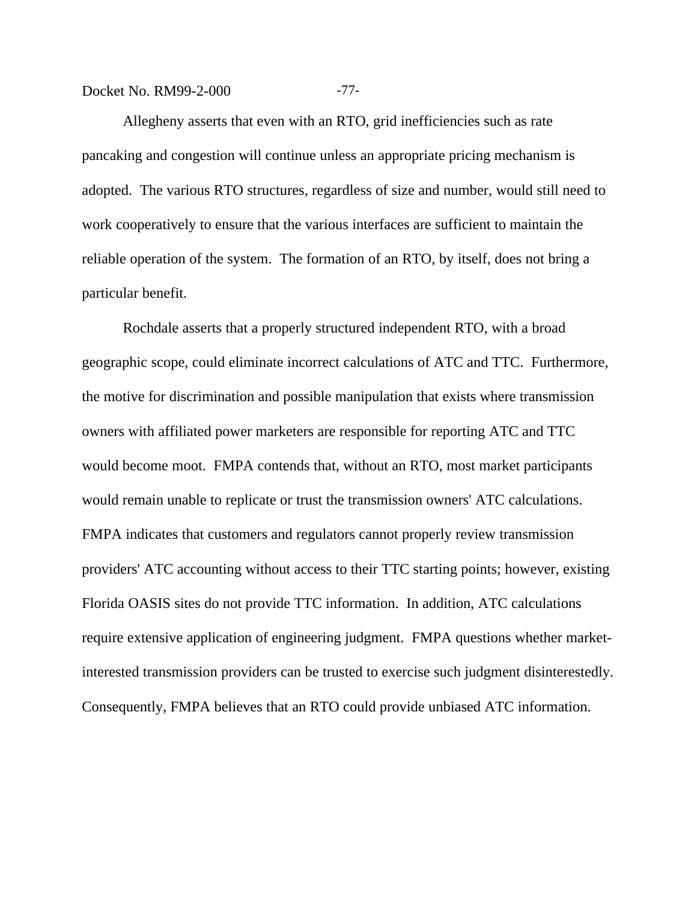Docket No. RM99-2-000 -77-

Allegheny asserts that even with an RTO, grid inefficiencies such as rate pancaking and congestion will continue unless an appropriate pricing mechanism is adopted. The various RTO structures, regardless of size and number, would still need to work cooperatively to ensure that the various interfaces are sufficient to maintain the reliable operation of the system. The formation of an RTO, by itself, does not bring a particular benefit.

Rochdale asserts that a properly structured independent RTO, with a broad geographic scope, could eliminate incorrect calculations of ATC and TTC. Furthermore, the motive for discrimination and possible manipulation that exists where transmission owners with affiliated power marketers are responsible for reporting ATC and TTC would become moot. FMPA contends that, without an RTO, most market participants would remain unable to replicate or trust the transmission owners' ATC calculations. FMPA indicates that customers and regulators cannot properly review transmission providers' ATC accounting without access to their TTC starting points; however, existing Florida OASIS sites do not provide TTC information. In addition, ATC calculations require extensive application of engineering judgment. FMPA questions whether marketinterested transmission providers can be trusted to exercise such judgment disinterestedly. Consequently, FMPA believes that an RTO could provide unbiased ATC information.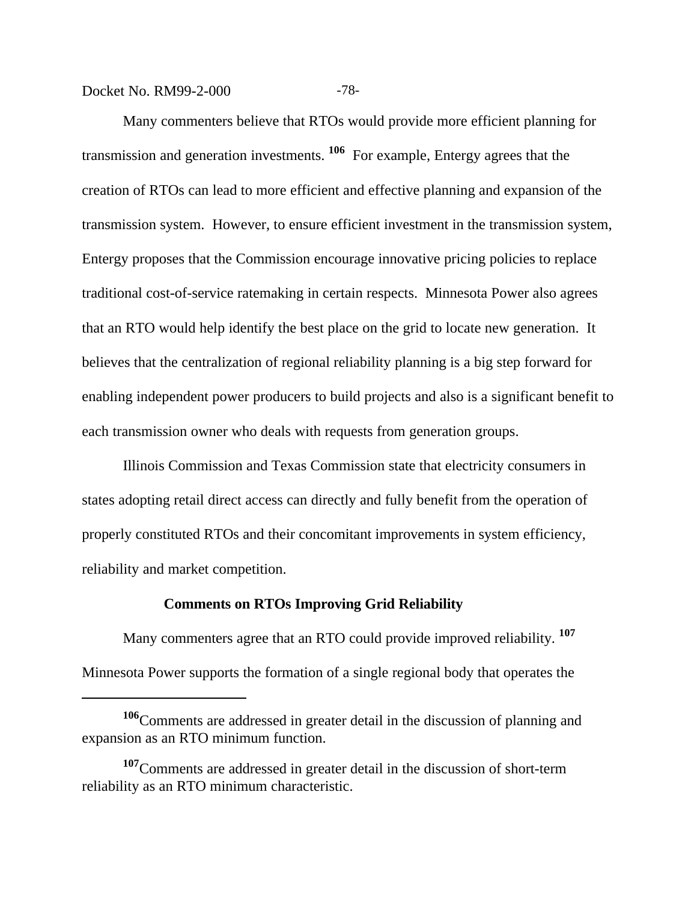Docket No. RM99-2-000 -78-

Many commenters believe that RTOs would provide more efficient planning for transmission and generation investments. **106** For example, Entergy agrees that the creation of RTOs can lead to more efficient and effective planning and expansion of the transmission system. However, to ensure efficient investment in the transmission system, Entergy proposes that the Commission encourage innovative pricing policies to replace traditional cost-of-service ratemaking in certain respects. Minnesota Power also agrees that an RTO would help identify the best place on the grid to locate new generation. It believes that the centralization of regional reliability planning is a big step forward for enabling independent power producers to build projects and also is a significant benefit to each transmission owner who deals with requests from generation groups.

Illinois Commission and Texas Commission state that electricity consumers in states adopting retail direct access can directly and fully benefit from the operation of properly constituted RTOs and their concomitant improvements in system efficiency, reliability and market competition.

## **Comments on RTOs Improving Grid Reliability**

Many commenters agree that an RTO could provide improved reliability. **<sup>107</sup>** Minnesota Power supports the formation of a single regional body that operates the

**<sup>106</sup>**Comments are addressed in greater detail in the discussion of planning and expansion as an RTO minimum function.

**<sup>107</sup>**Comments are addressed in greater detail in the discussion of short-term reliability as an RTO minimum characteristic.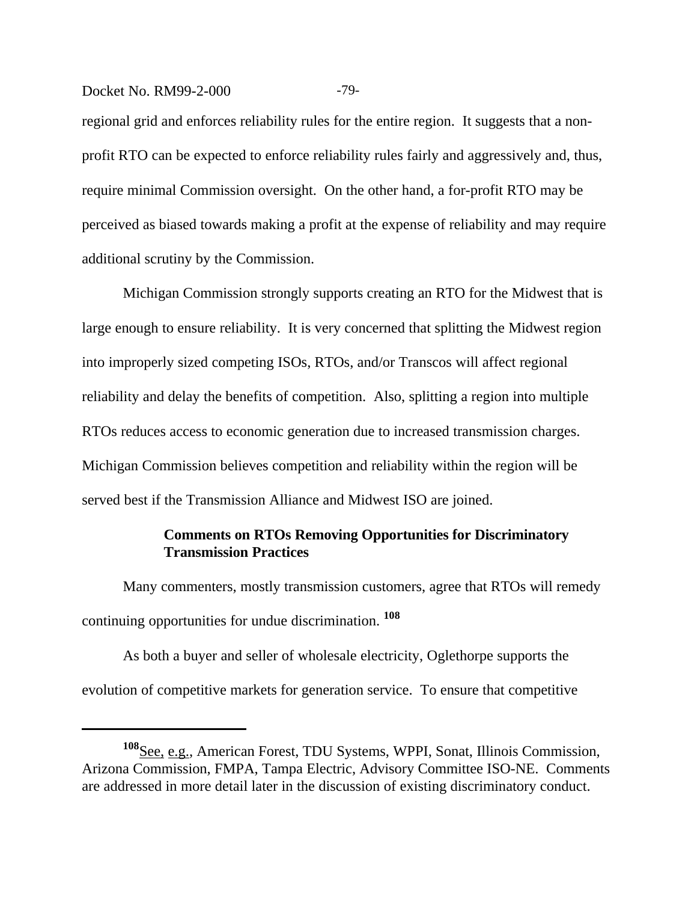## Docket No. RM99-2-000 -79-

regional grid and enforces reliability rules for the entire region. It suggests that a nonprofit RTO can be expected to enforce reliability rules fairly and aggressively and, thus, require minimal Commission oversight. On the other hand, a for-profit RTO may be perceived as biased towards making a profit at the expense of reliability and may require additional scrutiny by the Commission.

Michigan Commission strongly supports creating an RTO for the Midwest that is large enough to ensure reliability. It is very concerned that splitting the Midwest region into improperly sized competing ISOs, RTOs, and/or Transcos will affect regional reliability and delay the benefits of competition. Also, splitting a region into multiple RTOs reduces access to economic generation due to increased transmission charges. Michigan Commission believes competition and reliability within the region will be served best if the Transmission Alliance and Midwest ISO are joined.

# **Comments on RTOs Removing Opportunities for Discriminatory Transmission Practices**

Many commenters, mostly transmission customers, agree that RTOs will remedy continuing opportunities for undue discrimination. **<sup>108</sup>**

As both a buyer and seller of wholesale electricity, Oglethorpe supports the evolution of competitive markets for generation service. To ensure that competitive

**<sup>108</sup>**See, e.g., American Forest, TDU Systems, WPPI, Sonat, Illinois Commission, Arizona Commission, FMPA, Tampa Electric, Advisory Committee ISO-NE. Comments are addressed in more detail later in the discussion of existing discriminatory conduct.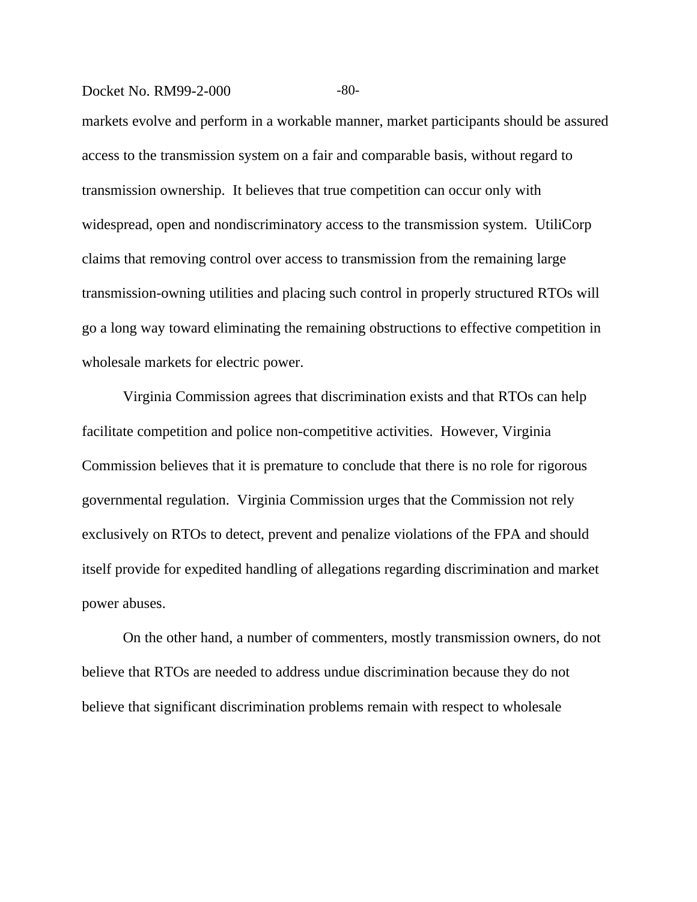#### Docket No. RM99-2-000 -80-

markets evolve and perform in a workable manner, market participants should be assured access to the transmission system on a fair and comparable basis, without regard to transmission ownership. It believes that true competition can occur only with widespread, open and nondiscriminatory access to the transmission system. UtiliCorp claims that removing control over access to transmission from the remaining large transmission-owning utilities and placing such control in properly structured RTOs will go a long way toward eliminating the remaining obstructions to effective competition in wholesale markets for electric power.

Virginia Commission agrees that discrimination exists and that RTOs can help facilitate competition and police non-competitive activities. However, Virginia Commission believes that it is premature to conclude that there is no role for rigorous governmental regulation. Virginia Commission urges that the Commission not rely exclusively on RTOs to detect, prevent and penalize violations of the FPA and should itself provide for expedited handling of allegations regarding discrimination and market power abuses.

On the other hand, a number of commenters, mostly transmission owners, do not believe that RTOs are needed to address undue discrimination because they do not believe that significant discrimination problems remain with respect to wholesale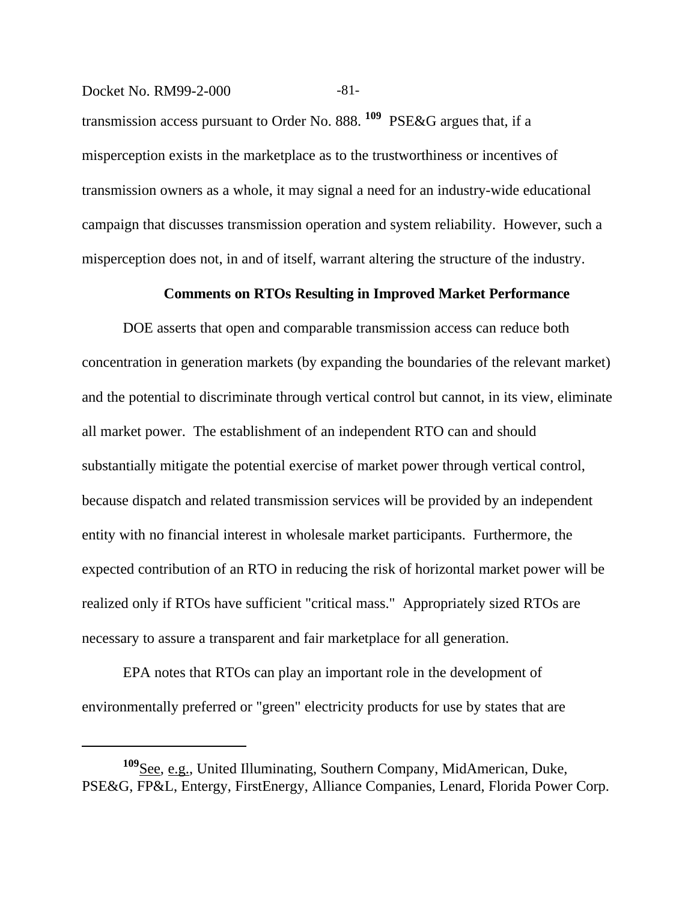#### Docket No. RM99-2-000 -81-

transmission access pursuant to Order No. 888. **109** PSE&G argues that, if a misperception exists in the marketplace as to the trustworthiness or incentives of transmission owners as a whole, it may signal a need for an industry-wide educational campaign that discusses transmission operation and system reliability. However, such a misperception does not, in and of itself, warrant altering the structure of the industry.

#### **Comments on RTOs Resulting in Improved Market Performance**

DOE asserts that open and comparable transmission access can reduce both concentration in generation markets (by expanding the boundaries of the relevant market) and the potential to discriminate through vertical control but cannot, in its view, eliminate all market power. The establishment of an independent RTO can and should substantially mitigate the potential exercise of market power through vertical control, because dispatch and related transmission services will be provided by an independent entity with no financial interest in wholesale market participants. Furthermore, the expected contribution of an RTO in reducing the risk of horizontal market power will be realized only if RTOs have sufficient "critical mass." Appropriately sized RTOs are necessary to assure a transparent and fair marketplace for all generation.

EPA notes that RTOs can play an important role in the development of environmentally preferred or "green" electricity products for use by states that are

**<sup>109</sup>**See, e.g., United Illuminating, Southern Company, MidAmerican, Duke, PSE&G, FP&L, Entergy, FirstEnergy, Alliance Companies, Lenard, Florida Power Corp.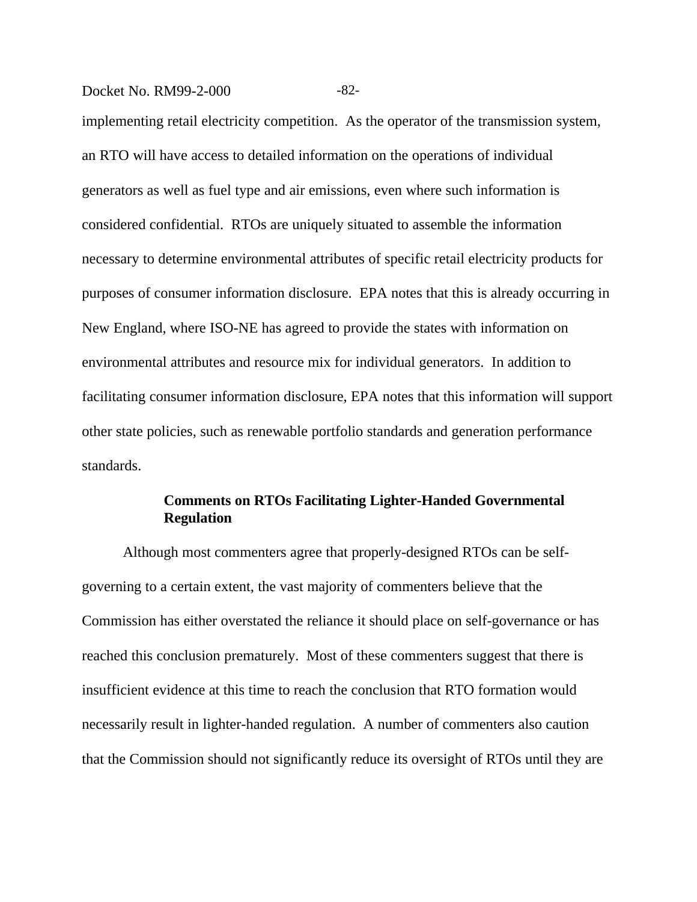#### Docket No. RM99-2-000 -82-

implementing retail electricity competition. As the operator of the transmission system, an RTO will have access to detailed information on the operations of individual generators as well as fuel type and air emissions, even where such information is considered confidential. RTOs are uniquely situated to assemble the information necessary to determine environmental attributes of specific retail electricity products for purposes of consumer information disclosure. EPA notes that this is already occurring in New England, where ISO-NE has agreed to provide the states with information on environmental attributes and resource mix for individual generators. In addition to facilitating consumer information disclosure, EPA notes that this information will support other state policies, such as renewable portfolio standards and generation performance standards.

# **Comments on RTOs Facilitating Lighter-Handed Governmental Regulation**

Although most commenters agree that properly-designed RTOs can be selfgoverning to a certain extent, the vast majority of commenters believe that the Commission has either overstated the reliance it should place on self-governance or has reached this conclusion prematurely. Most of these commenters suggest that there is insufficient evidence at this time to reach the conclusion that RTO formation would necessarily result in lighter-handed regulation. A number of commenters also caution that the Commission should not significantly reduce its oversight of RTOs until they are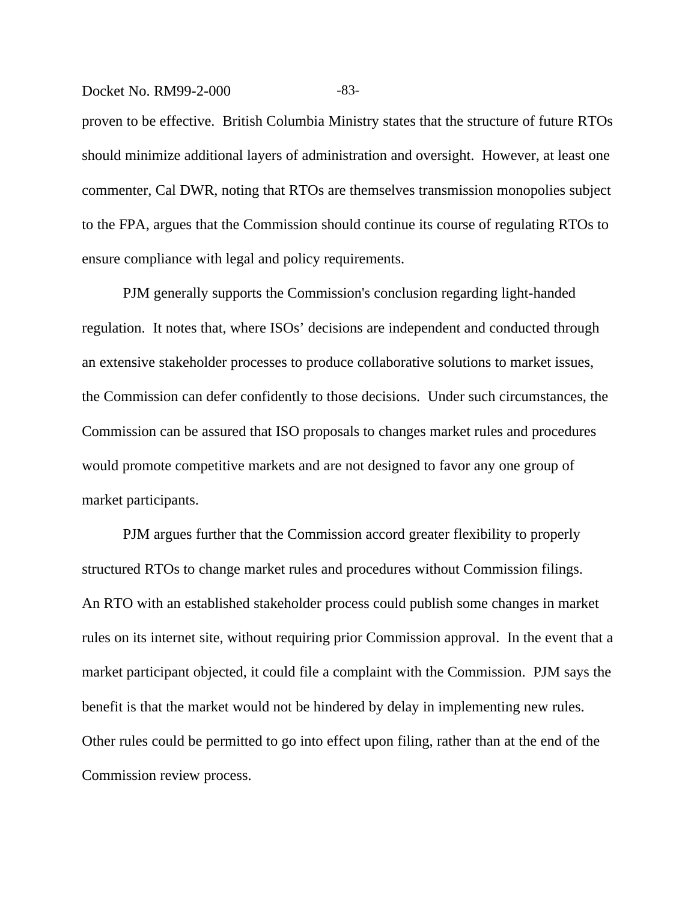#### Docket No. RM99-2-000 -83-

proven to be effective. British Columbia Ministry states that the structure of future RTOs should minimize additional layers of administration and oversight. However, at least one commenter, Cal DWR, noting that RTOs are themselves transmission monopolies subject to the FPA, argues that the Commission should continue its course of regulating RTOs to ensure compliance with legal and policy requirements.

PJM generally supports the Commission's conclusion regarding light-handed regulation. It notes that, where ISOs' decisions are independent and conducted through an extensive stakeholder processes to produce collaborative solutions to market issues, the Commission can defer confidently to those decisions. Under such circumstances, the Commission can be assured that ISO proposals to changes market rules and procedures would promote competitive markets and are not designed to favor any one group of market participants.

PJM argues further that the Commission accord greater flexibility to properly structured RTOs to change market rules and procedures without Commission filings. An RTO with an established stakeholder process could publish some changes in market rules on its internet site, without requiring prior Commission approval. In the event that a market participant objected, it could file a complaint with the Commission. PJM says the benefit is that the market would not be hindered by delay in implementing new rules. Other rules could be permitted to go into effect upon filing, rather than at the end of the Commission review process.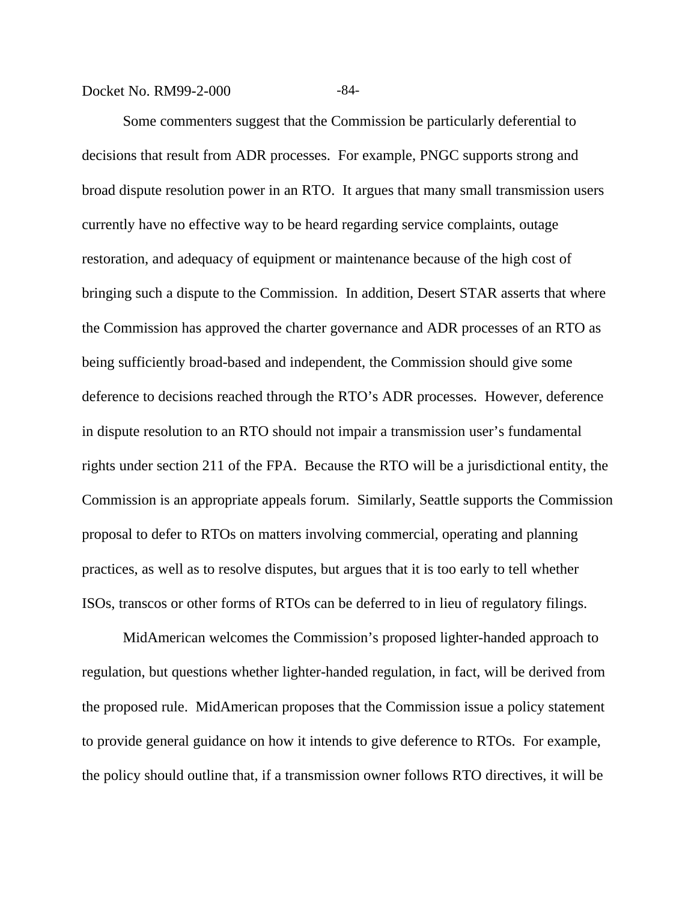Docket No. RM99-2-000 -84-

Some commenters suggest that the Commission be particularly deferential to decisions that result from ADR processes. For example, PNGC supports strong and broad dispute resolution power in an RTO. It argues that many small transmission users currently have no effective way to be heard regarding service complaints, outage restoration, and adequacy of equipment or maintenance because of the high cost of bringing such a dispute to the Commission. In addition, Desert STAR asserts that where the Commission has approved the charter governance and ADR processes of an RTO as being sufficiently broad-based and independent, the Commission should give some deference to decisions reached through the RTO's ADR processes. However, deference in dispute resolution to an RTO should not impair a transmission user's fundamental rights under section 211 of the FPA. Because the RTO will be a jurisdictional entity, the Commission is an appropriate appeals forum. Similarly, Seattle supports the Commission proposal to defer to RTOs on matters involving commercial, operating and planning practices, as well as to resolve disputes, but argues that it is too early to tell whether ISOs, transcos or other forms of RTOs can be deferred to in lieu of regulatory filings.

MidAmerican welcomes the Commission's proposed lighter-handed approach to regulation, but questions whether lighter-handed regulation, in fact, will be derived from the proposed rule. MidAmerican proposes that the Commission issue a policy statement to provide general guidance on how it intends to give deference to RTOs. For example, the policy should outline that, if a transmission owner follows RTO directives, it will be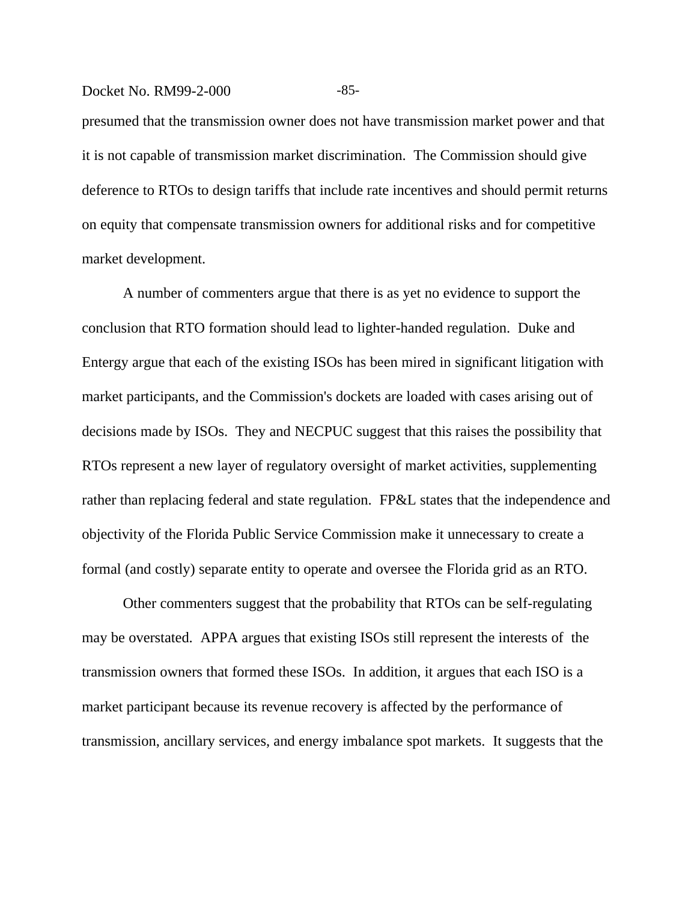#### Docket No. RM99-2-000 -85-

presumed that the transmission owner does not have transmission market power and that it is not capable of transmission market discrimination. The Commission should give deference to RTOs to design tariffs that include rate incentives and should permit returns on equity that compensate transmission owners for additional risks and for competitive market development.

A number of commenters argue that there is as yet no evidence to support the conclusion that RTO formation should lead to lighter-handed regulation. Duke and Entergy argue that each of the existing ISOs has been mired in significant litigation with market participants, and the Commission's dockets are loaded with cases arising out of decisions made by ISOs. They and NECPUC suggest that this raises the possibility that RTOs represent a new layer of regulatory oversight of market activities, supplementing rather than replacing federal and state regulation. FP&L states that the independence and objectivity of the Florida Public Service Commission make it unnecessary to create a formal (and costly) separate entity to operate and oversee the Florida grid as an RTO.

Other commenters suggest that the probability that RTOs can be self-regulating may be overstated. APPA argues that existing ISOs still represent the interests of the transmission owners that formed these ISOs. In addition, it argues that each ISO is a market participant because its revenue recovery is affected by the performance of transmission, ancillary services, and energy imbalance spot markets. It suggests that the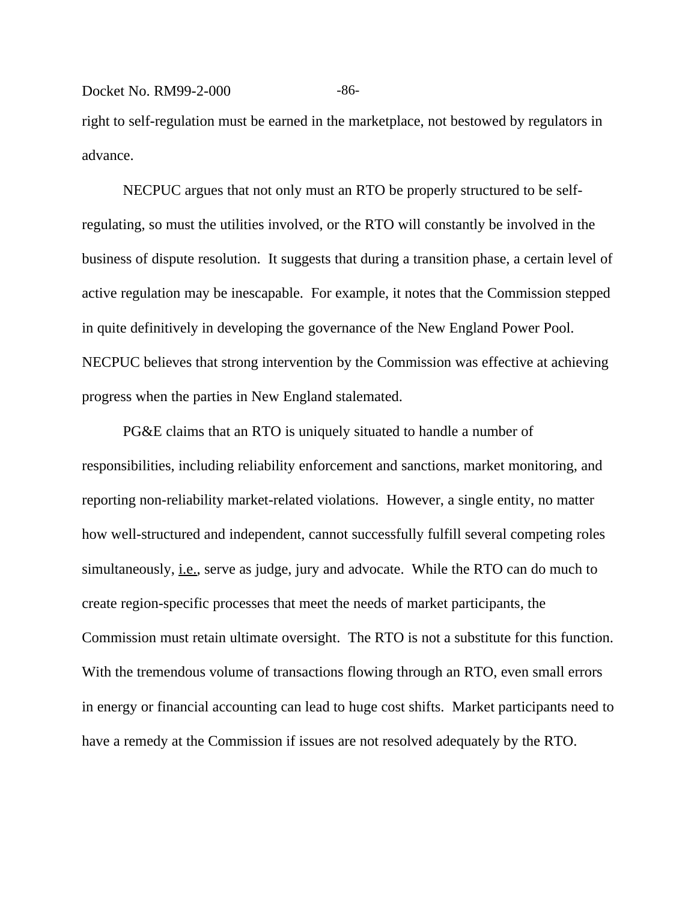#### Docket No. RM99-2-000 -86-

right to self-regulation must be earned in the marketplace, not bestowed by regulators in advance.

NECPUC argues that not only must an RTO be properly structured to be selfregulating, so must the utilities involved, or the RTO will constantly be involved in the business of dispute resolution. It suggests that during a transition phase, a certain level of active regulation may be inescapable. For example, it notes that the Commission stepped in quite definitively in developing the governance of the New England Power Pool. NECPUC believes that strong intervention by the Commission was effective at achieving progress when the parties in New England stalemated.

PG&E claims that an RTO is uniquely situated to handle a number of responsibilities, including reliability enforcement and sanctions, market monitoring, and reporting non-reliability market-related violations. However, a single entity, no matter how well-structured and independent, cannot successfully fulfill several competing roles simultaneously, i.e., serve as judge, jury and advocate. While the RTO can do much to create region-specific processes that meet the needs of market participants, the Commission must retain ultimate oversight. The RTO is not a substitute for this function. With the tremendous volume of transactions flowing through an RTO, even small errors in energy or financial accounting can lead to huge cost shifts. Market participants need to have a remedy at the Commission if issues are not resolved adequately by the RTO.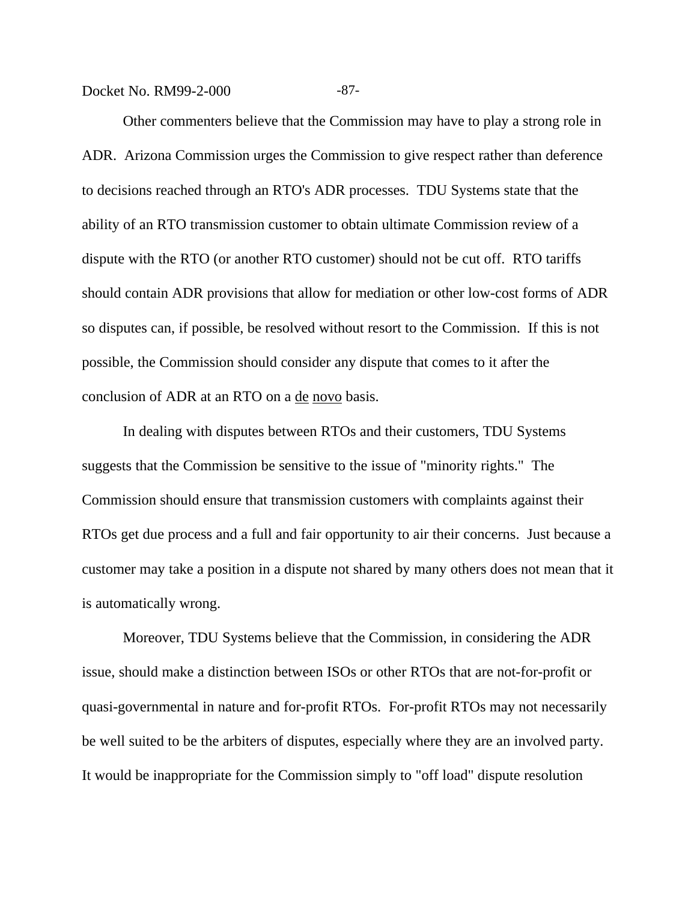Docket No. RM99-2-000 -87-

Other commenters believe that the Commission may have to play a strong role in ADR. Arizona Commission urges the Commission to give respect rather than deference to decisions reached through an RTO's ADR processes. TDU Systems state that the ability of an RTO transmission customer to obtain ultimate Commission review of a dispute with the RTO (or another RTO customer) should not be cut off. RTO tariffs should contain ADR provisions that allow for mediation or other low-cost forms of ADR so disputes can, if possible, be resolved without resort to the Commission. If this is not possible, the Commission should consider any dispute that comes to it after the conclusion of ADR at an RTO on a de novo basis.

In dealing with disputes between RTOs and their customers, TDU Systems suggests that the Commission be sensitive to the issue of "minority rights." The Commission should ensure that transmission customers with complaints against their RTOs get due process and a full and fair opportunity to air their concerns. Just because a customer may take a position in a dispute not shared by many others does not mean that it is automatically wrong.

Moreover, TDU Systems believe that the Commission, in considering the ADR issue, should make a distinction between ISOs or other RTOs that are not-for-profit or quasi-governmental in nature and for-profit RTOs. For-profit RTOs may not necessarily be well suited to be the arbiters of disputes, especially where they are an involved party. It would be inappropriate for the Commission simply to "off load" dispute resolution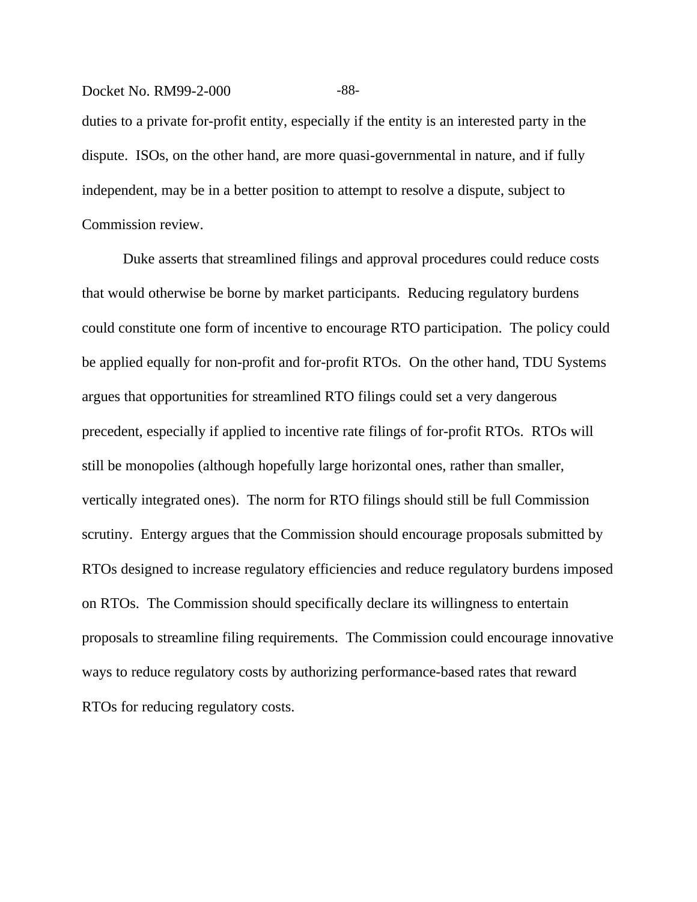## Docket No. RM99-2-000 -88-

duties to a private for-profit entity, especially if the entity is an interested party in the dispute. ISOs, on the other hand, are more quasi-governmental in nature, and if fully independent, may be in a better position to attempt to resolve a dispute, subject to Commission review.

Duke asserts that streamlined filings and approval procedures could reduce costs that would otherwise be borne by market participants. Reducing regulatory burdens could constitute one form of incentive to encourage RTO participation. The policy could be applied equally for non-profit and for-profit RTOs. On the other hand, TDU Systems argues that opportunities for streamlined RTO filings could set a very dangerous precedent, especially if applied to incentive rate filings of for-profit RTOs. RTOs will still be monopolies (although hopefully large horizontal ones, rather than smaller, vertically integrated ones). The norm for RTO filings should still be full Commission scrutiny. Entergy argues that the Commission should encourage proposals submitted by RTOs designed to increase regulatory efficiencies and reduce regulatory burdens imposed on RTOs. The Commission should specifically declare its willingness to entertain proposals to streamline filing requirements. The Commission could encourage innovative ways to reduce regulatory costs by authorizing performance-based rates that reward RTOs for reducing regulatory costs.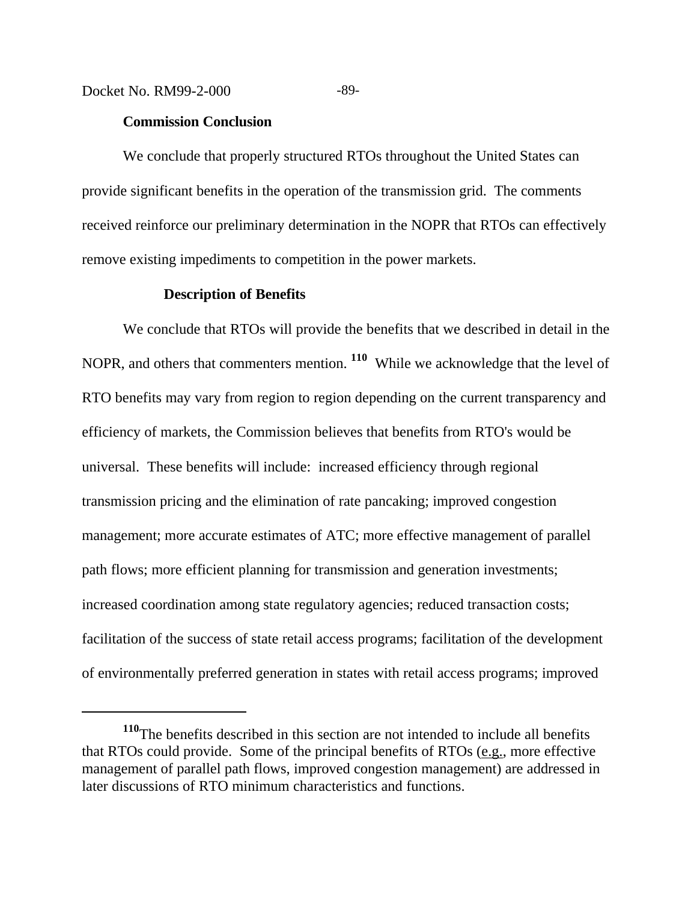## **Commission Conclusion**

We conclude that properly structured RTOs throughout the United States can provide significant benefits in the operation of the transmission grid. The comments received reinforce our preliminary determination in the NOPR that RTOs can effectively remove existing impediments to competition in the power markets.

## **Description of Benefits**

We conclude that RTOs will provide the benefits that we described in detail in the NOPR, and others that commenters mention. **110** While we acknowledge that the level of RTO benefits may vary from region to region depending on the current transparency and efficiency of markets, the Commission believes that benefits from RTO's would be universal. These benefits will include: increased efficiency through regional transmission pricing and the elimination of rate pancaking; improved congestion management; more accurate estimates of ATC; more effective management of parallel path flows; more efficient planning for transmission and generation investments; increased coordination among state regulatory agencies; reduced transaction costs; facilitation of the success of state retail access programs; facilitation of the development of environmentally preferred generation in states with retail access programs; improved

**<sup>110</sup>**The benefits described in this section are not intended to include all benefits that RTOs could provide. Some of the principal benefits of RTOs (e.g., more effective management of parallel path flows, improved congestion management) are addressed in later discussions of RTO minimum characteristics and functions.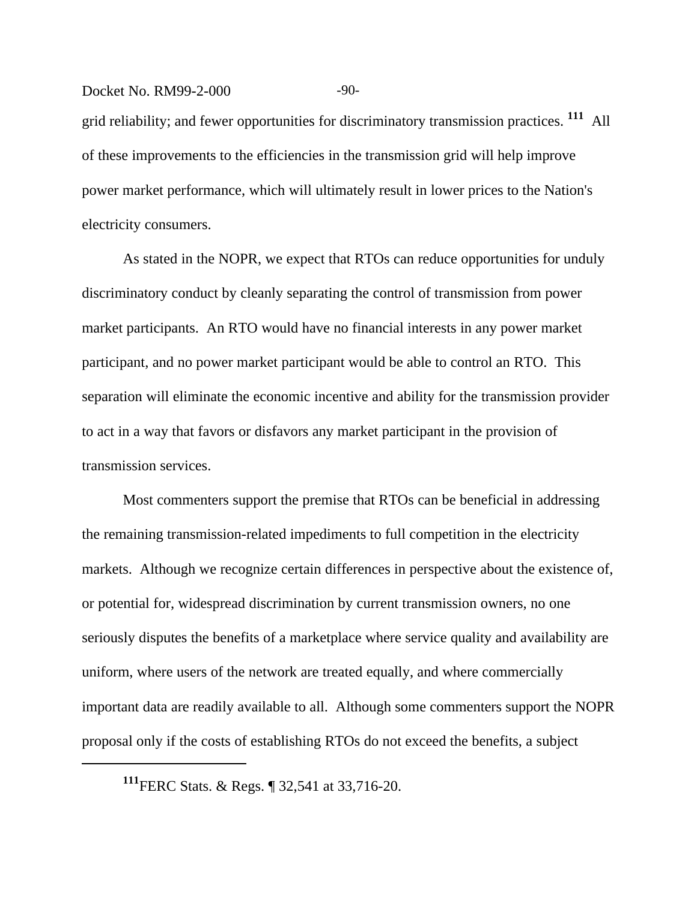## Docket No. RM99-2-000 -90-

grid reliability; and fewer opportunities for discriminatory transmission practices. **111** All of these improvements to the efficiencies in the transmission grid will help improve power market performance, which will ultimately result in lower prices to the Nation's electricity consumers.

As stated in the NOPR, we expect that RTOs can reduce opportunities for unduly discriminatory conduct by cleanly separating the control of transmission from power market participants. An RTO would have no financial interests in any power market participant, and no power market participant would be able to control an RTO. This separation will eliminate the economic incentive and ability for the transmission provider to act in a way that favors or disfavors any market participant in the provision of transmission services.

Most commenters support the premise that RTOs can be beneficial in addressing the remaining transmission-related impediments to full competition in the electricity markets. Although we recognize certain differences in perspective about the existence of, or potential for, widespread discrimination by current transmission owners, no one seriously disputes the benefits of a marketplace where service quality and availability are uniform, where users of the network are treated equally, and where commercially important data are readily available to all. Although some commenters support the NOPR proposal only if the costs of establishing RTOs do not exceed the benefits, a subject

**<sup>111</sup>**FERC Stats. & Regs. ¶ 32,541 at 33,716-20.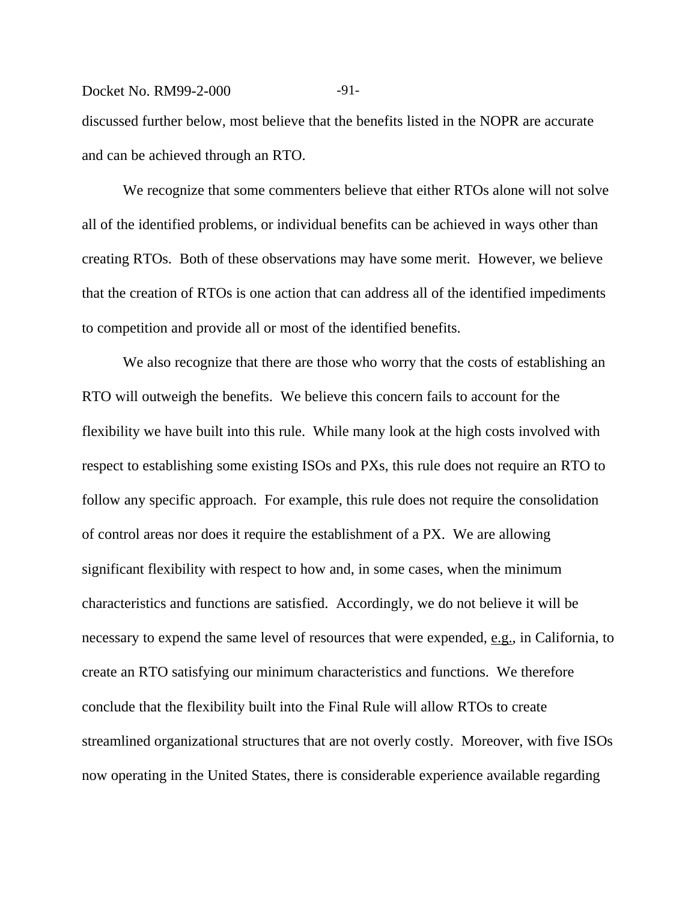## Docket No. RM99-2-000 -91-

discussed further below, most believe that the benefits listed in the NOPR are accurate and can be achieved through an RTO.

We recognize that some commenters believe that either RTOs alone will not solve all of the identified problems, or individual benefits can be achieved in ways other than creating RTOs. Both of these observations may have some merit. However, we believe that the creation of RTOs is one action that can address all of the identified impediments to competition and provide all or most of the identified benefits.

We also recognize that there are those who worry that the costs of establishing an RTO will outweigh the benefits. We believe this concern fails to account for the flexibility we have built into this rule. While many look at the high costs involved with respect to establishing some existing ISOs and PXs, this rule does not require an RTO to follow any specific approach. For example, this rule does not require the consolidation of control areas nor does it require the establishment of a PX. We are allowing significant flexibility with respect to how and, in some cases, when the minimum characteristics and functions are satisfied. Accordingly, we do not believe it will be necessary to expend the same level of resources that were expended, e.g., in California, to create an RTO satisfying our minimum characteristics and functions. We therefore conclude that the flexibility built into the Final Rule will allow RTOs to create streamlined organizational structures that are not overly costly. Moreover, with five ISOs now operating in the United States, there is considerable experience available regarding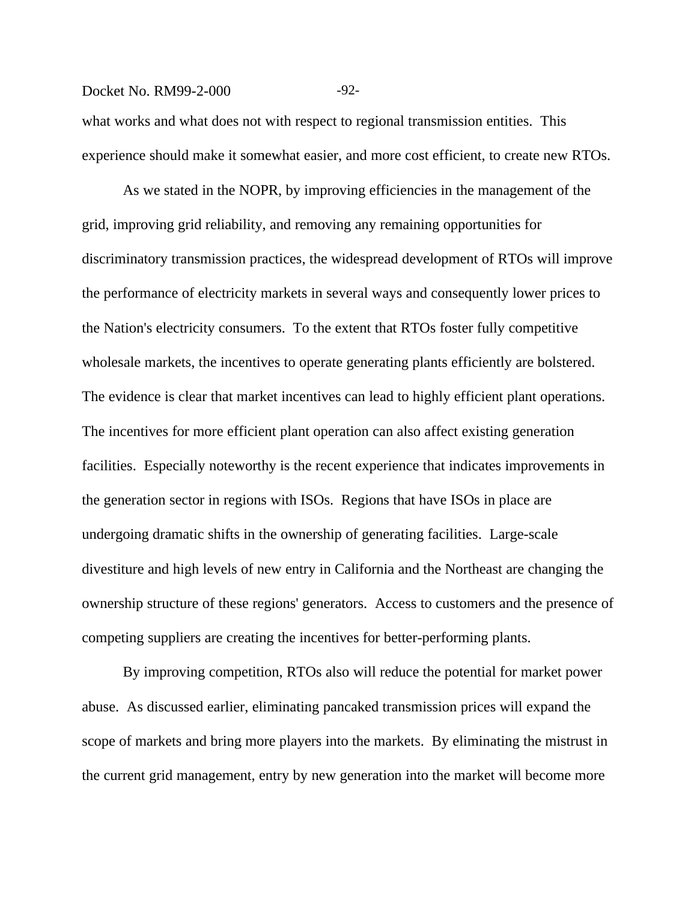## Docket No. RM99-2-000 -92-

what works and what does not with respect to regional transmission entities. This experience should make it somewhat easier, and more cost efficient, to create new RTOs.

As we stated in the NOPR, by improving efficiencies in the management of the grid, improving grid reliability, and removing any remaining opportunities for discriminatory transmission practices, the widespread development of RTOs will improve the performance of electricity markets in several ways and consequently lower prices to the Nation's electricity consumers. To the extent that RTOs foster fully competitive wholesale markets, the incentives to operate generating plants efficiently are bolstered. The evidence is clear that market incentives can lead to highly efficient plant operations. The incentives for more efficient plant operation can also affect existing generation facilities. Especially noteworthy is the recent experience that indicates improvements in the generation sector in regions with ISOs. Regions that have ISOs in place are undergoing dramatic shifts in the ownership of generating facilities. Large-scale divestiture and high levels of new entry in California and the Northeast are changing the ownership structure of these regions' generators. Access to customers and the presence of competing suppliers are creating the incentives for better-performing plants.

By improving competition, RTOs also will reduce the potential for market power abuse. As discussed earlier, eliminating pancaked transmission prices will expand the scope of markets and bring more players into the markets. By eliminating the mistrust in the current grid management, entry by new generation into the market will become more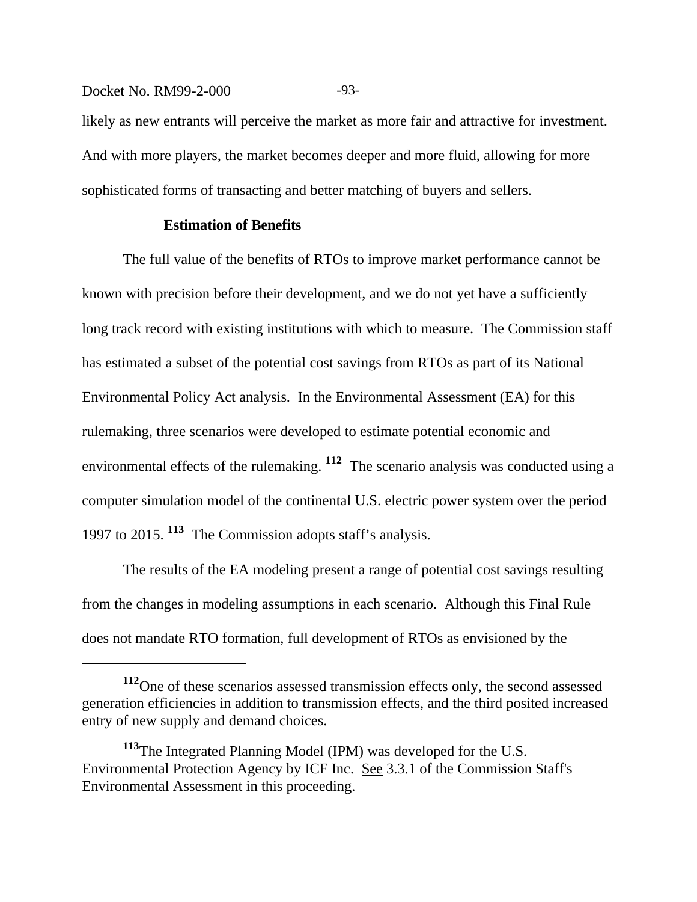## Docket No. RM99-2-000 -93-

likely as new entrants will perceive the market as more fair and attractive for investment. And with more players, the market becomes deeper and more fluid, allowing for more sophisticated forms of transacting and better matching of buyers and sellers.

## **Estimation of Benefits**

The full value of the benefits of RTOs to improve market performance cannot be known with precision before their development, and we do not yet have a sufficiently long track record with existing institutions with which to measure. The Commission staff has estimated a subset of the potential cost savings from RTOs as part of its National Environmental Policy Act analysis. In the Environmental Assessment (EA) for this rulemaking, three scenarios were developed to estimate potential economic and environmental effects of the rulemaking. **112** The scenario analysis was conducted using a computer simulation model of the continental U.S. electric power system over the period 1997 to 2015. **113** The Commission adopts staff's analysis.

The results of the EA modeling present a range of potential cost savings resulting from the changes in modeling assumptions in each scenario. Although this Final Rule does not mandate RTO formation, full development of RTOs as envisioned by the

**<sup>112</sup>**One of these scenarios assessed transmission effects only, the second assessed generation efficiencies in addition to transmission effects, and the third posited increased entry of new supply and demand choices.

**<sup>113</sup>**The Integrated Planning Model (IPM) was developed for the U.S. Environmental Protection Agency by ICF Inc. See 3.3.1 of the Commission Staff's Environmental Assessment in this proceeding.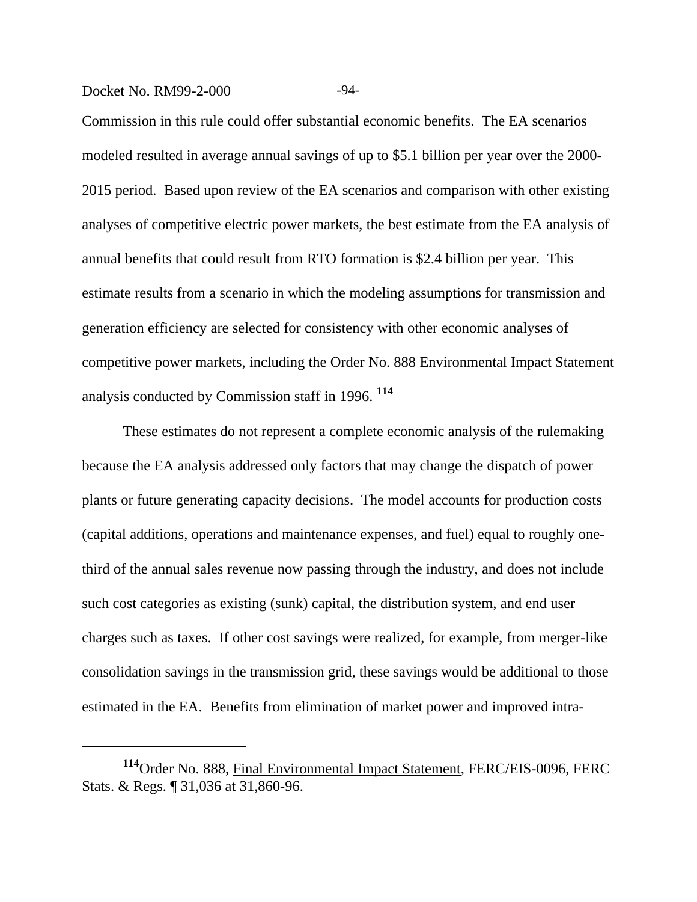## Docket No. RM99-2-000 -94-

Commission in this rule could offer substantial economic benefits. The EA scenarios modeled resulted in average annual savings of up to \$5.1 billion per year over the 2000- 2015 period. Based upon review of the EA scenarios and comparison with other existing analyses of competitive electric power markets, the best estimate from the EA analysis of annual benefits that could result from RTO formation is \$2.4 billion per year. This estimate results from a scenario in which the modeling assumptions for transmission and generation efficiency are selected for consistency with other economic analyses of competitive power markets, including the Order No. 888 Environmental Impact Statement analysis conducted by Commission staff in 1996. **<sup>114</sup>**

These estimates do not represent a complete economic analysis of the rulemaking because the EA analysis addressed only factors that may change the dispatch of power plants or future generating capacity decisions. The model accounts for production costs (capital additions, operations and maintenance expenses, and fuel) equal to roughly onethird of the annual sales revenue now passing through the industry, and does not include such cost categories as existing (sunk) capital, the distribution system, and end user charges such as taxes. If other cost savings were realized, for example, from merger-like consolidation savings in the transmission grid, these savings would be additional to those estimated in the EA. Benefits from elimination of market power and improved intra-

**<sup>114</sup>**Order No. 888, Final Environmental Impact Statement*,* FERC/EIS-0096, FERC Stats. & Regs. ¶ 31,036 at 31,860-96.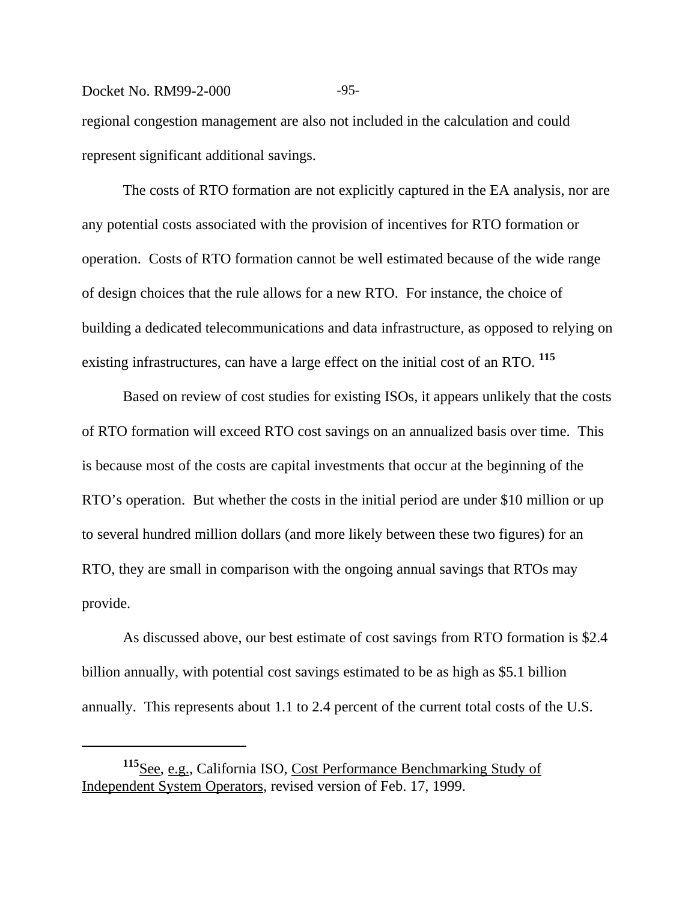## Docket No. RM99-2-000 -95-

regional congestion management are also not included in the calculation and could represent significant additional savings.

The costs of RTO formation are not explicitly captured in the EA analysis, nor are any potential costs associated with the provision of incentives for RTO formation or operation. Costs of RTO formation cannot be well estimated because of the wide range of design choices that the rule allows for a new RTO. For instance, the choice of building a dedicated telecommunications and data infrastructure, as opposed to relying on existing infrastructures, can have a large effect on the initial cost of an RTO. **<sup>115</sup>**

Based on review of cost studies for existing ISOs, it appears unlikely that the costs of RTO formation will exceed RTO cost savings on an annualized basis over time. This is because most of the costs are capital investments that occur at the beginning of the RTO's operation. But whether the costs in the initial period are under \$10 million or up to several hundred million dollars (and more likely between these two figures) for an RTO, they are small in comparison with the ongoing annual savings that RTOs may provide.

As discussed above, our best estimate of cost savings from RTO formation is \$2.4 billion annually, with potential cost savings estimated to be as high as \$5.1 billion annually. This represents about 1.1 to 2.4 percent of the current total costs of the U.S.

**<sup>115</sup>**See, e.g., California ISO, Cost Performance Benchmarking Study of Independent System Operators*,* revised version of Feb. 17, 1999.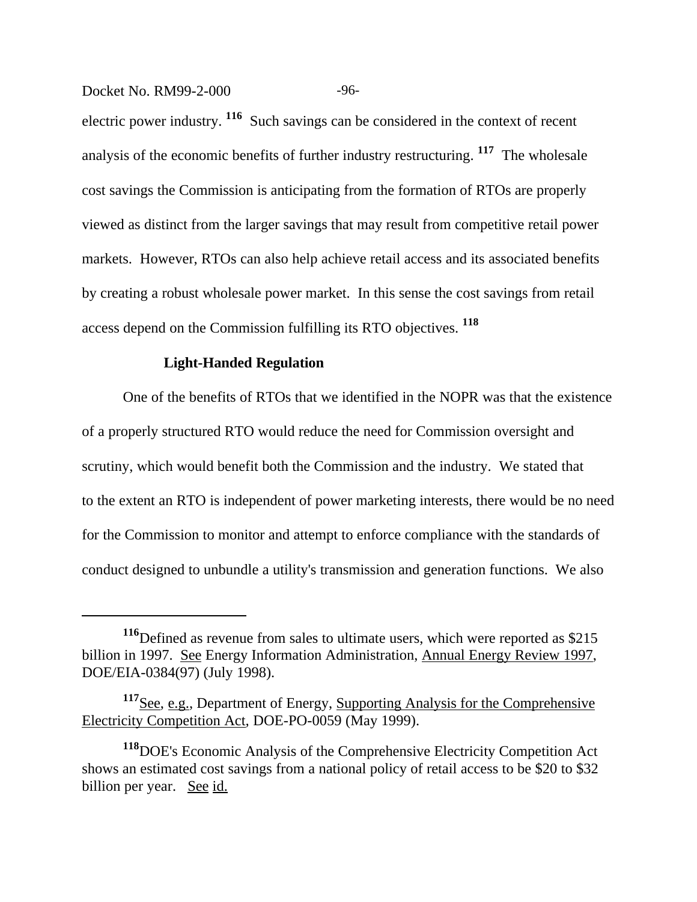Docket No. RM99-2-000 -96-

electric power industry. **116** Such savings can be considered in the context of recent analysis of the economic benefits of further industry restructuring. **117** The wholesale cost savings the Commission is anticipating from the formation of RTOs are properly viewed as distinct from the larger savings that may result from competitive retail power markets. However, RTOs can also help achieve retail access and its associated benefits by creating a robust wholesale power market. In this sense the cost savings from retail access depend on the Commission fulfilling its RTO objectives. **<sup>118</sup>**

## **Light-Handed Regulation**

One of the benefits of RTOs that we identified in the NOPR was that the existence of a properly structured RTO would reduce the need for Commission oversight and scrutiny, which would benefit both the Commission and the industry. We stated that to the extent an RTO is independent of power marketing interests, there would be no need for the Commission to monitor and attempt to enforce compliance with the standards of conduct designed to unbundle a utility's transmission and generation functions. We also

**<sup>116</sup>**Defined as revenue from sales to ultimate users, which were reported as \$215 billion in 1997. See Energy Information Administration, Annual Energy Review 1997, DOE/EIA-0384(97) (July 1998).

**<sup>117</sup>**See, e.g., Department of Energy, Supporting Analysis for the Comprehensive Electricity Competition Act*,* DOE-PO-0059 (May 1999).

**<sup>118</sup>**DOE's Economic Analysis of the Comprehensive Electricity Competition Act shows an estimated cost savings from a national policy of retail access to be \$20 to \$32 billion per year. See id.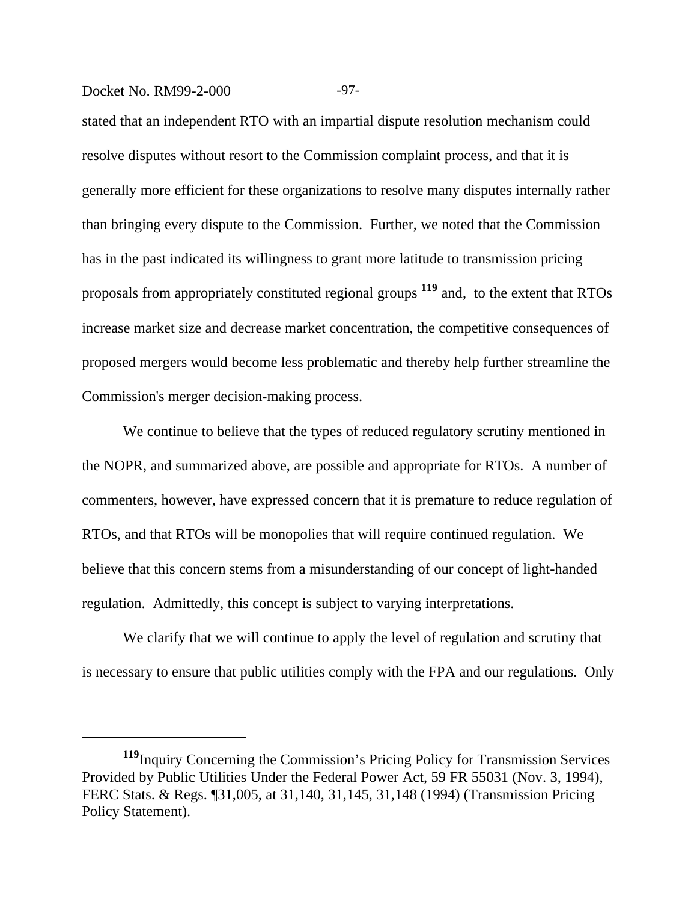## Docket No. RM99-2-000 -97-

stated that an independent RTO with an impartial dispute resolution mechanism could resolve disputes without resort to the Commission complaint process, and that it is generally more efficient for these organizations to resolve many disputes internally rather than bringing every dispute to the Commission. Further, we noted that the Commission has in the past indicated its willingness to grant more latitude to transmission pricing proposals from appropriately constituted regional groups **119** and, to the extent that RTOs increase market size and decrease market concentration, the competitive consequences of proposed mergers would become less problematic and thereby help further streamline the Commission's merger decision-making process.

We continue to believe that the types of reduced regulatory scrutiny mentioned in the NOPR, and summarized above, are possible and appropriate for RTOs. A number of commenters, however, have expressed concern that it is premature to reduce regulation of RTOs, and that RTOs will be monopolies that will require continued regulation. We believe that this concern stems from a misunderstanding of our concept of light-handed regulation. Admittedly, this concept is subject to varying interpretations.

We clarify that we will continue to apply the level of regulation and scrutiny that is necessary to ensure that public utilities comply with the FPA and our regulations. Only

**<sup>119</sup>**Inquiry Concerning the Commission's Pricing Policy for Transmission Services Provided by Public Utilities Under the Federal Power Act, 59 FR 55031 (Nov. 3, 1994), FERC Stats. & Regs. ¶31,005, at 31,140, 31,145, 31,148 (1994) (Transmission Pricing Policy Statement).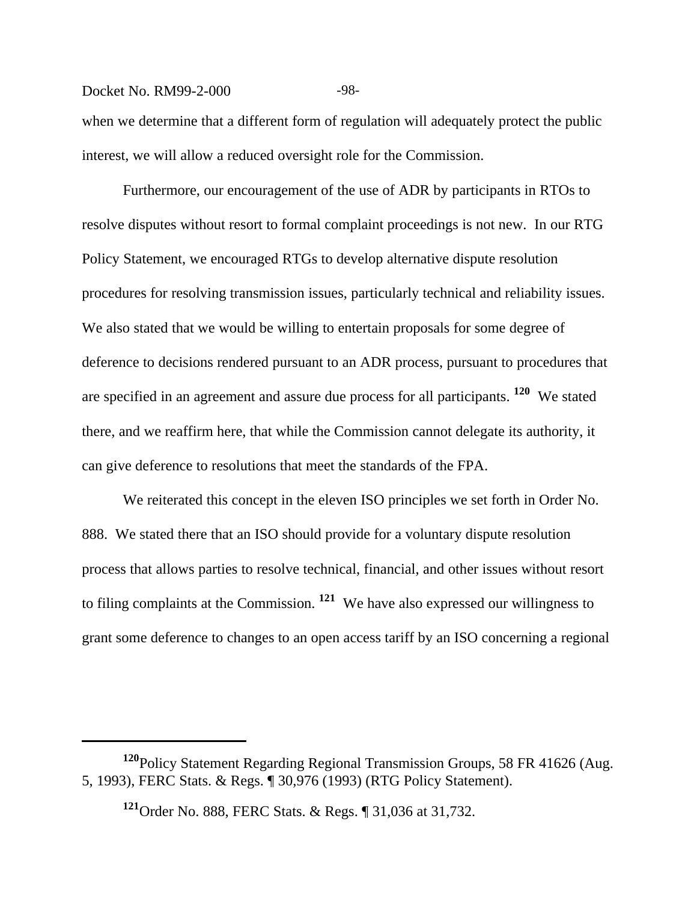## Docket No. RM99-2-000 -98-

when we determine that a different form of regulation will adequately protect the public interest, we will allow a reduced oversight role for the Commission.

Furthermore, our encouragement of the use of ADR by participants in RTOs to resolve disputes without resort to formal complaint proceedings is not new. In our RTG Policy Statement, we encouraged RTGs to develop alternative dispute resolution procedures for resolving transmission issues, particularly technical and reliability issues. We also stated that we would be willing to entertain proposals for some degree of deference to decisions rendered pursuant to an ADR process, pursuant to procedures that are specified in an agreement and assure due process for all participants. **120** We stated there, and we reaffirm here, that while the Commission cannot delegate its authority, it can give deference to resolutions that meet the standards of the FPA.

We reiterated this concept in the eleven ISO principles we set forth in Order No. 888. We stated there that an ISO should provide for a voluntary dispute resolution process that allows parties to resolve technical, financial, and other issues without resort to filing complaints at the Commission. **121** We have also expressed our willingness to grant some deference to changes to an open access tariff by an ISO concerning a regional

**<sup>120</sup>**Policy Statement Regarding Regional Transmission Groups, 58 FR 41626 (Aug. 5, 1993), FERC Stats. & Regs. ¶ 30,976 (1993) (RTG Policy Statement).

**<sup>121</sup>**Order No. 888, FERC Stats. & Regs. ¶ 31,036 at 31,732.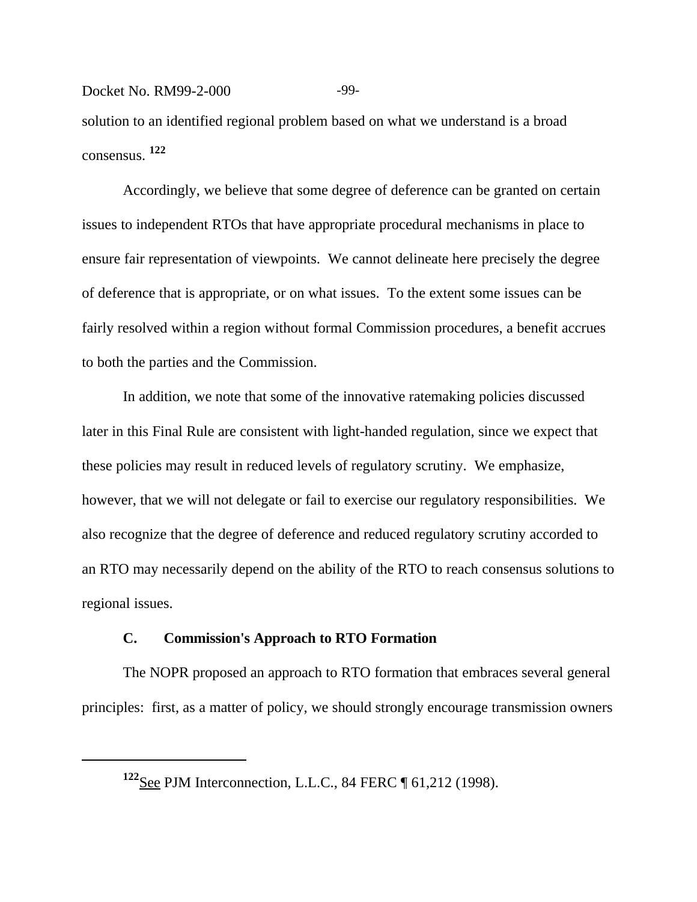## Docket No. RM99-2-000 -99-

solution to an identified regional problem based on what we understand is a broad consensus. **122**

Accordingly, we believe that some degree of deference can be granted on certain issues to independent RTOs that have appropriate procedural mechanisms in place to ensure fair representation of viewpoints. We cannot delineate here precisely the degree of deference that is appropriate, or on what issues. To the extent some issues can be fairly resolved within a region without formal Commission procedures, a benefit accrues to both the parties and the Commission.

In addition, we note that some of the innovative ratemaking policies discussed later in this Final Rule are consistent with light-handed regulation, since we expect that these policies may result in reduced levels of regulatory scrutiny. We emphasize, however, that we will not delegate or fail to exercise our regulatory responsibilities. We also recognize that the degree of deference and reduced regulatory scrutiny accorded to an RTO may necessarily depend on the ability of the RTO to reach consensus solutions to regional issues.

## **C. Commission's Approach to RTO Formation**

The NOPR proposed an approach to RTO formation that embraces several general principles: first, as a matter of policy, we should strongly encourage transmission owners

**<sup>122</sup>**See PJM Interconnection, L.L.C., 84 FERC ¶ 61,212 (1998).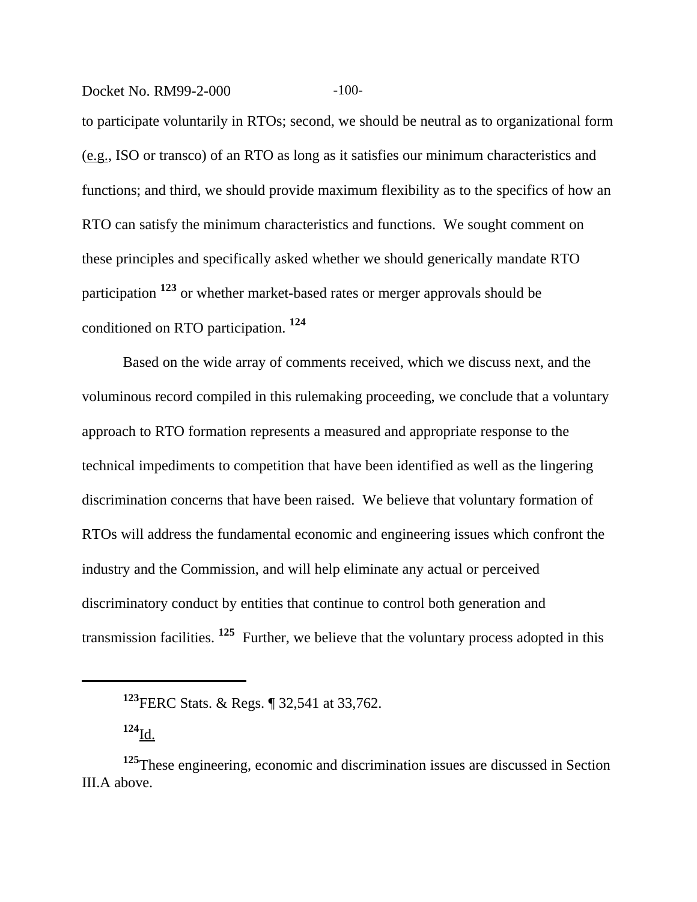Docket No. RM99-2-000 -100-

to participate voluntarily in RTOs; second, we should be neutral as to organizational form (e.g., ISO or transco) of an RTO as long as it satisfies our minimum characteristics and functions; and third, we should provide maximum flexibility as to the specifics of how an RTO can satisfy the minimum characteristics and functions. We sought comment on these principles and specifically asked whether we should generically mandate RTO participation **123** or whether market-based rates or merger approvals should be conditioned on RTO participation. **<sup>124</sup>**

Based on the wide array of comments received, which we discuss next, and the voluminous record compiled in this rulemaking proceeding, we conclude that a voluntary approach to RTO formation represents a measured and appropriate response to the technical impediments to competition that have been identified as well as the lingering discrimination concerns that have been raised. We believe that voluntary formation of RTOs will address the fundamental economic and engineering issues which confront the industry and the Commission, and will help eliminate any actual or perceived discriminatory conduct by entities that continue to control both generation and transmission facilities. **125** Further, we believe that the voluntary process adopted in this

**<sup>123</sup>**FERC Stats. & Regs. ¶ 32,541 at 33,762.

**<sup>124</sup>**Id.

**<sup>125</sup>**These engineering, economic and discrimination issues are discussed in Section III.A above.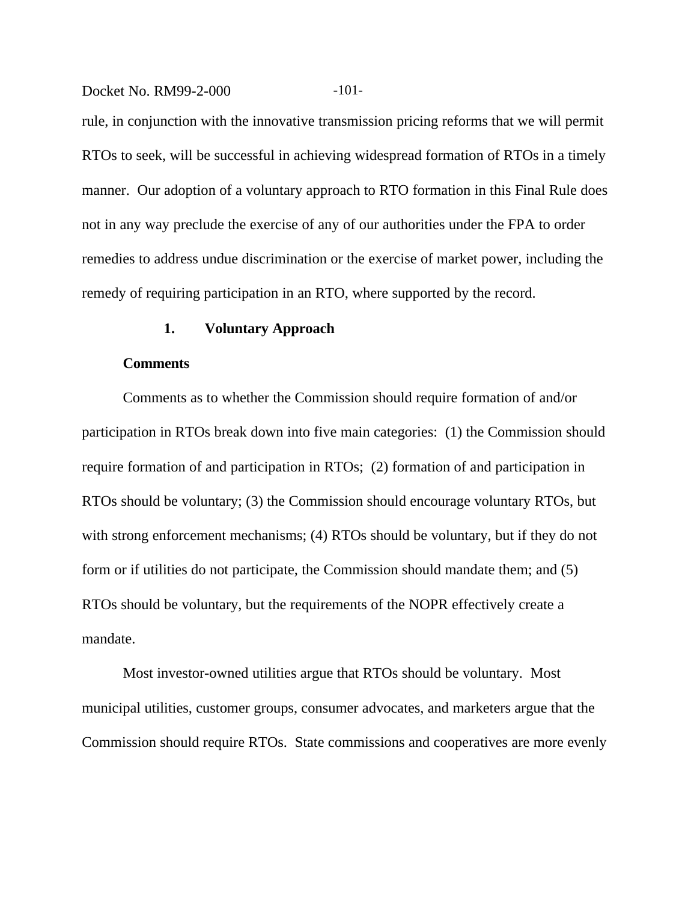Docket No. RM99-2-000 -101-

rule, in conjunction with the innovative transmission pricing reforms that we will permit RTOs to seek, will be successful in achieving widespread formation of RTOs in a timely manner. Our adoption of a voluntary approach to RTO formation in this Final Rule does not in any way preclude the exercise of any of our authorities under the FPA to order remedies to address undue discrimination or the exercise of market power, including the remedy of requiring participation in an RTO, where supported by the record.

## **1. Voluntary Approach**

#### **Comments**

Comments as to whether the Commission should require formation of and/or participation in RTOs break down into five main categories: (1) the Commission should require formation of and participation in RTOs; (2) formation of and participation in RTOs should be voluntary; (3) the Commission should encourage voluntary RTOs, but with strong enforcement mechanisms; (4) RTOs should be voluntary, but if they do not form or if utilities do not participate, the Commission should mandate them; and (5) RTOs should be voluntary, but the requirements of the NOPR effectively create a mandate.

Most investor-owned utilities argue that RTOs should be voluntary. Most municipal utilities, customer groups, consumer advocates, and marketers argue that the Commission should require RTOs. State commissions and cooperatives are more evenly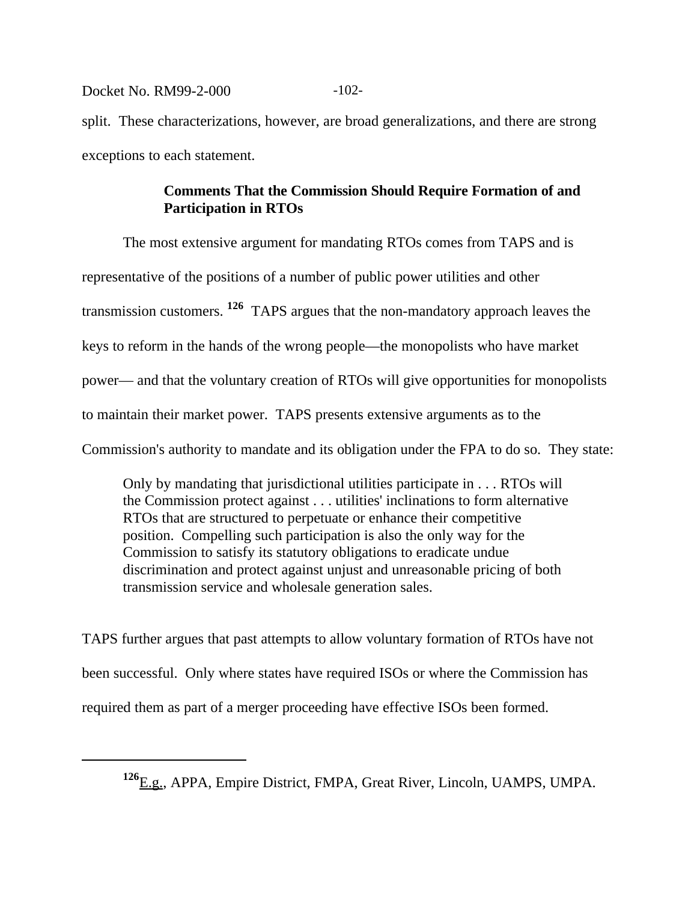Docket No. RM99-2-000 -102-

split. These characterizations, however, are broad generalizations, and there are strong exceptions to each statement.

# **Comments That the Commission Should Require Formation of and Participation in RTOs**

The most extensive argument for mandating RTOs comes from TAPS and is representative of the positions of a number of public power utilities and other transmission customers. **126** TAPS argues that the non-mandatory approach leaves the keys to reform in the hands of the wrong people—the monopolists who have market power— and that the voluntary creation of RTOs will give opportunities for monopolists to maintain their market power. TAPS presents extensive arguments as to the Commission's authority to mandate and its obligation under the FPA to do so. They state:

Only by mandating that jurisdictional utilities participate in . . . RTOs will the Commission protect against . . . utilities' inclinations to form alternative RTOs that are structured to perpetuate or enhance their competitive position. Compelling such participation is also the only way for the Commission to satisfy its statutory obligations to eradicate undue discrimination and protect against unjust and unreasonable pricing of both transmission service and wholesale generation sales.

TAPS further argues that past attempts to allow voluntary formation of RTOs have not been successful. Only where states have required ISOs or where the Commission has required them as part of a merger proceeding have effective ISOs been formed.

**<sup>126</sup>**E.g., APPA, Empire District, FMPA, Great River, Lincoln, UAMPS, UMPA.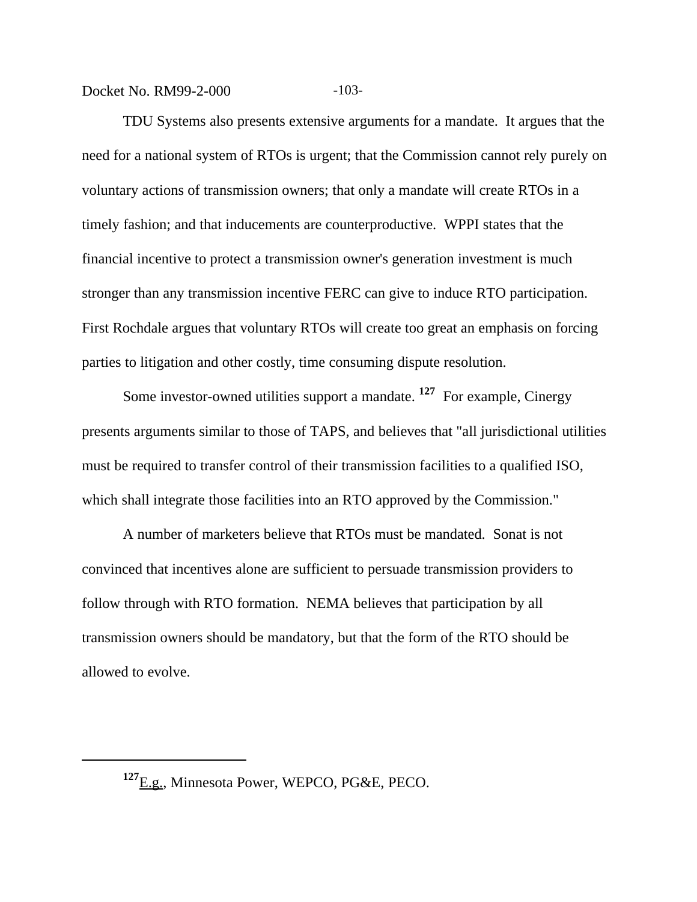Docket No. RM99-2-000 -103-

TDU Systems also presents extensive arguments for a mandate. It argues that the need for a national system of RTOs is urgent; that the Commission cannot rely purely on voluntary actions of transmission owners; that only a mandate will create RTOs in a timely fashion; and that inducements are counterproductive. WPPI states that the financial incentive to protect a transmission owner's generation investment is much stronger than any transmission incentive FERC can give to induce RTO participation. First Rochdale argues that voluntary RTOs will create too great an emphasis on forcing parties to litigation and other costly, time consuming dispute resolution.

Some investor-owned utilities support a mandate. **127** For example, Cinergy presents arguments similar to those of TAPS, and believes that "all jurisdictional utilities must be required to transfer control of their transmission facilities to a qualified ISO, which shall integrate those facilities into an RTO approved by the Commission."

A number of marketers believe that RTOs must be mandated. Sonat is not convinced that incentives alone are sufficient to persuade transmission providers to follow through with RTO formation. NEMA believes that participation by all transmission owners should be mandatory, but that the form of the RTO should be allowed to evolve.

**<sup>127</sup>**E.g., Minnesota Power, WEPCO, PG&E, PECO.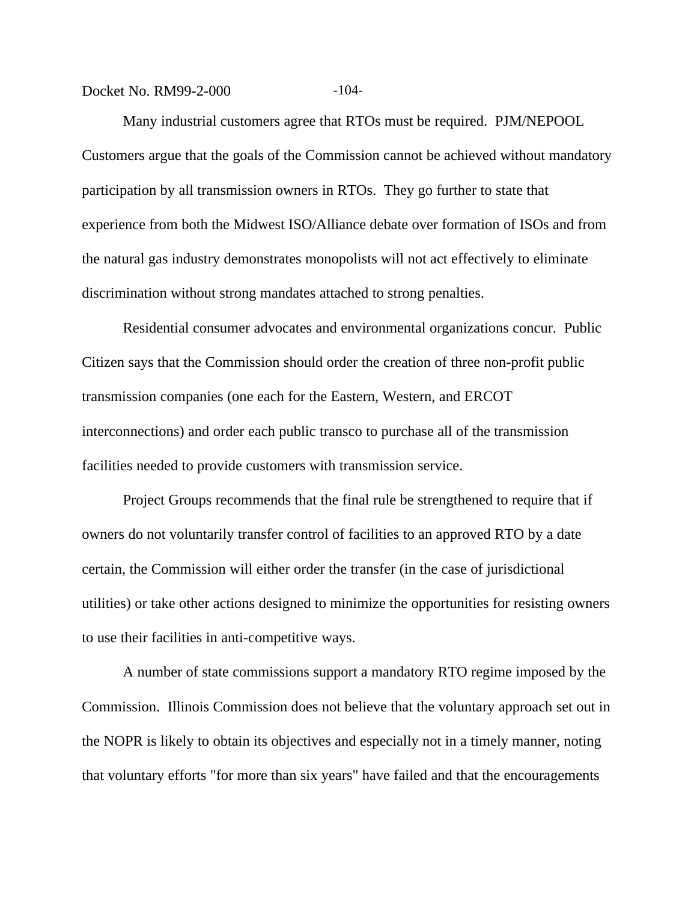Docket No. RM99-2-000 -104-

Many industrial customers agree that RTOs must be required. PJM/NEPOOL Customers argue that the goals of the Commission cannot be achieved without mandatory participation by all transmission owners in RTOs. They go further to state that experience from both the Midwest ISO/Alliance debate over formation of ISOs and from the natural gas industry demonstrates monopolists will not act effectively to eliminate discrimination without strong mandates attached to strong penalties.

Residential consumer advocates and environmental organizations concur. Public Citizen says that the Commission should order the creation of three non-profit public transmission companies (one each for the Eastern, Western, and ERCOT interconnections) and order each public transco to purchase all of the transmission facilities needed to provide customers with transmission service.

Project Groups recommends that the final rule be strengthened to require that if owners do not voluntarily transfer control of facilities to an approved RTO by a date certain, the Commission will either order the transfer (in the case of jurisdictional utilities) or take other actions designed to minimize the opportunities for resisting owners to use their facilities in anti-competitive ways.

A number of state commissions support a mandatory RTO regime imposed by the Commission. Illinois Commission does not believe that the voluntary approach set out in the NOPR is likely to obtain its objectives and especially not in a timely manner, noting that voluntary efforts "for more than six years" have failed and that the encouragements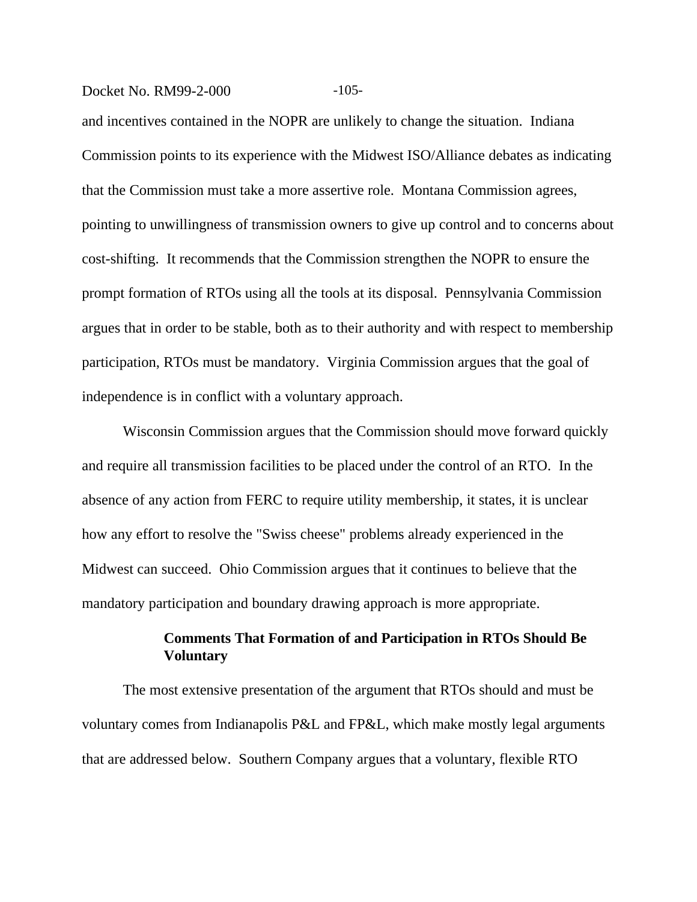#### Docket No. RM99-2-000 -105-

and incentives contained in the NOPR are unlikely to change the situation. Indiana Commission points to its experience with the Midwest ISO/Alliance debates as indicating that the Commission must take a more assertive role. Montana Commission agrees, pointing to unwillingness of transmission owners to give up control and to concerns about cost-shifting. It recommends that the Commission strengthen the NOPR to ensure the prompt formation of RTOs using all the tools at its disposal. Pennsylvania Commission argues that in order to be stable, both as to their authority and with respect to membership participation, RTOs must be mandatory. Virginia Commission argues that the goal of independence is in conflict with a voluntary approach.

Wisconsin Commission argues that the Commission should move forward quickly and require all transmission facilities to be placed under the control of an RTO. In the absence of any action from FERC to require utility membership, it states, it is unclear how any effort to resolve the "Swiss cheese" problems already experienced in the Midwest can succeed. Ohio Commission argues that it continues to believe that the mandatory participation and boundary drawing approach is more appropriate.

# **Comments That Formation of and Participation in RTOs Should Be Voluntary**

The most extensive presentation of the argument that RTOs should and must be voluntary comes from Indianapolis P&L and FP&L, which make mostly legal arguments that are addressed below. Southern Company argues that a voluntary, flexible RTO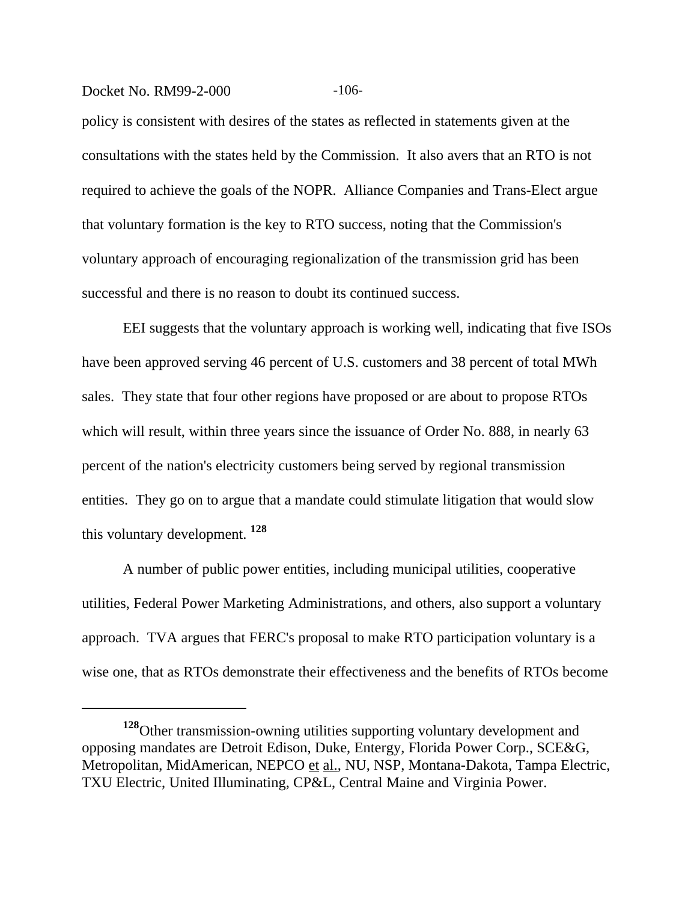#### Docket No. RM99-2-000 -106-

policy is consistent with desires of the states as reflected in statements given at the consultations with the states held by the Commission. It also avers that an RTO is not required to achieve the goals of the NOPR. Alliance Companies and Trans-Elect argue that voluntary formation is the key to RTO success, noting that the Commission's voluntary approach of encouraging regionalization of the transmission grid has been successful and there is no reason to doubt its continued success.

EEI suggests that the voluntary approach is working well, indicating that five ISOs have been approved serving 46 percent of U.S. customers and 38 percent of total MWh sales. They state that four other regions have proposed or are about to propose RTOs which will result, within three years since the issuance of Order No. 888, in nearly 63 percent of the nation's electricity customers being served by regional transmission entities. They go on to argue that a mandate could stimulate litigation that would slow this voluntary development. **<sup>128</sup>**

A number of public power entities, including municipal utilities, cooperative utilities, Federal Power Marketing Administrations, and others, also support a voluntary approach. TVA argues that FERC's proposal to make RTO participation voluntary is a wise one, that as RTOs demonstrate their effectiveness and the benefits of RTOs become

**<sup>128</sup>**Other transmission-owning utilities supporting voluntary development and opposing mandates are Detroit Edison, Duke, Entergy, Florida Power Corp., SCE&G, Metropolitan, MidAmerican, NEPCO et al., NU, NSP, Montana-Dakota, Tampa Electric, TXU Electric, United Illuminating, CP&L, Central Maine and Virginia Power.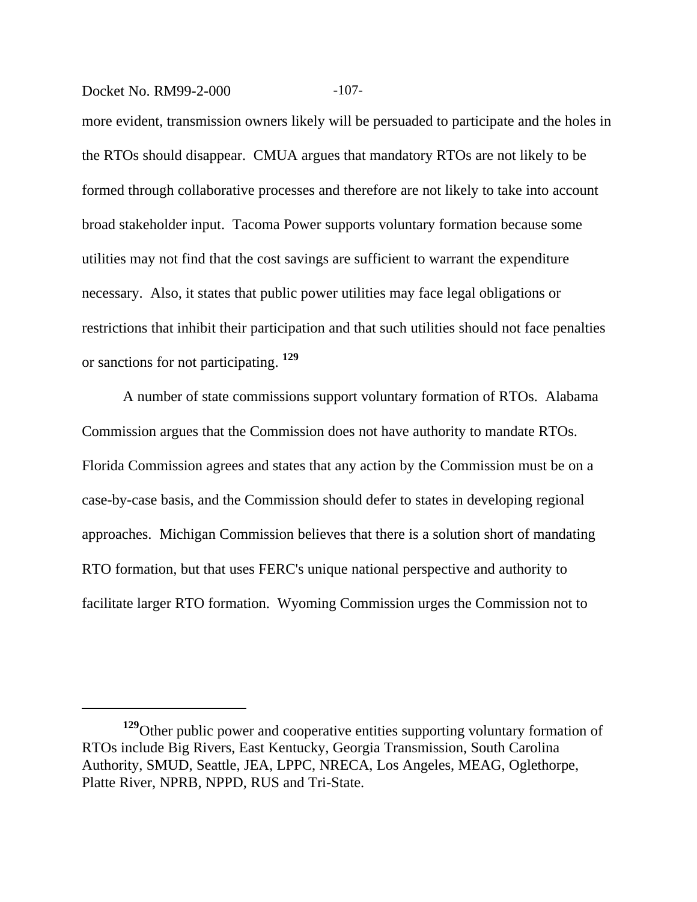Docket No. RM99-2-000 -107-

more evident, transmission owners likely will be persuaded to participate and the holes in the RTOs should disappear. CMUA argues that mandatory RTOs are not likely to be formed through collaborative processes and therefore are not likely to take into account broad stakeholder input. Tacoma Power supports voluntary formation because some utilities may not find that the cost savings are sufficient to warrant the expenditure necessary. Also, it states that public power utilities may face legal obligations or restrictions that inhibit their participation and that such utilities should not face penalties or sanctions for not participating. **<sup>129</sup>**

A number of state commissions support voluntary formation of RTOs. Alabama Commission argues that the Commission does not have authority to mandate RTOs. Florida Commission agrees and states that any action by the Commission must be on a case-by-case basis, and the Commission should defer to states in developing regional approaches. Michigan Commission believes that there is a solution short of mandating RTO formation, but that uses FERC's unique national perspective and authority to facilitate larger RTO formation. Wyoming Commission urges the Commission not to

**<sup>129</sup>**Other public power and cooperative entities supporting voluntary formation of RTOs include Big Rivers, East Kentucky, Georgia Transmission, South Carolina Authority, SMUD, Seattle, JEA, LPPC, NRECA, Los Angeles, MEAG, Oglethorpe, Platte River, NPRB, NPPD, RUS and Tri-State.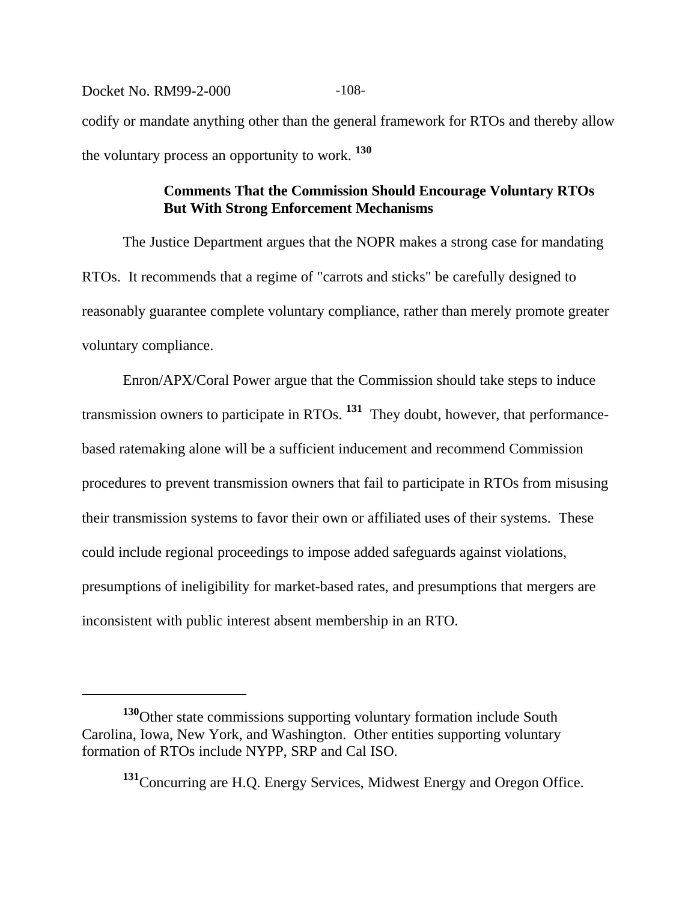Docket No. RM99-2-000 -108codify or mandate anything other than the general framework for RTOs and thereby allow the voluntary process an opportunity to work. **<sup>130</sup>**

# **Comments That the Commission Should Encourage Voluntary RTOs But With Strong Enforcement Mechanisms**

The Justice Department argues that the NOPR makes a strong case for mandating RTOs. It recommends that a regime of "carrots and sticks" be carefully designed to reasonably guarantee complete voluntary compliance, rather than merely promote greater voluntary compliance.

Enron/APX/Coral Power argue that the Commission should take steps to induce transmission owners to participate in RTOs. **131** They doubt, however, that performancebased ratemaking alone will be a sufficient inducement and recommend Commission procedures to prevent transmission owners that fail to participate in RTOs from misusing their transmission systems to favor their own or affiliated uses of their systems. These could include regional proceedings to impose added safeguards against violations, presumptions of ineligibility for market-based rates, and presumptions that mergers are inconsistent with public interest absent membership in an RTO.

**<sup>130</sup>**Other state commissions supporting voluntary formation include South Carolina, Iowa, New York, and Washington. Other entities supporting voluntary formation of RTOs include NYPP, SRP and Cal ISO.

**<sup>131</sup>**Concurring are H.Q. Energy Services, Midwest Energy and Oregon Office.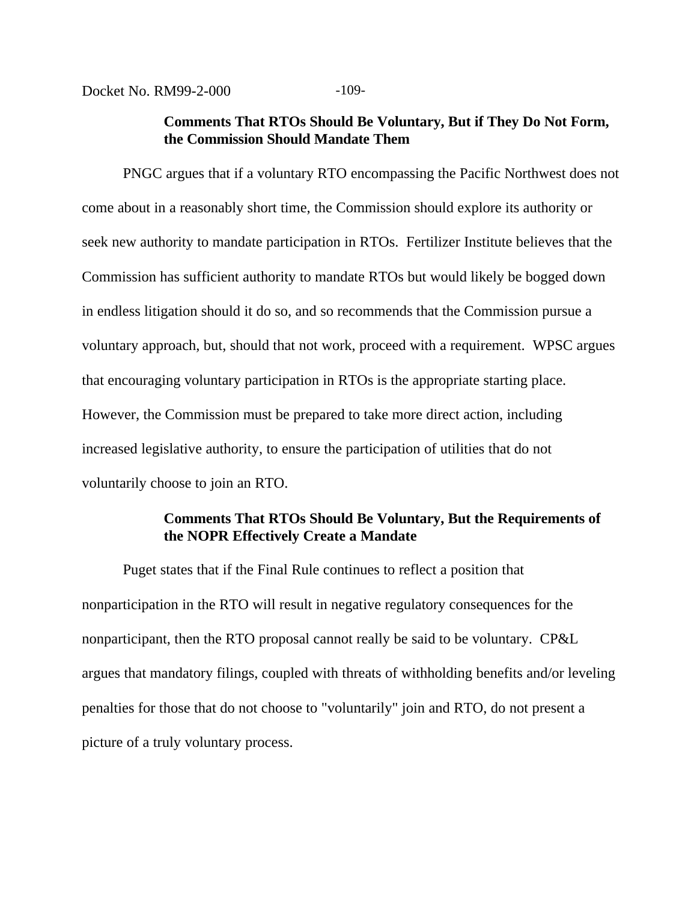Docket No. RM99-2-000 -109-

## **Comments That RTOs Should Be Voluntary, But if They Do Not Form, the Commission Should Mandate Them**

PNGC argues that if a voluntary RTO encompassing the Pacific Northwest does not come about in a reasonably short time, the Commission should explore its authority or seek new authority to mandate participation in RTOs. Fertilizer Institute believes that the Commission has sufficient authority to mandate RTOs but would likely be bogged down in endless litigation should it do so, and so recommends that the Commission pursue a voluntary approach, but, should that not work, proceed with a requirement. WPSC argues that encouraging voluntary participation in RTOs is the appropriate starting place. However, the Commission must be prepared to take more direct action, including increased legislative authority, to ensure the participation of utilities that do not voluntarily choose to join an RTO.

# **Comments That RTOs Should Be Voluntary, But the Requirements of the NOPR Effectively Create a Mandate**

Puget states that if the Final Rule continues to reflect a position that nonparticipation in the RTO will result in negative regulatory consequences for the nonparticipant, then the RTO proposal cannot really be said to be voluntary. CP&L argues that mandatory filings, coupled with threats of withholding benefits and/or leveling penalties for those that do not choose to "voluntarily" join and RTO, do not present a picture of a truly voluntary process.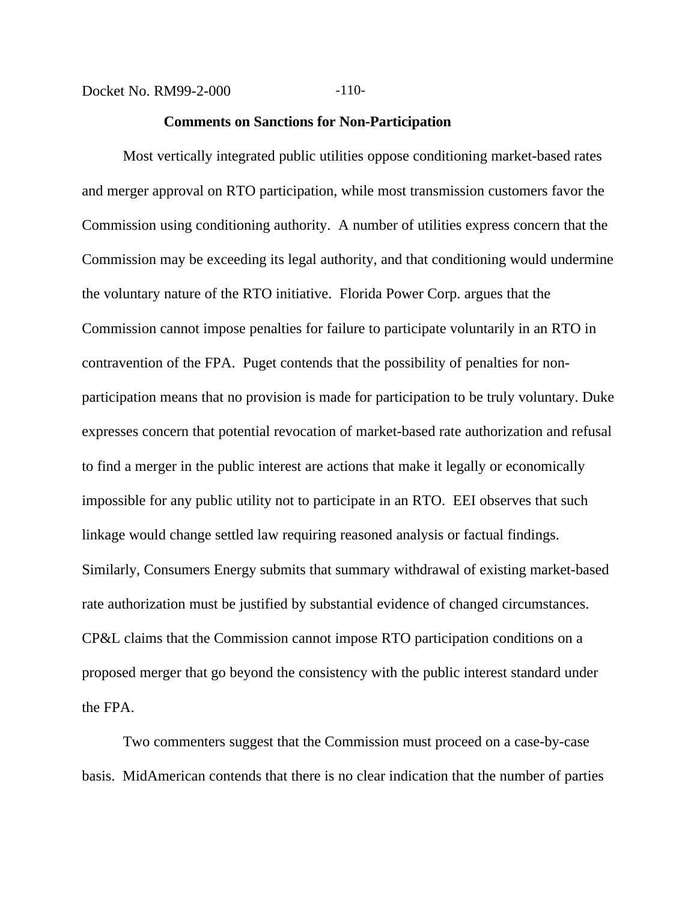Docket No. RM99-2-000 -110-

#### **Comments on Sanctions for Non-Participation**

Most vertically integrated public utilities oppose conditioning market-based rates and merger approval on RTO participation, while most transmission customers favor the Commission using conditioning authority. A number of utilities express concern that the Commission may be exceeding its legal authority, and that conditioning would undermine the voluntary nature of the RTO initiative. Florida Power Corp. argues that the Commission cannot impose penalties for failure to participate voluntarily in an RTO in contravention of the FPA. Puget contends that the possibility of penalties for nonparticipation means that no provision is made for participation to be truly voluntary. Duke expresses concern that potential revocation of market-based rate authorization and refusal to find a merger in the public interest are actions that make it legally or economically impossible for any public utility not to participate in an RTO. EEI observes that such linkage would change settled law requiring reasoned analysis or factual findings. Similarly, Consumers Energy submits that summary withdrawal of existing market-based rate authorization must be justified by substantial evidence of changed circumstances. CP&L claims that the Commission cannot impose RTO participation conditions on a proposed merger that go beyond the consistency with the public interest standard under the FPA.

Two commenters suggest that the Commission must proceed on a case-by-case basis. MidAmerican contends that there is no clear indication that the number of parties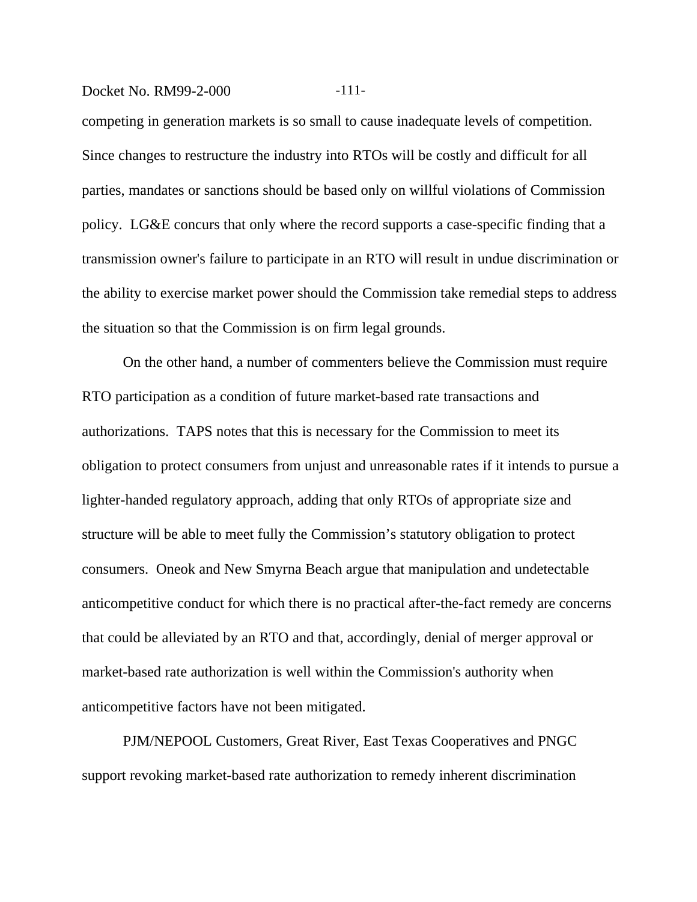#### Docket No. RM99-2-000 -111-

competing in generation markets is so small to cause inadequate levels of competition. Since changes to restructure the industry into RTOs will be costly and difficult for all parties, mandates or sanctions should be based only on willful violations of Commission policy. LG&E concurs that only where the record supports a case-specific finding that a transmission owner's failure to participate in an RTO will result in undue discrimination or the ability to exercise market power should the Commission take remedial steps to address the situation so that the Commission is on firm legal grounds.

On the other hand, a number of commenters believe the Commission must require RTO participation as a condition of future market-based rate transactions and authorizations. TAPS notes that this is necessary for the Commission to meet its obligation to protect consumers from unjust and unreasonable rates if it intends to pursue a lighter-handed regulatory approach, adding that only RTOs of appropriate size and structure will be able to meet fully the Commission's statutory obligation to protect consumers. Oneok and New Smyrna Beach argue that manipulation and undetectable anticompetitive conduct for which there is no practical after-the-fact remedy are concerns that could be alleviated by an RTO and that, accordingly, denial of merger approval or market-based rate authorization is well within the Commission's authority when anticompetitive factors have not been mitigated.

PJM/NEPOOL Customers, Great River, East Texas Cooperatives and PNGC support revoking market-based rate authorization to remedy inherent discrimination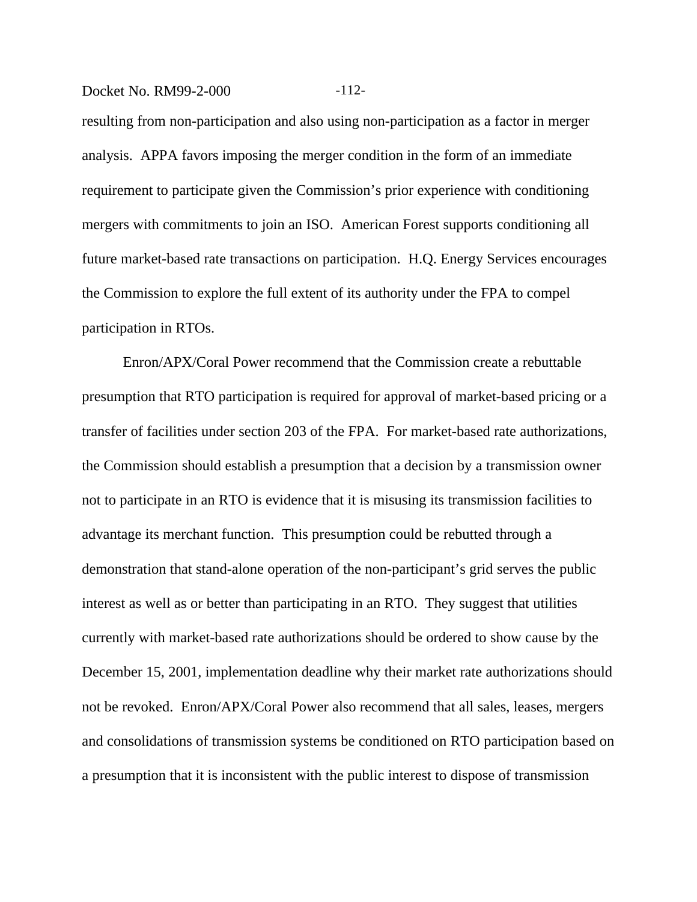#### Docket No. RM99-2-000 -112-

resulting from non-participation and also using non-participation as a factor in merger analysis. APPA favors imposing the merger condition in the form of an immediate requirement to participate given the Commission's prior experience with conditioning mergers with commitments to join an ISO. American Forest supports conditioning all future market-based rate transactions on participation. H.Q. Energy Services encourages the Commission to explore the full extent of its authority under the FPA to compel participation in RTOs.

Enron/APX/Coral Power recommend that the Commission create a rebuttable presumption that RTO participation is required for approval of market-based pricing or a transfer of facilities under section 203 of the FPA. For market-based rate authorizations, the Commission should establish a presumption that a decision by a transmission owner not to participate in an RTO is evidence that it is misusing its transmission facilities to advantage its merchant function. This presumption could be rebutted through a demonstration that stand-alone operation of the non-participant's grid serves the public interest as well as or better than participating in an RTO. They suggest that utilities currently with market-based rate authorizations should be ordered to show cause by the December 15, 2001, implementation deadline why their market rate authorizations should not be revoked. Enron/APX/Coral Power also recommend that all sales, leases, mergers and consolidations of transmission systems be conditioned on RTO participation based on a presumption that it is inconsistent with the public interest to dispose of transmission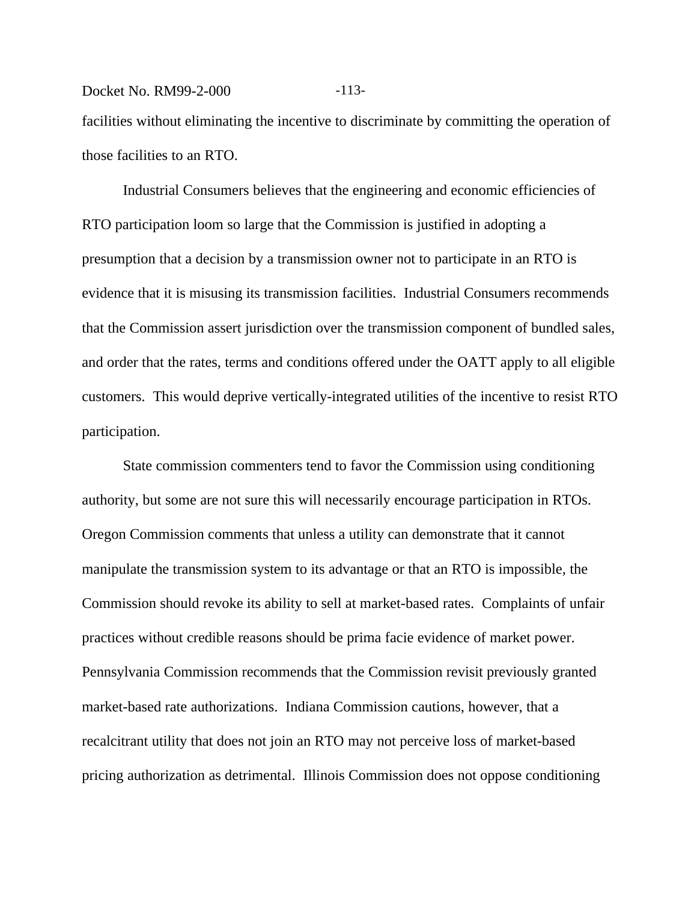Docket No. RM99-2-000 -113facilities without eliminating the incentive to discriminate by committing the operation of those facilities to an RTO.

Industrial Consumers believes that the engineering and economic efficiencies of RTO participation loom so large that the Commission is justified in adopting a presumption that a decision by a transmission owner not to participate in an RTO is evidence that it is misusing its transmission facilities. Industrial Consumers recommends that the Commission assert jurisdiction over the transmission component of bundled sales, and order that the rates, terms and conditions offered under the OATT apply to all eligible customers. This would deprive vertically-integrated utilities of the incentive to resist RTO participation.

State commission commenters tend to favor the Commission using conditioning authority, but some are not sure this will necessarily encourage participation in RTOs. Oregon Commission comments that unless a utility can demonstrate that it cannot manipulate the transmission system to its advantage or that an RTO is impossible, the Commission should revoke its ability to sell at market-based rates. Complaints of unfair practices without credible reasons should be prima facie evidence of market power. Pennsylvania Commission recommends that the Commission revisit previously granted market-based rate authorizations. Indiana Commission cautions, however, that a recalcitrant utility that does not join an RTO may not perceive loss of market-based pricing authorization as detrimental. Illinois Commission does not oppose conditioning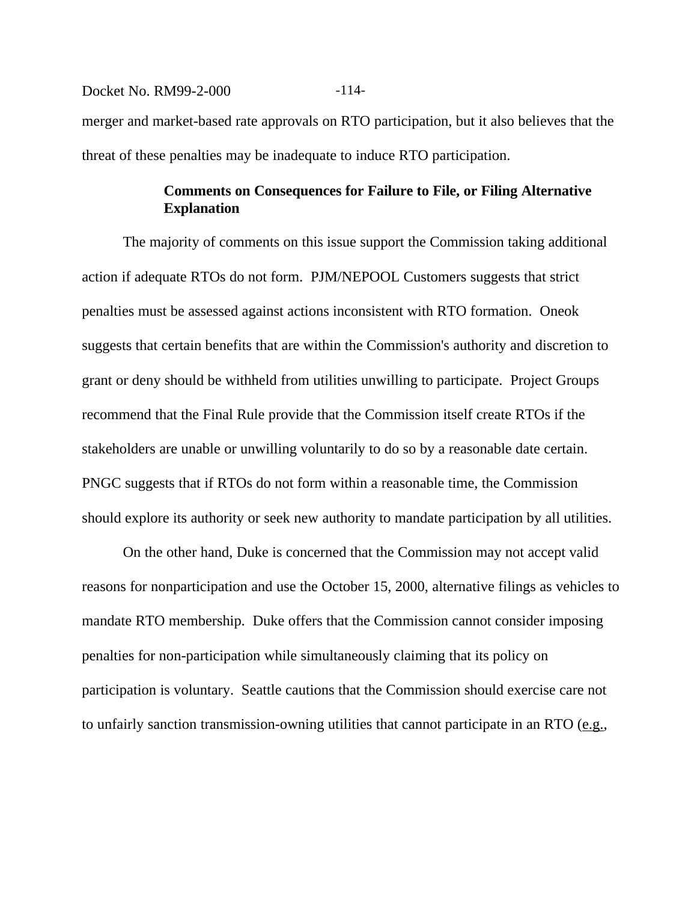# Docket No. RM99-2-000 -114merger and market-based rate approvals on RTO participation, but it also believes that the threat of these penalties may be inadequate to induce RTO participation.

# **Comments on Consequences for Failure to File, or Filing Alternative Explanation**

The majority of comments on this issue support the Commission taking additional action if adequate RTOs do not form. PJM/NEPOOL Customers suggests that strict penalties must be assessed against actions inconsistent with RTO formation. Oneok suggests that certain benefits that are within the Commission's authority and discretion to grant or deny should be withheld from utilities unwilling to participate. Project Groups recommend that the Final Rule provide that the Commission itself create RTOs if the stakeholders are unable or unwilling voluntarily to do so by a reasonable date certain. PNGC suggests that if RTOs do not form within a reasonable time, the Commission should explore its authority or seek new authority to mandate participation by all utilities.

On the other hand, Duke is concerned that the Commission may not accept valid reasons for nonparticipation and use the October 15, 2000, alternative filings as vehicles to mandate RTO membership. Duke offers that the Commission cannot consider imposing penalties for non-participation while simultaneously claiming that its policy on participation is voluntary. Seattle cautions that the Commission should exercise care not to unfairly sanction transmission-owning utilities that cannot participate in an RTO  $(e.g.,)$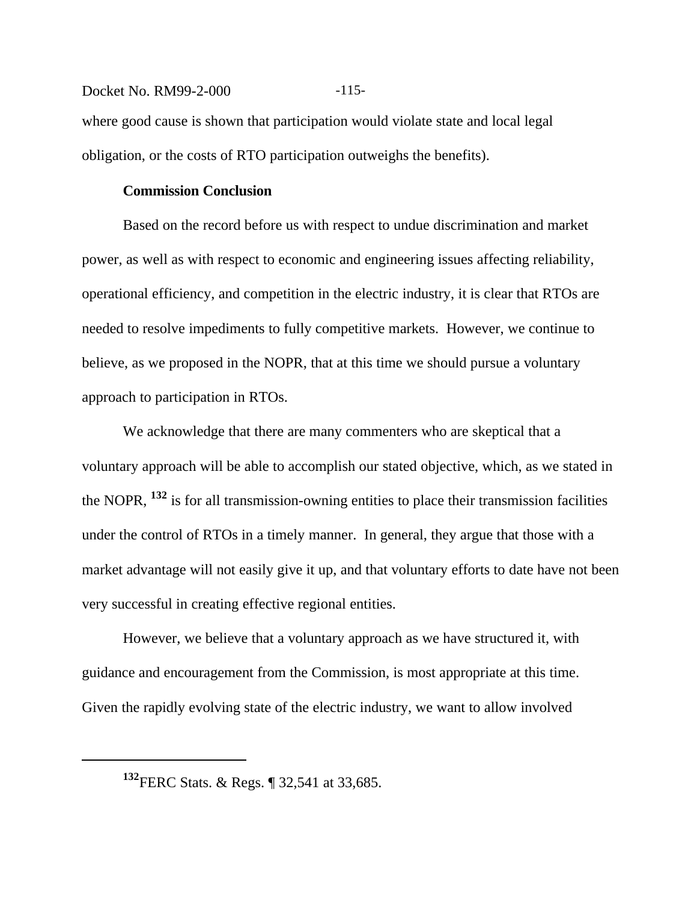Docket No. RM99-2-000 -115where good cause is shown that participation would violate state and local legal obligation, or the costs of RTO participation outweighs the benefits).

#### **Commission Conclusion**

Based on the record before us with respect to undue discrimination and market power, as well as with respect to economic and engineering issues affecting reliability, operational efficiency, and competition in the electric industry, it is clear that RTOs are needed to resolve impediments to fully competitive markets. However, we continue to believe, as we proposed in the NOPR, that at this time we should pursue a voluntary approach to participation in RTOs.

We acknowledge that there are many commenters who are skeptical that a voluntary approach will be able to accomplish our stated objective, which, as we stated in the NOPR, **132** is for all transmission-owning entities to place their transmission facilities under the control of RTOs in a timely manner. In general, they argue that those with a market advantage will not easily give it up, and that voluntary efforts to date have not been very successful in creating effective regional entities.

However, we believe that a voluntary approach as we have structured it, with guidance and encouragement from the Commission, is most appropriate at this time. Given the rapidly evolving state of the electric industry, we want to allow involved

**<sup>132</sup>**FERC Stats. & Regs. ¶ 32,541 at 33,685.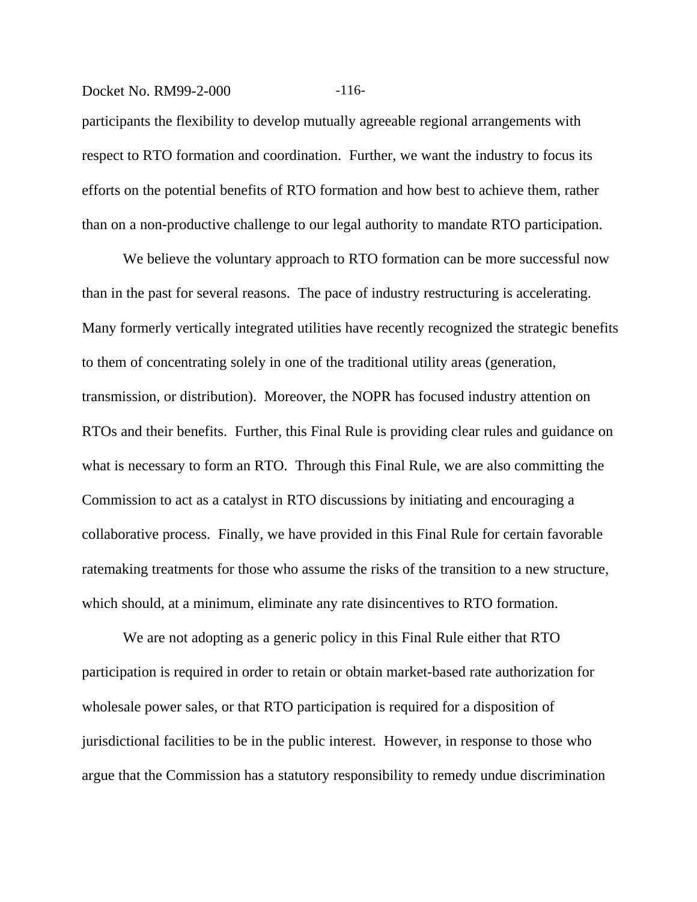#### Docket No. RM99-2-000 -116-

participants the flexibility to develop mutually agreeable regional arrangements with respect to RTO formation and coordination. Further, we want the industry to focus its efforts on the potential benefits of RTO formation and how best to achieve them, rather than on a non-productive challenge to our legal authority to mandate RTO participation.

We believe the voluntary approach to RTO formation can be more successful now than in the past for several reasons. The pace of industry restructuring is accelerating. Many formerly vertically integrated utilities have recently recognized the strategic benefits to them of concentrating solely in one of the traditional utility areas (generation, transmission, or distribution). Moreover, the NOPR has focused industry attention on RTOs and their benefits. Further, this Final Rule is providing clear rules and guidance on what is necessary to form an RTO. Through this Final Rule, we are also committing the Commission to act as a catalyst in RTO discussions by initiating and encouraging a collaborative process. Finally, we have provided in this Final Rule for certain favorable ratemaking treatments for those who assume the risks of the transition to a new structure, which should, at a minimum, eliminate any rate disincentives to RTO formation.

We are not adopting as a generic policy in this Final Rule either that RTO participation is required in order to retain or obtain market-based rate authorization for wholesale power sales, or that RTO participation is required for a disposition of jurisdictional facilities to be in the public interest. However, in response to those who argue that the Commission has a statutory responsibility to remedy undue discrimination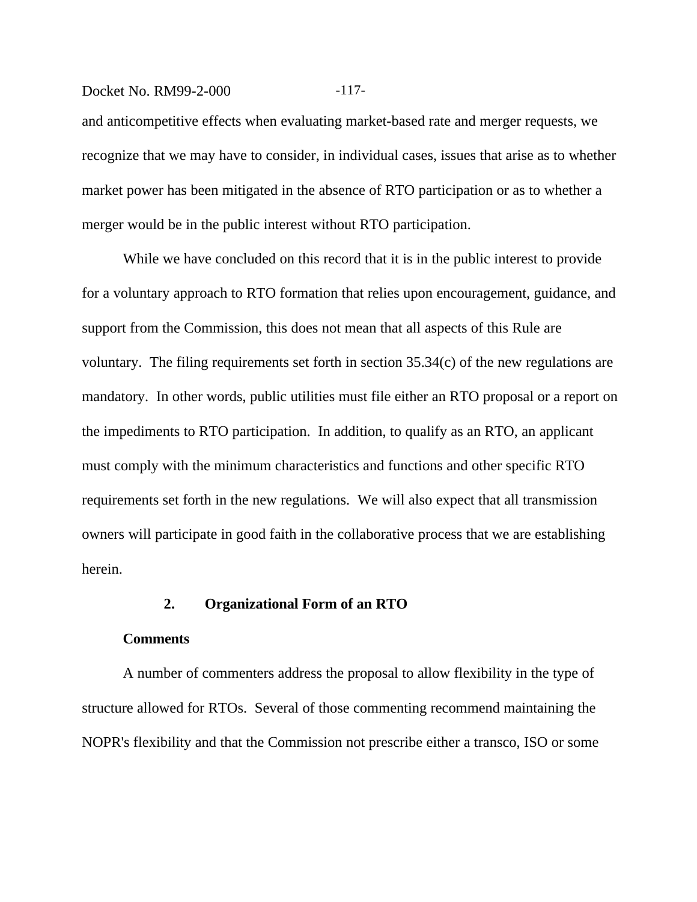#### Docket No. RM99-2-000 -117-

and anticompetitive effects when evaluating market-based rate and merger requests, we recognize that we may have to consider, in individual cases, issues that arise as to whether market power has been mitigated in the absence of RTO participation or as to whether a merger would be in the public interest without RTO participation.

While we have concluded on this record that it is in the public interest to provide for a voluntary approach to RTO formation that relies upon encouragement, guidance, and support from the Commission, this does not mean that all aspects of this Rule are voluntary. The filing requirements set forth in section 35.34(c) of the new regulations are mandatory. In other words, public utilities must file either an RTO proposal or a report on the impediments to RTO participation. In addition, to qualify as an RTO, an applicant must comply with the minimum characteristics and functions and other specific RTO requirements set forth in the new regulations. We will also expect that all transmission owners will participate in good faith in the collaborative process that we are establishing herein.

## **2. Organizational Form of an RTO**

#### **Comments**

A number of commenters address the proposal to allow flexibility in the type of structure allowed for RTOs. Several of those commenting recommend maintaining the NOPR's flexibility and that the Commission not prescribe either a transco, ISO or some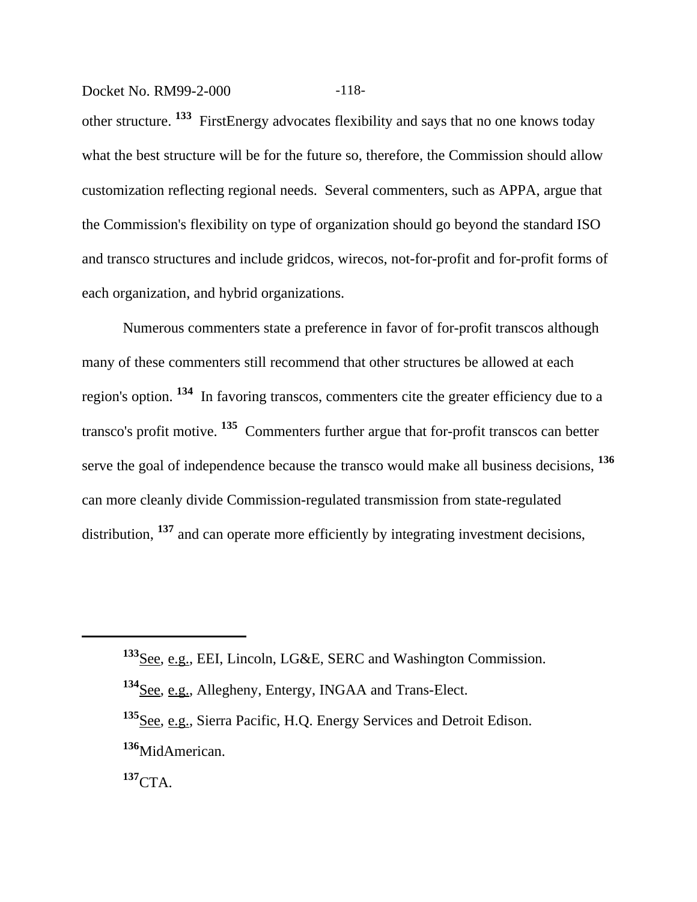Docket No. RM99-2-000 -118-

other structure. **133** FirstEnergy advocates flexibility and says that no one knows today what the best structure will be for the future so, therefore, the Commission should allow customization reflecting regional needs. Several commenters, such as APPA, argue that the Commission's flexibility on type of organization should go beyond the standard ISO and transco structures and include gridcos, wirecos, not-for-profit and for-profit forms of each organization, and hybrid organizations.

Numerous commenters state a preference in favor of for-profit transcos although many of these commenters still recommend that other structures be allowed at each region's option. **134** In favoring transcos, commenters cite the greater efficiency due to a transco's profit motive. **135** Commenters further argue that for-profit transcos can better serve the goal of independence because the transco would make all business decisions, **<sup>136</sup>** can more cleanly divide Commission-regulated transmission from state-regulated distribution, <sup>137</sup> and can operate more efficiently by integrating investment decisions,

**<sup>133</sup>**See, e.g., EEI, Lincoln, LG&E, SERC and Washington Commission.

**<sup>134</sup>**See, e.g., Allegheny, Entergy, INGAA and Trans-Elect.

**<sup>135</sup>**See, e.g., Sierra Pacific, H.Q. Energy Services and Detroit Edison. **<sup>136</sup>**MidAmerican.

**<sup>137</sup>**CTA.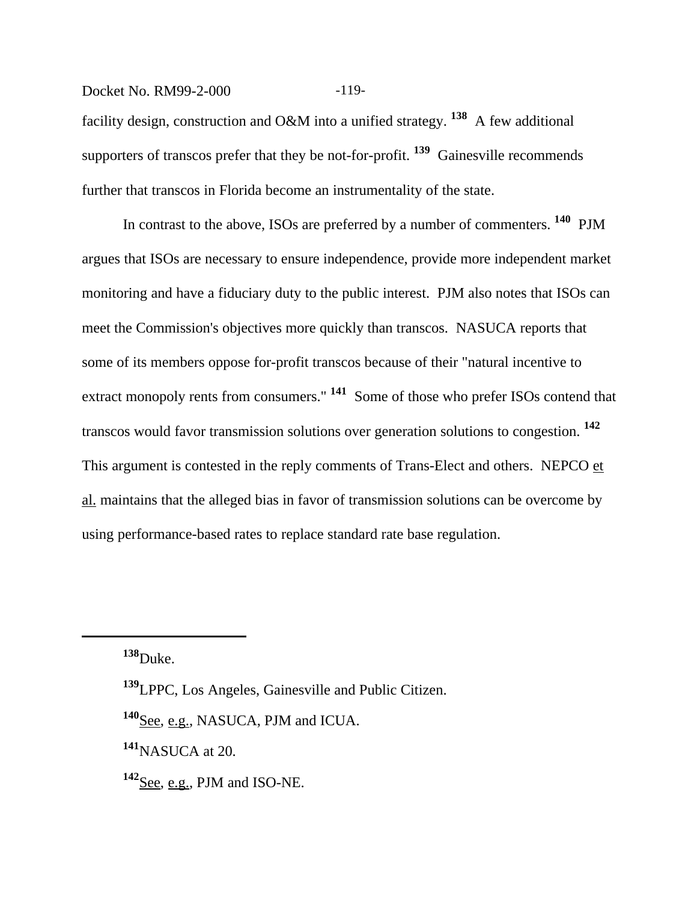## Docket No. RM99-2-000 -119-

facility design, construction and O&M into a unified strategy. **138** A few additional supporters of transcos prefer that they be not-for-profit. **139** Gainesville recommends further that transcos in Florida become an instrumentality of the state.

In contrast to the above, ISOs are preferred by a number of commenters. **140** PJM argues that ISOs are necessary to ensure independence, provide more independent market monitoring and have a fiduciary duty to the public interest. PJM also notes that ISOs can meet the Commission's objectives more quickly than transcos. NASUCA reports that some of its members oppose for-profit transcos because of their "natural incentive to extract monopoly rents from consumers." **141** Some of those who prefer ISOs contend that transcos would favor transmission solutions over generation solutions to congestion. **<sup>142</sup>** This argument is contested in the reply comments of Trans-Elect and others. NEPCO et al. maintains that the alleged bias in favor of transmission solutions can be overcome by using performance-based rates to replace standard rate base regulation.

**<sup>138</sup>**Duke.

**<sup>140</sup>**See, e.g., NASUCA, PJM and ICUA.

**<sup>141</sup>**NASUCA at 20.

**<sup>142</sup>**See, e.g., PJM and ISO-NE.

**<sup>139</sup>**LPPC, Los Angeles, Gainesville and Public Citizen.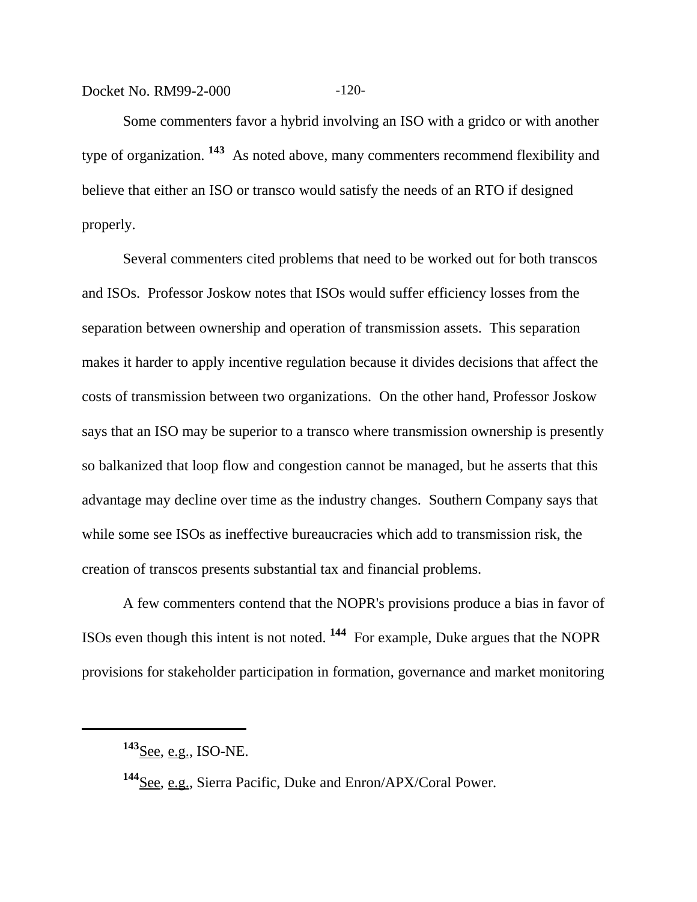Docket No. RM99-2-000 -120-

Some commenters favor a hybrid involving an ISO with a gridco or with another type of organization. **143** As noted above, many commenters recommend flexibility and believe that either an ISO or transco would satisfy the needs of an RTO if designed properly.

Several commenters cited problems that need to be worked out for both transcos and ISOs. Professor Joskow notes that ISOs would suffer efficiency losses from the separation between ownership and operation of transmission assets. This separation makes it harder to apply incentive regulation because it divides decisions that affect the costs of transmission between two organizations. On the other hand, Professor Joskow says that an ISO may be superior to a transco where transmission ownership is presently so balkanized that loop flow and congestion cannot be managed, but he asserts that this advantage may decline over time as the industry changes. Southern Company says that while some see ISOs as ineffective bureaucracies which add to transmission risk, the creation of transcos presents substantial tax and financial problems.

A few commenters contend that the NOPR's provisions produce a bias in favor of ISOs even though this intent is not noted. **144** For example, Duke argues that the NOPR provisions for stakeholder participation in formation, governance and market monitoring

**<sup>143</sup>**See, e.g., ISO-NE.

**<sup>144</sup>**See, e.g., Sierra Pacific, Duke and Enron/APX/Coral Power.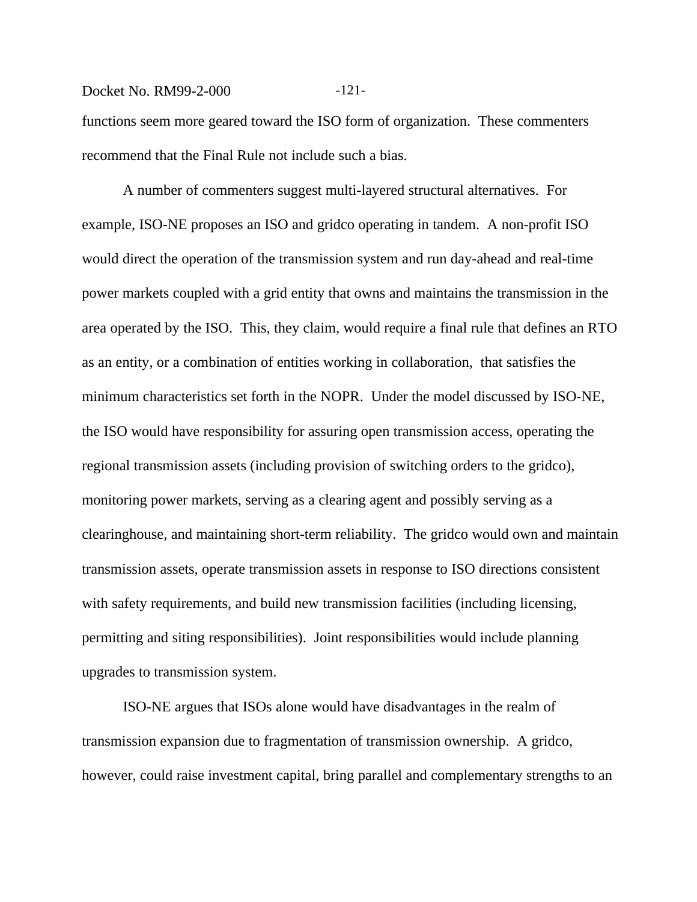## Docket No. RM99-2-000 -121-

functions seem more geared toward the ISO form of organization. These commenters recommend that the Final Rule not include such a bias.

A number of commenters suggest multi-layered structural alternatives. For example, ISO-NE proposes an ISO and gridco operating in tandem. A non-profit ISO would direct the operation of the transmission system and run day-ahead and real-time power markets coupled with a grid entity that owns and maintains the transmission in the area operated by the ISO. This, they claim, would require a final rule that defines an RTO as an entity, or a combination of entities working in collaboration, that satisfies the minimum characteristics set forth in the NOPR. Under the model discussed by ISO-NE, the ISO would have responsibility for assuring open transmission access, operating the regional transmission assets (including provision of switching orders to the gridco), monitoring power markets, serving as a clearing agent and possibly serving as a clearinghouse, and maintaining short-term reliability. The gridco would own and maintain transmission assets, operate transmission assets in response to ISO directions consistent with safety requirements, and build new transmission facilities (including licensing, permitting and siting responsibilities). Joint responsibilities would include planning upgrades to transmission system.

ISO-NE argues that ISOs alone would have disadvantages in the realm of transmission expansion due to fragmentation of transmission ownership. A gridco, however, could raise investment capital, bring parallel and complementary strengths to an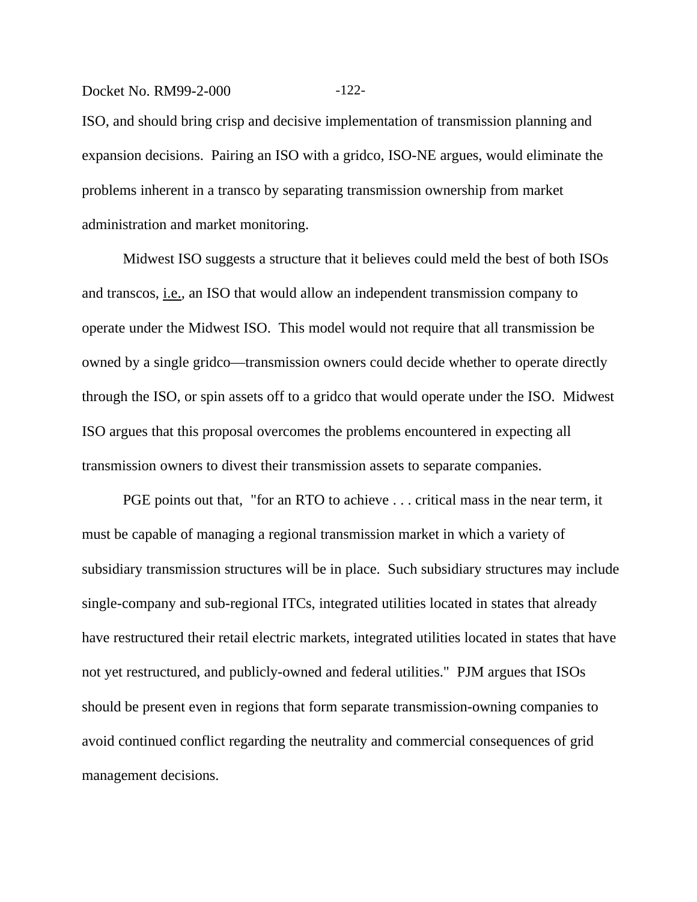#### Docket No. RM99-2-000 -122-

ISO, and should bring crisp and decisive implementation of transmission planning and expansion decisions. Pairing an ISO with a gridco, ISO-NE argues, would eliminate the problems inherent in a transco by separating transmission ownership from market administration and market monitoring.

Midwest ISO suggests a structure that it believes could meld the best of both ISOs and transcos, i.e., an ISO that would allow an independent transmission company to operate under the Midwest ISO. This model would not require that all transmission be owned by a single gridco—transmission owners could decide whether to operate directly through the ISO, or spin assets off to a gridco that would operate under the ISO. Midwest ISO argues that this proposal overcomes the problems encountered in expecting all transmission owners to divest their transmission assets to separate companies.

PGE points out that, "for an RTO to achieve . . . critical mass in the near term, it must be capable of managing a regional transmission market in which a variety of subsidiary transmission structures will be in place. Such subsidiary structures may include single-company and sub-regional ITCs, integrated utilities located in states that already have restructured their retail electric markets, integrated utilities located in states that have not yet restructured, and publicly-owned and federal utilities." PJM argues that ISOs should be present even in regions that form separate transmission-owning companies to avoid continued conflict regarding the neutrality and commercial consequences of grid management decisions.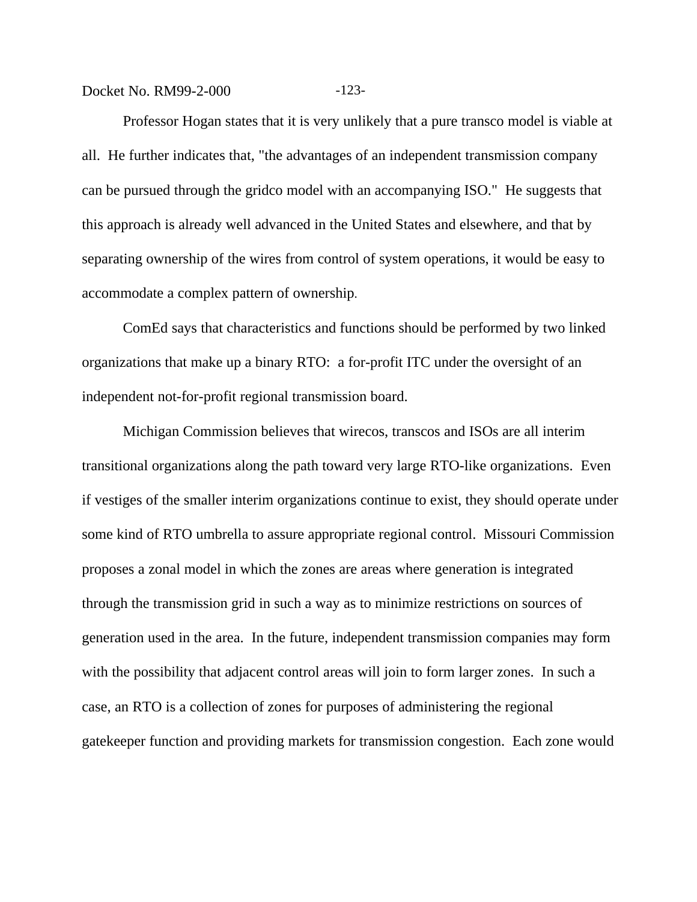Docket No. RM99-2-000 -123-

Professor Hogan states that it is very unlikely that a pure transco model is viable at all. He further indicates that, "the advantages of an independent transmission company can be pursued through the gridco model with an accompanying ISO." He suggests that this approach is already well advanced in the United States and elsewhere, and that by separating ownership of the wires from control of system operations, it would be easy to accommodate a complex pattern of ownership.

ComEd says that characteristics and functions should be performed by two linked organizations that make up a binary RTO: a for-profit ITC under the oversight of an independent not-for-profit regional transmission board.

Michigan Commission believes that wirecos, transcos and ISOs are all interim transitional organizations along the path toward very large RTO-like organizations. Even if vestiges of the smaller interim organizations continue to exist, they should operate under some kind of RTO umbrella to assure appropriate regional control. Missouri Commission proposes a zonal model in which the zones are areas where generation is integrated through the transmission grid in such a way as to minimize restrictions on sources of generation used in the area. In the future, independent transmission companies may form with the possibility that adjacent control areas will join to form larger zones. In such a case, an RTO is a collection of zones for purposes of administering the regional gatekeeper function and providing markets for transmission congestion. Each zone would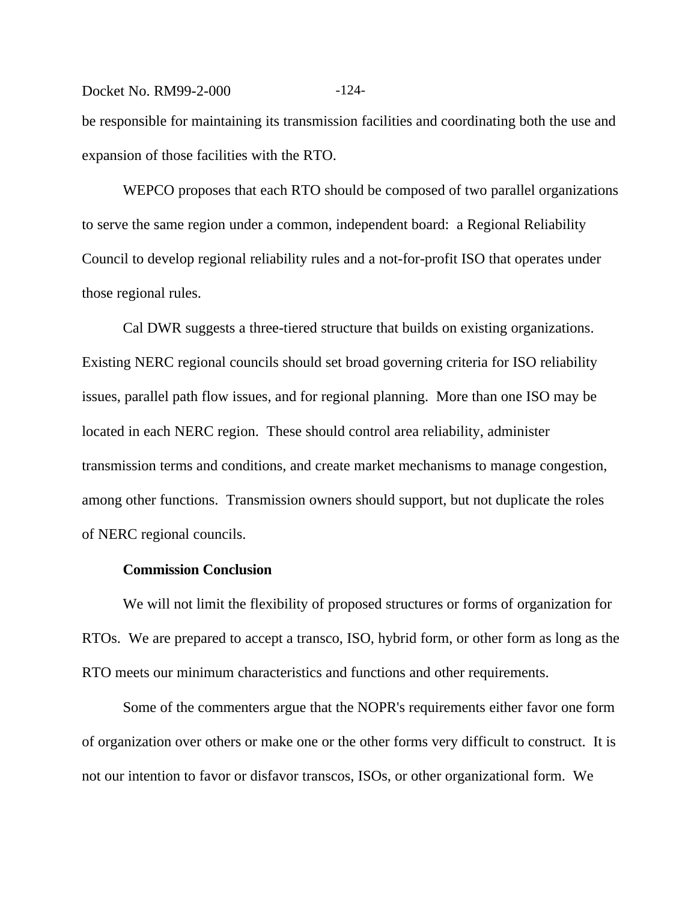Docket No. RM99-2-000 -124be responsible for maintaining its transmission facilities and coordinating both the use and expansion of those facilities with the RTO.

WEPCO proposes that each RTO should be composed of two parallel organizations to serve the same region under a common, independent board: a Regional Reliability Council to develop regional reliability rules and a not-for-profit ISO that operates under those regional rules.

Cal DWR suggests a three-tiered structure that builds on existing organizations. Existing NERC regional councils should set broad governing criteria for ISO reliability issues, parallel path flow issues, and for regional planning. More than one ISO may be located in each NERC region. These should control area reliability, administer transmission terms and conditions, and create market mechanisms to manage congestion, among other functions. Transmission owners should support, but not duplicate the roles of NERC regional councils.

#### **Commission Conclusion**

We will not limit the flexibility of proposed structures or forms of organization for RTOs. We are prepared to accept a transco, ISO, hybrid form, or other form as long as the RTO meets our minimum characteristics and functions and other requirements.

Some of the commenters argue that the NOPR's requirements either favor one form of organization over others or make one or the other forms very difficult to construct. It is not our intention to favor or disfavor transcos, ISOs, or other organizational form. We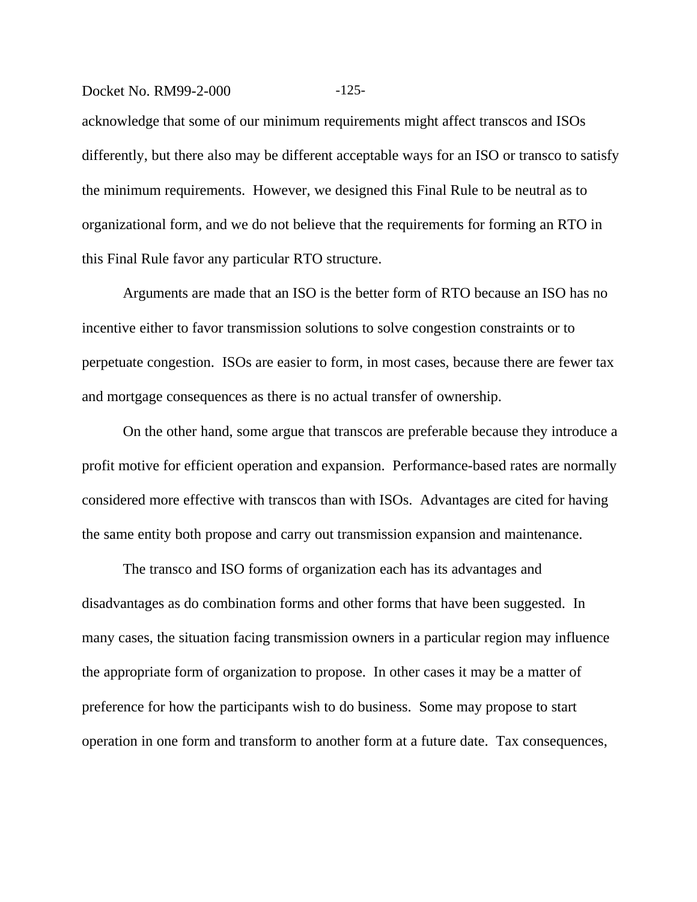#### Docket No. RM99-2-000 -125-

acknowledge that some of our minimum requirements might affect transcos and ISOs differently, but there also may be different acceptable ways for an ISO or transco to satisfy the minimum requirements. However, we designed this Final Rule to be neutral as to organizational form, and we do not believe that the requirements for forming an RTO in this Final Rule favor any particular RTO structure.

Arguments are made that an ISO is the better form of RTO because an ISO has no incentive either to favor transmission solutions to solve congestion constraints or to perpetuate congestion. ISOs are easier to form, in most cases, because there are fewer tax and mortgage consequences as there is no actual transfer of ownership.

On the other hand, some argue that transcos are preferable because they introduce a profit motive for efficient operation and expansion. Performance-based rates are normally considered more effective with transcos than with ISOs. Advantages are cited for having the same entity both propose and carry out transmission expansion and maintenance.

The transco and ISO forms of organization each has its advantages and disadvantages as do combination forms and other forms that have been suggested. In many cases, the situation facing transmission owners in a particular region may influence the appropriate form of organization to propose. In other cases it may be a matter of preference for how the participants wish to do business. Some may propose to start operation in one form and transform to another form at a future date. Tax consequences,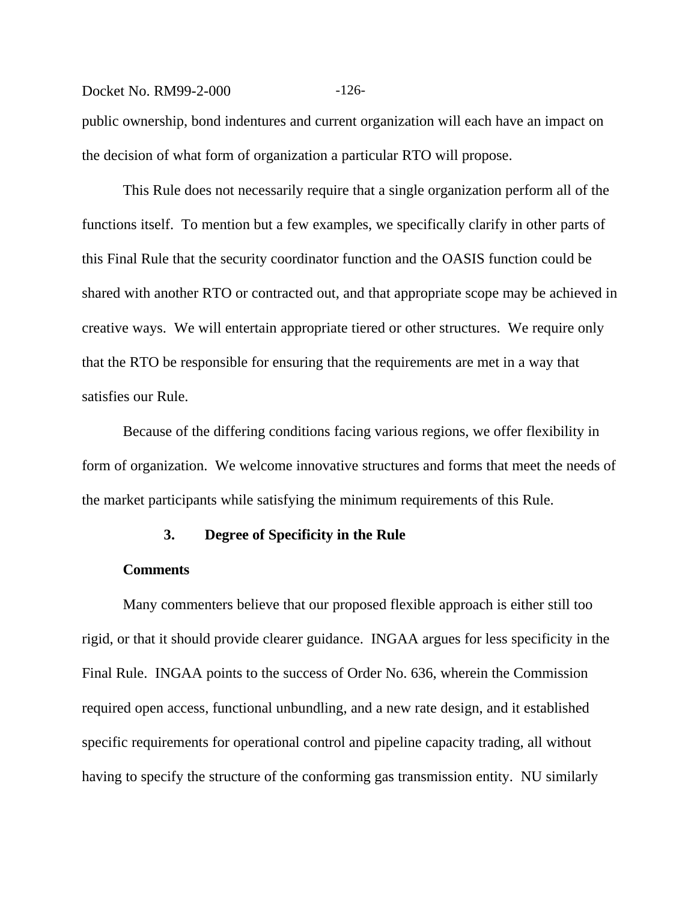#### Docket No. RM99-2-000 -126-

public ownership, bond indentures and current organization will each have an impact on the decision of what form of organization a particular RTO will propose.

This Rule does not necessarily require that a single organization perform all of the functions itself. To mention but a few examples, we specifically clarify in other parts of this Final Rule that the security coordinator function and the OASIS function could be shared with another RTO or contracted out, and that appropriate scope may be achieved in creative ways. We will entertain appropriate tiered or other structures. We require only that the RTO be responsible for ensuring that the requirements are met in a way that satisfies our Rule.

Because of the differing conditions facing various regions, we offer flexibility in form of organization. We welcome innovative structures and forms that meet the needs of the market participants while satisfying the minimum requirements of this Rule.

## **3. Degree of Specificity in the Rule**

#### **Comments**

Many commenters believe that our proposed flexible approach is either still too rigid, or that it should provide clearer guidance. INGAA argues for less specificity in the Final Rule. INGAA points to the success of Order No. 636, wherein the Commission required open access, functional unbundling, and a new rate design, and it established specific requirements for operational control and pipeline capacity trading, all without having to specify the structure of the conforming gas transmission entity. NU similarly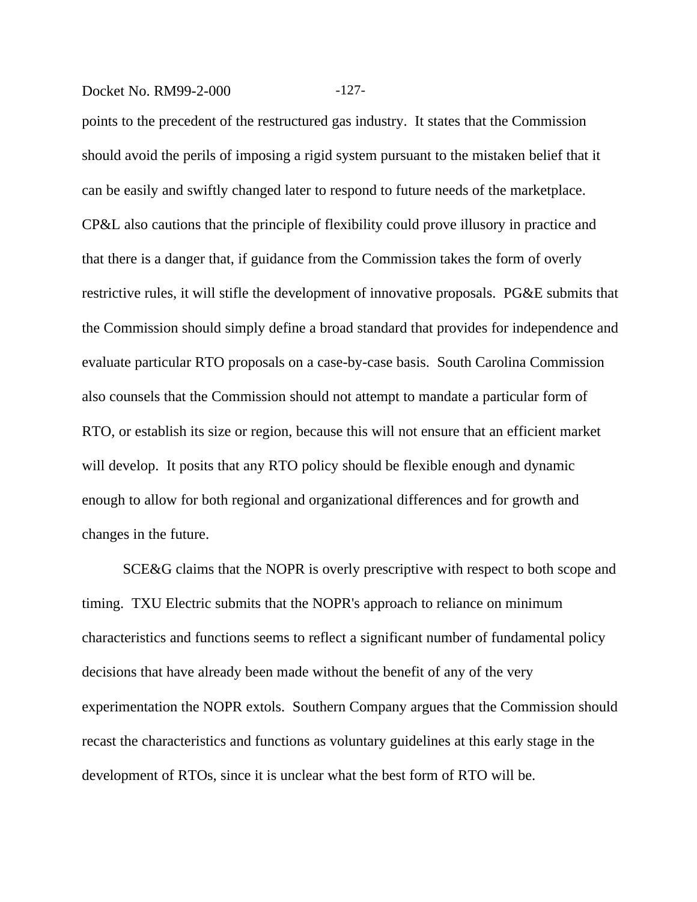## Docket No. RM99-2-000 -127-

points to the precedent of the restructured gas industry. It states that the Commission should avoid the perils of imposing a rigid system pursuant to the mistaken belief that it can be easily and swiftly changed later to respond to future needs of the marketplace. CP&L also cautions that the principle of flexibility could prove illusory in practice and that there is a danger that, if guidance from the Commission takes the form of overly restrictive rules, it will stifle the development of innovative proposals. PG&E submits that the Commission should simply define a broad standard that provides for independence and evaluate particular RTO proposals on a case-by-case basis. South Carolina Commission also counsels that the Commission should not attempt to mandate a particular form of RTO, or establish its size or region, because this will not ensure that an efficient market will develop. It posits that any RTO policy should be flexible enough and dynamic enough to allow for both regional and organizational differences and for growth and changes in the future.

SCE&G claims that the NOPR is overly prescriptive with respect to both scope and timing. TXU Electric submits that the NOPR's approach to reliance on minimum characteristics and functions seems to reflect a significant number of fundamental policy decisions that have already been made without the benefit of any of the very experimentation the NOPR extols. Southern Company argues that the Commission should recast the characteristics and functions as voluntary guidelines at this early stage in the development of RTOs, since it is unclear what the best form of RTO will be.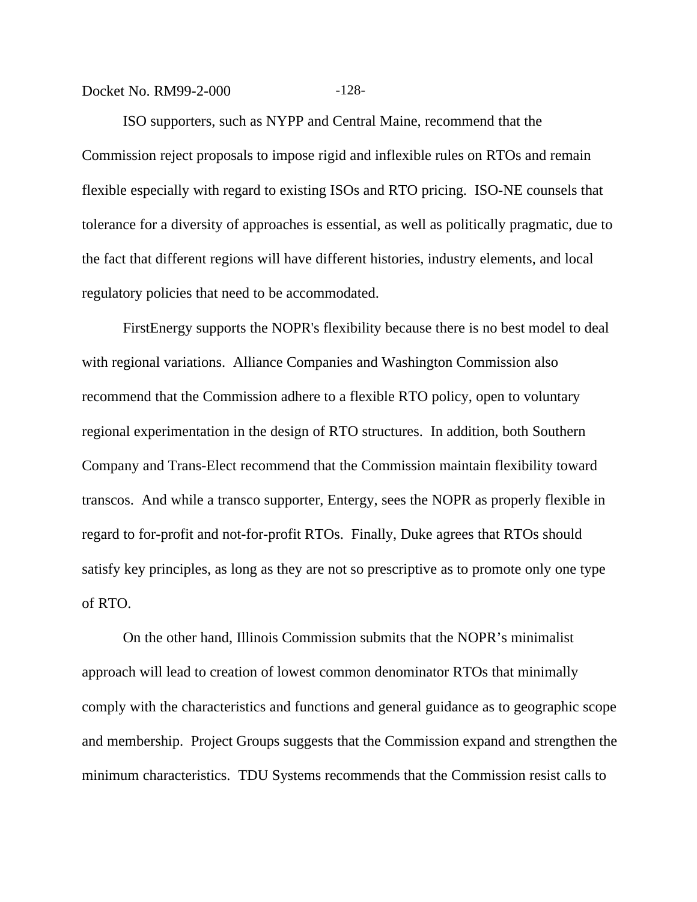#### Docket No. RM99-2-000 -128-

ISO supporters, such as NYPP and Central Maine, recommend that the Commission reject proposals to impose rigid and inflexible rules on RTOs and remain flexible especially with regard to existing ISOs and RTO pricing. ISO-NE counsels that tolerance for a diversity of approaches is essential, as well as politically pragmatic, due to the fact that different regions will have different histories, industry elements, and local regulatory policies that need to be accommodated.

FirstEnergy supports the NOPR's flexibility because there is no best model to deal with regional variations. Alliance Companies and Washington Commission also recommend that the Commission adhere to a flexible RTO policy, open to voluntary regional experimentation in the design of RTO structures. In addition, both Southern Company and Trans-Elect recommend that the Commission maintain flexibility toward transcos. And while a transco supporter, Entergy, sees the NOPR as properly flexible in regard to for-profit and not-for-profit RTOs. Finally, Duke agrees that RTOs should satisfy key principles, as long as they are not so prescriptive as to promote only one type of RTO.

On the other hand, Illinois Commission submits that the NOPR's minimalist approach will lead to creation of lowest common denominator RTOs that minimally comply with the characteristics and functions and general guidance as to geographic scope and membership. Project Groups suggests that the Commission expand and strengthen the minimum characteristics. TDU Systems recommends that the Commission resist calls to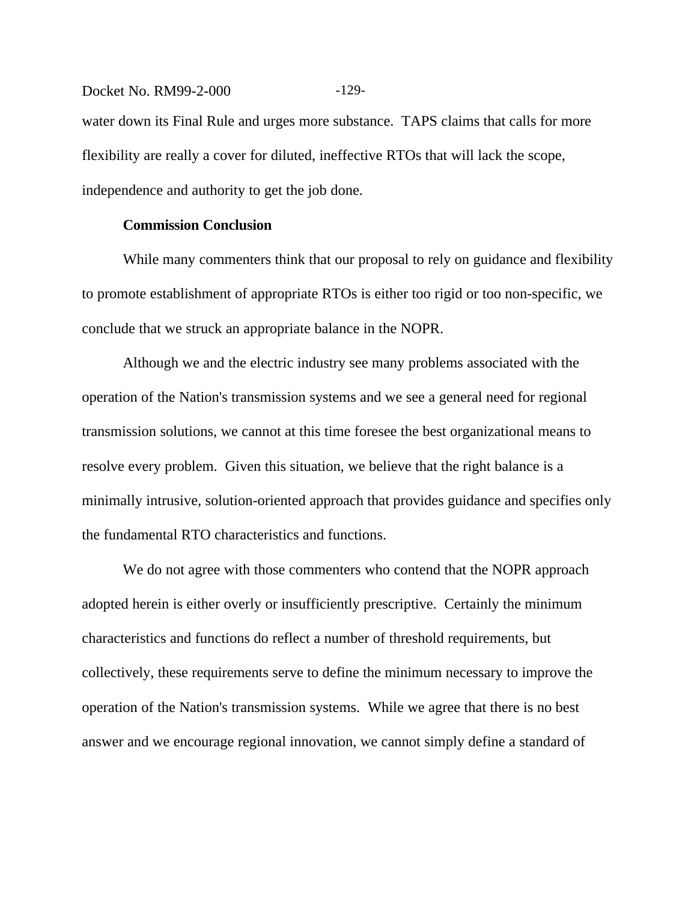Docket No. RM99-2-000 -129water down its Final Rule and urges more substance. TAPS claims that calls for more flexibility are really a cover for diluted, ineffective RTOs that will lack the scope, independence and authority to get the job done.

#### **Commission Conclusion**

While many commenters think that our proposal to rely on guidance and flexibility to promote establishment of appropriate RTOs is either too rigid or too non-specific, we conclude that we struck an appropriate balance in the NOPR.

Although we and the electric industry see many problems associated with the operation of the Nation's transmission systems and we see a general need for regional transmission solutions, we cannot at this time foresee the best organizational means to resolve every problem. Given this situation, we believe that the right balance is a minimally intrusive, solution-oriented approach that provides guidance and specifies only the fundamental RTO characteristics and functions.

We do not agree with those commenters who contend that the NOPR approach adopted herein is either overly or insufficiently prescriptive. Certainly the minimum characteristics and functions do reflect a number of threshold requirements, but collectively, these requirements serve to define the minimum necessary to improve the operation of the Nation's transmission systems. While we agree that there is no best answer and we encourage regional innovation, we cannot simply define a standard of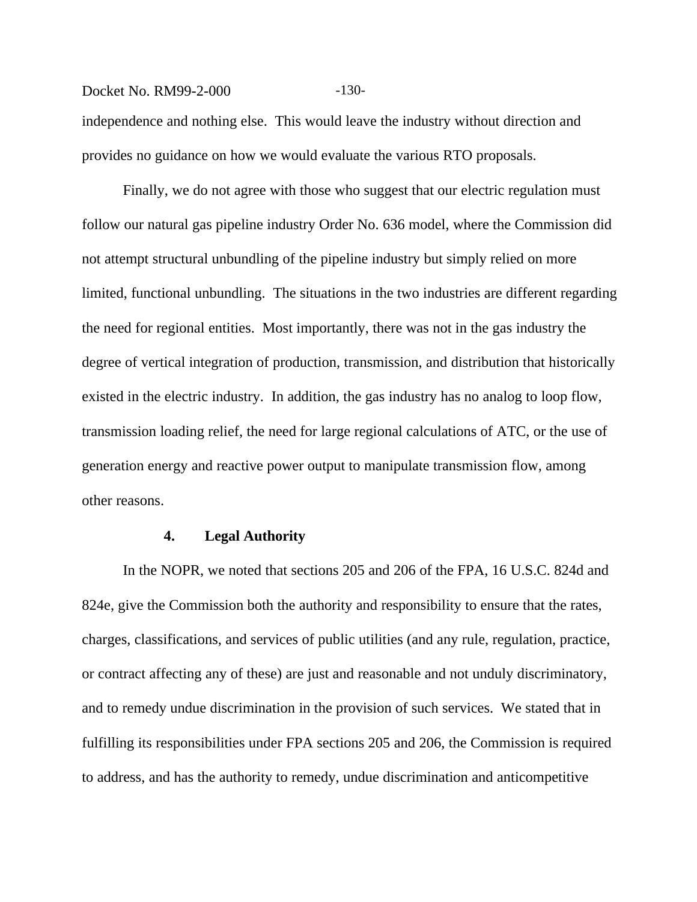#### Docket No. RM99-2-000 -130-

independence and nothing else. This would leave the industry without direction and provides no guidance on how we would evaluate the various RTO proposals.

Finally, we do not agree with those who suggest that our electric regulation must follow our natural gas pipeline industry Order No. 636 model, where the Commission did not attempt structural unbundling of the pipeline industry but simply relied on more limited, functional unbundling. The situations in the two industries are different regarding the need for regional entities. Most importantly, there was not in the gas industry the degree of vertical integration of production, transmission, and distribution that historically existed in the electric industry. In addition, the gas industry has no analog to loop flow, transmission loading relief, the need for large regional calculations of ATC, or the use of generation energy and reactive power output to manipulate transmission flow, among other reasons.

#### **4. Legal Authority**

In the NOPR, we noted that sections 205 and 206 of the FPA, 16 U.S.C. 824d and 824e, give the Commission both the authority and responsibility to ensure that the rates, charges, classifications, and services of public utilities (and any rule, regulation, practice, or contract affecting any of these) are just and reasonable and not unduly discriminatory, and to remedy undue discrimination in the provision of such services. We stated that in fulfilling its responsibilities under FPA sections 205 and 206, the Commission is required to address, and has the authority to remedy, undue discrimination and anticompetitive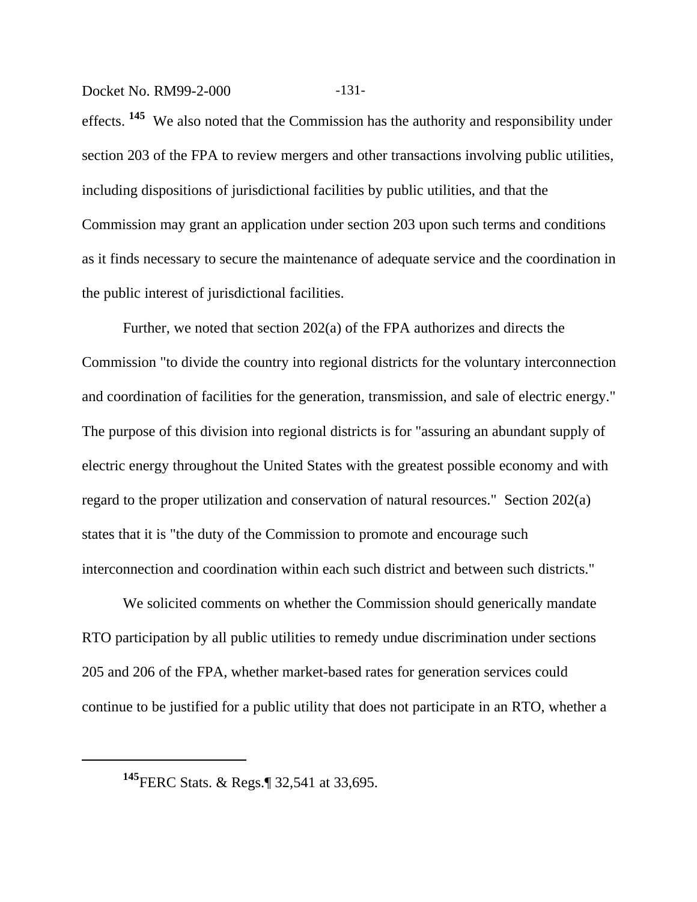Docket No. RM99-2-000 -131-

effects. **145** We also noted that the Commission has the authority and responsibility under section 203 of the FPA to review mergers and other transactions involving public utilities, including dispositions of jurisdictional facilities by public utilities, and that the Commission may grant an application under section 203 upon such terms and conditions as it finds necessary to secure the maintenance of adequate service and the coordination in the public interest of jurisdictional facilities.

Further, we noted that section 202(a) of the FPA authorizes and directs the Commission "to divide the country into regional districts for the voluntary interconnection and coordination of facilities for the generation, transmission, and sale of electric energy." The purpose of this division into regional districts is for "assuring an abundant supply of electric energy throughout the United States with the greatest possible economy and with regard to the proper utilization and conservation of natural resources." Section 202(a) states that it is "the duty of the Commission to promote and encourage such interconnection and coordination within each such district and between such districts."

We solicited comments on whether the Commission should generically mandate RTO participation by all public utilities to remedy undue discrimination under sections 205 and 206 of the FPA, whether market-based rates for generation services could continue to be justified for a public utility that does not participate in an RTO, whether a

**<sup>145</sup>**FERC Stats. & Regs.¶ 32,541 at 33,695.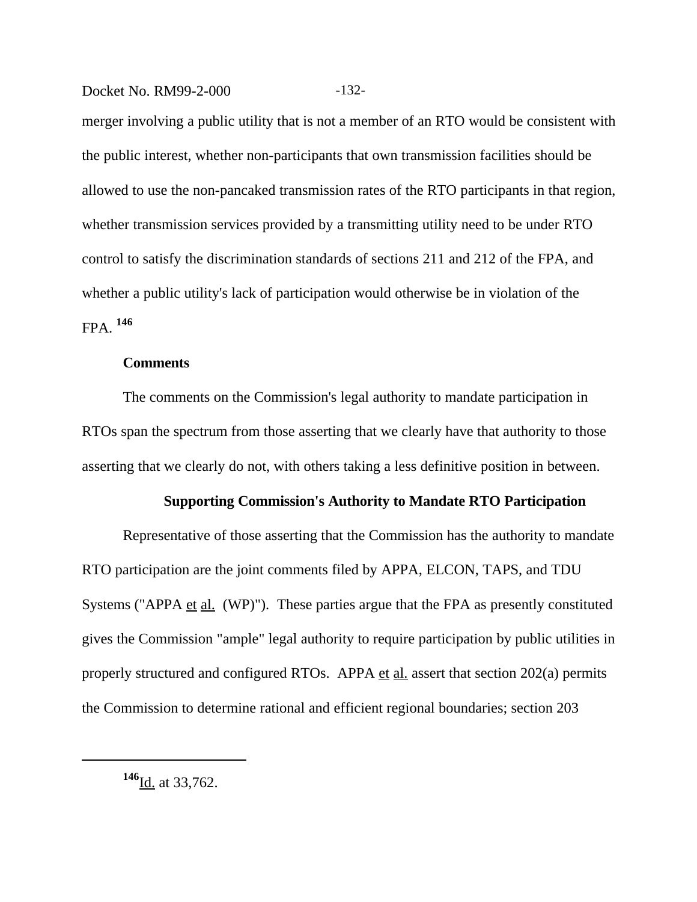Docket No. RM99-2-000 -132-

merger involving a public utility that is not a member of an RTO would be consistent with the public interest, whether non-participants that own transmission facilities should be allowed to use the non-pancaked transmission rates of the RTO participants in that region, whether transmission services provided by a transmitting utility need to be under RTO control to satisfy the discrimination standards of sections 211 and 212 of the FPA, and whether a public utility's lack of participation would otherwise be in violation of the FPA. **<sup>146</sup>**

#### **Comments**

The comments on the Commission's legal authority to mandate participation in RTOs span the spectrum from those asserting that we clearly have that authority to those asserting that we clearly do not, with others taking a less definitive position in between.

#### **Supporting Commission's Authority to Mandate RTO Participation**

Representative of those asserting that the Commission has the authority to mandate RTO participation are the joint comments filed by APPA, ELCON, TAPS, and TDU Systems ("APPA et al. (WP)"). These parties argue that the FPA as presently constituted gives the Commission "ample" legal authority to require participation by public utilities in properly structured and configured RTOs. APPA et al. assert that section 202(a) permits the Commission to determine rational and efficient regional boundaries; section 203

**<sup>146</sup>**Id. at 33,762.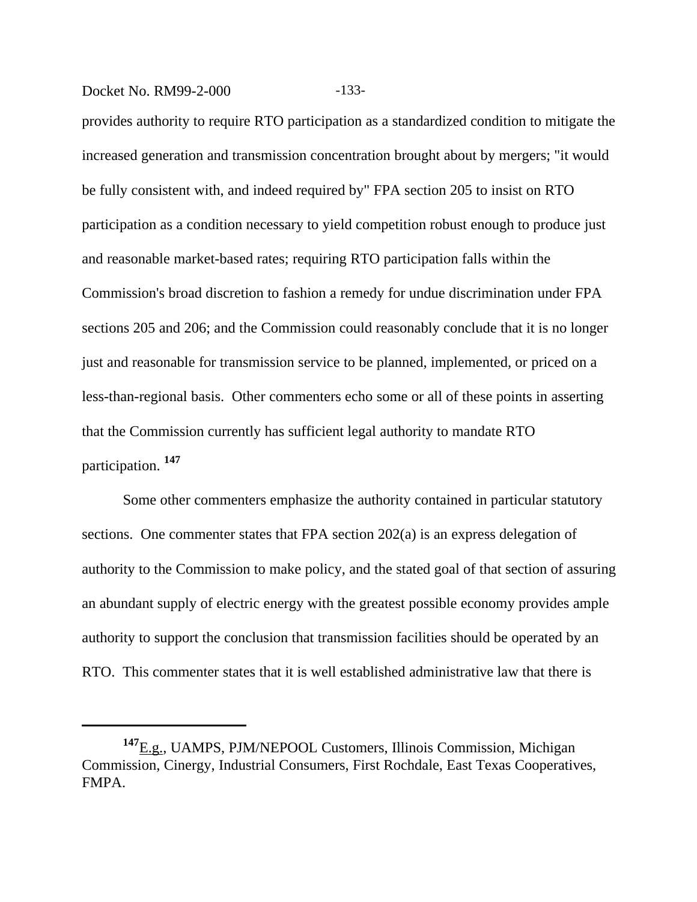## Docket No. RM99-2-000 -133-

provides authority to require RTO participation as a standardized condition to mitigate the increased generation and transmission concentration brought about by mergers; "it would be fully consistent with, and indeed required by" FPA section 205 to insist on RTO participation as a condition necessary to yield competition robust enough to produce just and reasonable market-based rates; requiring RTO participation falls within the Commission's broad discretion to fashion a remedy for undue discrimination under FPA sections 205 and 206; and the Commission could reasonably conclude that it is no longer just and reasonable for transmission service to be planned, implemented, or priced on a less-than-regional basis. Other commenters echo some or all of these points in asserting that the Commission currently has sufficient legal authority to mandate RTO participation. **<sup>147</sup>**

Some other commenters emphasize the authority contained in particular statutory sections. One commenter states that FPA section 202(a) is an express delegation of authority to the Commission to make policy, and the stated goal of that section of assuring an abundant supply of electric energy with the greatest possible economy provides ample authority to support the conclusion that transmission facilities should be operated by an RTO. This commenter states that it is well established administrative law that there is

**<sup>147</sup>**E.g., UAMPS, PJM/NEPOOL Customers, Illinois Commission, Michigan Commission, Cinergy, Industrial Consumers, First Rochdale, East Texas Cooperatives, FMPA.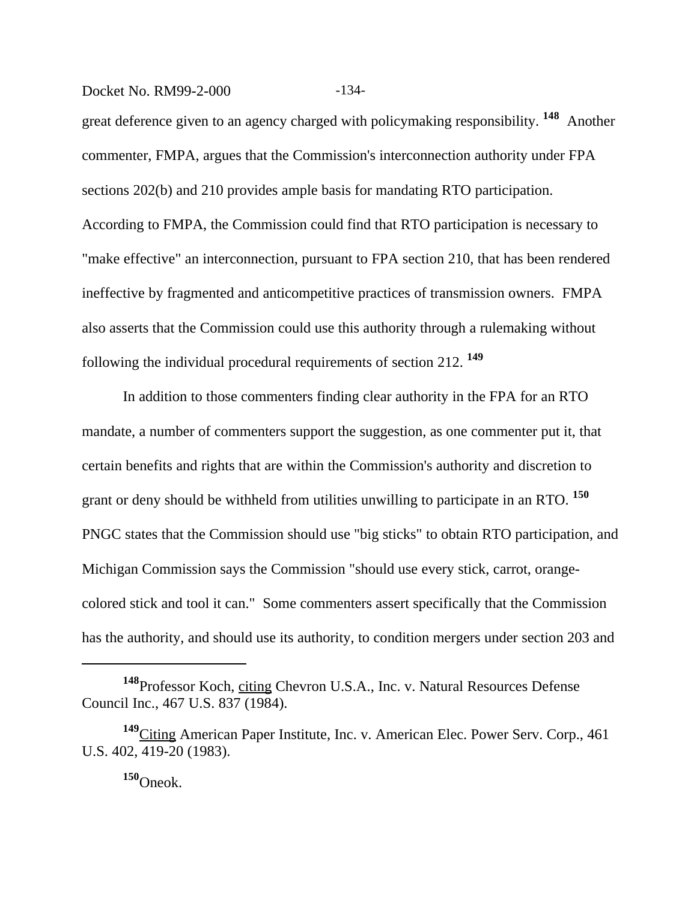Docket No. RM99-2-000 -134-

great deference given to an agency charged with policymaking responsibility. **148** Another commenter, FMPA, argues that the Commission's interconnection authority under FPA sections 202(b) and 210 provides ample basis for mandating RTO participation. According to FMPA, the Commission could find that RTO participation is necessary to "make effective" an interconnection, pursuant to FPA section 210, that has been rendered ineffective by fragmented and anticompetitive practices of transmission owners. FMPA also asserts that the Commission could use this authority through a rulemaking without following the individual procedural requirements of section 212. **<sup>149</sup>**

In addition to those commenters finding clear authority in the FPA for an RTO mandate, a number of commenters support the suggestion, as one commenter put it, that certain benefits and rights that are within the Commission's authority and discretion to grant or deny should be withheld from utilities unwilling to participate in an RTO. **<sup>150</sup>** PNGC states that the Commission should use "big sticks" to obtain RTO participation, and Michigan Commission says the Commission "should use every stick, carrot, orangecolored stick and tool it can." Some commenters assert specifically that the Commission has the authority, and should use its authority, to condition mergers under section 203 and

**<sup>150</sup>**Oneok.

**<sup>148</sup>**Professor Koch, citing Chevron U.S.A., Inc. v. Natural Resources Defense Council Inc., 467 U.S. 837 (1984).

**<sup>149</sup>**Citing American Paper Institute, Inc. v. American Elec. Power Serv. Corp., 461 U.S. 402, 419-20 (1983).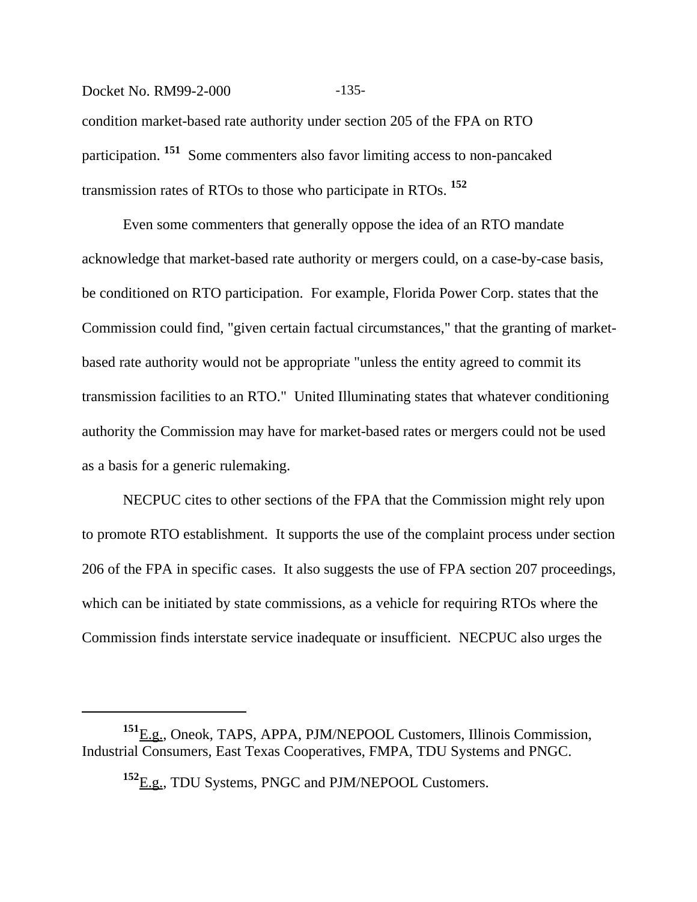Docket No. RM99-2-000 -135condition market-based rate authority under section 205 of the FPA on RTO participation. **151** Some commenters also favor limiting access to non-pancaked transmission rates of RTOs to those who participate in RTOs. **<sup>152</sup>**

Even some commenters that generally oppose the idea of an RTO mandate acknowledge that market-based rate authority or mergers could, on a case-by-case basis, be conditioned on RTO participation. For example, Florida Power Corp. states that the Commission could find, "given certain factual circumstances," that the granting of marketbased rate authority would not be appropriate "unless the entity agreed to commit its transmission facilities to an RTO." United Illuminating states that whatever conditioning authority the Commission may have for market-based rates or mergers could not be used as a basis for a generic rulemaking.

NECPUC cites to other sections of the FPA that the Commission might rely upon to promote RTO establishment. It supports the use of the complaint process under section 206 of the FPA in specific cases. It also suggests the use of FPA section 207 proceedings, which can be initiated by state commissions, as a vehicle for requiring RTOs where the Commission finds interstate service inadequate or insufficient. NECPUC also urges the

**<sup>151</sup>**E.g., Oneok, TAPS, APPA, PJM/NEPOOL Customers, Illinois Commission, Industrial Consumers, East Texas Cooperatives, FMPA, TDU Systems and PNGC.

**<sup>152</sup>**E.g., TDU Systems, PNGC and PJM/NEPOOL Customers.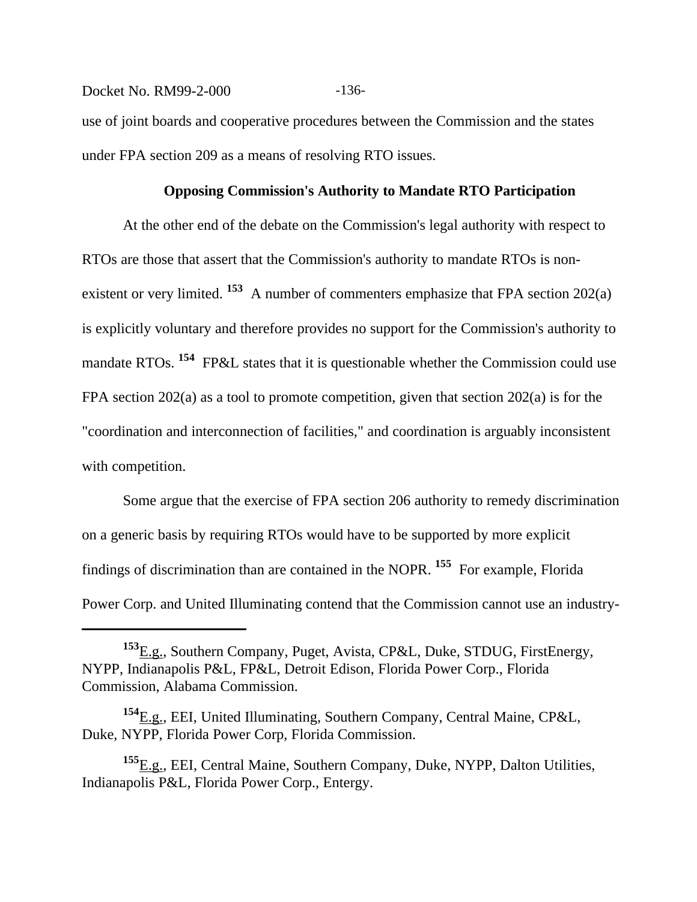# Docket No. RM99-2-000 -136use of joint boards and cooperative procedures between the Commission and the states under FPA section 209 as a means of resolving RTO issues.

#### **Opposing Commission's Authority to Mandate RTO Participation**

At the other end of the debate on the Commission's legal authority with respect to RTOs are those that assert that the Commission's authority to mandate RTOs is nonexistent or very limited. <sup>153</sup> A number of commenters emphasize that FPA section 202(a) is explicitly voluntary and therefore provides no support for the Commission's authority to mandate RTOs. <sup>154</sup> FP&L states that it is questionable whether the Commission could use FPA section 202(a) as a tool to promote competition, given that section 202(a) is for the "coordination and interconnection of facilities," and coordination is arguably inconsistent with competition.

Some argue that the exercise of FPA section 206 authority to remedy discrimination on a generic basis by requiring RTOs would have to be supported by more explicit findings of discrimination than are contained in the NOPR. **155** For example, Florida Power Corp. and United Illuminating contend that the Commission cannot use an industry-

**<sup>153</sup>**E.g., Southern Company, Puget, Avista, CP&L, Duke, STDUG, FirstEnergy, NYPP, Indianapolis P&L, FP&L, Detroit Edison, Florida Power Corp., Florida Commission, Alabama Commission.

**<sup>154</sup>**E.g., EEI, United Illuminating, Southern Company, Central Maine, CP&L, Duke, NYPP, Florida Power Corp, Florida Commission.

**<sup>155</sup>**E.g., EEI, Central Maine, Southern Company, Duke, NYPP, Dalton Utilities, Indianapolis P&L, Florida Power Corp., Entergy.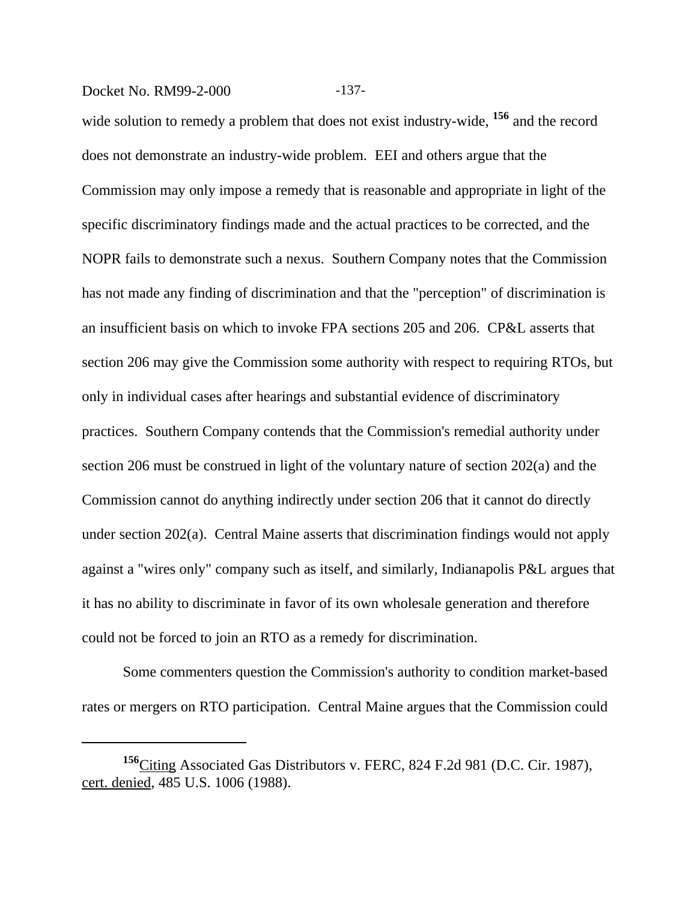#### Docket No. RM99-2-000 -137-

wide solution to remedy a problem that does not exist industry-wide, **156** and the record does not demonstrate an industry-wide problem. EEI and others argue that the Commission may only impose a remedy that is reasonable and appropriate in light of the specific discriminatory findings made and the actual practices to be corrected, and the NOPR fails to demonstrate such a nexus. Southern Company notes that the Commission has not made any finding of discrimination and that the "perception" of discrimination is an insufficient basis on which to invoke FPA sections 205 and 206. CP&L asserts that section 206 may give the Commission some authority with respect to requiring RTOs, but only in individual cases after hearings and substantial evidence of discriminatory practices. Southern Company contends that the Commission's remedial authority under section 206 must be construed in light of the voluntary nature of section 202(a) and the Commission cannot do anything indirectly under section 206 that it cannot do directly under section 202(a). Central Maine asserts that discrimination findings would not apply against a "wires only" company such as itself, and similarly, Indianapolis P&L argues that it has no ability to discriminate in favor of its own wholesale generation and therefore could not be forced to join an RTO as a remedy for discrimination.

Some commenters question the Commission's authority to condition market-based rates or mergers on RTO participation. Central Maine argues that the Commission could

**<sup>156</sup>**Citing Associated Gas Distributors v. FERC, 824 F.2d 981 (D.C. Cir. 1987), cert. denied, 485 U.S. 1006 (1988).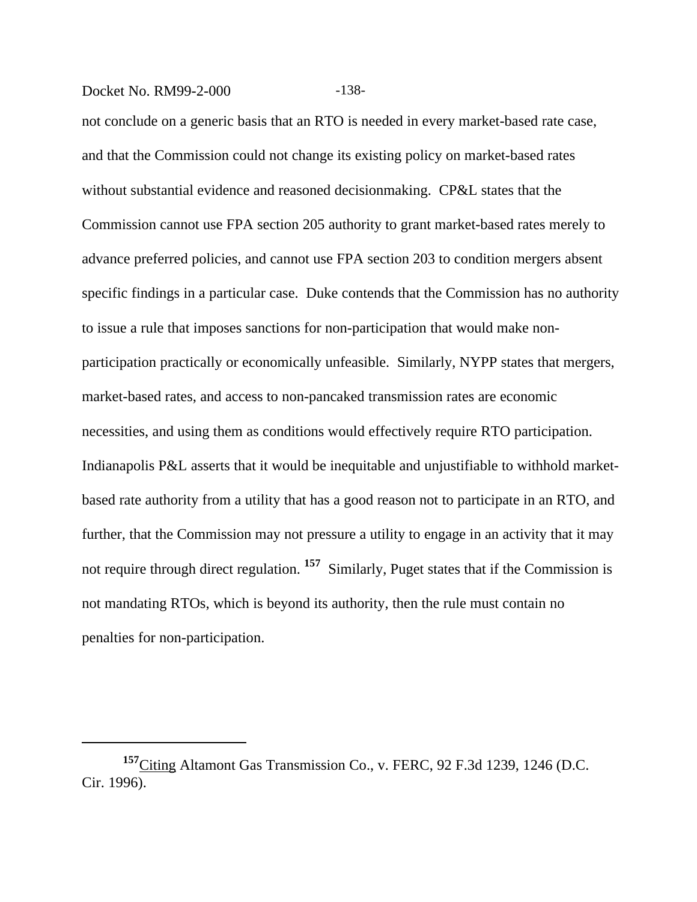#### Docket No. RM99-2-000 -138-

not conclude on a generic basis that an RTO is needed in every market-based rate case, and that the Commission could not change its existing policy on market-based rates without substantial evidence and reasoned decisionmaking. CP&L states that the Commission cannot use FPA section 205 authority to grant market-based rates merely to advance preferred policies, and cannot use FPA section 203 to condition mergers absent specific findings in a particular case. Duke contends that the Commission has no authority to issue a rule that imposes sanctions for non-participation that would make nonparticipation practically or economically unfeasible. Similarly, NYPP states that mergers, market-based rates, and access to non-pancaked transmission rates are economic necessities, and using them as conditions would effectively require RTO participation. Indianapolis P&L asserts that it would be inequitable and unjustifiable to withhold marketbased rate authority from a utility that has a good reason not to participate in an RTO, and further, that the Commission may not pressure a utility to engage in an activity that it may not require through direct regulation. <sup>157</sup> Similarly, Puget states that if the Commission is not mandating RTOs, which is beyond its authority, then the rule must contain no penalties for non-participation.

**<sup>157</sup>**Citing Altamont Gas Transmission Co., v. FERC, 92 F.3d 1239, 1246 (D.C. Cir. 1996).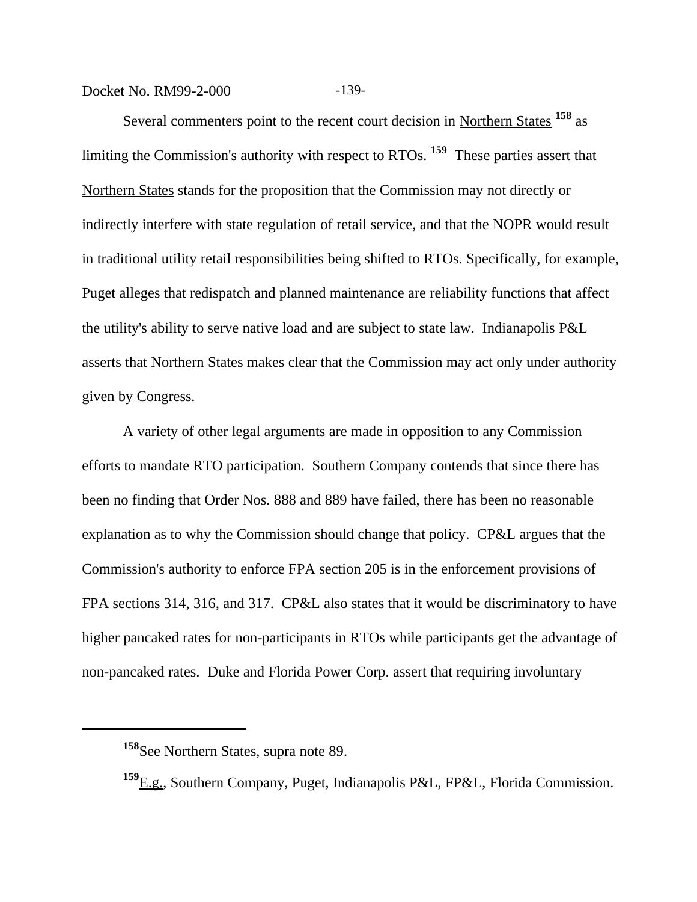Docket No. RM99-2-000 -139-

Several commenters point to the recent court decision in Northern States <sup>158</sup> as limiting the Commission's authority with respect to RTOs. **159** These parties assert that Northern States stands for the proposition that the Commission may not directly or indirectly interfere with state regulation of retail service, and that the NOPR would result in traditional utility retail responsibilities being shifted to RTOs. Specifically, for example, Puget alleges that redispatch and planned maintenance are reliability functions that affect the utility's ability to serve native load and are subject to state law. Indianapolis P&L asserts that Northern States makes clear that the Commission may act only under authority given by Congress.

A variety of other legal arguments are made in opposition to any Commission efforts to mandate RTO participation. Southern Company contends that since there has been no finding that Order Nos. 888 and 889 have failed, there has been no reasonable explanation as to why the Commission should change that policy. CP&L argues that the Commission's authority to enforce FPA section 205 is in the enforcement provisions of FPA sections 314, 316, and 317. CP&L also states that it would be discriminatory to have higher pancaked rates for non-participants in RTOs while participants get the advantage of non-pancaked rates. Duke and Florida Power Corp. assert that requiring involuntary

**<sup>158</sup>**See Northern States, supra note 89.

**<sup>159</sup>**E.g., Southern Company, Puget, Indianapolis P&L, FP&L, Florida Commission.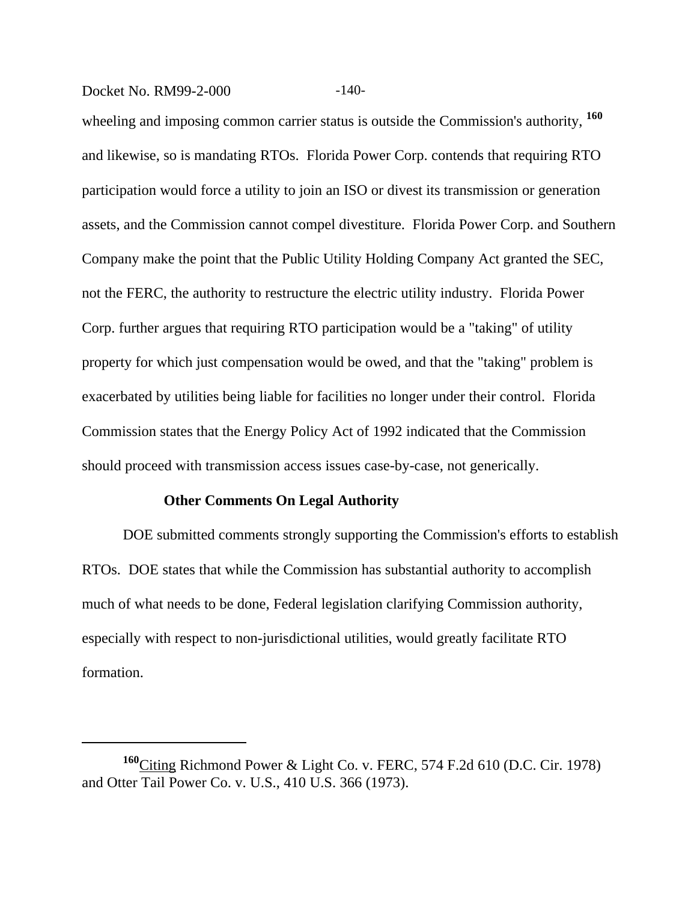Docket No. RM99-2-000 -140-

wheeling and imposing common carrier status is outside the Commission's authority, **<sup>160</sup>** and likewise, so is mandating RTOs. Florida Power Corp. contends that requiring RTO participation would force a utility to join an ISO or divest its transmission or generation assets, and the Commission cannot compel divestiture. Florida Power Corp. and Southern Company make the point that the Public Utility Holding Company Act granted the SEC, not the FERC, the authority to restructure the electric utility industry. Florida Power Corp. further argues that requiring RTO participation would be a "taking" of utility property for which just compensation would be owed, and that the "taking" problem is exacerbated by utilities being liable for facilities no longer under their control. Florida Commission states that the Energy Policy Act of 1992 indicated that the Commission should proceed with transmission access issues case-by-case, not generically.

#### **Other Comments On Legal Authority**

DOE submitted comments strongly supporting the Commission's efforts to establish RTOs. DOE states that while the Commission has substantial authority to accomplish much of what needs to be done, Federal legislation clarifying Commission authority, especially with respect to non-jurisdictional utilities, would greatly facilitate RTO formation.

**<sup>160</sup>**Citing Richmond Power & Light Co. v. FERC, 574 F.2d 610 (D.C. Cir. 1978) and Otter Tail Power Co. v. U.S., 410 U.S. 366 (1973).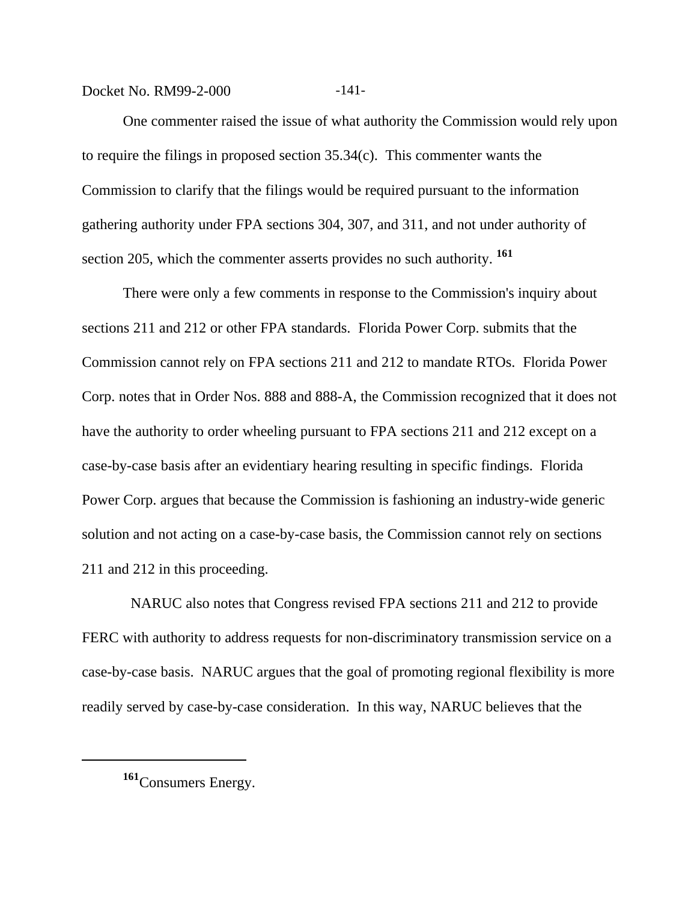Docket No. RM99-2-000 -141-

One commenter raised the issue of what authority the Commission would rely upon to require the filings in proposed section 35.34(c). This commenter wants the Commission to clarify that the filings would be required pursuant to the information gathering authority under FPA sections 304, 307, and 311, and not under authority of section 205, which the commenter asserts provides no such authority. **<sup>161</sup>**

There were only a few comments in response to the Commission's inquiry about sections 211 and 212 or other FPA standards. Florida Power Corp. submits that the Commission cannot rely on FPA sections 211 and 212 to mandate RTOs. Florida Power Corp. notes that in Order Nos. 888 and 888-A, the Commission recognized that it does not have the authority to order wheeling pursuant to FPA sections 211 and 212 except on a case-by-case basis after an evidentiary hearing resulting in specific findings. Florida Power Corp. argues that because the Commission is fashioning an industry-wide generic solution and not acting on a case-by-case basis, the Commission cannot rely on sections 211 and 212 in this proceeding.

 NARUC also notes that Congress revised FPA sections 211 and 212 to provide FERC with authority to address requests for non-discriminatory transmission service on a case-by-case basis. NARUC argues that the goal of promoting regional flexibility is more readily served by case-by-case consideration. In this way, NARUC believes that the

**<sup>161</sup>**Consumers Energy.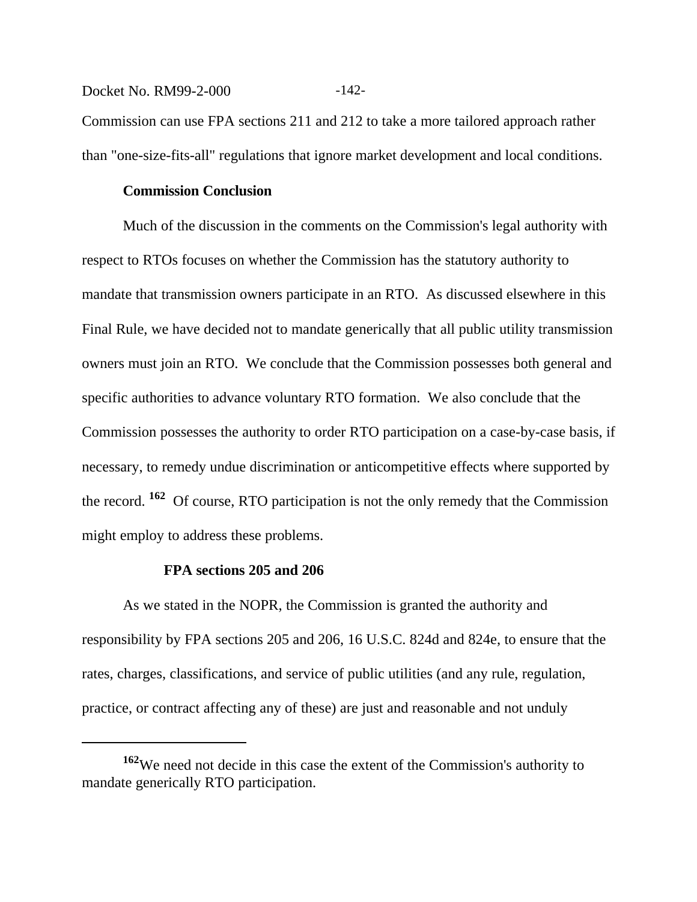#### Docket No. RM99-2-000 -142-

Commission can use FPA sections 211 and 212 to take a more tailored approach rather than "one-size-fits-all" regulations that ignore market development and local conditions.

#### **Commission Conclusion**

Much of the discussion in the comments on the Commission's legal authority with respect to RTOs focuses on whether the Commission has the statutory authority to mandate that transmission owners participate in an RTO. As discussed elsewhere in this Final Rule, we have decided not to mandate generically that all public utility transmission owners must join an RTO. We conclude that the Commission possesses both general and specific authorities to advance voluntary RTO formation. We also conclude that the Commission possesses the authority to order RTO participation on a case-by-case basis, if necessary, to remedy undue discrimination or anticompetitive effects where supported by the record. **162** Of course, RTO participation is not the only remedy that the Commission might employ to address these problems.

#### **FPA sections 205 and 206**

As we stated in the NOPR, the Commission is granted the authority and responsibility by FPA sections 205 and 206, 16 U.S.C. 824d and 824e, to ensure that the rates, charges, classifications, and service of public utilities (and any rule, regulation, practice, or contract affecting any of these) are just and reasonable and not unduly

**<sup>162</sup>**We need not decide in this case the extent of the Commission's authority to mandate generically RTO participation.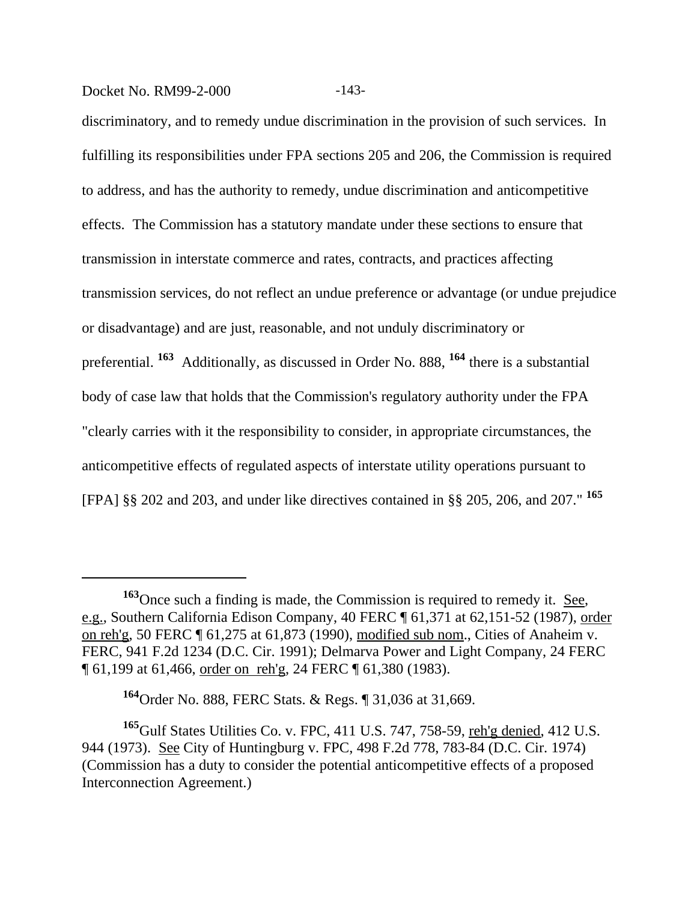#### Docket No. RM99-2-000 -143-

discriminatory, and to remedy undue discrimination in the provision of such services. In fulfilling its responsibilities under FPA sections 205 and 206, the Commission is required to address, and has the authority to remedy, undue discrimination and anticompetitive effects. The Commission has a statutory mandate under these sections to ensure that transmission in interstate commerce and rates, contracts, and practices affecting transmission services, do not reflect an undue preference or advantage (or undue prejudice or disadvantage) and are just, reasonable, and not unduly discriminatory or preferential. **163** Additionally, as discussed in Order No. 888, **164** there is a substantial body of case law that holds that the Commission's regulatory authority under the FPA "clearly carries with it the responsibility to consider, in appropriate circumstances, the anticompetitive effects of regulated aspects of interstate utility operations pursuant to [FPA] §§ 202 and 203, and under like directives contained in §§ 205, 206, and 207." **<sup>165</sup>**

**<sup>163</sup>**Once such a finding is made, the Commission is required to remedy it. See, e.g., Southern California Edison Company, 40 FERC ¶ 61,371 at 62,151-52 (1987), order on reh'g, 50 FERC ¶ 61,275 at 61,873 (1990), modified sub nom., Cities of Anaheim v. FERC, 941 F.2d 1234 (D.C. Cir. 1991); Delmarva Power and Light Company, 24 FERC ¶ 61,199 at 61,466, order on reh'g, 24 FERC ¶ 61,380 (1983).

**<sup>164</sup>**Order No. 888, FERC Stats. & Regs. ¶ 31,036 at 31,669.

**<sup>165</sup>**Gulf States Utilities Co. v. FPC, 411 U.S. 747, 758-59, reh'g denied, 412 U.S. 944 (1973). See City of Huntingburg v. FPC, 498 F.2d 778, 783-84 (D.C. Cir. 1974) (Commission has a duty to consider the potential anticompetitive effects of a proposed Interconnection Agreement.)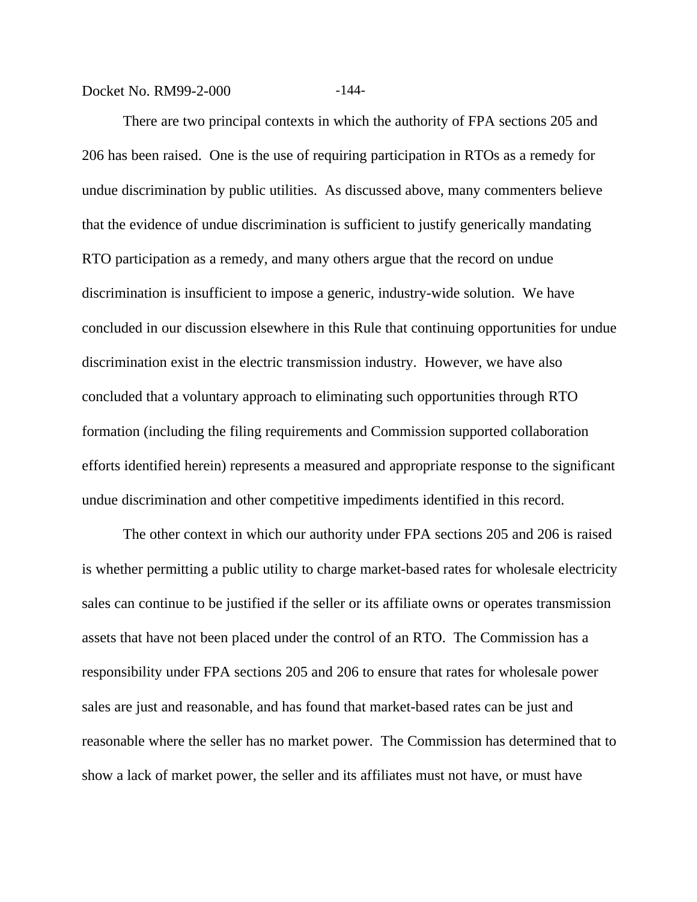Docket No. RM99-2-000 -144-

There are two principal contexts in which the authority of FPA sections 205 and 206 has been raised. One is the use of requiring participation in RTOs as a remedy for undue discrimination by public utilities. As discussed above, many commenters believe that the evidence of undue discrimination is sufficient to justify generically mandating RTO participation as a remedy, and many others argue that the record on undue discrimination is insufficient to impose a generic, industry-wide solution. We have concluded in our discussion elsewhere in this Rule that continuing opportunities for undue discrimination exist in the electric transmission industry. However, we have also concluded that a voluntary approach to eliminating such opportunities through RTO formation (including the filing requirements and Commission supported collaboration efforts identified herein) represents a measured and appropriate response to the significant undue discrimination and other competitive impediments identified in this record.

The other context in which our authority under FPA sections 205 and 206 is raised is whether permitting a public utility to charge market-based rates for wholesale electricity sales can continue to be justified if the seller or its affiliate owns or operates transmission assets that have not been placed under the control of an RTO. The Commission has a responsibility under FPA sections 205 and 206 to ensure that rates for wholesale power sales are just and reasonable, and has found that market-based rates can be just and reasonable where the seller has no market power. The Commission has determined that to show a lack of market power, the seller and its affiliates must not have, or must have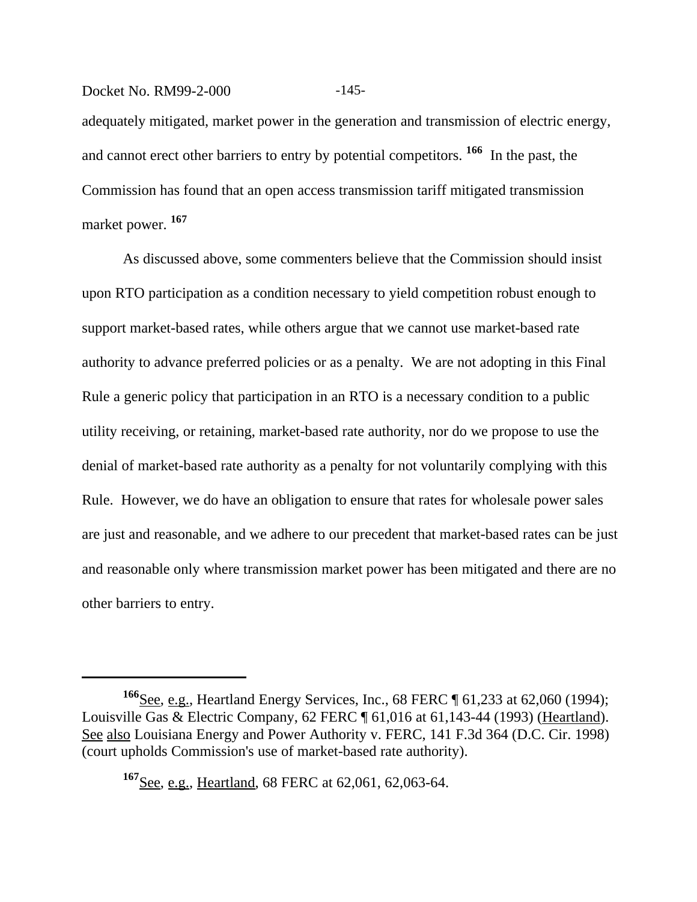# Docket No. RM99-2-000 -145adequately mitigated, market power in the generation and transmission of electric energy, and cannot erect other barriers to entry by potential competitors. **166** In the past, the Commission has found that an open access transmission tariff mitigated transmission market power. **<sup>167</sup>**

As discussed above, some commenters believe that the Commission should insist upon RTO participation as a condition necessary to yield competition robust enough to support market-based rates, while others argue that we cannot use market-based rate authority to advance preferred policies or as a penalty. We are not adopting in this Final Rule a generic policy that participation in an RTO is a necessary condition to a public utility receiving, or retaining, market-based rate authority, nor do we propose to use the denial of market-based rate authority as a penalty for not voluntarily complying with this Rule. However, we do have an obligation to ensure that rates for wholesale power sales are just and reasonable, and we adhere to our precedent that market-based rates can be just and reasonable only where transmission market power has been mitigated and there are no other barriers to entry.

**<sup>166</sup>**See, e.g., Heartland Energy Services, Inc., 68 FERC ¶ 61,233 at 62,060 (1994); Louisville Gas & Electric Company, 62 FERC ¶ 61,016 at 61,143-44 (1993) (Heartland). See also Louisiana Energy and Power Authority v. FERC, 141 F.3d 364 (D.C. Cir. 1998) (court upholds Commission's use of market-based rate authority).

**<sup>167</sup>**See, e.g., Heartland, 68 FERC at 62,061, 62,063-64.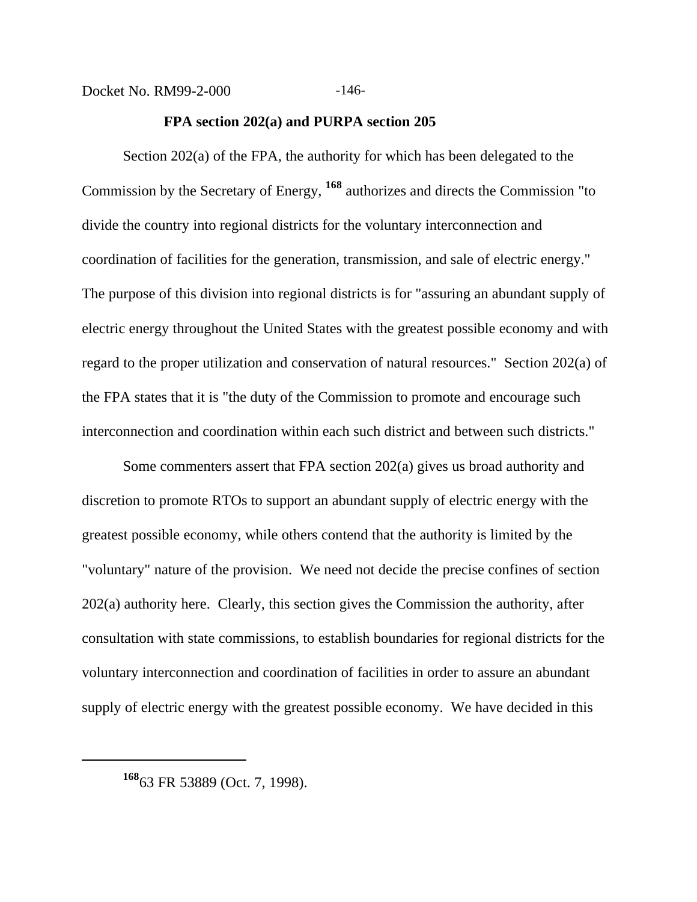#### **FPA section 202(a) and PURPA section 205**

Section 202(a) of the FPA, the authority for which has been delegated to the Commission by the Secretary of Energy, **168** authorizes and directs the Commission "to divide the country into regional districts for the voluntary interconnection and coordination of facilities for the generation, transmission, and sale of electric energy." The purpose of this division into regional districts is for "assuring an abundant supply of electric energy throughout the United States with the greatest possible economy and with regard to the proper utilization and conservation of natural resources." Section 202(a) of the FPA states that it is "the duty of the Commission to promote and encourage such interconnection and coordination within each such district and between such districts."

Some commenters assert that FPA section 202(a) gives us broad authority and discretion to promote RTOs to support an abundant supply of electric energy with the greatest possible economy, while others contend that the authority is limited by the "voluntary" nature of the provision. We need not decide the precise confines of section 202(a) authority here. Clearly, this section gives the Commission the authority, after consultation with state commissions, to establish boundaries for regional districts for the voluntary interconnection and coordination of facilities in order to assure an abundant supply of electric energy with the greatest possible economy. We have decided in this

**<sup>168</sup>**63 FR 53889 (Oct. 7, 1998).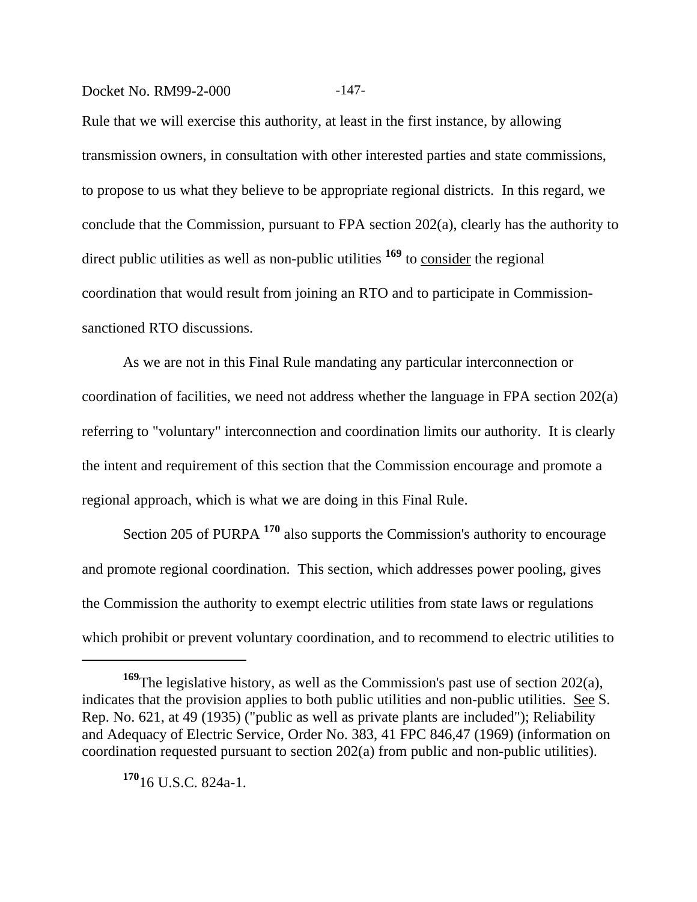#### Docket No. RM99-2-000 -147-

Rule that we will exercise this authority, at least in the first instance, by allowing transmission owners, in consultation with other interested parties and state commissions, to propose to us what they believe to be appropriate regional districts. In this regard, we conclude that the Commission, pursuant to FPA section 202(a), clearly has the authority to direct public utilities as well as non-public utilities <sup>169</sup> to <u>consider</u> the regional coordination that would result from joining an RTO and to participate in Commissionsanctioned RTO discussions.

As we are not in this Final Rule mandating any particular interconnection or coordination of facilities, we need not address whether the language in FPA section 202(a) referring to "voluntary" interconnection and coordination limits our authority. It is clearly the intent and requirement of this section that the Commission encourage and promote a regional approach, which is what we are doing in this Final Rule.

Section 205 of PURPA **170** also supports the Commission's authority to encourage and promote regional coordination. This section, which addresses power pooling, gives the Commission the authority to exempt electric utilities from state laws or regulations which prohibit or prevent voluntary coordination, and to recommend to electric utilities to

**<sup>170</sup>**16 U.S.C. 824a-1.

**<sup>169</sup>**The legislative history, as well as the Commission's past use of section 202(a), indicates that the provision applies to both public utilities and non-public utilities. See S. Rep. No. 621, at 49 (1935) ("public as well as private plants are included"); Reliability and Adequacy of Electric Service, Order No. 383, 41 FPC 846,47 (1969) (information on coordination requested pursuant to section 202(a) from public and non-public utilities).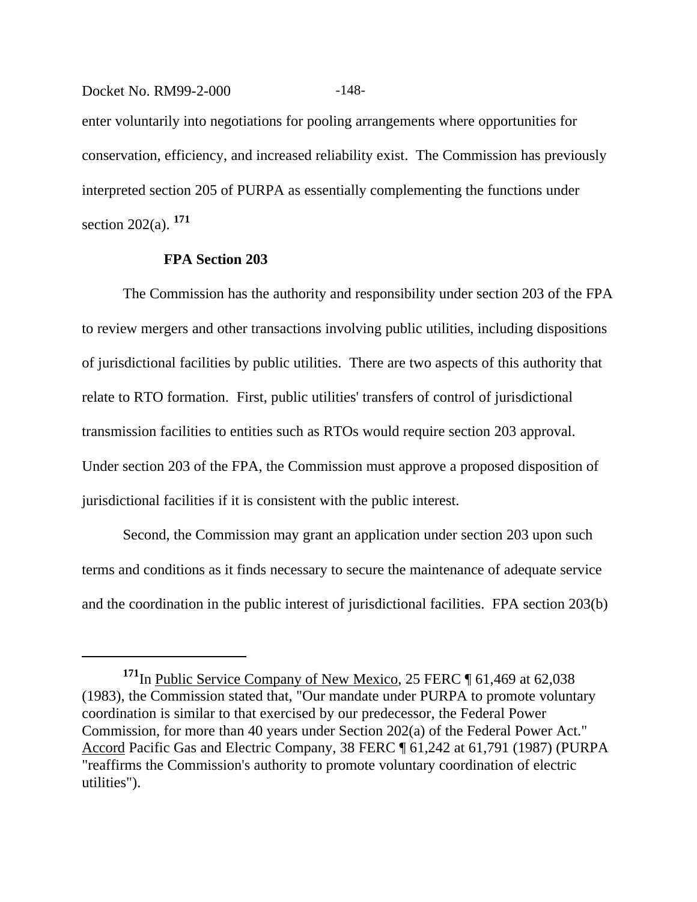enter voluntarily into negotiations for pooling arrangements where opportunities for conservation, efficiency, and increased reliability exist. The Commission has previously interpreted section 205 of PURPA as essentially complementing the functions under section 202(a). **<sup>171</sup>**

#### **FPA Section 203**

The Commission has the authority and responsibility under section 203 of the FPA to review mergers and other transactions involving public utilities, including dispositions of jurisdictional facilities by public utilities. There are two aspects of this authority that relate to RTO formation. First, public utilities' transfers of control of jurisdictional transmission facilities to entities such as RTOs would require section 203 approval. Under section 203 of the FPA, the Commission must approve a proposed disposition of jurisdictional facilities if it is consistent with the public interest.

Second, the Commission may grant an application under section 203 upon such terms and conditions as it finds necessary to secure the maintenance of adequate service and the coordination in the public interest of jurisdictional facilities. FPA section 203(b)

Docket No. RM99-2-000 -148-

<sup>&</sup>lt;sup>171</sup>In Public Service Company of New Mexico, 25 FERC ¶ 61,469 at 62,038 (1983), the Commission stated that, "Our mandate under PURPA to promote voluntary coordination is similar to that exercised by our predecessor, the Federal Power Commission, for more than 40 years under Section 202(a) of the Federal Power Act." Accord Pacific Gas and Electric Company, 38 FERC ¶ 61,242 at 61,791 (1987) (PURPA "reaffirms the Commission's authority to promote voluntary coordination of electric utilities").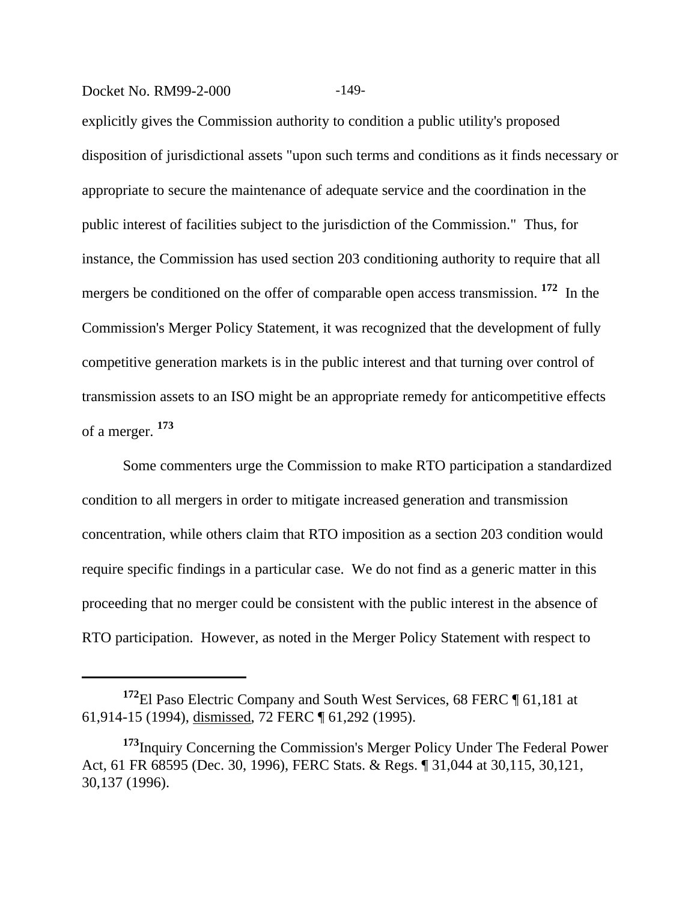#### Docket No. RM99-2-000 -149-

explicitly gives the Commission authority to condition a public utility's proposed disposition of jurisdictional assets "upon such terms and conditions as it finds necessary or appropriate to secure the maintenance of adequate service and the coordination in the public interest of facilities subject to the jurisdiction of the Commission." Thus, for instance, the Commission has used section 203 conditioning authority to require that all mergers be conditioned on the offer of comparable open access transmission. **172** In the Commission's Merger Policy Statement, it was recognized that the development of fully competitive generation markets is in the public interest and that turning over control of transmission assets to an ISO might be an appropriate remedy for anticompetitive effects of a merger. **<sup>173</sup>**

Some commenters urge the Commission to make RTO participation a standardized condition to all mergers in order to mitigate increased generation and transmission concentration, while others claim that RTO imposition as a section 203 condition would require specific findings in a particular case. We do not find as a generic matter in this proceeding that no merger could be consistent with the public interest in the absence of RTO participation. However, as noted in the Merger Policy Statement with respect to

**<sup>172</sup>**El Paso Electric Company and South West Services, 68 FERC ¶ 61,181 at 61,914-15 (1994), dismissed, 72 FERC ¶ 61,292 (1995).

**<sup>173</sup>**Inquiry Concerning the Commission's Merger Policy Under The Federal Power Act, 61 FR 68595 (Dec. 30, 1996), FERC Stats. & Regs. ¶ 31,044 at 30,115, 30,121, 30,137 (1996).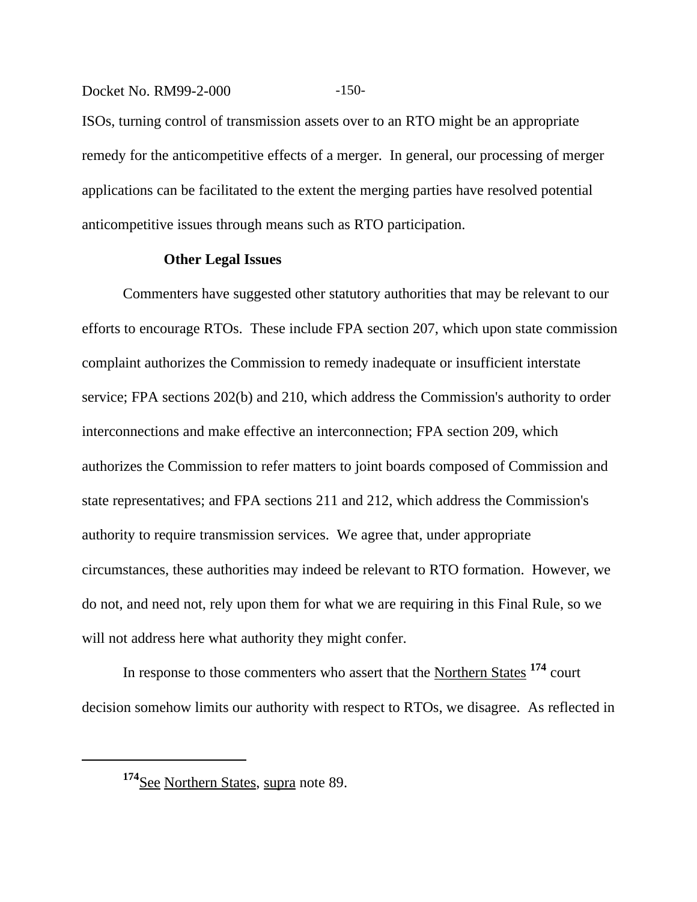#### Docket No. RM99-2-000 -150-

ISOs, turning control of transmission assets over to an RTO might be an appropriate remedy for the anticompetitive effects of a merger. In general, our processing of merger applications can be facilitated to the extent the merging parties have resolved potential anticompetitive issues through means such as RTO participation.

#### **Other Legal Issues**

Commenters have suggested other statutory authorities that may be relevant to our efforts to encourage RTOs. These include FPA section 207, which upon state commission complaint authorizes the Commission to remedy inadequate or insufficient interstate service; FPA sections 202(b) and 210, which address the Commission's authority to order interconnections and make effective an interconnection; FPA section 209, which authorizes the Commission to refer matters to joint boards composed of Commission and state representatives; and FPA sections 211 and 212, which address the Commission's authority to require transmission services. We agree that, under appropriate circumstances, these authorities may indeed be relevant to RTO formation. However, we do not, and need not, rely upon them for what we are requiring in this Final Rule, so we will not address here what authority they might confer.

In response to those commenters who assert that the Northern States **<sup>174</sup>** court decision somehow limits our authority with respect to RTOs, we disagree. As reflected in

<sup>&</sup>lt;sup>174</sup>See Northern States, supra note 89.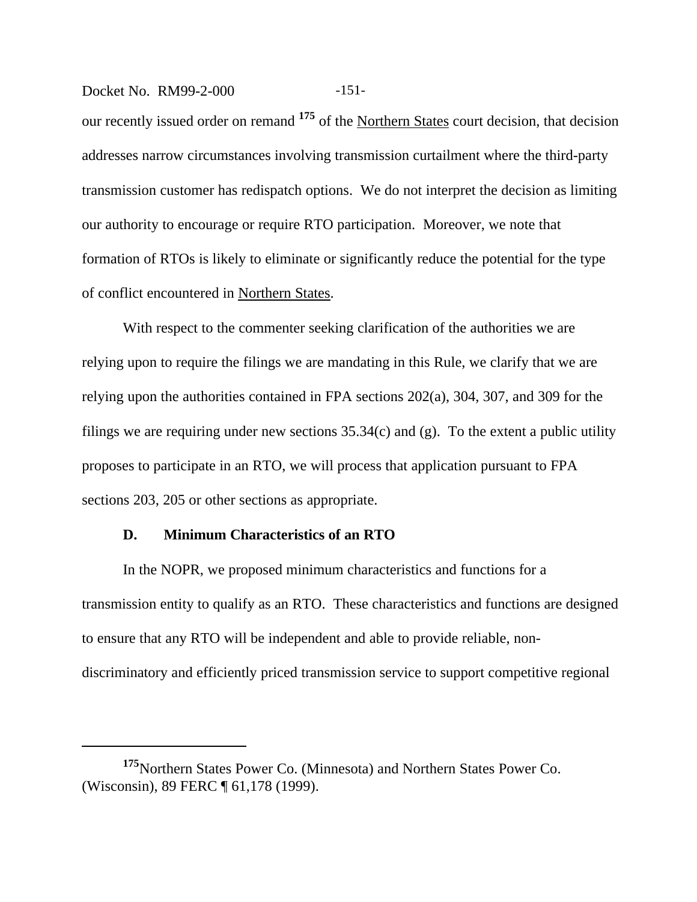Docket No. RM99-2-000 -151-

our recently issued order on remand **175** of the Northern States court decision, that decision addresses narrow circumstances involving transmission curtailment where the third-party transmission customer has redispatch options. We do not interpret the decision as limiting our authority to encourage or require RTO participation. Moreover, we note that formation of RTOs is likely to eliminate or significantly reduce the potential for the type of conflict encountered in Northern States.

With respect to the commenter seeking clarification of the authorities we are relying upon to require the filings we are mandating in this Rule, we clarify that we are relying upon the authorities contained in FPA sections 202(a), 304, 307, and 309 for the filings we are requiring under new sections  $35.34(c)$  and (g). To the extent a public utility proposes to participate in an RTO, we will process that application pursuant to FPA sections 203, 205 or other sections as appropriate.

#### **D. Minimum Characteristics of an RTO**

In the NOPR, we proposed minimum characteristics and functions for a transmission entity to qualify as an RTO. These characteristics and functions are designed to ensure that any RTO will be independent and able to provide reliable, nondiscriminatory and efficiently priced transmission service to support competitive regional

**<sup>175</sup>**Northern States Power Co. (Minnesota) and Northern States Power Co. (Wisconsin), 89 FERC ¶ 61,178 (1999).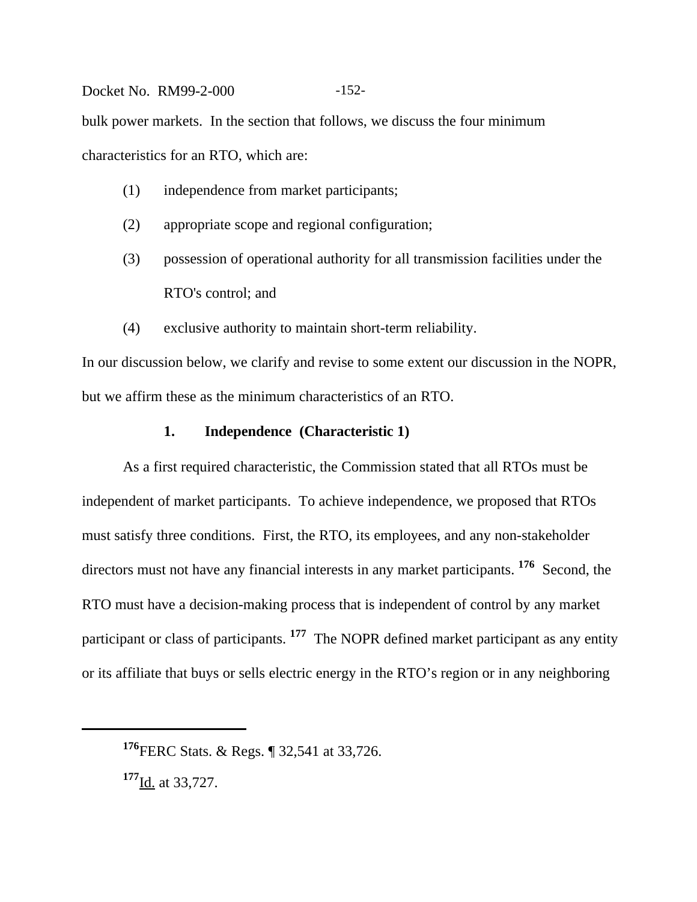# Docket No. RM99-2-000 -152bulk power markets. In the section that follows, we discuss the four minimum characteristics for an RTO, which are:

- (1) independence from market participants;
- (2) appropriate scope and regional configuration;
- (3) possession of operational authority for all transmission facilities under the RTO's control; and
- (4) exclusive authority to maintain short-term reliability.

In our discussion below, we clarify and revise to some extent our discussion in the NOPR, but we affirm these as the minimum characteristics of an RTO.

## **1. Independence (Characteristic 1)**

As a first required characteristic, the Commission stated that all RTOs must be independent of market participants. To achieve independence, we proposed that RTOs must satisfy three conditions. First, the RTO, its employees, and any non-stakeholder directors must not have any financial interests in any market participants. <sup>176</sup> Second, the RTO must have a decision-making process that is independent of control by any market participant or class of participants. **177** The NOPR defined market participant as any entity or its affiliate that buys or sells electric energy in the RTO's region or in any neighboring

**<sup>177</sup>**Id. at 33,727.

**<sup>176</sup>**FERC Stats. & Regs. ¶ 32,541 at 33,726.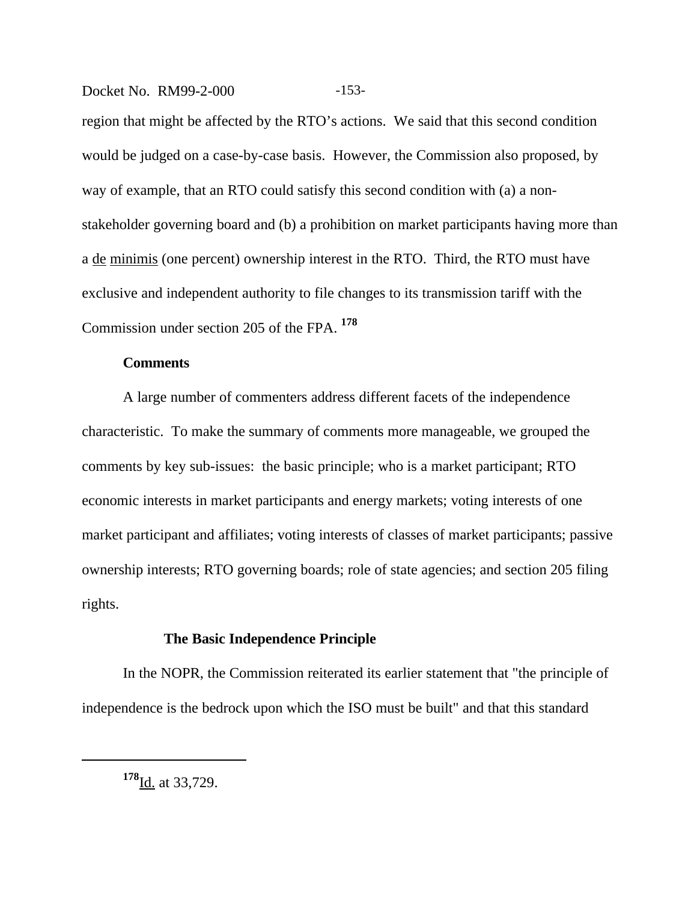#### Docket No. RM99-2-000 -153-

region that might be affected by the RTO's actions. We said that this second condition would be judged on a case-by-case basis. However, the Commission also proposed, by way of example, that an RTO could satisfy this second condition with (a) a nonstakeholder governing board and (b) a prohibition on market participants having more than a de minimis (one percent) ownership interest in the RTO. Third, the RTO must have exclusive and independent authority to file changes to its transmission tariff with the Commission under section 205 of the FPA. **<sup>178</sup>**

#### **Comments**

A large number of commenters address different facets of the independence characteristic. To make the summary of comments more manageable, we grouped the comments by key sub-issues: the basic principle; who is a market participant; RTO economic interests in market participants and energy markets; voting interests of one market participant and affiliates; voting interests of classes of market participants; passive ownership interests; RTO governing boards; role of state agencies; and section 205 filing rights.

#### **The Basic Independence Principle**

In the NOPR, the Commission reiterated its earlier statement that "the principle of independence is the bedrock upon which the ISO must be built" and that this standard

**<sup>178</sup>**Id. at 33,729.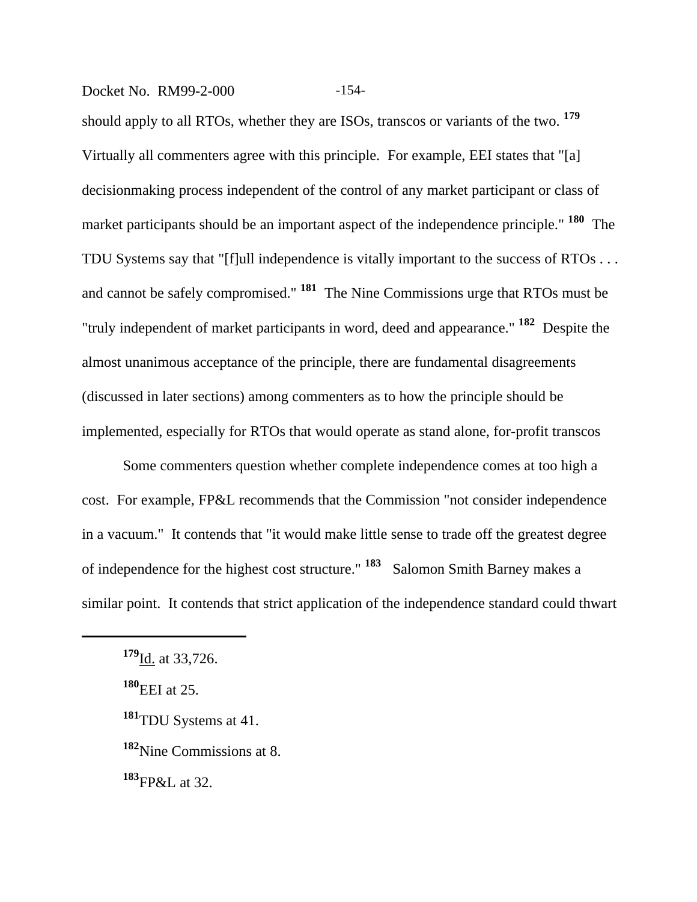#### Docket No. RM99-2-000 -154-

should apply to all RTOs, whether they are ISOs, transcos or variants of the two. **<sup>179</sup>** Virtually all commenters agree with this principle. For example, EEI states that "[a] decisionmaking process independent of the control of any market participant or class of market participants should be an important aspect of the independence principle." **180** The TDU Systems say that "[f]ull independence is vitally important to the success of RTOs . . . and cannot be safely compromised." **181** The Nine Commissions urge that RTOs must be "truly independent of market participants in word, deed and appearance." **182** Despite the almost unanimous acceptance of the principle, there are fundamental disagreements (discussed in later sections) among commenters as to how the principle should be implemented, especially for RTOs that would operate as stand alone, for-profit transcos

Some commenters question whether complete independence comes at too high a cost. For example, FP&L recommends that the Commission "not consider independence in a vacuum." It contends that "it would make little sense to trade off the greatest degree of independence for the highest cost structure." **183** Salomon Smith Barney makes a similar point. It contends that strict application of the independence standard could thwart

**<sup>183</sup>**FP&L at 32.

**<sup>179</sup>**Id. at 33,726.

**<sup>180</sup>**EEI at 25.

**<sup>181</sup>**TDU Systems at 41.

**<sup>182</sup>**Nine Commissions at 8.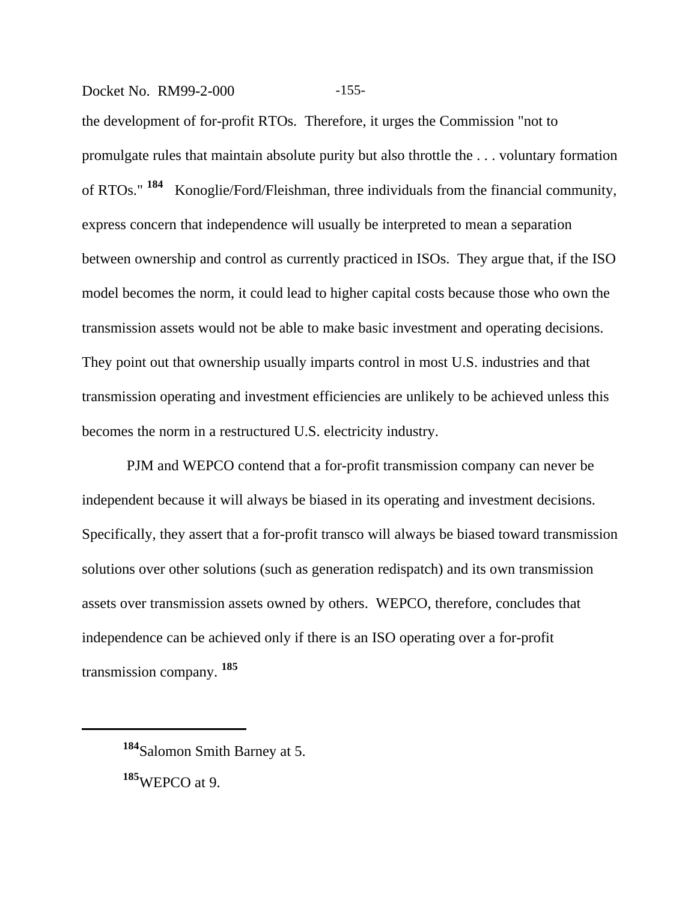#### Docket No. RM99-2-000 -155-

the development of for-profit RTOs. Therefore, it urges the Commission "not to promulgate rules that maintain absolute purity but also throttle the . . . voluntary formation of RTOs." **184** Konoglie/Ford/Fleishman, three individuals from the financial community, express concern that independence will usually be interpreted to mean a separation between ownership and control as currently practiced in ISOs. They argue that, if the ISO model becomes the norm, it could lead to higher capital costs because those who own the transmission assets would not be able to make basic investment and operating decisions. They point out that ownership usually imparts control in most U.S. industries and that transmission operating and investment efficiencies are unlikely to be achieved unless this becomes the norm in a restructured U.S. electricity industry.

 PJM and WEPCO contend that a for-profit transmission company can never be independent because it will always be biased in its operating and investment decisions. Specifically, they assert that a for-profit transco will always be biased toward transmission solutions over other solutions (such as generation redispatch) and its own transmission assets over transmission assets owned by others. WEPCO, therefore, concludes that independence can be achieved only if there is an ISO operating over a for-profit transmission company. **<sup>185</sup>**

**<sup>184</sup>**Salomon Smith Barney at 5. **<sup>185</sup>**WEPCO at 9.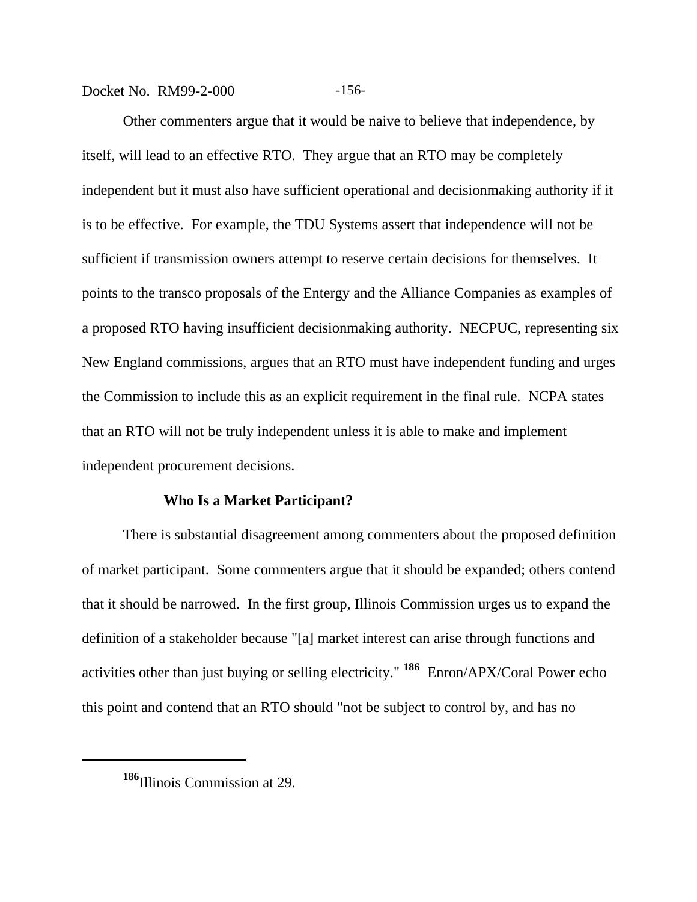Docket No. RM99-2-000 -156-

Other commenters argue that it would be naive to believe that independence, by itself, will lead to an effective RTO. They argue that an RTO may be completely independent but it must also have sufficient operational and decisionmaking authority if it is to be effective. For example, the TDU Systems assert that independence will not be sufficient if transmission owners attempt to reserve certain decisions for themselves. It points to the transco proposals of the Entergy and the Alliance Companies as examples of a proposed RTO having insufficient decisionmaking authority. NECPUC, representing six New England commissions, argues that an RTO must have independent funding and urges the Commission to include this as an explicit requirement in the final rule. NCPA states that an RTO will not be truly independent unless it is able to make and implement independent procurement decisions.

#### **Who Is a Market Participant?**

There is substantial disagreement among commenters about the proposed definition of market participant. Some commenters argue that it should be expanded; others contend that it should be narrowed. In the first group, Illinois Commission urges us to expand the definition of a stakeholder because "[a] market interest can arise through functions and activities other than just buying or selling electricity." **186** Enron/APX/Coral Power echo this point and contend that an RTO should "not be subject to control by, and has no

**<sup>186</sup>**Illinois Commission at 29.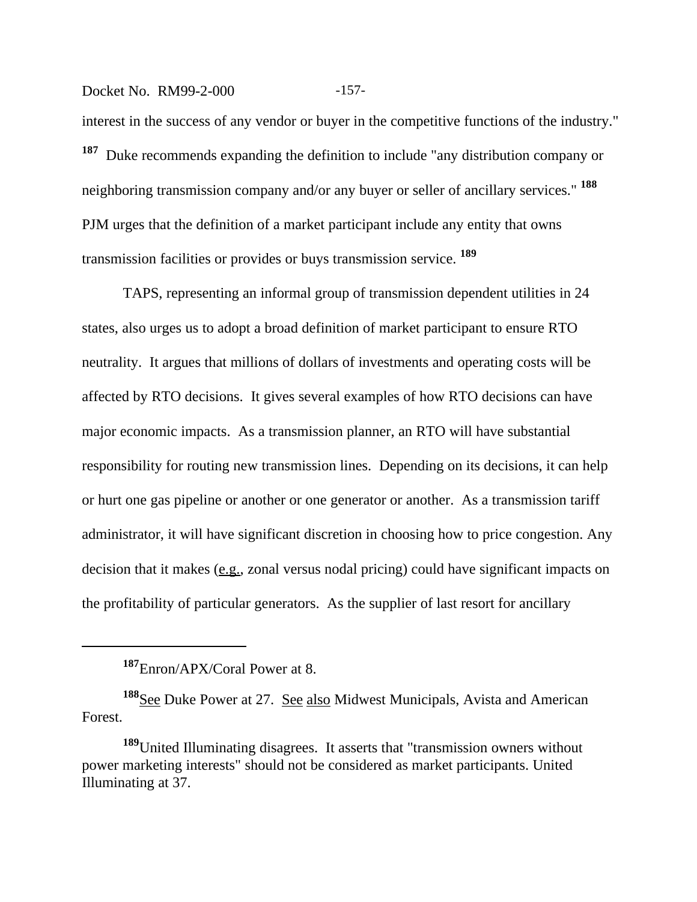#### Docket No. RM99-2-000 -157-

interest in the success of any vendor or buyer in the competitive functions of the industry." **<sup>187</sup>** Duke recommends expanding the definition to include "any distribution company or neighboring transmission company and/or any buyer or seller of ancillary services." **<sup>188</sup>** PJM urges that the definition of a market participant include any entity that owns transmission facilities or provides or buys transmission service. **<sup>189</sup>**

TAPS, representing an informal group of transmission dependent utilities in 24 states, also urges us to adopt a broad definition of market participant to ensure RTO neutrality. It argues that millions of dollars of investments and operating costs will be affected by RTO decisions. It gives several examples of how RTO decisions can have major economic impacts. As a transmission planner, an RTO will have substantial responsibility for routing new transmission lines. Depending on its decisions, it can help or hurt one gas pipeline or another or one generator or another. As a transmission tariff administrator, it will have significant discretion in choosing how to price congestion. Any decision that it makes (e.g., zonal versus nodal pricing) could have significant impacts on the profitability of particular generators. As the supplier of last resort for ancillary

**<sup>187</sup>**Enron/APX/Coral Power at 8.

<sup>&</sup>lt;sup>188</sup>See Duke Power at 27. See also Midwest Municipals, Avista and American Forest.

**<sup>189</sup>**United Illuminating disagrees. It asserts that "transmission owners without power marketing interests" should not be considered as market participants. United Illuminating at 37.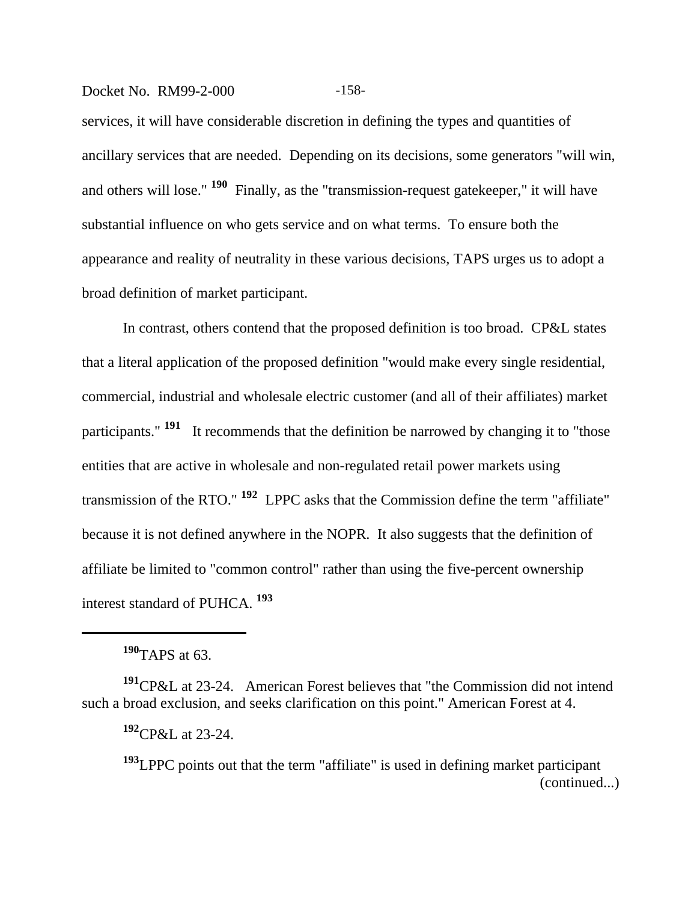#### Docket No. RM99-2-000 -158-

services, it will have considerable discretion in defining the types and quantities of ancillary services that are needed. Depending on its decisions, some generators "will win, and others will lose." **190** Finally, as the "transmission-request gatekeeper," it will have substantial influence on who gets service and on what terms. To ensure both the appearance and reality of neutrality in these various decisions, TAPS urges us to adopt a broad definition of market participant.

In contrast, others contend that the proposed definition is too broad. CP&L states that a literal application of the proposed definition "would make every single residential, commercial, industrial and wholesale electric customer (and all of their affiliates) market participants." **191** It recommends that the definition be narrowed by changing it to "those entities that are active in wholesale and non-regulated retail power markets using transmission of the RTO." **192** LPPC asks that the Commission define the term "affiliate" because it is not defined anywhere in the NOPR. It also suggests that the definition of affiliate be limited to "common control" rather than using the five-percent ownership interest standard of PUHCA. **<sup>193</sup>**

**<sup>190</sup>**TAPS at 63.

**<sup>191</sup>**CP&L at 23-24. American Forest believes that "the Commission did not intend such a broad exclusion, and seeks clarification on this point." American Forest at 4.

**<sup>192</sup>**CP&L at 23-24.

**<sup>193</sup>**LPPC points out that the term "affiliate" is used in defining market participant (continued...)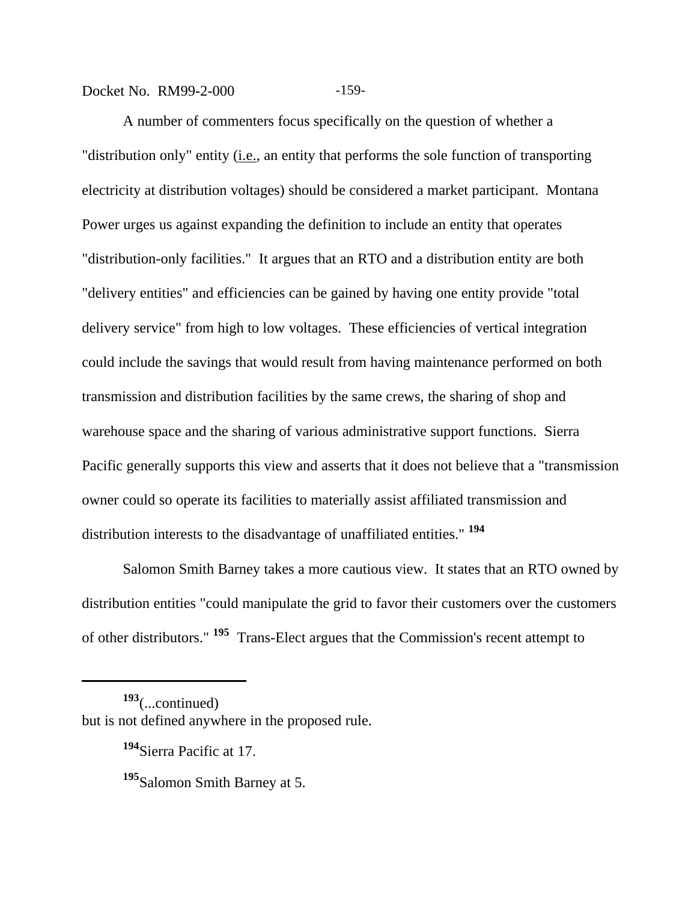Docket No. RM99-2-000 -159-

A number of commenters focus specifically on the question of whether a "distribution only" entity (*i.e.*, an entity that performs the sole function of transporting electricity at distribution voltages) should be considered a market participant. Montana Power urges us against expanding the definition to include an entity that operates "distribution-only facilities." It argues that an RTO and a distribution entity are both "delivery entities" and efficiencies can be gained by having one entity provide "total delivery service" from high to low voltages. These efficiencies of vertical integration could include the savings that would result from having maintenance performed on both transmission and distribution facilities by the same crews, the sharing of shop and warehouse space and the sharing of various administrative support functions. Sierra Pacific generally supports this view and asserts that it does not believe that a "transmission owner could so operate its facilities to materially assist affiliated transmission and distribution interests to the disadvantage of unaffiliated entities." **<sup>194</sup>**

Salomon Smith Barney takes a more cautious view. It states that an RTO owned by distribution entities "could manipulate the grid to favor their customers over the customers of other distributors." **195** Trans-Elect argues that the Commission's recent attempt to

**<sup>193</sup>**(...continued) but is not defined anywhere in the proposed rule.

**<sup>194</sup>**Sierra Pacific at 17.

**<sup>195</sup>**Salomon Smith Barney at 5.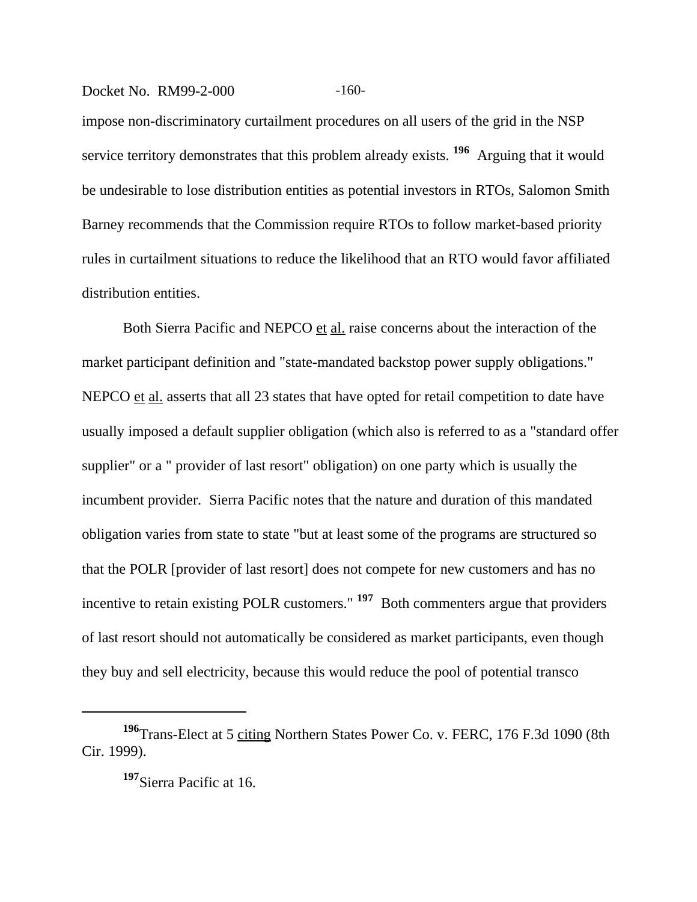#### Docket No. RM99-2-000 -160-

impose non-discriminatory curtailment procedures on all users of the grid in the NSP service territory demonstrates that this problem already exists. **196** Arguing that it would be undesirable to lose distribution entities as potential investors in RTOs, Salomon Smith Barney recommends that the Commission require RTOs to follow market-based priority rules in curtailment situations to reduce the likelihood that an RTO would favor affiliated distribution entities.

Both Sierra Pacific and NEPCO et al. raise concerns about the interaction of the market participant definition and "state-mandated backstop power supply obligations." NEPCO et al. asserts that all 23 states that have opted for retail competition to date have usually imposed a default supplier obligation (which also is referred to as a "standard offer supplier" or a " provider of last resort" obligation) on one party which is usually the incumbent provider. Sierra Pacific notes that the nature and duration of this mandated obligation varies from state to state "but at least some of the programs are structured so that the POLR [provider of last resort] does not compete for new customers and has no incentive to retain existing POLR customers." **197** Both commenters argue that providers of last resort should not automatically be considered as market participants, even though they buy and sell electricity, because this would reduce the pool of potential transco

**<sup>196</sup>**Trans-Elect at 5 citing Northern States Power Co. v. FERC, 176 F.3d 1090 (8th Cir. 1999).

**<sup>197</sup>**Sierra Pacific at 16.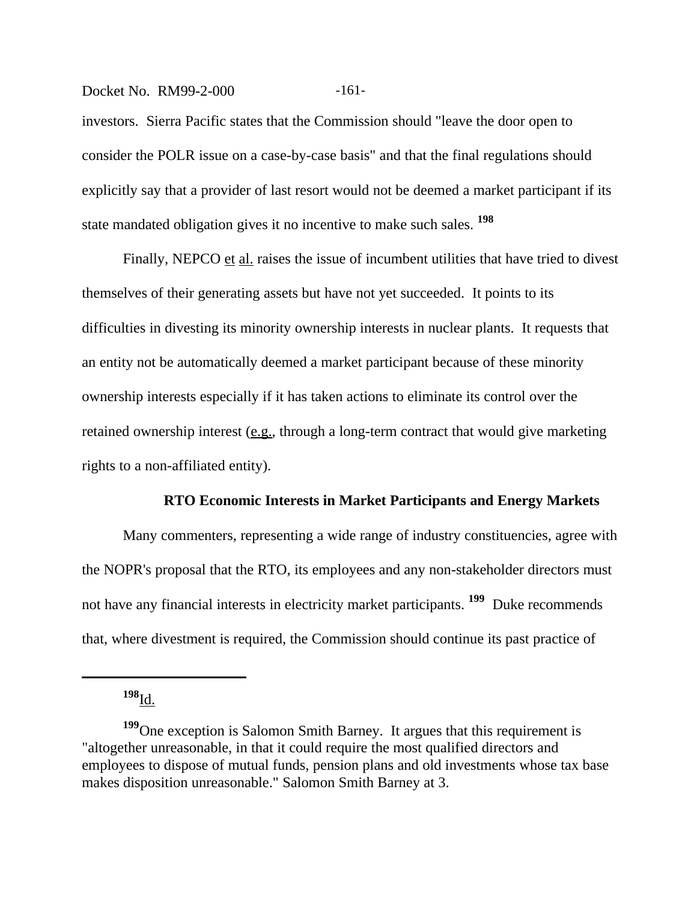#### Docket No. RM99-2-000 -161-

investors. Sierra Pacific states that the Commission should "leave the door open to consider the POLR issue on a case-by-case basis" and that the final regulations should explicitly say that a provider of last resort would not be deemed a market participant if its state mandated obligation gives it no incentive to make such sales. **<sup>198</sup>**

Finally, NEPCO et al. raises the issue of incumbent utilities that have tried to divest themselves of their generating assets but have not yet succeeded. It points to its difficulties in divesting its minority ownership interests in nuclear plants. It requests that an entity not be automatically deemed a market participant because of these minority ownership interests especially if it has taken actions to eliminate its control over the retained ownership interest (e.g., through a long-term contract that would give marketing rights to a non-affiliated entity).

#### **RTO Economic Interests in Market Participants and Energy Markets**

Many commenters, representing a wide range of industry constituencies, agree with the NOPR's proposal that the RTO, its employees and any non-stakeholder directors must not have any financial interests in electricity market participants. **199** Duke recommends that, where divestment is required, the Commission should continue its past practice of

**<sup>198</sup>**Id.

**<sup>199</sup>**One exception is Salomon Smith Barney. It argues that this requirement is "altogether unreasonable, in that it could require the most qualified directors and employees to dispose of mutual funds, pension plans and old investments whose tax base makes disposition unreasonable." Salomon Smith Barney at 3.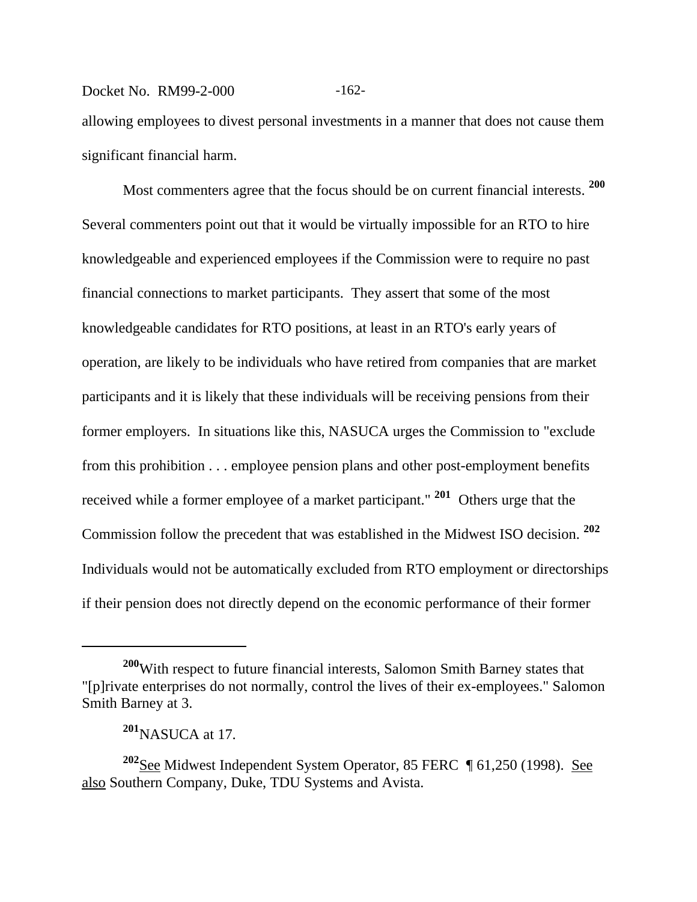## Docket No. RM99-2-000 -162-

allowing employees to divest personal investments in a manner that does not cause them significant financial harm.

Most commenters agree that the focus should be on current financial interests. **<sup>200</sup>** Several commenters point out that it would be virtually impossible for an RTO to hire knowledgeable and experienced employees if the Commission were to require no past financial connections to market participants. They assert that some of the most knowledgeable candidates for RTO positions, at least in an RTO's early years of operation, are likely to be individuals who have retired from companies that are market participants and it is likely that these individuals will be receiving pensions from their former employers. In situations like this, NASUCA urges the Commission to "exclude from this prohibition . . . employee pension plans and other post-employment benefits received while a former employee of a market participant." **201** Others urge that the Commission follow the precedent that was established in the Midwest ISO decision. **<sup>202</sup>** Individuals would not be automatically excluded from RTO employment or directorships if their pension does not directly depend on the economic performance of their former

**<sup>200</sup>**With respect to future financial interests, Salomon Smith Barney states that "[p]rivate enterprises do not normally, control the lives of their ex-employees." Salomon Smith Barney at 3.

**<sup>201</sup>**NASUCA at 17.

**<sup>202</sup>**See Midwest Independent System Operator, 85 FERC ¶ 61,250 (1998). See also Southern Company, Duke, TDU Systems and Avista.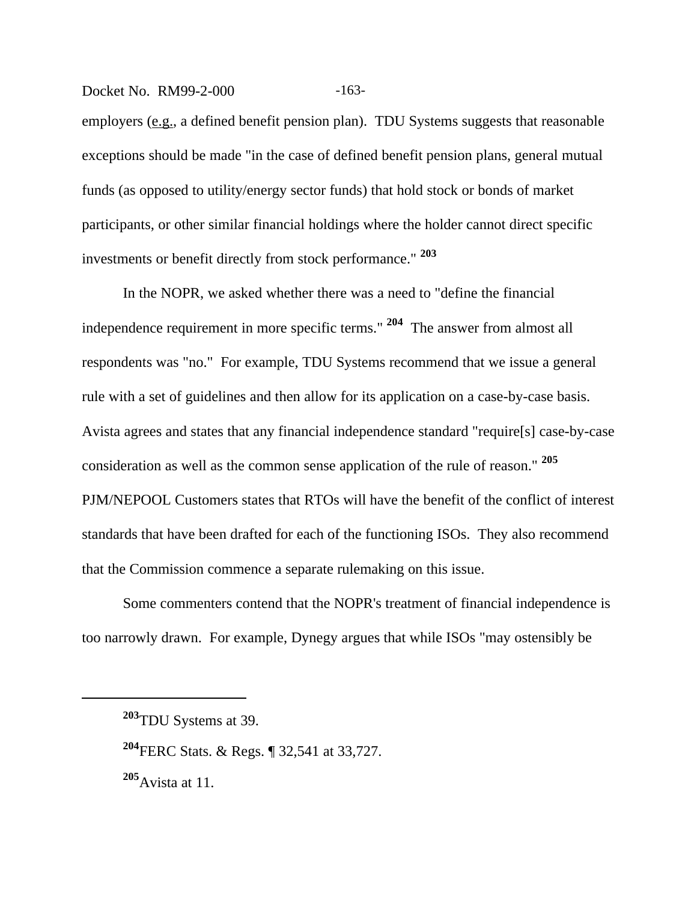employers (e.g., a defined benefit pension plan). TDU Systems suggests that reasonable exceptions should be made "in the case of defined benefit pension plans, general mutual funds (as opposed to utility/energy sector funds) that hold stock or bonds of market participants, or other similar financial holdings where the holder cannot direct specific investments or benefit directly from stock performance." **<sup>203</sup>**

Docket No. RM99-2-000 -163-

In the NOPR, we asked whether there was a need to "define the financial independence requirement in more specific terms." **204** The answer from almost all respondents was "no." For example, TDU Systems recommend that we issue a general rule with a set of guidelines and then allow for its application on a case-by-case basis. Avista agrees and states that any financial independence standard "require[s] case-by-case consideration as well as the common sense application of the rule of reason." **<sup>205</sup>** PJM/NEPOOL Customers states that RTOs will have the benefit of the conflict of interest standards that have been drafted for each of the functioning ISOs. They also recommend that the Commission commence a separate rulemaking on this issue.

Some commenters contend that the NOPR's treatment of financial independence is too narrowly drawn. For example, Dynegy argues that while ISOs "may ostensibly be

**<sup>205</sup>**Avista at 11.

**<sup>203</sup>**TDU Systems at 39.

**<sup>204</sup>**FERC Stats. & Regs. ¶ 32,541 at 33,727.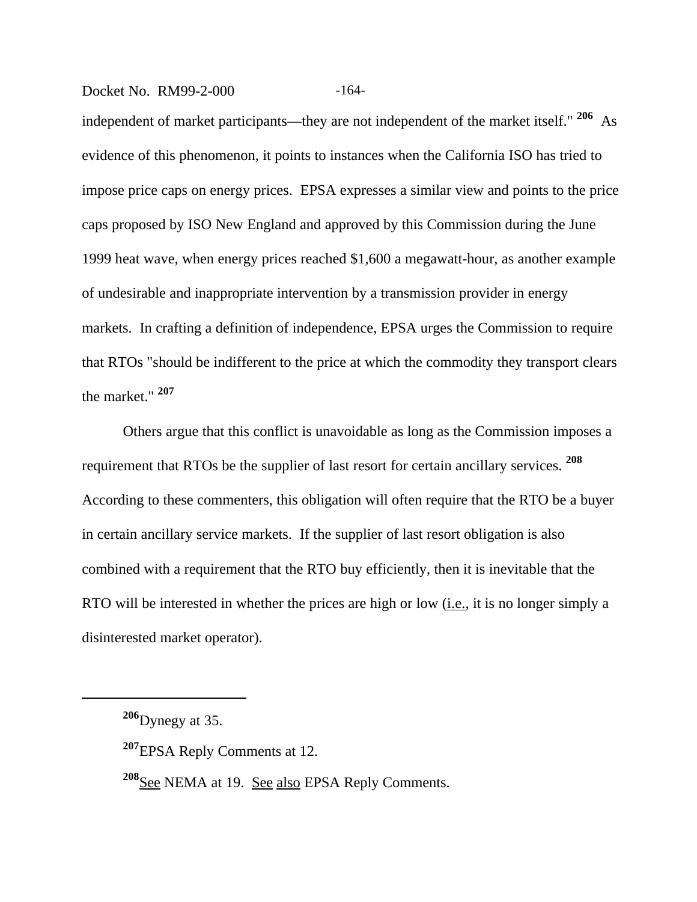#### Docket No. RM99-2-000 -164-

independent of market participants—they are not independent of the market itself." **206** As evidence of this phenomenon, it points to instances when the California ISO has tried to impose price caps on energy prices. EPSA expresses a similar view and points to the price caps proposed by ISO New England and approved by this Commission during the June 1999 heat wave, when energy prices reached \$1,600 a megawatt-hour, as another example of undesirable and inappropriate intervention by a transmission provider in energy markets. In crafting a definition of independence, EPSA urges the Commission to require that RTOs "should be indifferent to the price at which the commodity they transport clears the market." **<sup>207</sup>**

Others argue that this conflict is unavoidable as long as the Commission imposes a requirement that RTOs be the supplier of last resort for certain ancillary services. **<sup>208</sup>** According to these commenters, this obligation will often require that the RTO be a buyer in certain ancillary service markets. If the supplier of last resort obligation is also combined with a requirement that the RTO buy efficiently, then it is inevitable that the RTO will be interested in whether the prices are high or low (i.e., it is no longer simply a disinterested market operator).

**<sup>206</sup>**Dynegy at 35.

**<sup>207</sup>**EPSA Reply Comments at 12.

<sup>&</sup>lt;sup>208</sup>See NEMA at 19. See also EPSA Reply Comments.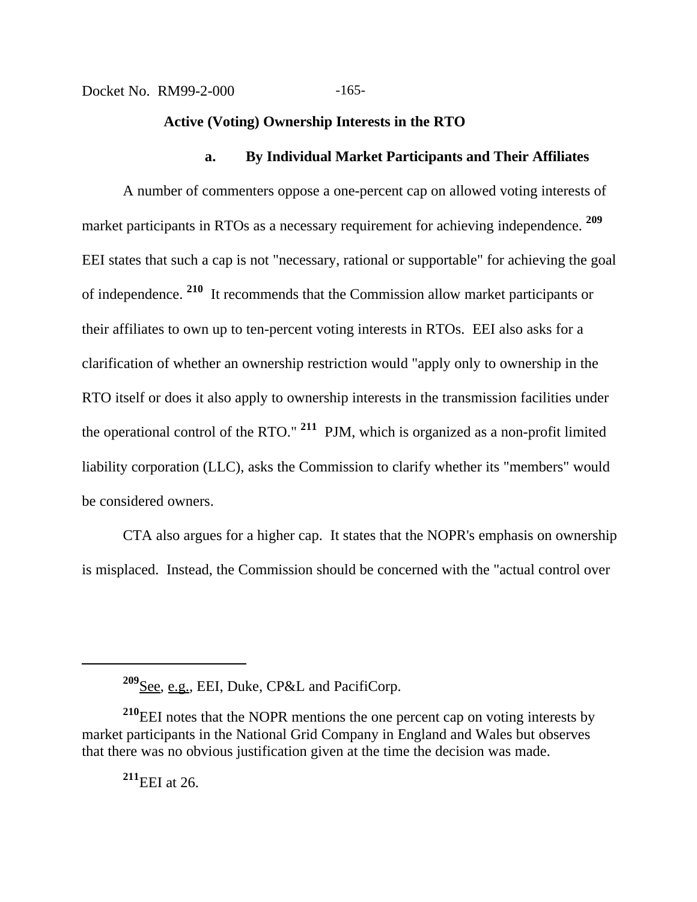#### **Active (Voting) Ownership Interests in the RTO**

#### **a. By Individual Market Participants and Their Affiliates**

A number of commenters oppose a one-percent cap on allowed voting interests of market participants in RTOs as a necessary requirement for achieving independence. **<sup>209</sup>** EEI states that such a cap is not "necessary, rational or supportable" for achieving the goal of independence. **210** It recommends that the Commission allow market participants or their affiliates to own up to ten-percent voting interests in RTOs. EEI also asks for a clarification of whether an ownership restriction would "apply only to ownership in the RTO itself or does it also apply to ownership interests in the transmission facilities under the operational control of the RTO." **211** PJM, which is organized as a non-profit limited liability corporation (LLC), asks the Commission to clarify whether its "members" would be considered owners.

CTA also argues for a higher cap. It states that the NOPR's emphasis on ownership is misplaced. Instead, the Commission should be concerned with the "actual control over

**<sup>211</sup>**EEI at 26.

**<sup>209</sup>**See, e.g., EEI, Duke, CP&L and PacifiCorp.

**<sup>210</sup>**EEI notes that the NOPR mentions the one percent cap on voting interests by market participants in the National Grid Company in England and Wales but observes that there was no obvious justification given at the time the decision was made.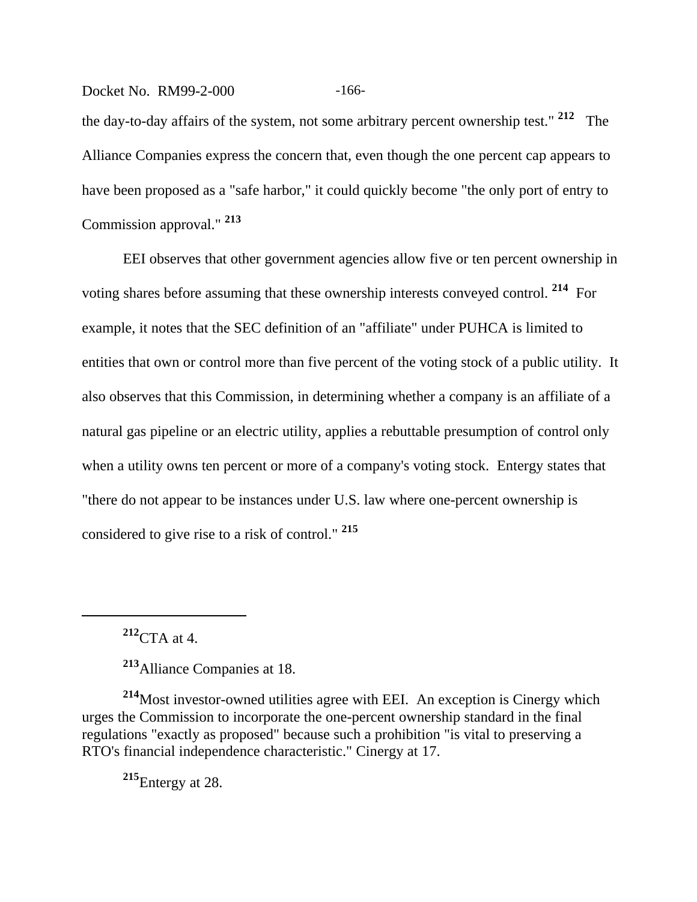#### Docket No. RM99-2-000 -166-

the day-to-day affairs of the system, not some arbitrary percent ownership test." **212** The Alliance Companies express the concern that, even though the one percent cap appears to have been proposed as a "safe harbor," it could quickly become "the only port of entry to Commission approval." **<sup>213</sup>**

EEI observes that other government agencies allow five or ten percent ownership in voting shares before assuming that these ownership interests conveyed control. **214** For example, it notes that the SEC definition of an "affiliate" under PUHCA is limited to entities that own or control more than five percent of the voting stock of a public utility. It also observes that this Commission, in determining whether a company is an affiliate of a natural gas pipeline or an electric utility, applies a rebuttable presumption of control only when a utility owns ten percent or more of a company's voting stock. Entergy states that "there do not appear to be instances under U.S. law where one-percent ownership is considered to give rise to a risk of control." **<sup>215</sup>**

**<sup>212</sup>**CTA at 4.

**<sup>213</sup>**Alliance Companies at 18.

**<sup>214</sup>**Most investor-owned utilities agree with EEI. An exception is Cinergy which urges the Commission to incorporate the one-percent ownership standard in the final regulations "exactly as proposed" because such a prohibition "is vital to preserving a RTO's financial independence characteristic." Cinergy at 17.

**<sup>215</sup>**Entergy at 28.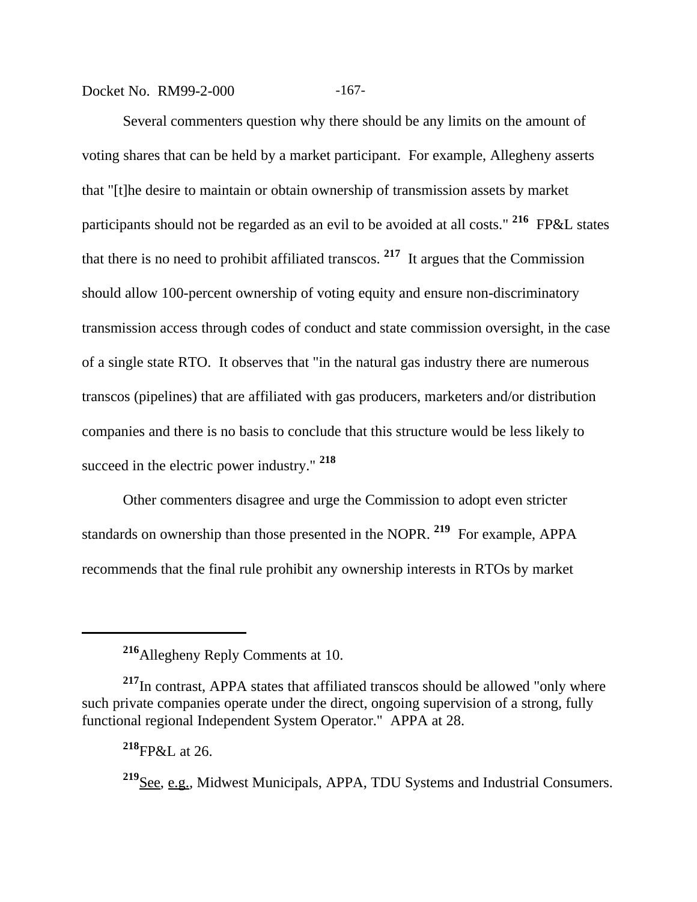Docket No. RM99-2-000 -167-

Several commenters question why there should be any limits on the amount of voting shares that can be held by a market participant. For example, Allegheny asserts that "[t]he desire to maintain or obtain ownership of transmission assets by market participants should not be regarded as an evil to be avoided at all costs." **216** FP&L states that there is no need to prohibit affiliated transcos. **217** It argues that the Commission should allow 100-percent ownership of voting equity and ensure non-discriminatory transmission access through codes of conduct and state commission oversight, in the case of a single state RTO. It observes that "in the natural gas industry there are numerous transcos (pipelines) that are affiliated with gas producers, marketers and/or distribution companies and there is no basis to conclude that this structure would be less likely to succeed in the electric power industry." **<sup>218</sup>**

Other commenters disagree and urge the Commission to adopt even stricter standards on ownership than those presented in the NOPR. **219** For example, APPA recommends that the final rule prohibit any ownership interests in RTOs by market

**<sup>216</sup>**Allegheny Reply Comments at 10.

**<sup>217</sup>**In contrast, APPA states that affiliated transcos should be allowed "only where such private companies operate under the direct, ongoing supervision of a strong, fully functional regional Independent System Operator." APPA at 28.

**<sup>218</sup>**FP&L at 26.

**<sup>219</sup>**See, e.g.*,* Midwest Municipals, APPA, TDU Systems and Industrial Consumers.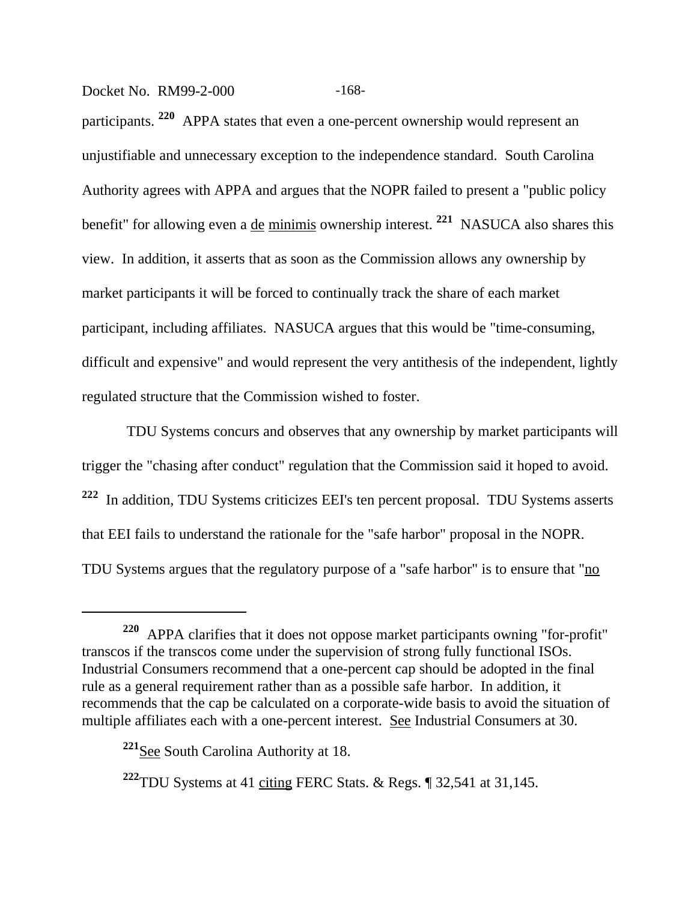Docket No. RM99-2-000 -168-

participants. **220** APPA states that even a one-percent ownership would represent an unjustifiable and unnecessary exception to the independence standard. South Carolina Authority agrees with APPA and argues that the NOPR failed to present a "public policy benefit" for allowing even a de minimis ownership interest. **221** NASUCA also shares this view. In addition, it asserts that as soon as the Commission allows any ownership by market participants it will be forced to continually track the share of each market participant, including affiliates. NASUCA argues that this would be "time-consuming, difficult and expensive" and would represent the very antithesis of the independent, lightly regulated structure that the Commission wished to foster.

 TDU Systems concurs and observes that any ownership by market participants will trigger the "chasing after conduct" regulation that the Commission said it hoped to avoid. **<sup>222</sup>** In addition, TDU Systems criticizes EEI's ten percent proposal. TDU Systems asserts that EEI fails to understand the rationale for the "safe harbor" proposal in the NOPR. TDU Systems argues that the regulatory purpose of a "safe harbor" is to ensure that "no

**<sup>220</sup>** APPA clarifies that it does not oppose market participants owning "for-profit" transcos if the transcos come under the supervision of strong fully functional ISOs. Industrial Consumers recommend that a one-percent cap should be adopted in the final rule as a general requirement rather than as a possible safe harbor. In addition, it recommends that the cap be calculated on a corporate-wide basis to avoid the situation of multiple affiliates each with a one-percent interest. See Industrial Consumers at 30.

**<sup>221</sup>**See South Carolina Authority at 18.

<sup>&</sup>lt;sup>222</sup>TDU Systems at 41 citing FERC Stats.  $\&$  Regs.  $\int$  32,541 at 31,145.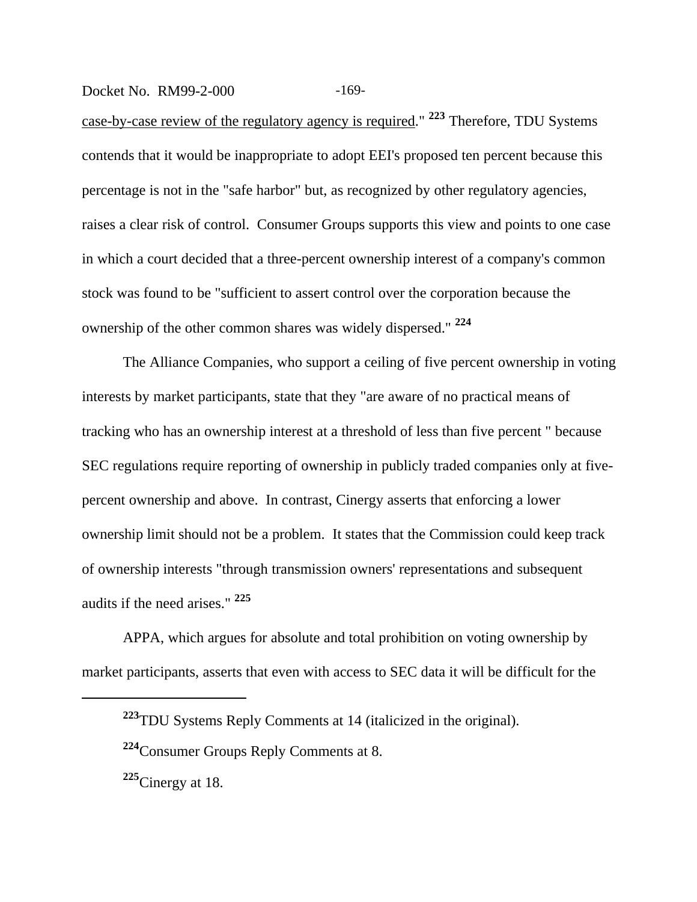Docket No. RM99-2-000 -169-

case-by-case review of the regulatory agency is required." **223** Therefore, TDU Systems contends that it would be inappropriate to adopt EEI's proposed ten percent because this percentage is not in the "safe harbor" but, as recognized by other regulatory agencies, raises a clear risk of control. Consumer Groups supports this view and points to one case in which a court decided that a three-percent ownership interest of a company's common stock was found to be "sufficient to assert control over the corporation because the ownership of the other common shares was widely dispersed." **<sup>224</sup>**

The Alliance Companies, who support a ceiling of five percent ownership in voting interests by market participants, state that they "are aware of no practical means of tracking who has an ownership interest at a threshold of less than five percent " because SEC regulations require reporting of ownership in publicly traded companies only at fivepercent ownership and above. In contrast, Cinergy asserts that enforcing a lower ownership limit should not be a problem. It states that the Commission could keep track of ownership interests "through transmission owners' representations and subsequent audits if the need arises." **<sup>225</sup>**

APPA, which argues for absolute and total prohibition on voting ownership by market participants, asserts that even with access to SEC data it will be difficult for the

**<sup>225</sup>**Cinergy at 18.

**<sup>223</sup>**TDU Systems Reply Comments at 14 (italicized in the original).

**<sup>224</sup>**Consumer Groups Reply Comments at 8.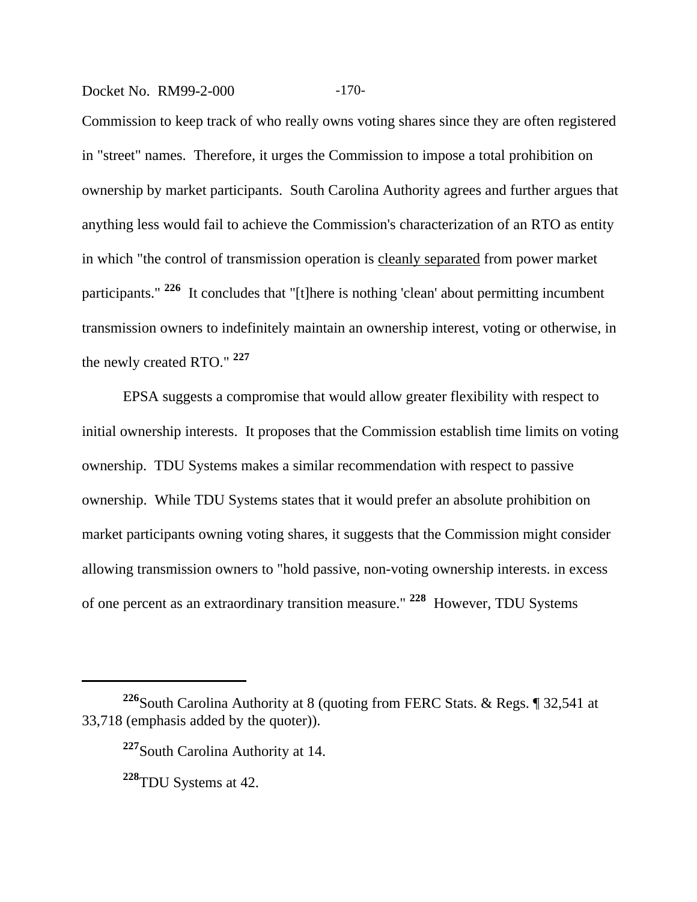#### Docket No. RM99-2-000 -170-

Commission to keep track of who really owns voting shares since they are often registered in "street" names. Therefore, it urges the Commission to impose a total prohibition on ownership by market participants. South Carolina Authority agrees and further argues that anything less would fail to achieve the Commission's characterization of an RTO as entity in which "the control of transmission operation is cleanly separated from power market participants." **226** It concludes that "[t]here is nothing 'clean' about permitting incumbent transmission owners to indefinitely maintain an ownership interest, voting or otherwise, in the newly created RTO." **<sup>227</sup>**

EPSA suggests a compromise that would allow greater flexibility with respect to initial ownership interests. It proposes that the Commission establish time limits on voting ownership. TDU Systems makes a similar recommendation with respect to passive ownership. While TDU Systems states that it would prefer an absolute prohibition on market participants owning voting shares, it suggests that the Commission might consider allowing transmission owners to "hold passive, non-voting ownership interests. in excess of one percent as an extraordinary transition measure." **228** However, TDU Systems

**<sup>226</sup>**South Carolina Authority at 8 (quoting from FERC Stats. & Regs. ¶ 32,541 at 33,718 (emphasis added by the quoter)).

**<sup>227</sup>**South Carolina Authority at 14.

**<sup>228</sup>**TDU Systems at 42.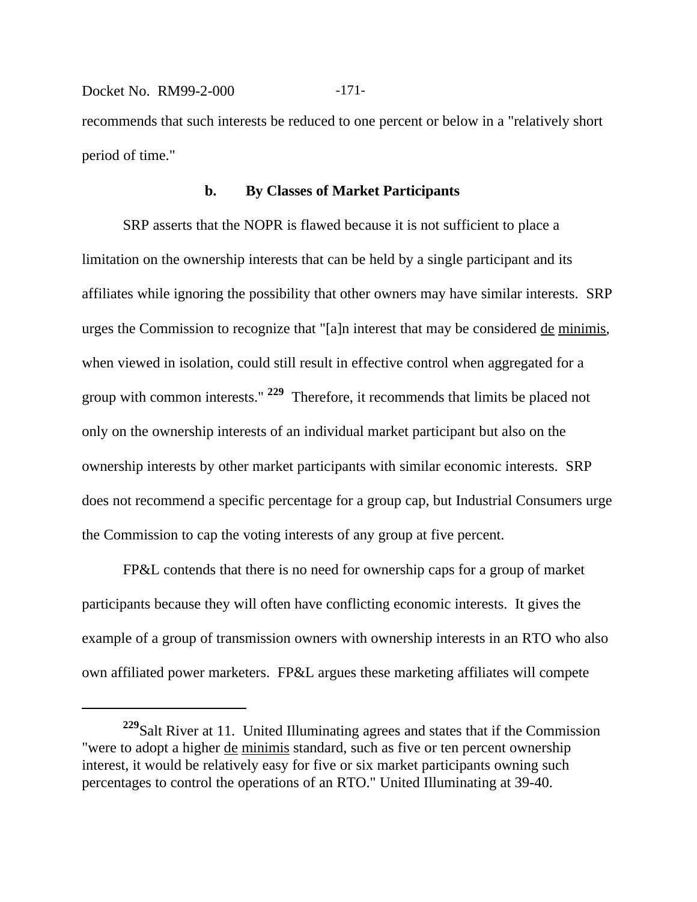Docket No. RM99-2-000 -171recommends that such interests be reduced to one percent or below in a "relatively short period of time."

#### **b. By Classes of Market Participants**

SRP asserts that the NOPR is flawed because it is not sufficient to place a limitation on the ownership interests that can be held by a single participant and its affiliates while ignoring the possibility that other owners may have similar interests. SRP urges the Commission to recognize that "[a]n interest that may be considered de minimis*,* when viewed in isolation, could still result in effective control when aggregated for a group with common interests." **229** Therefore, it recommends that limits be placed not only on the ownership interests of an individual market participant but also on the ownership interests by other market participants with similar economic interests. SRP does not recommend a specific percentage for a group cap, but Industrial Consumers urge the Commission to cap the voting interests of any group at five percent.

FP&L contends that there is no need for ownership caps for a group of market participants because they will often have conflicting economic interests. It gives the example of a group of transmission owners with ownership interests in an RTO who also own affiliated power marketers. FP&L argues these marketing affiliates will compete

**<sup>229</sup>**Salt River at 11. United Illuminating agrees and states that if the Commission "were to adopt a higher de minimis standard, such as five or ten percent ownership interest, it would be relatively easy for five or six market participants owning such percentages to control the operations of an RTO." United Illuminating at 39-40.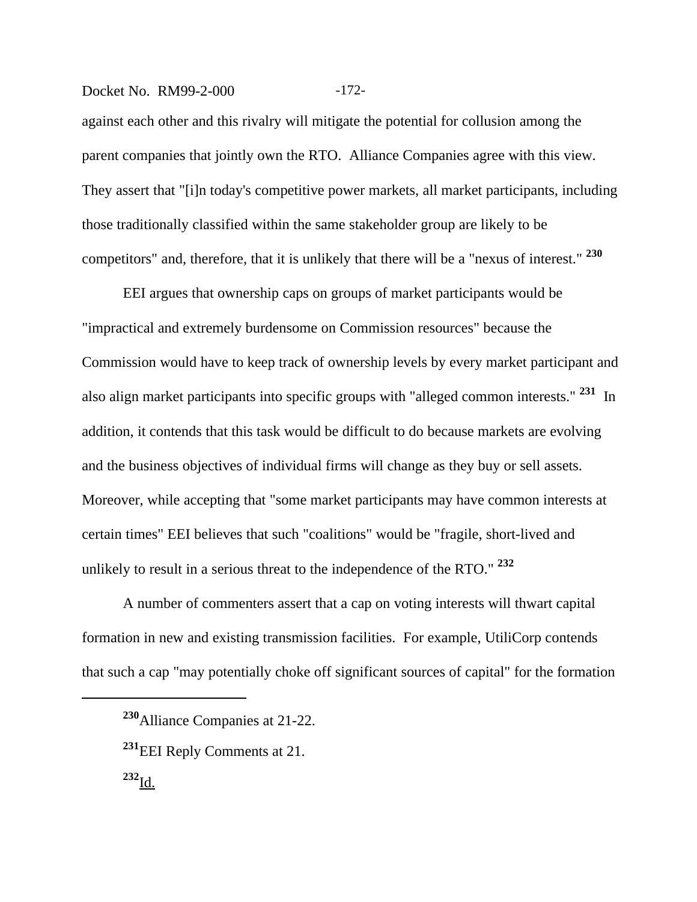#### Docket No. RM99-2-000 -172-

against each other and this rivalry will mitigate the potential for collusion among the parent companies that jointly own the RTO. Alliance Companies agree with this view. They assert that "[i]n today's competitive power markets, all market participants, including those traditionally classified within the same stakeholder group are likely to be competitors" and, therefore, that it is unlikely that there will be a "nexus of interest." **<sup>230</sup>**

EEI argues that ownership caps on groups of market participants would be "impractical and extremely burdensome on Commission resources" because the Commission would have to keep track of ownership levels by every market participant and also align market participants into specific groups with "alleged common interests." **231** In addition, it contends that this task would be difficult to do because markets are evolving and the business objectives of individual firms will change as they buy or sell assets. Moreover, while accepting that "some market participants may have common interests at certain times" EEI believes that such "coalitions" would be "fragile, short-lived and unlikely to result in a serious threat to the independence of the RTO." **<sup>232</sup>**

A number of commenters assert that a cap on voting interests will thwart capital formation in new and existing transmission facilities. For example, UtiliCorp contends that such a cap "may potentially choke off significant sources of capital" for the formation

**<sup>230</sup>**Alliance Companies at 21-22.

**<sup>231</sup>**EEI Reply Comments at 21. **<sup>232</sup>**Id.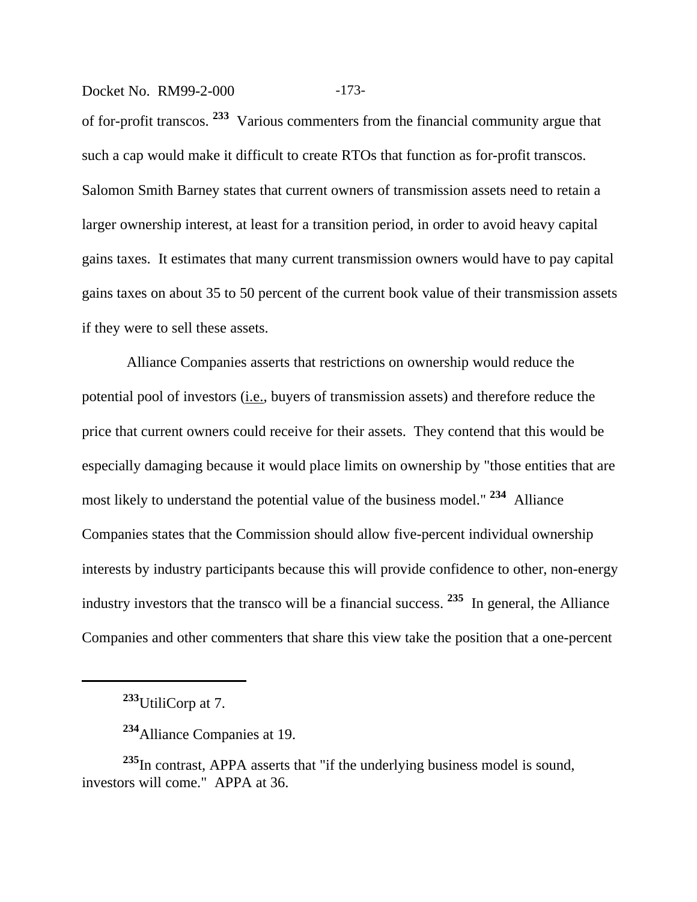#### Docket No. RM99-2-000 -173-

of for-profit transcos. **233** Various commenters from the financial community argue that such a cap would make it difficult to create RTOs that function as for-profit transcos. Salomon Smith Barney states that current owners of transmission assets need to retain a larger ownership interest, at least for a transition period, in order to avoid heavy capital gains taxes. It estimates that many current transmission owners would have to pay capital gains taxes on about 35 to 50 percent of the current book value of their transmission assets if they were to sell these assets.

 Alliance Companies asserts that restrictions on ownership would reduce the potential pool of investors (i.e., buyers of transmission assets) and therefore reduce the price that current owners could receive for their assets. They contend that this would be especially damaging because it would place limits on ownership by "those entities that are most likely to understand the potential value of the business model." **234** Alliance Companies states that the Commission should allow five-percent individual ownership interests by industry participants because this will provide confidence to other, non-energy industry investors that the transco will be a financial success. **235** In general, the Alliance Companies and other commenters that share this view take the position that a one-percent

**<sup>235</sup>**In contrast, APPA asserts that "if the underlying business model is sound, investors will come." APPA at 36.

**<sup>233</sup>**UtiliCorp at 7.

**<sup>234</sup>**Alliance Companies at 19.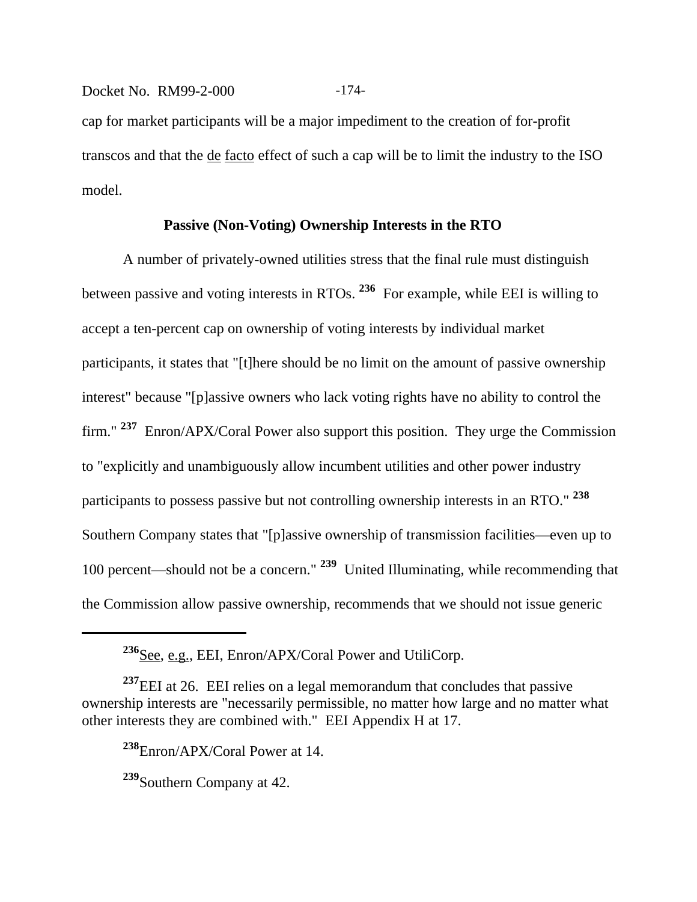Docket No. RM99-2-000 -174cap for market participants will be a major impediment to the creation of for-profit transcos and that the de facto effect of such a cap will be to limit the industry to the ISO model.

#### **Passive (Non-Voting) Ownership Interests in the RTO**

A number of privately-owned utilities stress that the final rule must distinguish between passive and voting interests in RTOs. **236** For example, while EEI is willing to accept a ten-percent cap on ownership of voting interests by individual market participants, it states that "[t]here should be no limit on the amount of passive ownership interest" because "[p]assive owners who lack voting rights have no ability to control the firm." **237** Enron/APX/Coral Power also support this position. They urge the Commission to "explicitly and unambiguously allow incumbent utilities and other power industry participants to possess passive but not controlling ownership interests in an RTO." **<sup>238</sup>** Southern Company states that "[p]assive ownership of transmission facilities—even up to 100 percent—should not be a concern." **239** United Illuminating, while recommending that the Commission allow passive ownership, recommends that we should not issue generic

<sup>&</sup>lt;sup>236</sup>See, e.g., EEI, Enron/APX/Coral Power and UtiliCorp.

<sup>&</sup>lt;sup>237</sup>EEI at 26. EEI relies on a legal memorandum that concludes that passive ownership interests are "necessarily permissible, no matter how large and no matter what other interests they are combined with." EEI Appendix H at 17.

**<sup>238</sup>**Enron/APX/Coral Power at 14.

**<sup>239</sup>**Southern Company at 42.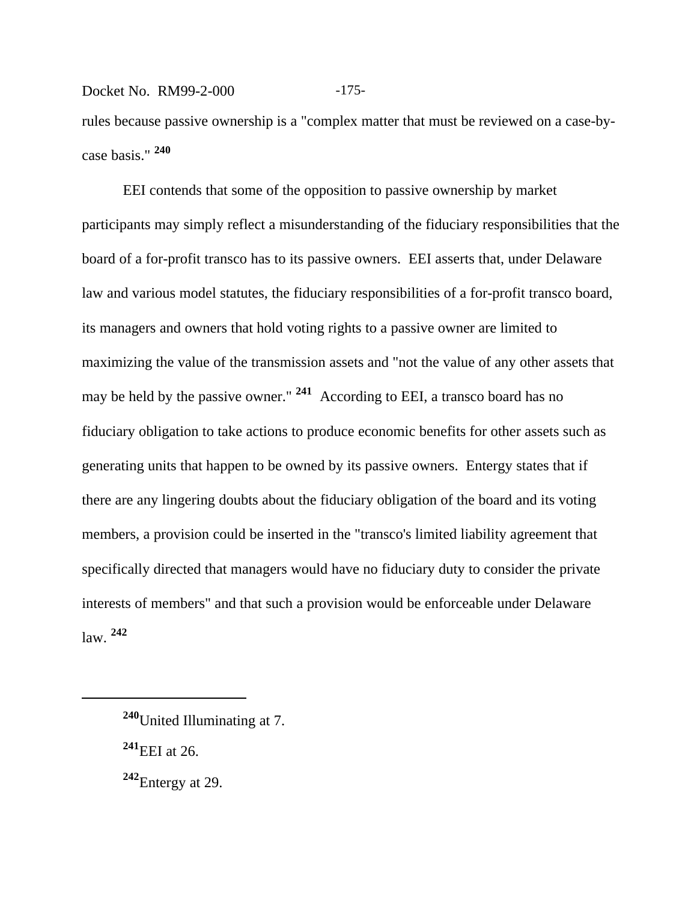## Docket No. RM99-2-000 -175-

rules because passive ownership is a "complex matter that must be reviewed on a case-bycase basis." **<sup>240</sup>**

EEI contends that some of the opposition to passive ownership by market participants may simply reflect a misunderstanding of the fiduciary responsibilities that the board of a for-profit transco has to its passive owners. EEI asserts that, under Delaware law and various model statutes, the fiduciary responsibilities of a for-profit transco board, its managers and owners that hold voting rights to a passive owner are limited to maximizing the value of the transmission assets and "not the value of any other assets that may be held by the passive owner." **241** According to EEI, a transco board has no fiduciary obligation to take actions to produce economic benefits for other assets such as generating units that happen to be owned by its passive owners. Entergy states that if there are any lingering doubts about the fiduciary obligation of the board and its voting members, a provision could be inserted in the "transco's limited liability agreement that specifically directed that managers would have no fiduciary duty to consider the private interests of members" and that such a provision would be enforceable under Delaware law. **<sup>242</sup>**

**<sup>240</sup>**United Illuminating at 7.

**<sup>241</sup>**EEI at 26.

**<sup>242</sup>**Entergy at 29.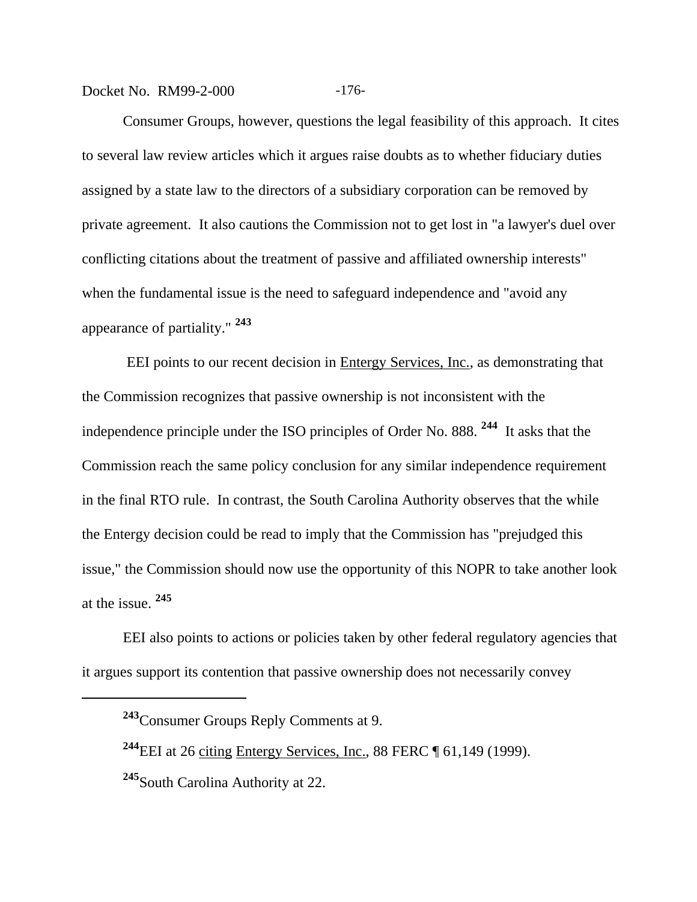Docket No. RM99-2-000 -176-

Consumer Groups, however, questions the legal feasibility of this approach. It cites to several law review articles which it argues raise doubts as to whether fiduciary duties assigned by a state law to the directors of a subsidiary corporation can be removed by private agreement. It also cautions the Commission not to get lost in "a lawyer's duel over conflicting citations about the treatment of passive and affiliated ownership interests" when the fundamental issue is the need to safeguard independence and "avoid any appearance of partiality." **<sup>243</sup>**

 EEI points to our recent decision in Entergy Services, Inc., as demonstrating that the Commission recognizes that passive ownership is not inconsistent with the independence principle under the ISO principles of Order No. 888. **244** It asks that the Commission reach the same policy conclusion for any similar independence requirement in the final RTO rule. In contrast, the South Carolina Authority observes that the while the Entergy decision could be read to imply that the Commission has "prejudged this issue," the Commission should now use the opportunity of this NOPR to take another look at the issue. **<sup>245</sup>**

EEI also points to actions or policies taken by other federal regulatory agencies that it argues support its contention that passive ownership does not necessarily convey

**<sup>243</sup>**Consumer Groups Reply Comments at 9.

**<sup>244</sup>**EEI at 26 citing Entergy Services, Inc., 88 FERC ¶ 61,149 (1999).

**<sup>245</sup>**South Carolina Authority at 22.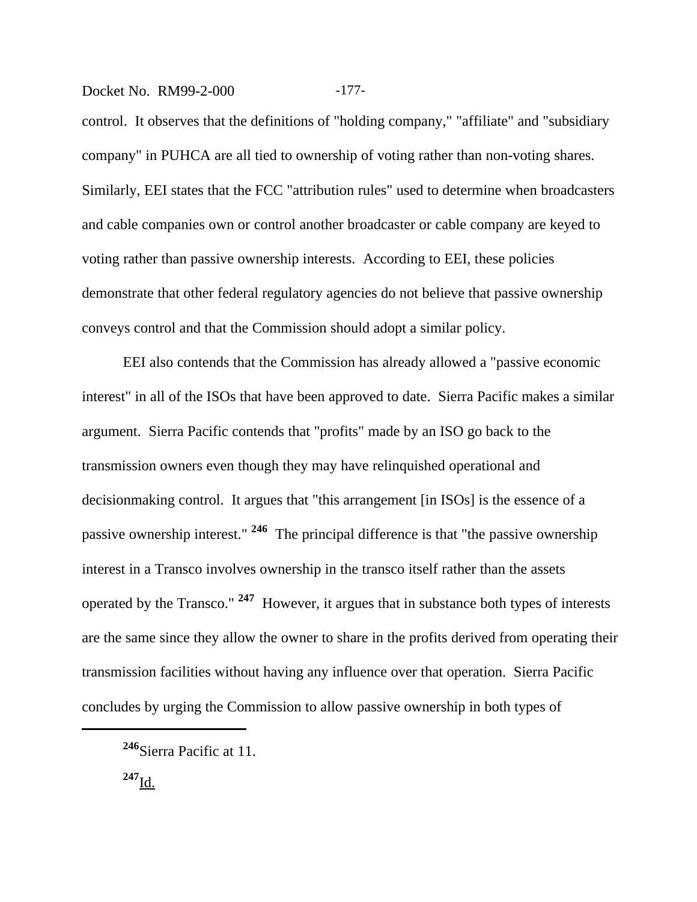#### Docket No. RM99-2-000 -177-

control. It observes that the definitions of "holding company," "affiliate" and "subsidiary company" in PUHCA are all tied to ownership of voting rather than non-voting shares. Similarly, EEI states that the FCC "attribution rules" used to determine when broadcasters and cable companies own or control another broadcaster or cable company are keyed to voting rather than passive ownership interests. According to EEI, these policies demonstrate that other federal regulatory agencies do not believe that passive ownership conveys control and that the Commission should adopt a similar policy.

EEI also contends that the Commission has already allowed a "passive economic interest" in all of the ISOs that have been approved to date. Sierra Pacific makes a similar argument. Sierra Pacific contends that "profits" made by an ISO go back to the transmission owners even though they may have relinquished operational and decisionmaking control. It argues that "this arrangement [in ISOs] is the essence of a passive ownership interest." **246** The principal difference is that "the passive ownership interest in a Transco involves ownership in the transco itself rather than the assets operated by the Transco." **247** However, it argues that in substance both types of interests are the same since they allow the owner to share in the profits derived from operating their transmission facilities without having any influence over that operation. Sierra Pacific concludes by urging the Commission to allow passive ownership in both types of

**<sup>247</sup>**Id.

**<sup>246</sup>**Sierra Pacific at 11.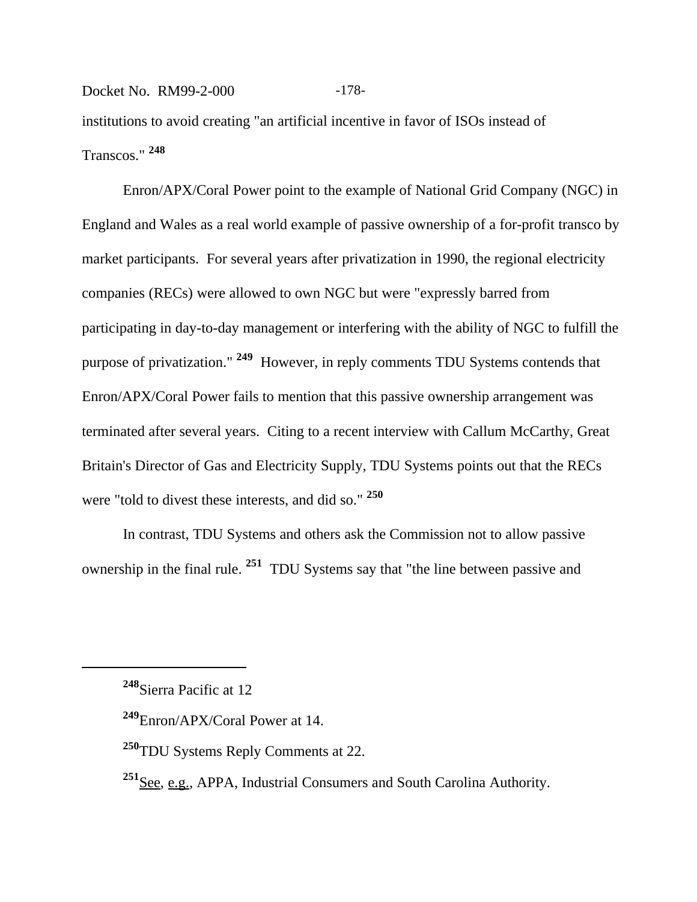## Docket No. RM99-2-000 -178institutions to avoid creating "an artificial incentive in favor of ISOs instead of Transcos." **<sup>248</sup>**

Enron/APX/Coral Power point to the example of National Grid Company (NGC) in England and Wales as a real world example of passive ownership of a for-profit transco by market participants. For several years after privatization in 1990, the regional electricity companies (RECs) were allowed to own NGC but were "expressly barred from participating in day-to-day management or interfering with the ability of NGC to fulfill the purpose of privatization." **249** However, in reply comments TDU Systems contends that Enron/APX/Coral Power fails to mention that this passive ownership arrangement was terminated after several years. Citing to a recent interview with Callum McCarthy, Great Britain's Director of Gas and Electricity Supply, TDU Systems points out that the RECs were "told to divest these interests, and did so." **<sup>250</sup>**

In contrast, TDU Systems and others ask the Commission not to allow passive ownership in the final rule. **251** TDU Systems say that "the line between passive and

**<sup>248</sup>**Sierra Pacific at 12

**<sup>249</sup>**Enron/APX/Coral Power at 14.

**<sup>250</sup>**TDU Systems Reply Comments at 22.

<sup>&</sup>lt;sup>251</sup>See, e.g., APPA, Industrial Consumers and South Carolina Authority.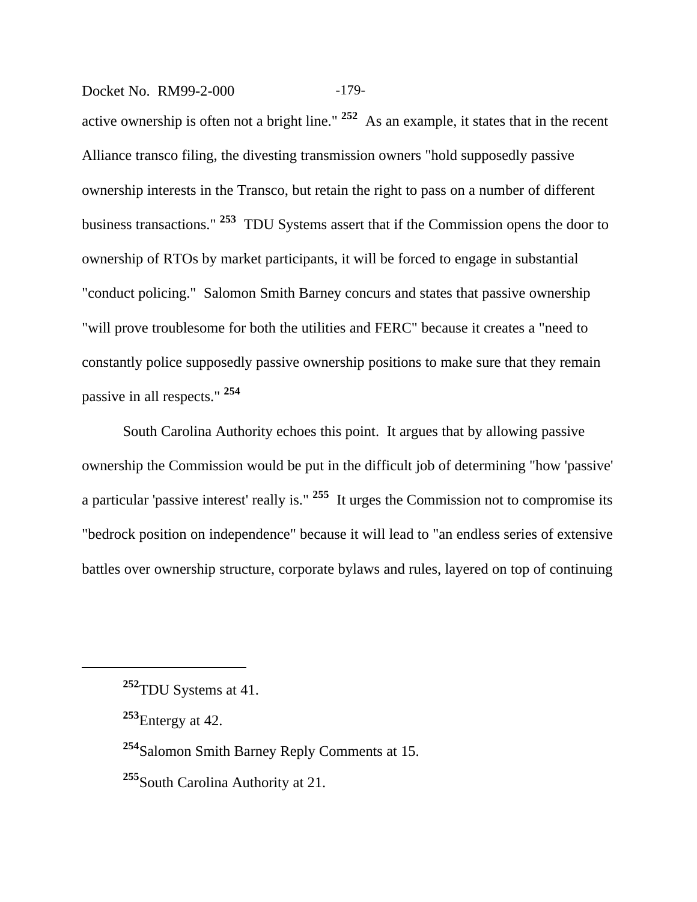Docket No. RM99-2-000 -179-

active ownership is often not a bright line." **252** As an example, it states that in the recent Alliance transco filing, the divesting transmission owners "hold supposedly passive ownership interests in the Transco, but retain the right to pass on a number of different business transactions." **253** TDU Systems assert that if the Commission opens the door to ownership of RTOs by market participants, it will be forced to engage in substantial "conduct policing." Salomon Smith Barney concurs and states that passive ownership "will prove troublesome for both the utilities and FERC" because it creates a "need to constantly police supposedly passive ownership positions to make sure that they remain passive in all respects." **<sup>254</sup>**

South Carolina Authority echoes this point. It argues that by allowing passive ownership the Commission would be put in the difficult job of determining "how 'passive' a particular 'passive interest' really is." **255** It urges the Commission not to compromise its "bedrock position on independence" because it will lead to "an endless series of extensive battles over ownership structure, corporate bylaws and rules, layered on top of continuing

**<sup>254</sup>**Salomon Smith Barney Reply Comments at 15.

**<sup>252</sup>**TDU Systems at 41.

**<sup>253</sup>**Entergy at 42.

**<sup>255</sup>**South Carolina Authority at 21.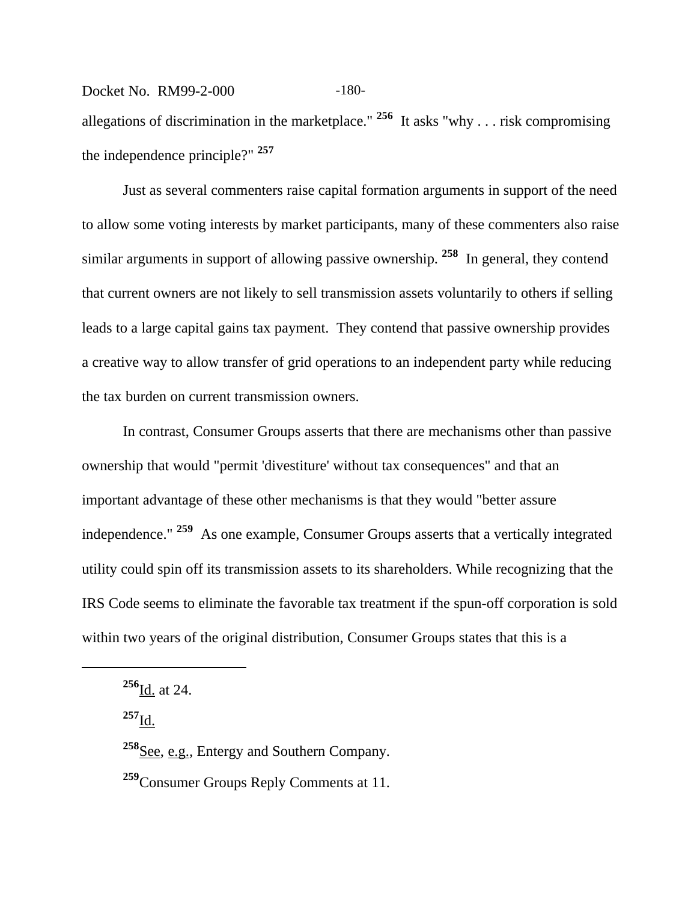## Docket No. RM99-2-000 -180allegations of discrimination in the marketplace." **256** It asks "why . . . risk compromising the independence principle?" **<sup>257</sup>**

Just as several commenters raise capital formation arguments in support of the need to allow some voting interests by market participants, many of these commenters also raise similar arguments in support of allowing passive ownership. **258** In general, they contend that current owners are not likely to sell transmission assets voluntarily to others if selling leads to a large capital gains tax payment. They contend that passive ownership provides a creative way to allow transfer of grid operations to an independent party while reducing the tax burden on current transmission owners.

In contrast, Consumer Groups asserts that there are mechanisms other than passive ownership that would "permit 'divestiture' without tax consequences" and that an important advantage of these other mechanisms is that they would "better assure independence." **259** As one example, Consumer Groups asserts that a vertically integrated utility could spin off its transmission assets to its shareholders. While recognizing that the IRS Code seems to eliminate the favorable tax treatment if the spun-off corporation is sold within two years of the original distribution, Consumer Groups states that this is a

**<sup>257</sup>**Id.

**<sup>256</sup>**Id. at 24.

**<sup>258</sup>**See, e.g.*,* Entergy and Southern Company.

**<sup>259</sup>**Consumer Groups Reply Comments at 11.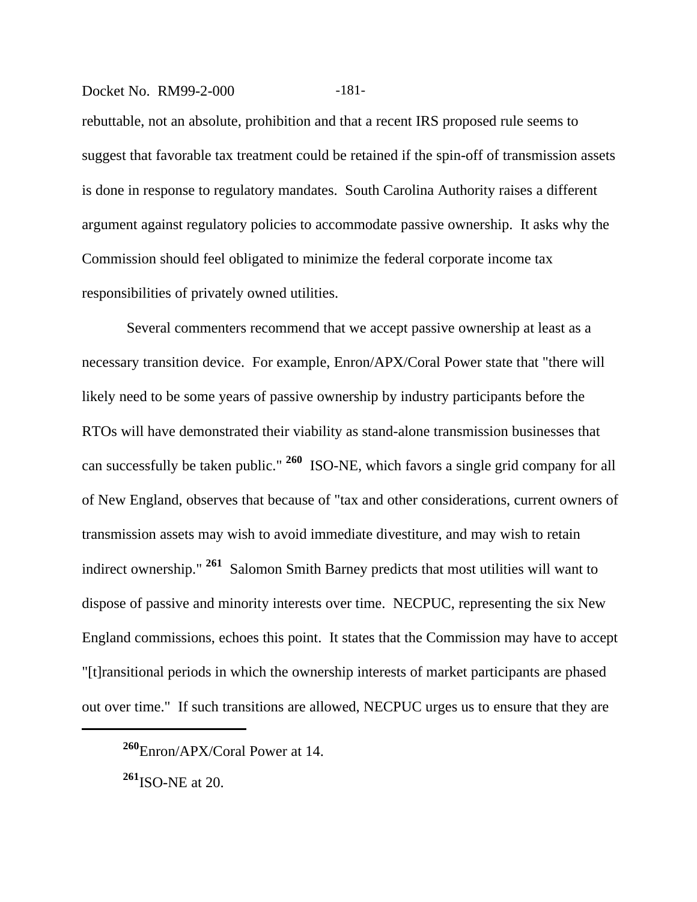#### Docket No. RM99-2-000 -181-

rebuttable, not an absolute, prohibition and that a recent IRS proposed rule seems to suggest that favorable tax treatment could be retained if the spin-off of transmission assets is done in response to regulatory mandates. South Carolina Authority raises a different argument against regulatory policies to accommodate passive ownership. It asks why the Commission should feel obligated to minimize the federal corporate income tax responsibilities of privately owned utilities.

 Several commenters recommend that we accept passive ownership at least as a necessary transition device. For example, Enron/APX/Coral Power state that "there will likely need to be some years of passive ownership by industry participants before the RTOs will have demonstrated their viability as stand-alone transmission businesses that can successfully be taken public." **260** ISO-NE, which favors a single grid company for all of New England, observes that because of "tax and other considerations, current owners of transmission assets may wish to avoid immediate divestiture, and may wish to retain indirect ownership." **261** Salomon Smith Barney predicts that most utilities will want to dispose of passive and minority interests over time. NECPUC, representing the six New England commissions, echoes this point. It states that the Commission may have to accept "[t]ransitional periods in which the ownership interests of market participants are phased out over time." If such transitions are allowed, NECPUC urges us to ensure that they are

**<sup>260</sup>**Enron/APX/Coral Power at 14.

**<sup>261</sup>**ISO-NE at 20.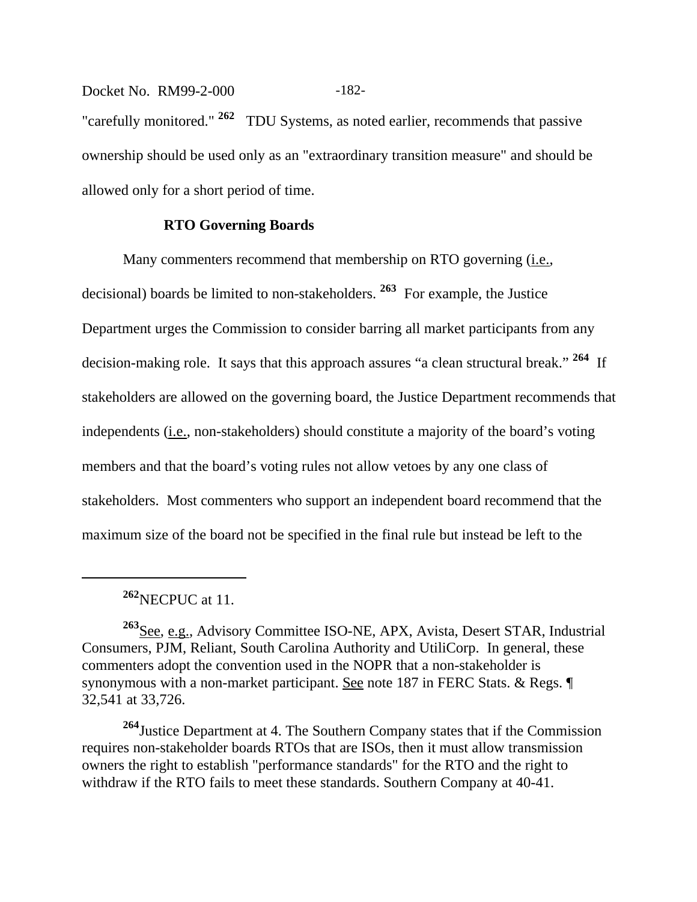Docket No. RM99-2-000 -182-"carefully monitored." **262** TDU Systems, as noted earlier, recommends that passive ownership should be used only as an "extraordinary transition measure" and should be allowed only for a short period of time.

### **RTO Governing Boards**

Many commenters recommend that membership on RTO governing (i.e., decisional) boards be limited to non-stakeholders. **263** For example, the Justice Department urges the Commission to consider barring all market participants from any decision-making role. It says that this approach assures "a clean structural break." **264** If stakeholders are allowed on the governing board, the Justice Department recommends that independents (*i.e.*, non-stakeholders) should constitute a majority of the board's voting members and that the board's voting rules not allow vetoes by any one class of stakeholders. Most commenters who support an independent board recommend that the maximum size of the board not be specified in the final rule but instead be left to the

**<sup>264</sup>**Justice Department at 4. The Southern Company states that if the Commission requires non-stakeholder boards RTOs that are ISOs, then it must allow transmission owners the right to establish "performance standards" for the RTO and the right to withdraw if the RTO fails to meet these standards. Southern Company at 40-41.

**<sup>262</sup>**NECPUC at 11.

**<sup>263</sup>**See, e.g., Advisory Committee ISO-NE, APX, Avista, Desert STAR, Industrial Consumers, PJM, Reliant, South Carolina Authority and UtiliCorp. In general, these commenters adopt the convention used in the NOPR that a non-stakeholder is synonymous with a non-market participant. See note 187 in FERC Stats. & Regs. ¶ 32,541 at 33,726.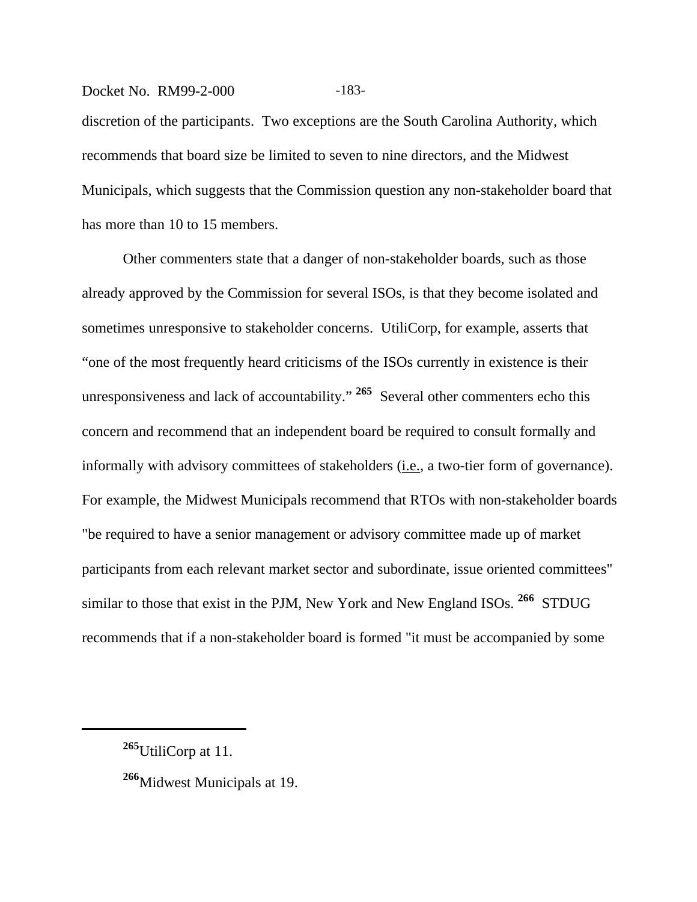# Docket No. RM99-2-000 -183discretion of the participants. Two exceptions are the South Carolina Authority, which recommends that board size be limited to seven to nine directors, and the Midwest Municipals, which suggests that the Commission question any non-stakeholder board that has more than 10 to 15 members.

Other commenters state that a danger of non-stakeholder boards, such as those already approved by the Commission for several ISOs, is that they become isolated and sometimes unresponsive to stakeholder concerns. UtiliCorp, for example, asserts that "one of the most frequently heard criticisms of the ISOs currently in existence is their unresponsiveness and lack of accountability." **265** Several other commenters echo this concern and recommend that an independent board be required to consult formally and informally with advisory committees of stakeholders (i.e., a two-tier form of governance). For example, the Midwest Municipals recommend that RTOs with non-stakeholder boards "be required to have a senior management or advisory committee made up of market participants from each relevant market sector and subordinate, issue oriented committees" similar to those that exist in the PJM, New York and New England ISOs. **266** STDUG recommends that if a non-stakeholder board is formed "it must be accompanied by some

**<sup>265</sup>**UtiliCorp at 11.

**<sup>266</sup>**Midwest Municipals at 19.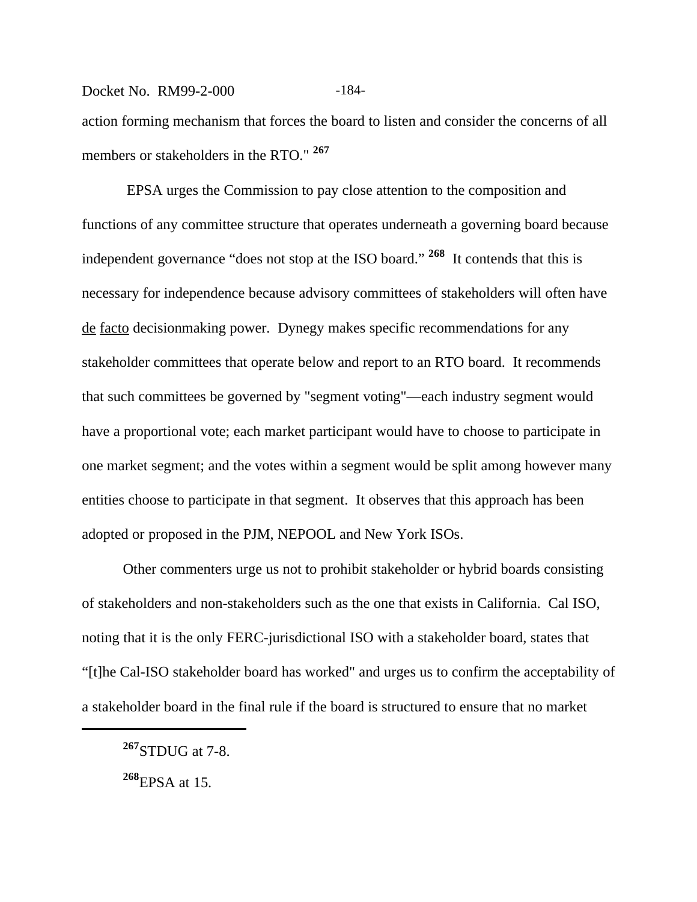## Docket No. RM99-2-000 -184action forming mechanism that forces the board to listen and consider the concerns of all members or stakeholders in the RTO." **<sup>267</sup>**

 EPSA urges the Commission to pay close attention to the composition and functions of any committee structure that operates underneath a governing board because independent governance "does not stop at the ISO board." **268** It contends that this is necessary for independence because advisory committees of stakeholders will often have de facto decisionmaking power. Dynegy makes specific recommendations for any stakeholder committees that operate below and report to an RTO board. It recommends that such committees be governed by "segment voting"—each industry segment would have a proportional vote; each market participant would have to choose to participate in one market segment; and the votes within a segment would be split among however many entities choose to participate in that segment. It observes that this approach has been adopted or proposed in the PJM, NEPOOL and New York ISOs.

Other commenters urge us not to prohibit stakeholder or hybrid boards consisting of stakeholders and non-stakeholders such as the one that exists in California. Cal ISO, noting that it is the only FERC-jurisdictional ISO with a stakeholder board, states that "[t]he Cal-ISO stakeholder board has worked" and urges us to confirm the acceptability of a stakeholder board in the final rule if the board is structured to ensure that no market

**<sup>267</sup>**STDUG at 7-8.

**<sup>268</sup>**EPSA at 15.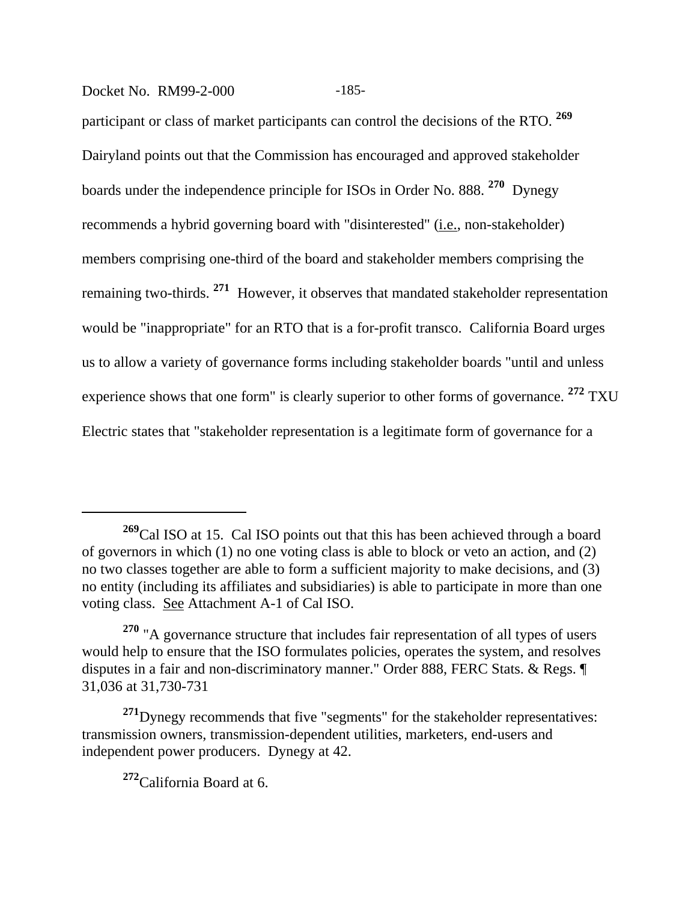#### Docket No. RM99-2-000 -185-

participant or class of market participants can control the decisions of the RTO. **<sup>269</sup>** Dairyland points out that the Commission has encouraged and approved stakeholder boards under the independence principle for ISOs in Order No. 888. **270** Dynegy recommends a hybrid governing board with "disinterested" (i.e., non-stakeholder) members comprising one-third of the board and stakeholder members comprising the remaining two-thirds. **271** However, it observes that mandated stakeholder representation would be "inappropriate" for an RTO that is a for-profit transco. California Board urges us to allow a variety of governance forms including stakeholder boards "until and unless experience shows that one form" is clearly superior to other forms of governance. **272** TXU Electric states that "stakeholder representation is a legitimate form of governance for a

**<sup>269</sup>**Cal ISO at 15. Cal ISO points out that this has been achieved through a board of governors in which (1) no one voting class is able to block or veto an action, and (2) no two classes together are able to form a sufficient majority to make decisions, and (3) no entity (including its affiliates and subsidiaries) is able to participate in more than one voting class. See Attachment A-1 of Cal ISO.

**<sup>270</sup>** "A governance structure that includes fair representation of all types of users would help to ensure that the ISO formulates policies, operates the system, and resolves disputes in a fair and non-discriminatory manner." Order 888, FERC Stats. & Regs. ¶ 31,036 at 31,730-731

**<sup>271</sup>**Dynegy recommends that five "segments" for the stakeholder representatives: transmission owners, transmission-dependent utilities, marketers, end-users and independent power producers. Dynegy at 42.

**<sup>272</sup>**California Board at 6.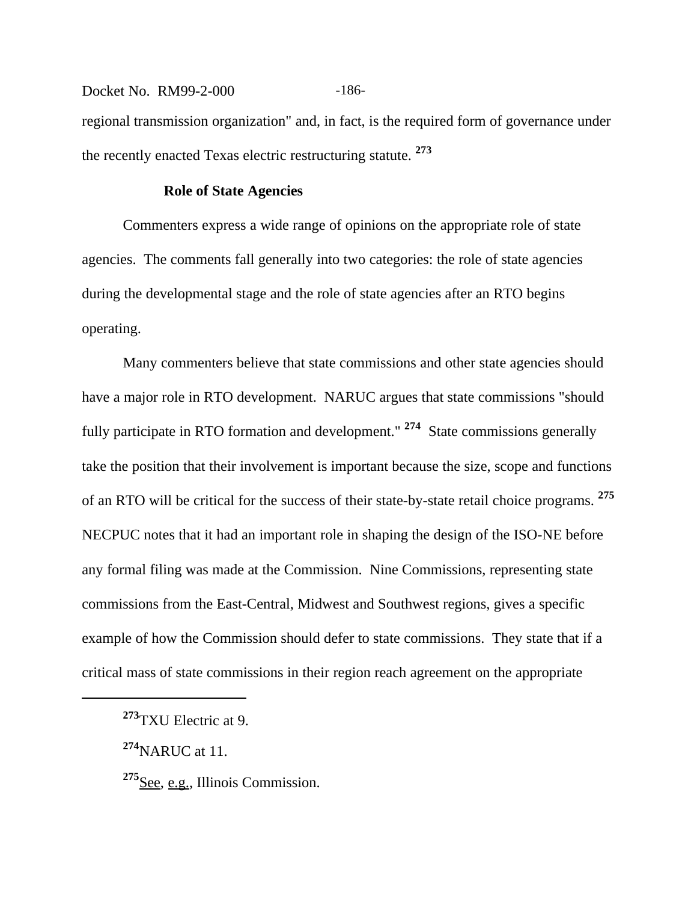Docket No. RM99-2-000 -186regional transmission organization" and, in fact, is the required form of governance under the recently enacted Texas electric restructuring statute. **<sup>273</sup>**

#### **Role of State Agencies**

Commenters express a wide range of opinions on the appropriate role of state agencies. The comments fall generally into two categories: the role of state agencies during the developmental stage and the role of state agencies after an RTO begins operating.

Many commenters believe that state commissions and other state agencies should have a major role in RTO development. NARUC argues that state commissions "should fully participate in RTO formation and development." **274** State commissions generally take the position that their involvement is important because the size, scope and functions of an RTO will be critical for the success of their state-by-state retail choice programs. **<sup>275</sup>** NECPUC notes that it had an important role in shaping the design of the ISO-NE before any formal filing was made at the Commission. Nine Commissions, representing state commissions from the East-Central, Midwest and Southwest regions, gives a specific example of how the Commission should defer to state commissions. They state that if a critical mass of state commissions in their region reach agreement on the appropriate

**<sup>273</sup>**TXU Electric at 9.

**<sup>274</sup>**NARUC at 11.

<sup>&</sup>lt;sup>275</sup>See, e.g., Illinois Commission.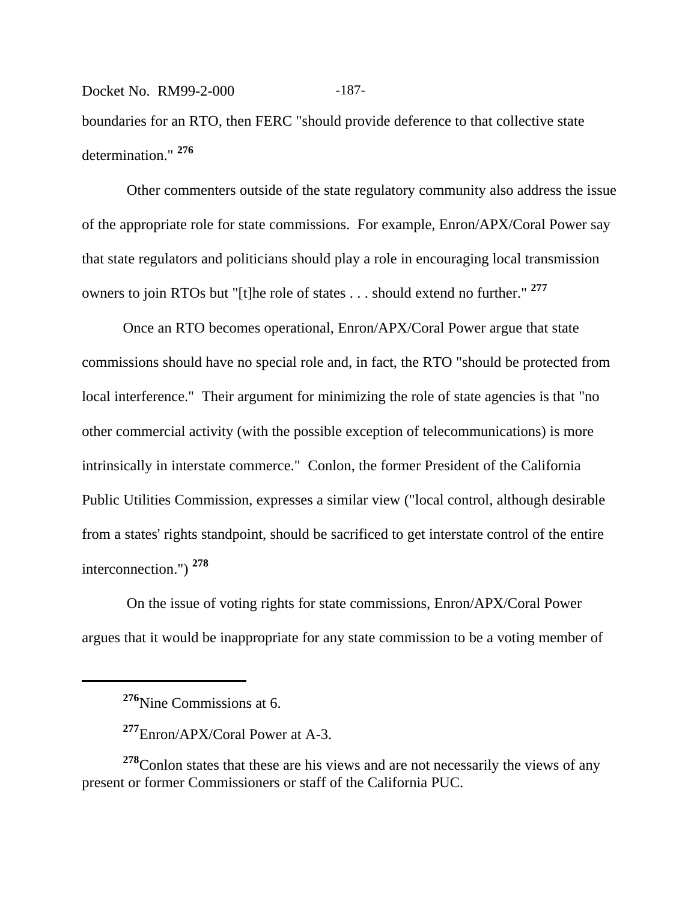Docket No. RM99-2-000 -187boundaries for an RTO, then FERC "should provide deference to that collective state determination." **<sup>276</sup>**

 Other commenters outside of the state regulatory community also address the issue of the appropriate role for state commissions. For example, Enron/APX/Coral Power say that state regulators and politicians should play a role in encouraging local transmission owners to join RTOs but "[t]he role of states . . . should extend no further." **<sup>277</sup>**

Once an RTO becomes operational, Enron/APX/Coral Power argue that state commissions should have no special role and, in fact, the RTO "should be protected from local interference." Their argument for minimizing the role of state agencies is that "no other commercial activity (with the possible exception of telecommunications) is more intrinsically in interstate commerce." Conlon, the former President of the California Public Utilities Commission, expresses a similar view ("local control, although desirable from a states' rights standpoint, should be sacrificed to get interstate control of the entire interconnection.") **<sup>278</sup>**

 On the issue of voting rights for state commissions, Enron/APX/Coral Power argues that it would be inappropriate for any state commission to be a voting member of

**<sup>278</sup>**Conlon states that these are his views and are not necessarily the views of any present or former Commissioners or staff of the California PUC.

**<sup>276</sup>**Nine Commissions at 6.

**<sup>277</sup>**Enron/APX/Coral Power at A-3.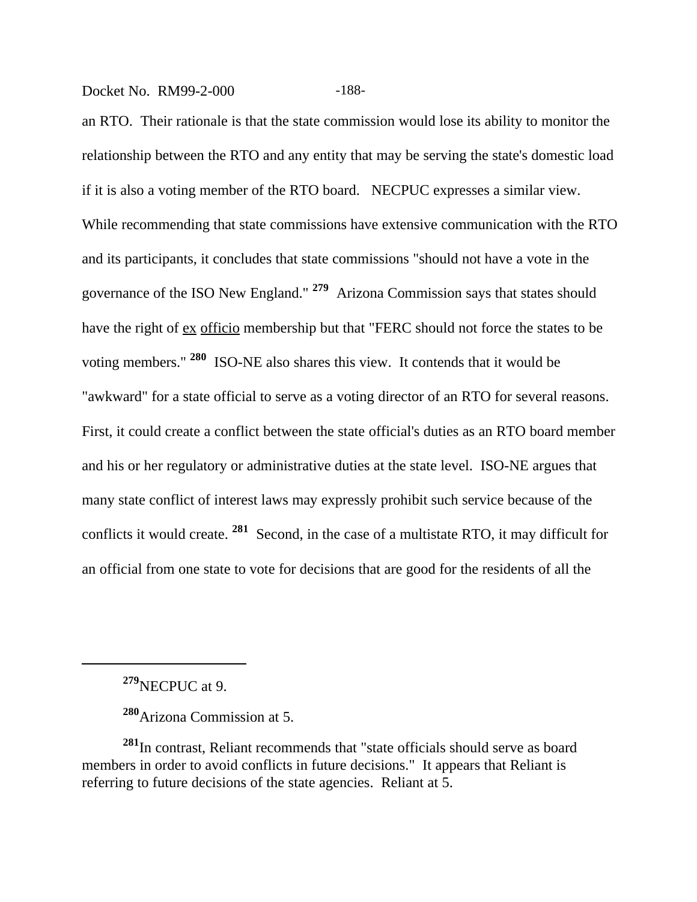Docket No. RM99-2-000 -188-

an RTO. Their rationale is that the state commission would lose its ability to monitor the relationship between the RTO and any entity that may be serving the state's domestic load if it is also a voting member of the RTO board. NECPUC expresses a similar view. While recommending that state commissions have extensive communication with the RTO and its participants, it concludes that state commissions "should not have a vote in the governance of the ISO New England." **279** Arizona Commission says that states should have the right of ex officio membership but that "FERC should not force the states to be voting members." **280** ISO-NE also shares this view. It contends that it would be "awkward" for a state official to serve as a voting director of an RTO for several reasons. First, it could create a conflict between the state official's duties as an RTO board member and his or her regulatory or administrative duties at the state level. ISO-NE argues that many state conflict of interest laws may expressly prohibit such service because of the conflicts it would create. **281** Second, in the case of a multistate RTO, it may difficult for an official from one state to vote for decisions that are good for the residents of all the

**<sup>279</sup>**NECPUC at 9.

**<sup>280</sup>**Arizona Commission at 5.

**<sup>281</sup>**In contrast, Reliant recommends that "state officials should serve as board members in order to avoid conflicts in future decisions." It appears that Reliant is referring to future decisions of the state agencies. Reliant at 5.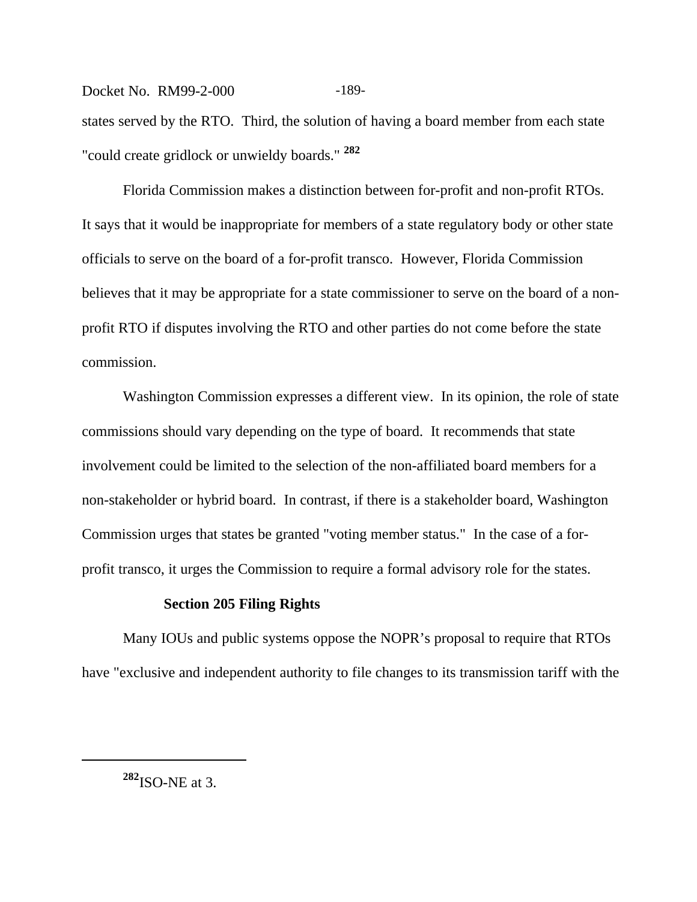Docket No. RM99-2-000 -189states served by the RTO. Third, the solution of having a board member from each state "could create gridlock or unwieldy boards." **<sup>282</sup>**

Florida Commission makes a distinction between for-profit and non-profit RTOs. It says that it would be inappropriate for members of a state regulatory body or other state officials to serve on the board of a for-profit transco. However, Florida Commission believes that it may be appropriate for a state commissioner to serve on the board of a nonprofit RTO if disputes involving the RTO and other parties do not come before the state commission.

Washington Commission expresses a different view. In its opinion, the role of state commissions should vary depending on the type of board. It recommends that state involvement could be limited to the selection of the non-affiliated board members for a non-stakeholder or hybrid board. In contrast, if there is a stakeholder board, Washington Commission urges that states be granted "voting member status." In the case of a forprofit transco, it urges the Commission to require a formal advisory role for the states.

#### **Section 205 Filing Rights**

Many IOUs and public systems oppose the NOPR's proposal to require that RTOs have "exclusive and independent authority to file changes to its transmission tariff with the

**<sup>282</sup>**ISO-NE at 3.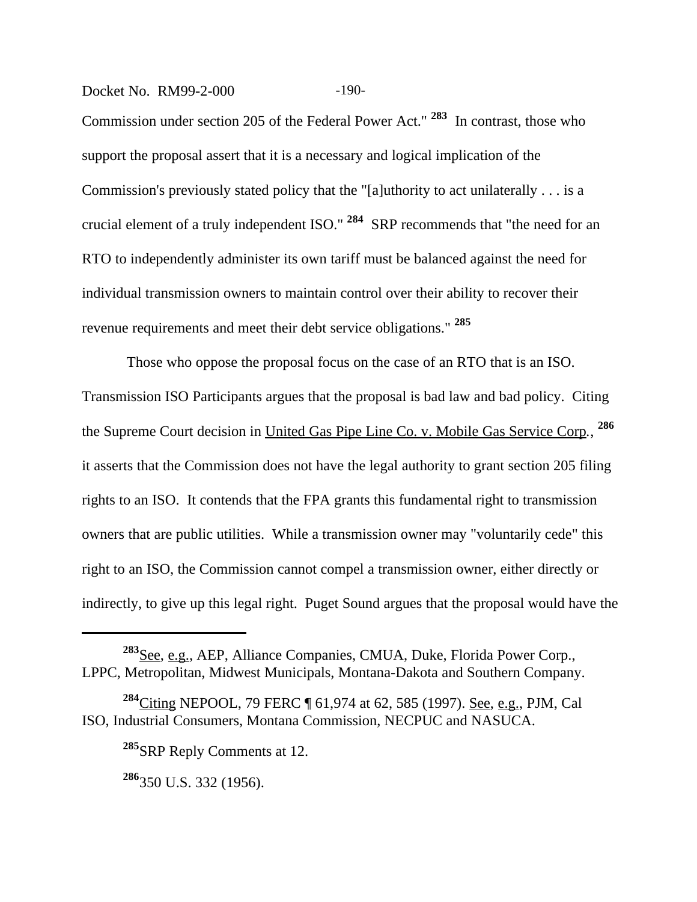### Docket No. RM99-2-000 -190-

Commission under section 205 of the Federal Power Act." **283** In contrast, those who support the proposal assert that it is a necessary and logical implication of the Commission's previously stated policy that the "[a]uthority to act unilaterally . . . is a crucial element of a truly independent ISO." **284** SRP recommends that "the need for an RTO to independently administer its own tariff must be balanced against the need for individual transmission owners to maintain control over their ability to recover their revenue requirements and meet their debt service obligations." **<sup>285</sup>**

 Those who oppose the proposal focus on the case of an RTO that is an ISO. Transmission ISO Participants argues that the proposal is bad law and bad policy. Citing the Supreme Court decision in United Gas Pipe Line Co. v. Mobile Gas Service Corp*.*, **286** it asserts that the Commission does not have the legal authority to grant section 205 filing rights to an ISO. It contends that the FPA grants this fundamental right to transmission owners that are public utilities. While a transmission owner may "voluntarily cede" this right to an ISO, the Commission cannot compel a transmission owner, either directly or indirectly, to give up this legal right. Puget Sound argues that the proposal would have the

**<sup>283</sup>**See, e.g., AEP, Alliance Companies, CMUA, Duke, Florida Power Corp., LPPC, Metropolitan, Midwest Municipals, Montana-Dakota and Southern Company.

**<sup>284</sup>**Citing NEPOOL, 79 FERC ¶ 61,974 at 62, 585 (1997). See, e.g., PJM, Cal ISO, Industrial Consumers, Montana Commission, NECPUC and NASUCA.

**<sup>285</sup>**SRP Reply Comments at 12.

**<sup>286</sup>**350 U.S. 332 (1956).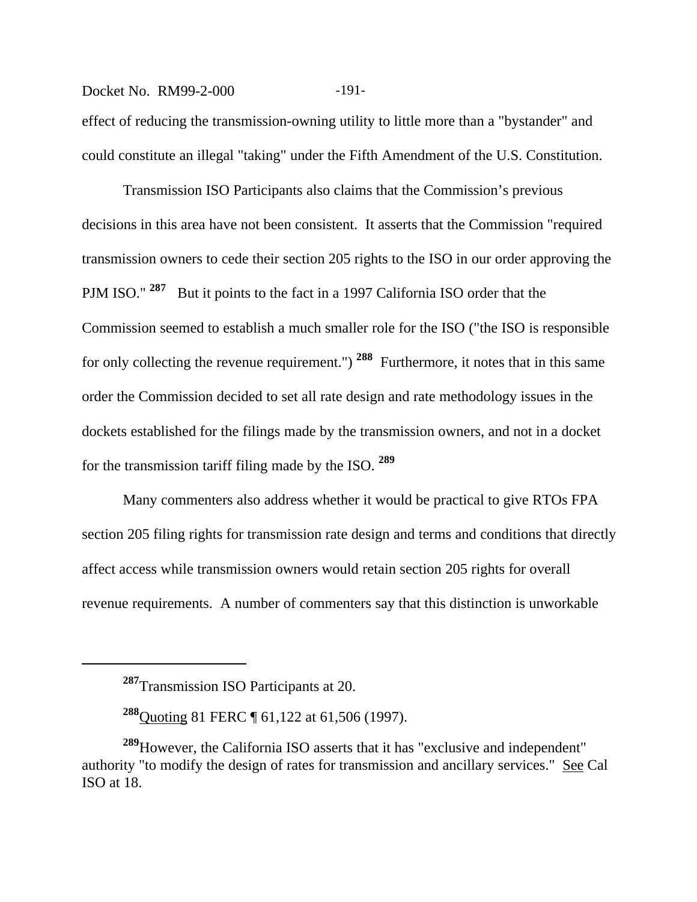#### Docket No. RM99-2-000 -191-

effect of reducing the transmission-owning utility to little more than a "bystander" and could constitute an illegal "taking" under the Fifth Amendment of the U.S. Constitution.

Transmission ISO Participants also claims that the Commission's previous decisions in this area have not been consistent. It asserts that the Commission "required transmission owners to cede their section 205 rights to the ISO in our order approving the PJM ISO." **287** But it points to the fact in a 1997 California ISO order that the Commission seemed to establish a much smaller role for the ISO ("the ISO is responsible for only collecting the revenue requirement.") **288** Furthermore, it notes that in this same order the Commission decided to set all rate design and rate methodology issues in the dockets established for the filings made by the transmission owners, and not in a docket for the transmission tariff filing made by the ISO. **<sup>289</sup>**

Many commenters also address whether it would be practical to give RTOs FPA section 205 filing rights for transmission rate design and terms and conditions that directly affect access while transmission owners would retain section 205 rights for overall revenue requirements. A number of commenters say that this distinction is unworkable

**<sup>287</sup>**Transmission ISO Participants at 20.

**<sup>288</sup>**Quoting 81 FERC ¶ 61,122 at 61,506 (1997).

**<sup>289</sup>**However, the California ISO asserts that it has "exclusive and independent" authority "to modify the design of rates for transmission and ancillary services." See Cal ISO at 18.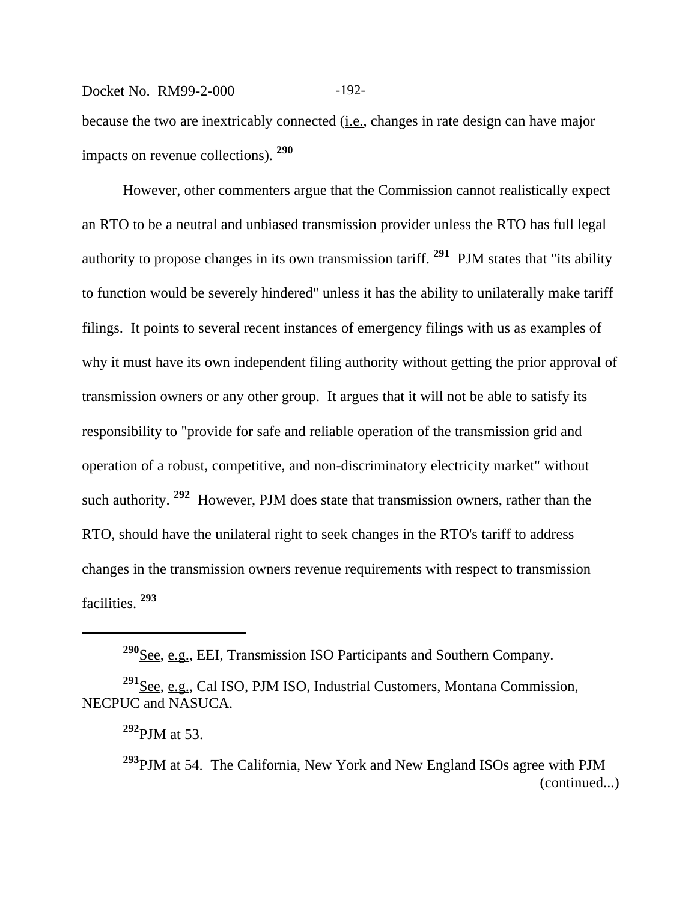## Docket No. RM99-2-000 -192-

because the two are inextricably connected (*i.e.*, changes in rate design can have major impacts on revenue collections). **<sup>290</sup>**

However, other commenters argue that the Commission cannot realistically expect an RTO to be a neutral and unbiased transmission provider unless the RTO has full legal authority to propose changes in its own transmission tariff. **291** PJM states that "its ability to function would be severely hindered" unless it has the ability to unilaterally make tariff filings. It points to several recent instances of emergency filings with us as examples of why it must have its own independent filing authority without getting the prior approval of transmission owners or any other group. It argues that it will not be able to satisfy its responsibility to "provide for safe and reliable operation of the transmission grid and operation of a robust, competitive, and non-discriminatory electricity market" without such authority. **292** However, PJM does state that transmission owners, rather than the RTO, should have the unilateral right to seek changes in the RTO's tariff to address changes in the transmission owners revenue requirements with respect to transmission facilities. **<sup>293</sup>**

**<sup>290</sup>**See, e.g., EEI, Transmission ISO Participants and Southern Company.

**<sup>291</sup>**See, e.g., Cal ISO, PJM ISO, Industrial Customers, Montana Commission, NECPUC and NASUCA.

**<sup>292</sup>**PJM at 53.

**<sup>293</sup>**PJM at 54. The California, New York and New England ISOs agree with PJM (continued...)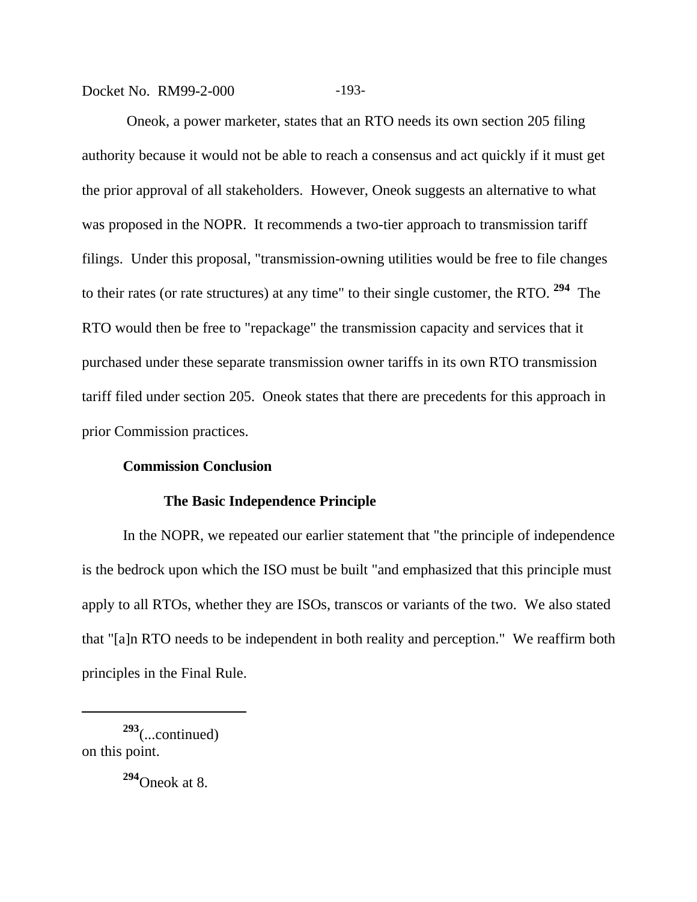Docket No. RM99-2-000 -193-

 Oneok, a power marketer, states that an RTO needs its own section 205 filing authority because it would not be able to reach a consensus and act quickly if it must get the prior approval of all stakeholders. However, Oneok suggests an alternative to what was proposed in the NOPR. It recommends a two-tier approach to transmission tariff filings. Under this proposal, "transmission-owning utilities would be free to file changes to their rates (or rate structures) at any time" to their single customer, the RTO. **294** The RTO would then be free to "repackage" the transmission capacity and services that it purchased under these separate transmission owner tariffs in its own RTO transmission tariff filed under section 205. Oneok states that there are precedents for this approach in prior Commission practices.

### **Commission Conclusion**

#### **The Basic Independence Principle**

In the NOPR, we repeated our earlier statement that "the principle of independence is the bedrock upon which the ISO must be built "and emphasized that this principle must apply to all RTOs, whether they are ISOs, transcos or variants of the two. We also stated that "[a]n RTO needs to be independent in both reality and perception." We reaffirm both principles in the Final Rule.

**<sup>293</sup>**(...continued) on this point.

**<sup>294</sup>**Oneok at 8.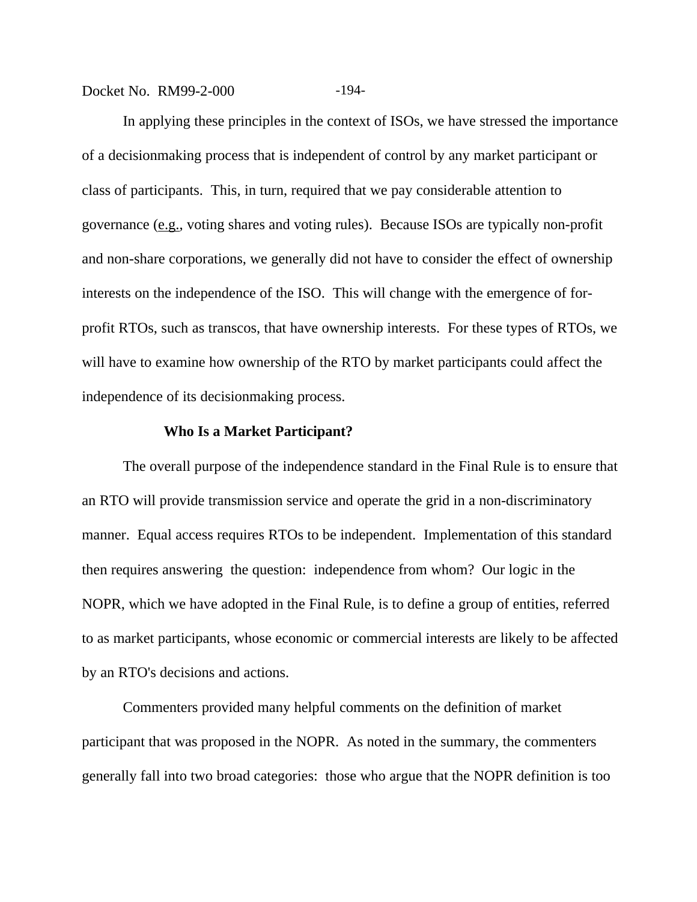Docket No. RM99-2-000 -194-

In applying these principles in the context of ISOs, we have stressed the importance of a decisionmaking process that is independent of control by any market participant or class of participants. This, in turn, required that we pay considerable attention to governance (e.g., voting shares and voting rules). Because ISOs are typically non-profit and non-share corporations, we generally did not have to consider the effect of ownership interests on the independence of the ISO. This will change with the emergence of forprofit RTOs, such as transcos, that have ownership interests. For these types of RTOs, we will have to examine how ownership of the RTO by market participants could affect the independence of its decisionmaking process.

#### **Who Is a Market Participant?**

The overall purpose of the independence standard in the Final Rule is to ensure that an RTO will provide transmission service and operate the grid in a non-discriminatory manner. Equal access requires RTOs to be independent. Implementation of this standard then requires answering the question: independence from whom? Our logic in the NOPR, which we have adopted in the Final Rule, is to define a group of entities, referred to as market participants, whose economic or commercial interests are likely to be affected by an RTO's decisions and actions.

Commenters provided many helpful comments on the definition of market participant that was proposed in the NOPR. As noted in the summary, the commenters generally fall into two broad categories: those who argue that the NOPR definition is too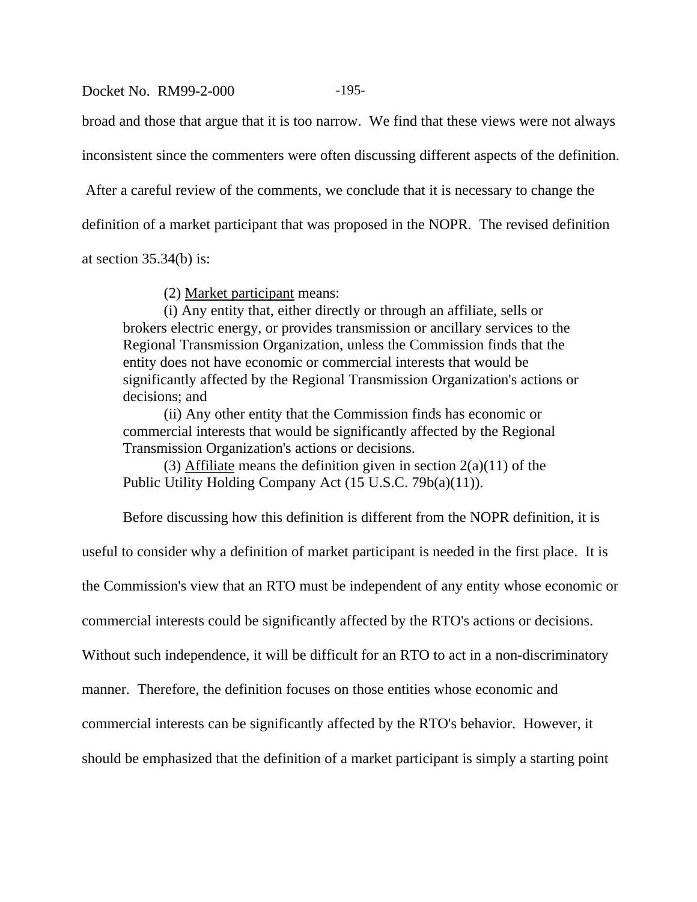#### Docket No. RM99-2-000 -195-

broad and those that argue that it is too narrow. We find that these views were not always

inconsistent since the commenters were often discussing different aspects of the definition.

After a careful review of the comments, we conclude that it is necessary to change the

definition of a market participant that was proposed in the NOPR. The revised definition

at section  $35.34(b)$  is:

(2) Market participant means:

(i) Any entity that, either directly or through an affiliate, sells or brokers electric energy, or provides transmission or ancillary services to the Regional Transmission Organization, unless the Commission finds that the entity does not have economic or commercial interests that would be significantly affected by the Regional Transmission Organization's actions or decisions; and

(ii) Any other entity that the Commission finds has economic or commercial interests that would be significantly affected by the Regional Transmission Organization's actions or decisions.

(3) Affiliate means the definition given in section  $2(a)(11)$  of the Public Utility Holding Company Act (15 U.S.C. 79b(a)(11)).

Before discussing how this definition is different from the NOPR definition, it is

useful to consider why a definition of market participant is needed in the first place. It is

the Commission's view that an RTO must be independent of any entity whose economic or

commercial interests could be significantly affected by the RTO's actions or decisions.

Without such independence, it will be difficult for an RTO to act in a non-discriminatory

manner. Therefore, the definition focuses on those entities whose economic and

commercial interests can be significantly affected by the RTO's behavior. However, it

should be emphasized that the definition of a market participant is simply a starting point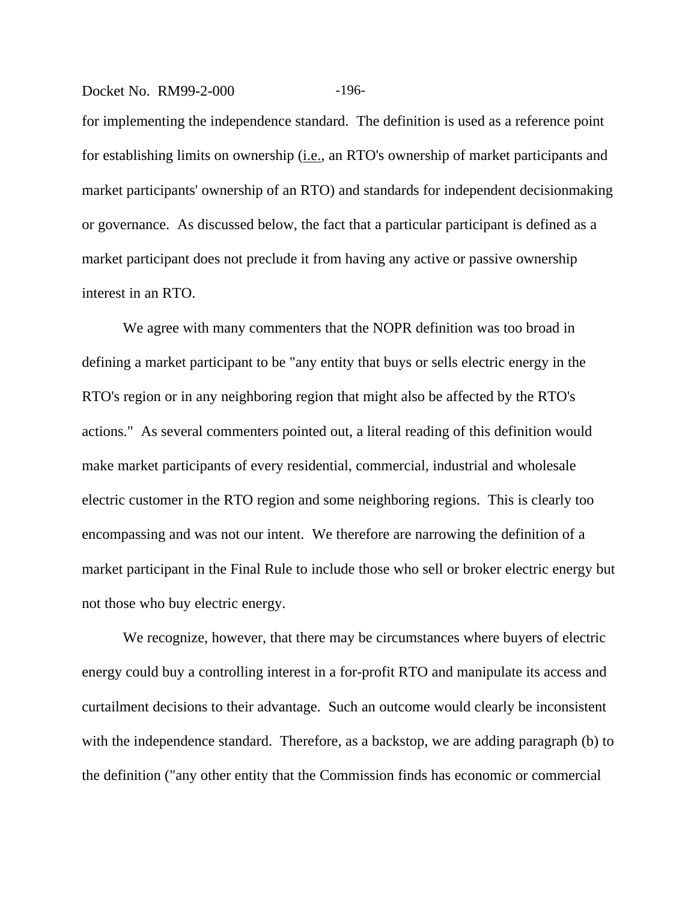#### Docket No. RM99-2-000 -196-

for implementing the independence standard. The definition is used as a reference point for establishing limits on ownership (i.e., an RTO's ownership of market participants and market participants' ownership of an RTO) and standards for independent decisionmaking or governance. As discussed below, the fact that a particular participant is defined as a market participant does not preclude it from having any active or passive ownership interest in an RTO.

We agree with many commenters that the NOPR definition was too broad in defining a market participant to be "any entity that buys or sells electric energy in the RTO's region or in any neighboring region that might also be affected by the RTO's actions." As several commenters pointed out, a literal reading of this definition would make market participants of every residential, commercial, industrial and wholesale electric customer in the RTO region and some neighboring regions. This is clearly too encompassing and was not our intent. We therefore are narrowing the definition of a market participant in the Final Rule to include those who sell or broker electric energy but not those who buy electric energy.

We recognize, however, that there may be circumstances where buyers of electric energy could buy a controlling interest in a for-profit RTO and manipulate its access and curtailment decisions to their advantage. Such an outcome would clearly be inconsistent with the independence standard. Therefore, as a backstop, we are adding paragraph (b) to the definition ("any other entity that the Commission finds has economic or commercial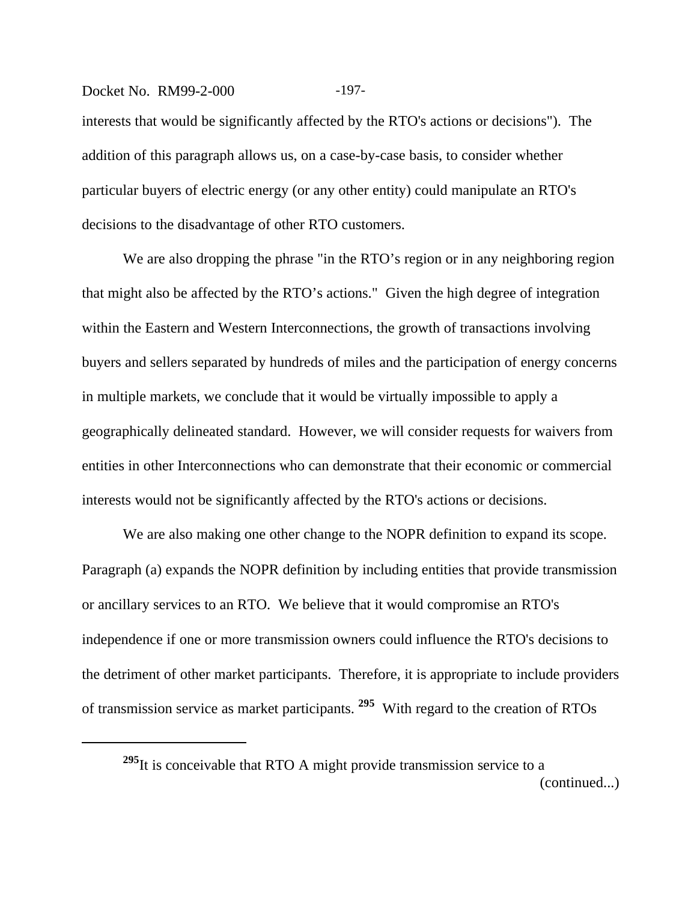#### Docket No. RM99-2-000 -197-

interests that would be significantly affected by the RTO's actions or decisions"). The addition of this paragraph allows us, on a case-by-case basis, to consider whether particular buyers of electric energy (or any other entity) could manipulate an RTO's decisions to the disadvantage of other RTO customers.

We are also dropping the phrase "in the RTO's region or in any neighboring region that might also be affected by the RTO's actions." Given the high degree of integration within the Eastern and Western Interconnections, the growth of transactions involving buyers and sellers separated by hundreds of miles and the participation of energy concerns in multiple markets, we conclude that it would be virtually impossible to apply a geographically delineated standard. However, we will consider requests for waivers from entities in other Interconnections who can demonstrate that their economic or commercial interests would not be significantly affected by the RTO's actions or decisions.

We are also making one other change to the NOPR definition to expand its scope. Paragraph (a) expands the NOPR definition by including entities that provide transmission or ancillary services to an RTO. We believe that it would compromise an RTO's independence if one or more transmission owners could influence the RTO's decisions to the detriment of other market participants. Therefore, it is appropriate to include providers of transmission service as market participants. **295** With regard to the creation of RTOs

<sup>&</sup>lt;sup>295</sup>It is conceivable that RTO A might provide transmission service to a (continued...)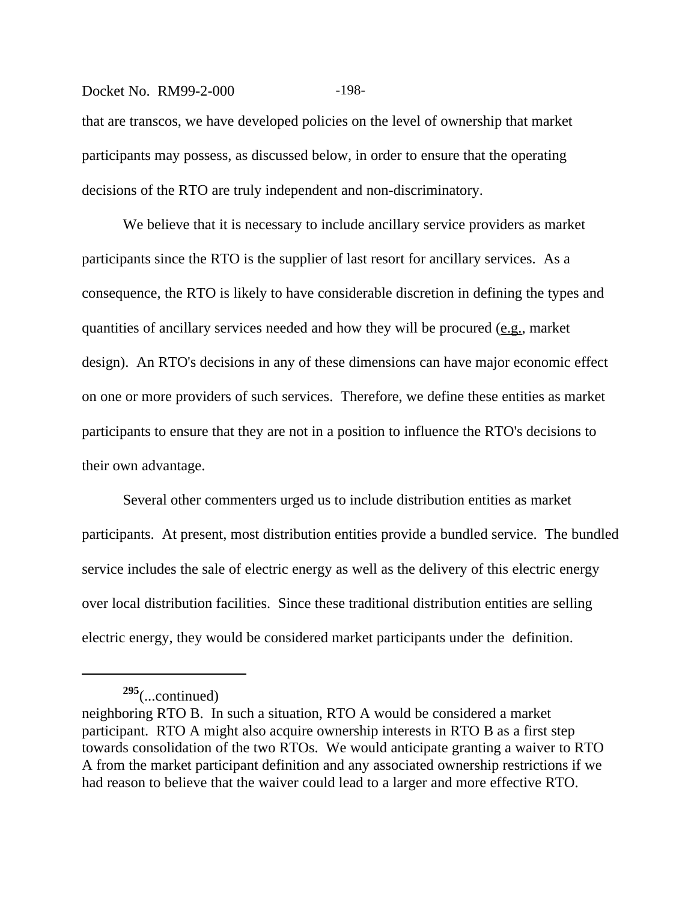#### Docket No. RM99-2-000 -198-

that are transcos, we have developed policies on the level of ownership that market participants may possess, as discussed below, in order to ensure that the operating decisions of the RTO are truly independent and non-discriminatory.

We believe that it is necessary to include ancillary service providers as market participants since the RTO is the supplier of last resort for ancillary services. As a consequence, the RTO is likely to have considerable discretion in defining the types and quantities of ancillary services needed and how they will be procured (e.g., market design). An RTO's decisions in any of these dimensions can have major economic effect on one or more providers of such services. Therefore, we define these entities as market participants to ensure that they are not in a position to influence the RTO's decisions to their own advantage.

Several other commenters urged us to include distribution entities as market participants. At present, most distribution entities provide a bundled service. The bundled service includes the sale of electric energy as well as the delivery of this electric energy over local distribution facilities. Since these traditional distribution entities are selling electric energy, they would be considered market participants under the definition.

**<sup>295</sup>**(...continued)

neighboring RTO B. In such a situation, RTO A would be considered a market participant. RTO A might also acquire ownership interests in RTO B as a first step towards consolidation of the two RTOs. We would anticipate granting a waiver to RTO A from the market participant definition and any associated ownership restrictions if we had reason to believe that the waiver could lead to a larger and more effective RTO.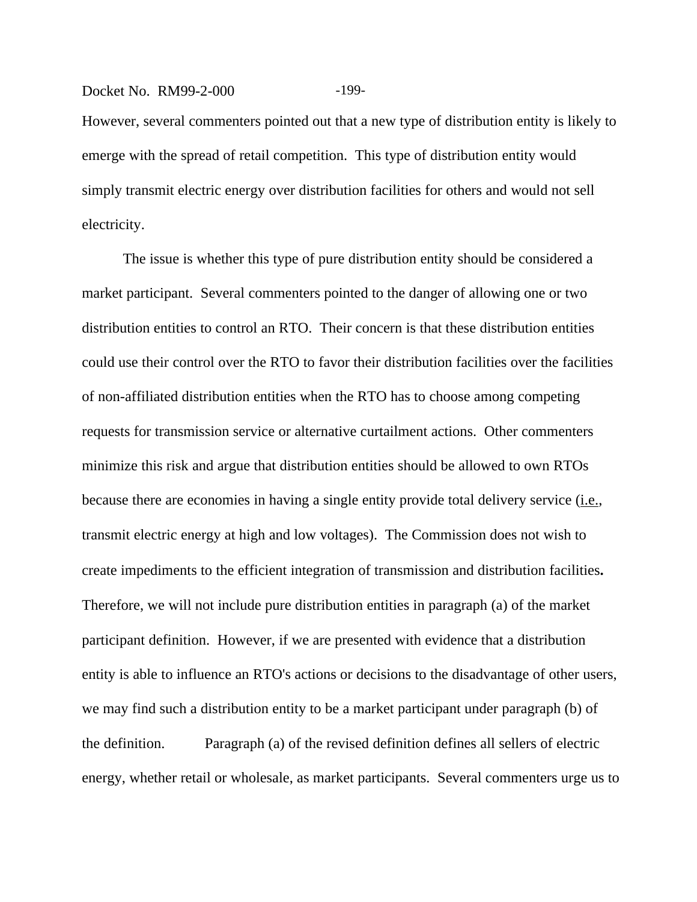#### Docket No. RM99-2-000 -199-

However, several commenters pointed out that a new type of distribution entity is likely to emerge with the spread of retail competition. This type of distribution entity would simply transmit electric energy over distribution facilities for others and would not sell electricity.

The issue is whether this type of pure distribution entity should be considered a market participant. Several commenters pointed to the danger of allowing one or two distribution entities to control an RTO. Their concern is that these distribution entities could use their control over the RTO to favor their distribution facilities over the facilities of non-affiliated distribution entities when the RTO has to choose among competing requests for transmission service or alternative curtailment actions. Other commenters minimize this risk and argue that distribution entities should be allowed to own RTOs because there are economies in having a single entity provide total delivery service (i.e., transmit electric energy at high and low voltages).The Commission does not wish to create impediments to the efficient integration of transmission and distribution facilities**.**  Therefore, we will not include pure distribution entities in paragraph (a) of the market participant definition. However, if we are presented with evidence that a distribution entity is able to influence an RTO's actions or decisions to the disadvantage of other users, we may find such a distribution entity to be a market participant under paragraph (b) of the definition. Paragraph (a) of the revised definition defines all sellers of electric energy, whether retail or wholesale, as market participants. Several commenters urge us to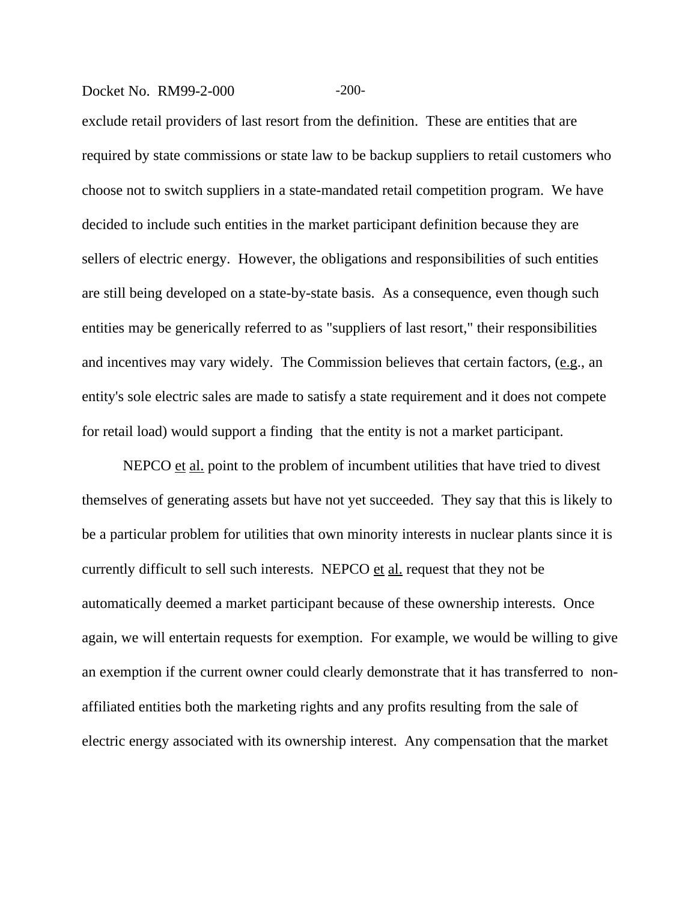#### Docket No. RM99-2-000 -200-

exclude retail providers of last resort from the definition. These are entities that are required by state commissions or state law to be backup suppliers to retail customers who choose not to switch suppliers in a state-mandated retail competition program. We have decided to include such entities in the market participant definition because they are sellers of electric energy. However, the obligations and responsibilities of such entities are still being developed on a state-by-state basis. As a consequence, even though such entities may be generically referred to as "suppliers of last resort," their responsibilities and incentives may vary widely. The Commission believes that certain factors, (e.g., an entity's sole electric sales are made to satisfy a state requirement and it does not compete for retail load) would support a finding that the entity is not a market participant.

NEPCO et al. point to the problem of incumbent utilities that have tried to divest themselves of generating assets but have not yet succeeded. They say that this is likely to be a particular problem for utilities that own minority interests in nuclear plants since it is currently difficult to sell such interests. NEPCO et al. request that they not be automatically deemed a market participant because of these ownership interests. Once again, we will entertain requests for exemption. For example, we would be willing to give an exemption if the current owner could clearly demonstrate that it has transferred to nonaffiliated entities both the marketing rights and any profits resulting from the sale of electric energy associated with its ownership interest. Any compensation that the market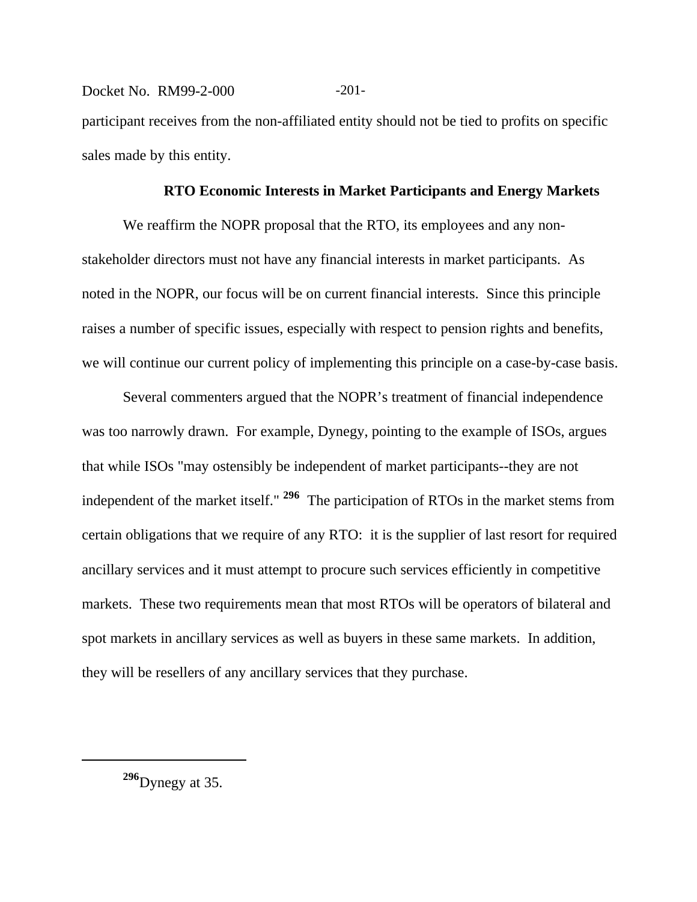Docket No. RM99-2-000 -201participant receives from the non-affiliated entity should not be tied to profits on specific sales made by this entity.

#### **RTO Economic Interests in Market Participants and Energy Markets**

We reaffirm the NOPR proposal that the RTO, its employees and any nonstakeholder directors must not have any financial interests in market participants. As noted in the NOPR, our focus will be on current financial interests. Since this principle raises a number of specific issues, especially with respect to pension rights and benefits, we will continue our current policy of implementing this principle on a case-by-case basis.

Several commenters argued that the NOPR's treatment of financial independence was too narrowly drawn. For example, Dynegy, pointing to the example of ISOs, argues that while ISOs "may ostensibly be independent of market participants--they are not independent of the market itself." **296** The participation of RTOs in the market stems from certain obligations that we require of any RTO: it is the supplier of last resort for required ancillary services and it must attempt to procure such services efficiently in competitive markets. These two requirements mean that most RTOs will be operators of bilateral and spot markets in ancillary services as well as buyers in these same markets. In addition, they will be resellers of any ancillary services that they purchase.

**<sup>296</sup>**Dynegy at 35.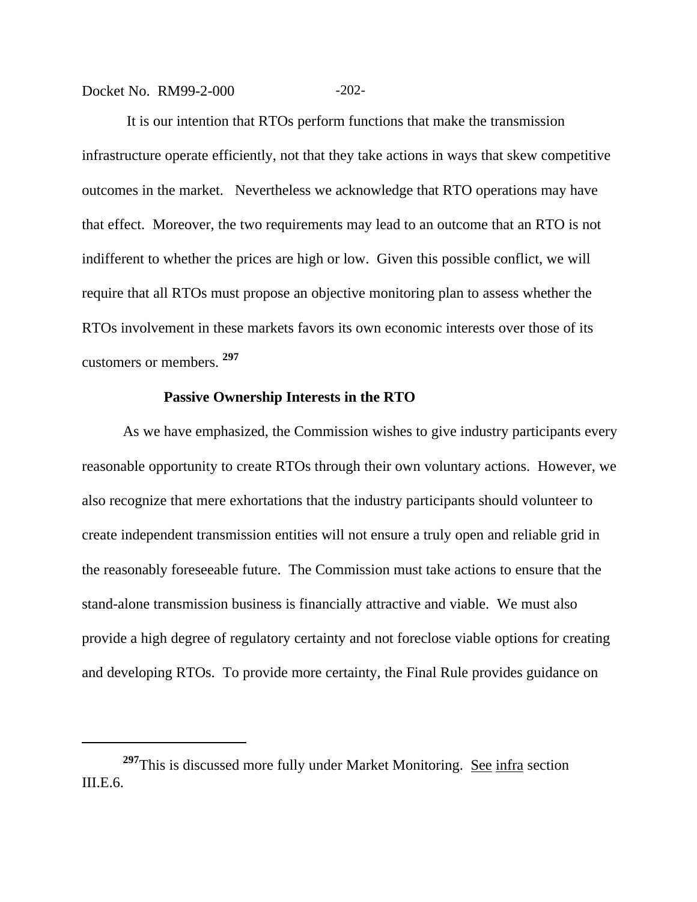Docket No. RM99-2-000 -202-

 It is our intention that RTOs perform functions that make the transmission infrastructure operate efficiently, not that they take actions in ways that skew competitive outcomes in the market. Nevertheless we acknowledge that RTO operations may have that effect. Moreover, the two requirements may lead to an outcome that an RTO is not indifferent to whether the prices are high or low. Given this possible conflict, we will require that all RTOs must propose an objective monitoring plan to assess whether the RTOs involvement in these markets favors its own economic interests over those of its customers or members. **<sup>297</sup>**

#### **Passive Ownership Interests in the RTO**

As we have emphasized, the Commission wishes to give industry participants every reasonable opportunity to create RTOs through their own voluntary actions. However, we also recognize that mere exhortations that the industry participants should volunteer to create independent transmission entities will not ensure a truly open and reliable grid in the reasonably foreseeable future. The Commission must take actions to ensure that the stand-alone transmission business is financially attractive and viable. We must also provide a high degree of regulatory certainty and not foreclose viable options for creating and developing RTOs. To provide more certainty, the Final Rule provides guidance on

<sup>&</sup>lt;sup>297</sup>This is discussed more fully under Market Monitoring. See infra section III.E.6.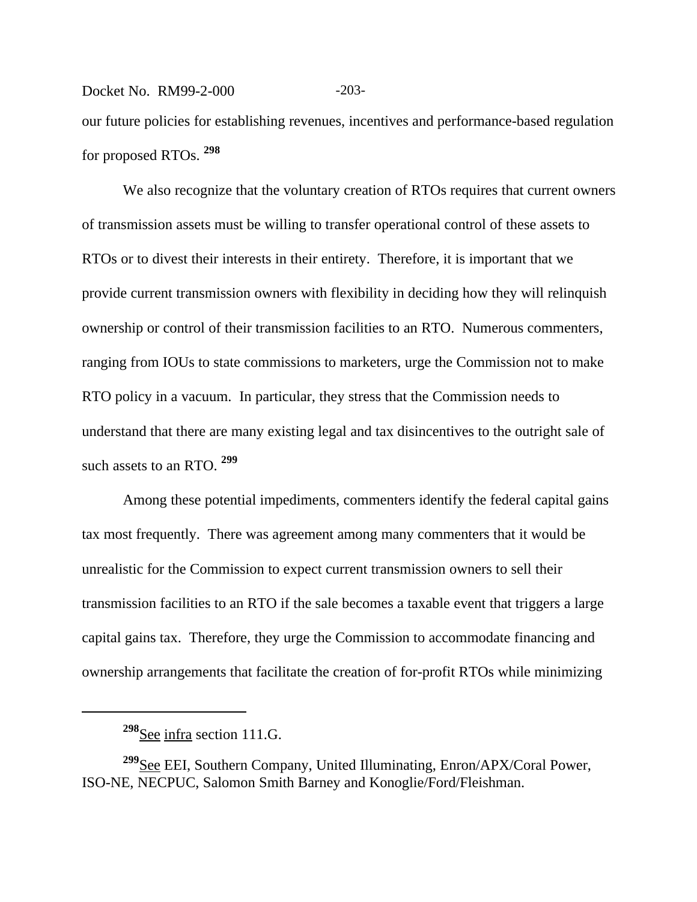## Docket No. RM99-2-000 -203our future policies for establishing revenues, incentives and performance-based regulation for proposed RTOs. **<sup>298</sup>**

We also recognize that the voluntary creation of RTOs requires that current owners of transmission assets must be willing to transfer operational control of these assets to RTOs or to divest their interests in their entirety. Therefore, it is important that we provide current transmission owners with flexibility in deciding how they will relinquish ownership or control of their transmission facilities to an RTO. Numerous commenters, ranging from IOUs to state commissions to marketers, urge the Commission not to make RTO policy in a vacuum. In particular, they stress that the Commission needs to understand that there are many existing legal and tax disincentives to the outright sale of such assets to an RTO. **<sup>299</sup>**

Among these potential impediments, commenters identify the federal capital gains tax most frequently. There was agreement among many commenters that it would be unrealistic for the Commission to expect current transmission owners to sell their transmission facilities to an RTO if the sale becomes a taxable event that triggers a large capital gains tax. Therefore, they urge the Commission to accommodate financing and ownership arrangements that facilitate the creation of for-profit RTOs while minimizing

**<sup>298</sup>**See infra section 111.G.

**<sup>299</sup>**See EEI, Southern Company, United Illuminating, Enron/APX/Coral Power, ISO-NE, NECPUC, Salomon Smith Barney and Konoglie/Ford/Fleishman.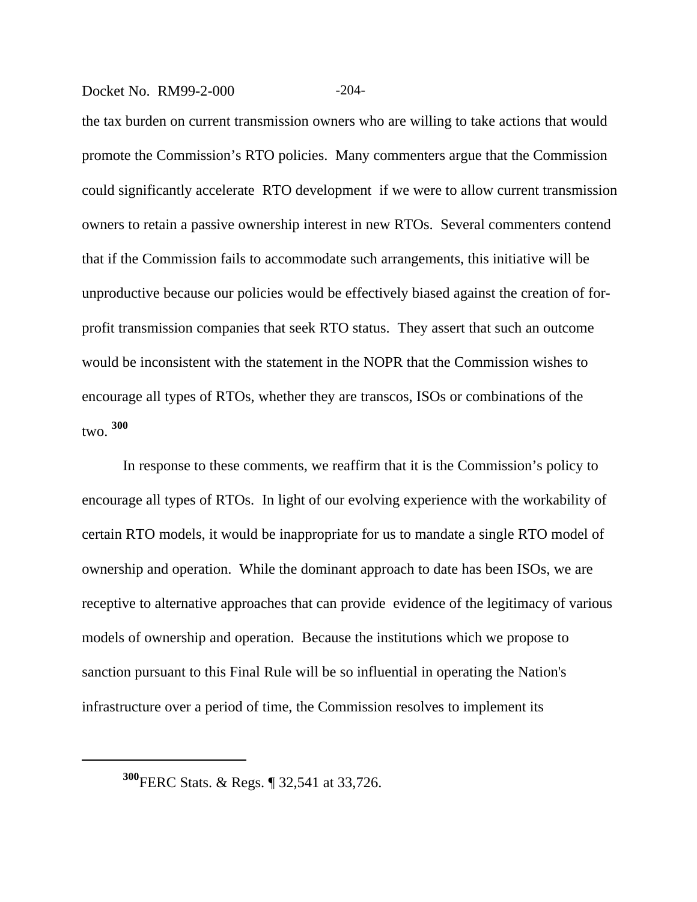#### Docket No. RM99-2-000 -204-

the tax burden on current transmission owners who are willing to take actions that would promote the Commission's RTO policies. Many commenters argue that the Commission could significantly accelerate RTO development if we were to allow current transmission owners to retain a passive ownership interest in new RTOs. Several commenters contend that if the Commission fails to accommodate such arrangements, this initiative will be unproductive because our policies would be effectively biased against the creation of forprofit transmission companies that seek RTO status. They assert that such an outcome would be inconsistent with the statement in the NOPR that the Commission wishes to encourage all types of RTOs, whether they are transcos, ISOs or combinations of the  $t_{\text{W}}$ <sup>300</sup>

In response to these comments, we reaffirm that it is the Commission's policy to encourage all types of RTOs. In light of our evolving experience with the workability of certain RTO models, it would be inappropriate for us to mandate a single RTO model of ownership and operation. While the dominant approach to date has been ISOs, we are receptive to alternative approaches that can provide evidence of the legitimacy of various models of ownership and operation. Because the institutions which we propose to sanction pursuant to this Final Rule will be so influential in operating the Nation's infrastructure over a period of time, the Commission resolves to implement its

**<sup>300</sup>**FERC Stats. & Regs. ¶ 32,541 at 33,726.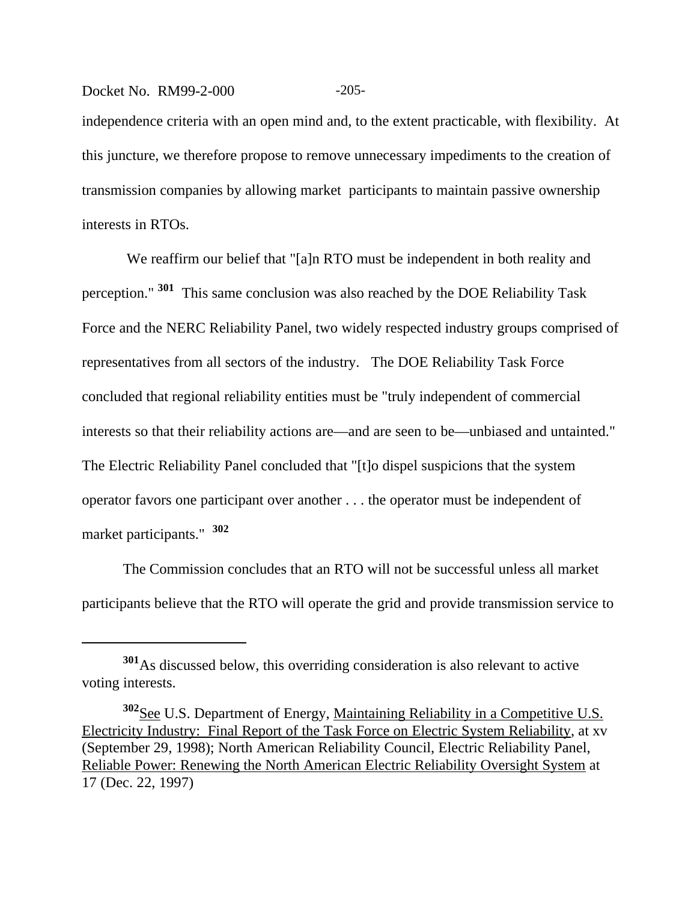#### Docket No. RM99-2-000 -205-

independence criteria with an open mind and, to the extent practicable, with flexibility. At this juncture, we therefore propose to remove unnecessary impediments to the creation of transmission companies by allowing market participants to maintain passive ownership interests in RTOs.

We reaffirm our belief that "[a]n RTO must be independent in both reality and perception." **301** This same conclusion was also reached by the DOE Reliability Task Force and the NERC Reliability Panel, two widely respected industry groups comprised of representatives from all sectors of the industry. The DOE Reliability Task Force concluded that regional reliability entities must be "truly independent of commercial interests so that their reliability actions are—and are seen to be—unbiased and untainted." The Electric Reliability Panel concluded that "[t]o dispel suspicions that the system operator favors one participant over another . . . the operator must be independent of market participants." **<sup>302</sup>**

The Commission concludes that an RTO will not be successful unless all market participants believe that the RTO will operate the grid and provide transmission service to

**<sup>301</sup>**As discussed below, this overriding consideration is also relevant to active voting interests.

<sup>&</sup>lt;sup>302</sup>See U.S. Department of Energy, Maintaining Reliability in a Competitive U.S. Electricity Industry: Final Report of the Task Force on Electric System Reliability, at xv (September 29, 1998); North American Reliability Council, Electric Reliability Panel, Reliable Power: Renewing the North American Electric Reliability Oversight System at 17 (Dec. 22, 1997)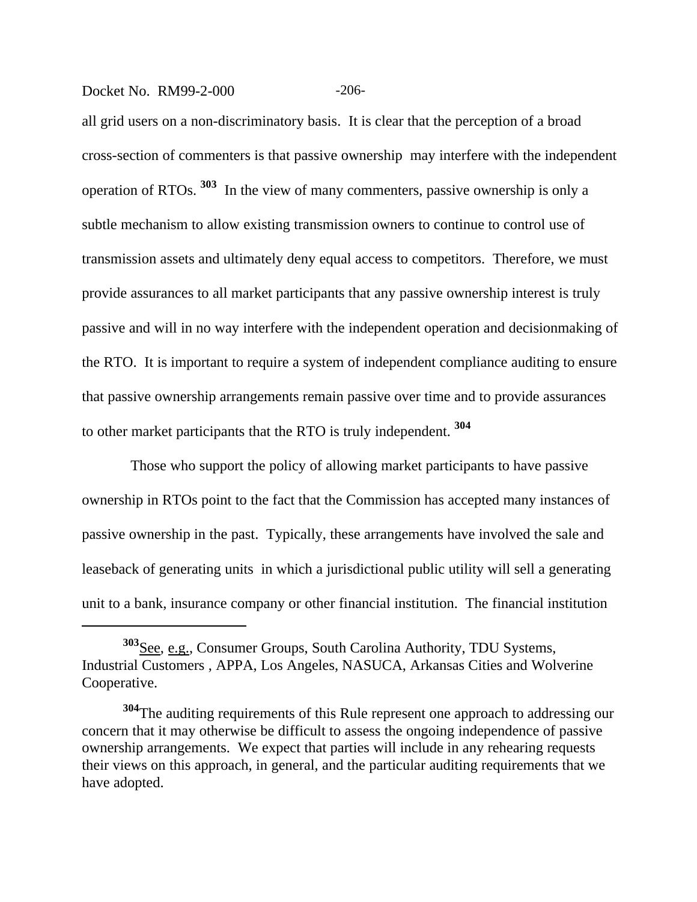#### Docket No. RM99-2-000 -206-

all grid users on a non-discriminatory basis. It is clear that the perception of a broad cross-section of commenters is that passive ownership may interfere with the independent operation of RTOs. **303** In the view of many commenters, passive ownership is only a subtle mechanism to allow existing transmission owners to continue to control use of transmission assets and ultimately deny equal access to competitors. Therefore, we must provide assurances to all market participants that any passive ownership interest is truly passive and will in no way interfere with the independent operation and decisionmaking of the RTO. It is important to require a system of independent compliance auditing to ensure that passive ownership arrangements remain passive over time and to provide assurances to other market participants that the RTO is truly independent. **<sup>304</sup>**

 Those who support the policy of allowing market participants to have passive ownership in RTOs point to the fact that the Commission has accepted many instances of passive ownership in the past. Typically, these arrangements have involved the sale and leaseback of generating units in which a jurisdictional public utility will sell a generating unit to a bank, insurance company or other financial institution. The financial institution

**<sup>303</sup>**See, e.g., Consumer Groups, South Carolina Authority, TDU Systems, Industrial Customers , APPA, Los Angeles, NASUCA, Arkansas Cities and Wolverine Cooperative.

**<sup>304</sup>**The auditing requirements of this Rule represent one approach to addressing our concern that it may otherwise be difficult to assess the ongoing independence of passive ownership arrangements. We expect that parties will include in any rehearing requests their views on this approach, in general, and the particular auditing requirements that we have adopted.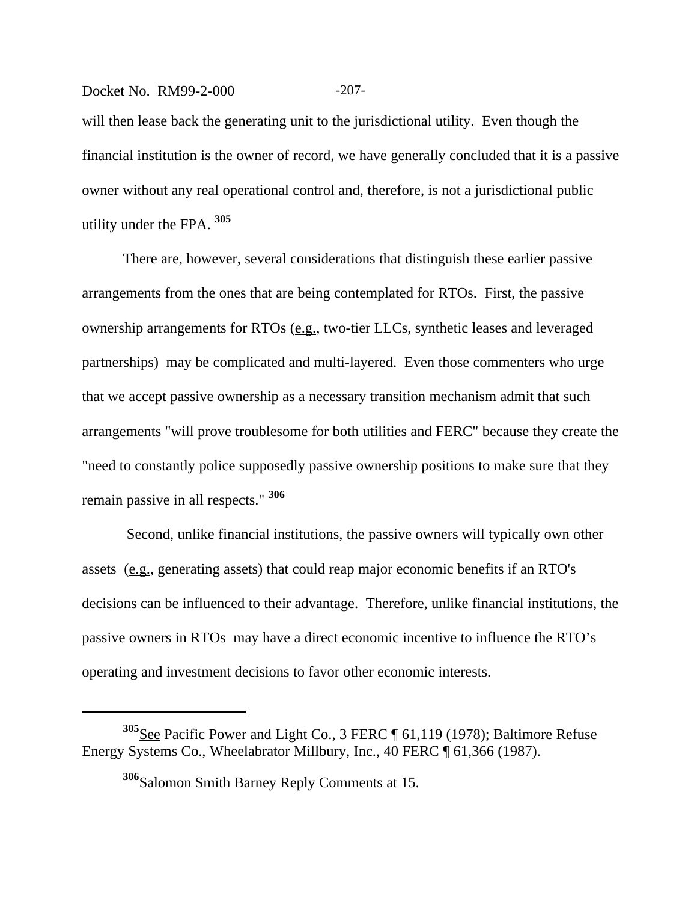#### Docket No. RM99-2-000 -207-

will then lease back the generating unit to the jurisdictional utility. Even though the financial institution is the owner of record, we have generally concluded that it is a passive owner without any real operational control and, therefore, is not a jurisdictional public utility under the FPA. **<sup>305</sup>**

There are, however, several considerations that distinguish these earlier passive arrangements from the ones that are being contemplated for RTOs. First, the passive ownership arrangements for RTOs (e.g., two-tier LLCs, synthetic leases and leveraged partnerships) may be complicated and multi-layered. Even those commenters who urge that we accept passive ownership as a necessary transition mechanism admit that such arrangements "will prove troublesome for both utilities and FERC" because they create the "need to constantly police supposedly passive ownership positions to make sure that they remain passive in all respects." **<sup>306</sup>**

 Second, unlike financial institutions, the passive owners will typically own other assets (e.g., generating assets) that could reap major economic benefits if an RTO's decisions can be influenced to their advantage. Therefore, unlike financial institutions, the passive owners in RTOs may have a direct economic incentive to influence the RTO's operating and investment decisions to favor other economic interests.

**<sup>305</sup>**See Pacific Power and Light Co., 3 FERC ¶ 61,119 (1978); Baltimore Refuse Energy Systems Co., Wheelabrator Millbury, Inc., 40 FERC ¶ 61,366 (1987).

**<sup>306</sup>**Salomon Smith Barney Reply Comments at 15.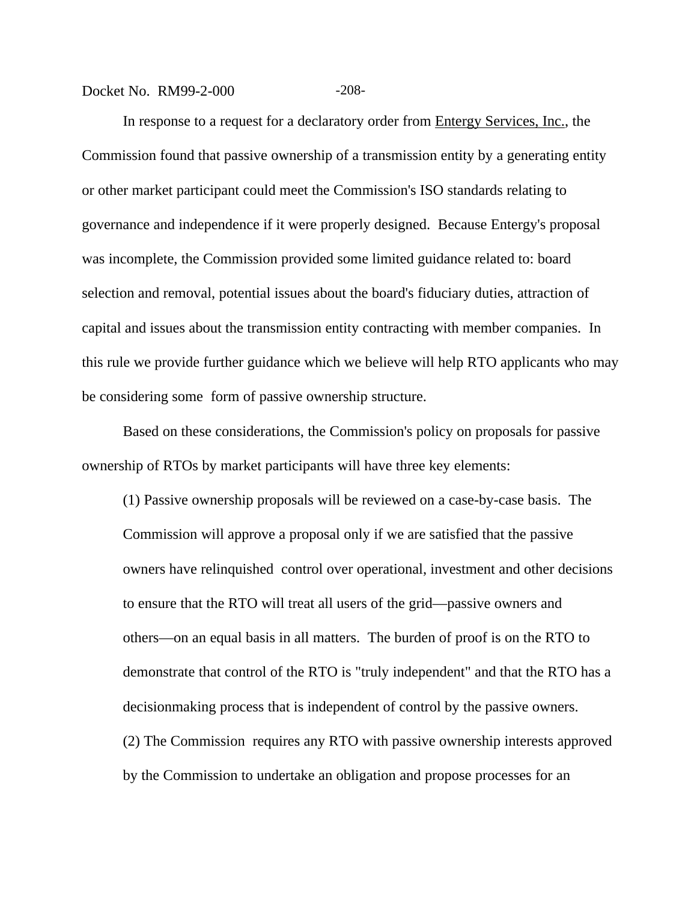#### Docket No. RM99-2-000 -208-

In response to a request for a declaratory order from Entergy Services, Inc., the Commission found that passive ownership of a transmission entity by a generating entity or other market participant could meet the Commission's ISO standards relating to governance and independence if it were properly designed. Because Entergy's proposal was incomplete, the Commission provided some limited guidance related to: board selection and removal, potential issues about the board's fiduciary duties, attraction of capital and issues about the transmission entity contracting with member companies. In this rule we provide further guidance which we believe will help RTO applicants who may be considering some form of passive ownership structure.

Based on these considerations, the Commission's policy on proposals for passive ownership of RTOs by market participants will have three key elements:

(1) Passive ownership proposals will be reviewed on a case-by-case basis. The Commission will approve a proposal only if we are satisfied that the passive owners have relinquished control over operational, investment and other decisions to ensure that the RTO will treat all users of the grid—passive owners and others—on an equal basis in all matters. The burden of proof is on the RTO to demonstrate that control of the RTO is "truly independent" and that the RTO has a decisionmaking process that is independent of control by the passive owners. (2) The Commission requires any RTO with passive ownership interests approved by the Commission to undertake an obligation and propose processes for an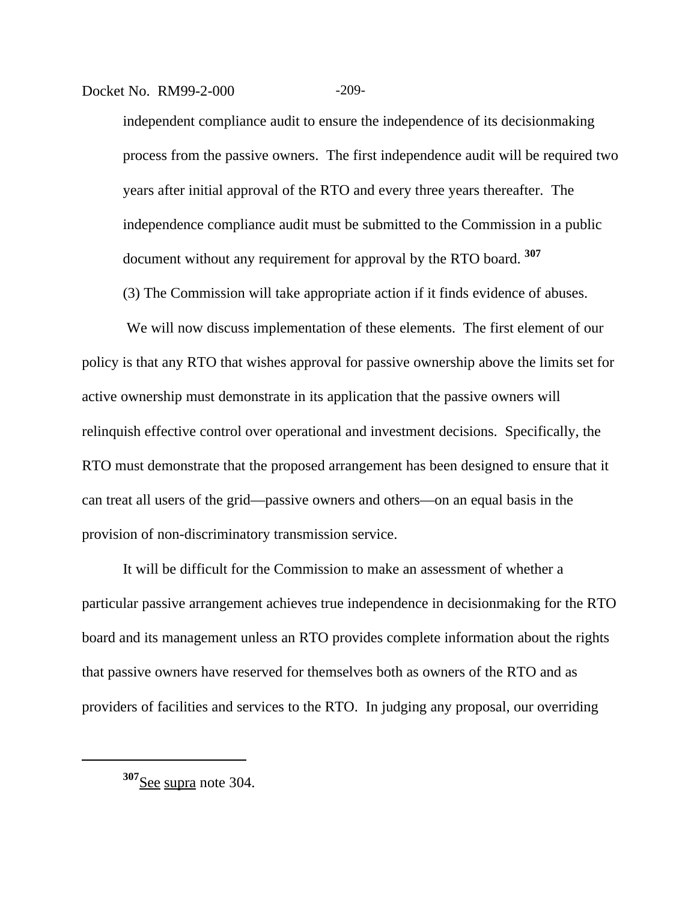#### Docket No. RM99-2-000 -209-

independent compliance audit to ensure the independence of its decisionmaking process from the passive owners. The first independence audit will be required two years after initial approval of the RTO and every three years thereafter. The independence compliance audit must be submitted to the Commission in a public document without any requirement for approval by the RTO board. **<sup>307</sup>**

(3) The Commission will take appropriate action if it finds evidence of abuses.

We will now discuss implementation of these elements. The first element of our policy is that any RTO that wishes approval for passive ownership above the limits set for active ownership must demonstrate in its application that the passive owners will relinquish effective control over operational and investment decisions. Specifically, the RTO must demonstrate that the proposed arrangement has been designed to ensure that it can treat all users of the grid—passive owners and others—on an equal basis in the provision of non-discriminatory transmission service.

It will be difficult for the Commission to make an assessment of whether a particular passive arrangement achieves true independence in decisionmaking for the RTO board and its management unless an RTO provides complete information about the rights that passive owners have reserved for themselves both as owners of the RTO and as providers of facilities and services to the RTO. In judging any proposal, our overriding

**<sup>307</sup>**See supra note 304.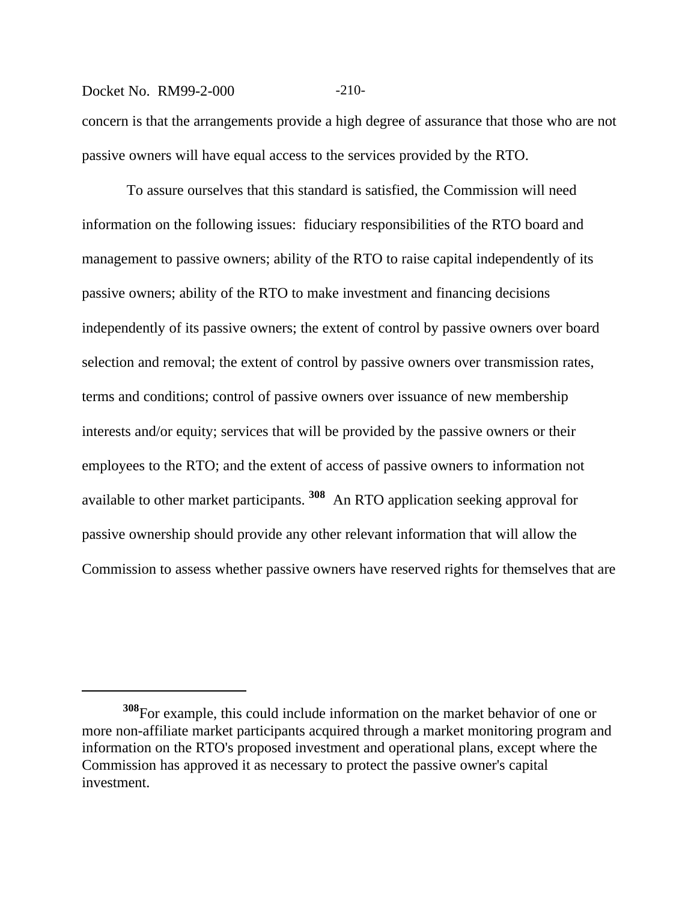#### Docket No. RM99-2-000 -210-

concern is that the arrangements provide a high degree of assurance that those who are not passive owners will have equal access to the services provided by the RTO.

 To assure ourselves that this standard is satisfied, the Commission will need information on the following issues: fiduciary responsibilities of the RTO board and management to passive owners; ability of the RTO to raise capital independently of its passive owners; ability of the RTO to make investment and financing decisions independently of its passive owners; the extent of control by passive owners over board selection and removal; the extent of control by passive owners over transmission rates, terms and conditions; control of passive owners over issuance of new membership interests and/or equity; services that will be provided by the passive owners or their employees to the RTO; and the extent of access of passive owners to information not available to other market participants. **308** An RTO application seeking approval for passive ownership should provide any other relevant information that will allow the Commission to assess whether passive owners have reserved rights for themselves that are

**<sup>308</sup>**For example, this could include information on the market behavior of one or more non-affiliate market participants acquired through a market monitoring program and information on the RTO's proposed investment and operational plans, except where the Commission has approved it as necessary to protect the passive owner's capital investment.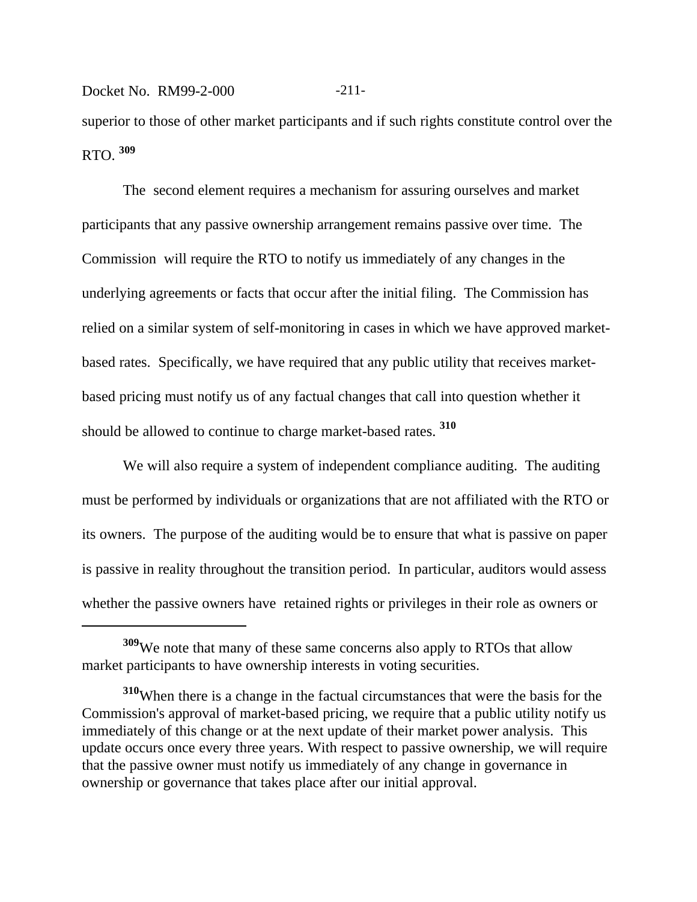Docket No. RM99-2-000 -211superior to those of other market participants and if such rights constitute control over the RTO. **<sup>309</sup>**

The second element requires a mechanism for assuring ourselves and market participants that any passive ownership arrangement remains passive over time. The Commission will require the RTO to notify us immediately of any changes in the underlying agreements or facts that occur after the initial filing. The Commission has relied on a similar system of self-monitoring in cases in which we have approved marketbased rates. Specifically, we have required that any public utility that receives marketbased pricing must notify us of any factual changes that call into question whether it should be allowed to continue to charge market-based rates. **<sup>310</sup>**

We will also require a system of independent compliance auditing. The auditing must be performed by individuals or organizations that are not affiliated with the RTO or its owners. The purpose of the auditing would be to ensure that what is passive on paper is passive in reality throughout the transition period. In particular, auditors would assess whether the passive owners have retained rights or privileges in their role as owners or

**<sup>309</sup>**We note that many of these same concerns also apply to RTOs that allow market participants to have ownership interests in voting securities.

**<sup>310</sup>**When there is a change in the factual circumstances that were the basis for the Commission's approval of market-based pricing, we require that a public utility notify us immediately of this change or at the next update of their market power analysis. This update occurs once every three years. With respect to passive ownership, we will require that the passive owner must notify us immediately of any change in governance in ownership or governance that takes place after our initial approval.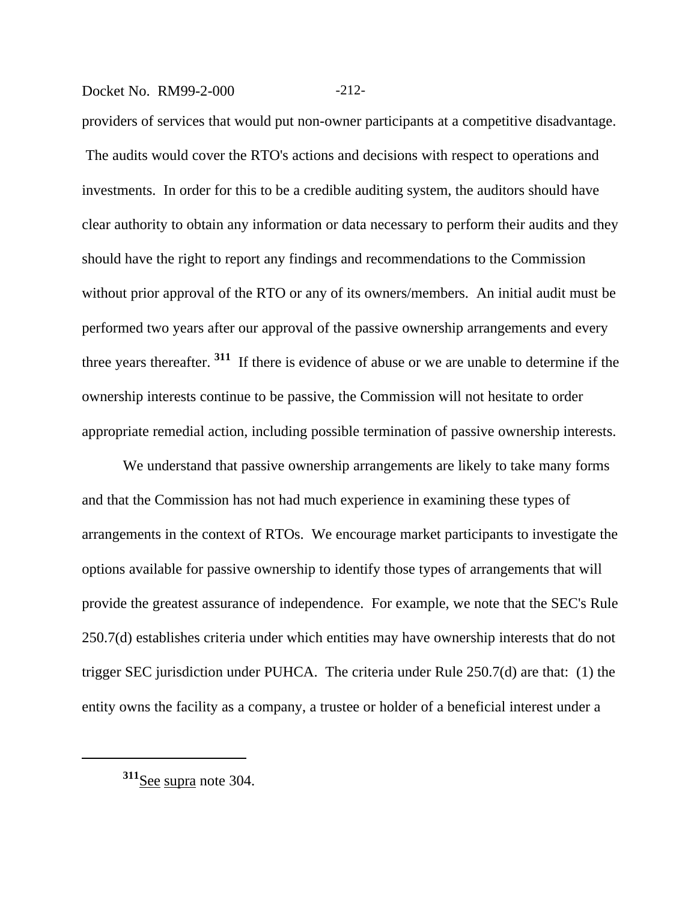## Docket No. RM99-2-000 -212-

providers of services that would put non-owner participants at a competitive disadvantage. The audits would cover the RTO's actions and decisions with respect to operations and investments. In order for this to be a credible auditing system, the auditors should have clear authority to obtain any information or data necessary to perform their audits and they should have the right to report any findings and recommendations to the Commission without prior approval of the RTO or any of its owners/members. An initial audit must be performed two years after our approval of the passive ownership arrangements and every three years thereafter. **311** If there is evidence of abuse or we are unable to determine if the ownership interests continue to be passive, the Commission will not hesitate to order appropriate remedial action, including possible termination of passive ownership interests.

We understand that passive ownership arrangements are likely to take many forms and that the Commission has not had much experience in examining these types of arrangements in the context of RTOs. We encourage market participants to investigate the options available for passive ownership to identify those types of arrangements that will provide the greatest assurance of independence. For example, we note that the SEC's Rule 250.7(d) establishes criteria under which entities may have ownership interests that do not trigger SEC jurisdiction under PUHCA. The criteria under Rule 250.7(d) are that: (1) the entity owns the facility as a company, a trustee or holder of a beneficial interest under a

**<sup>311</sup>**See supra note 304.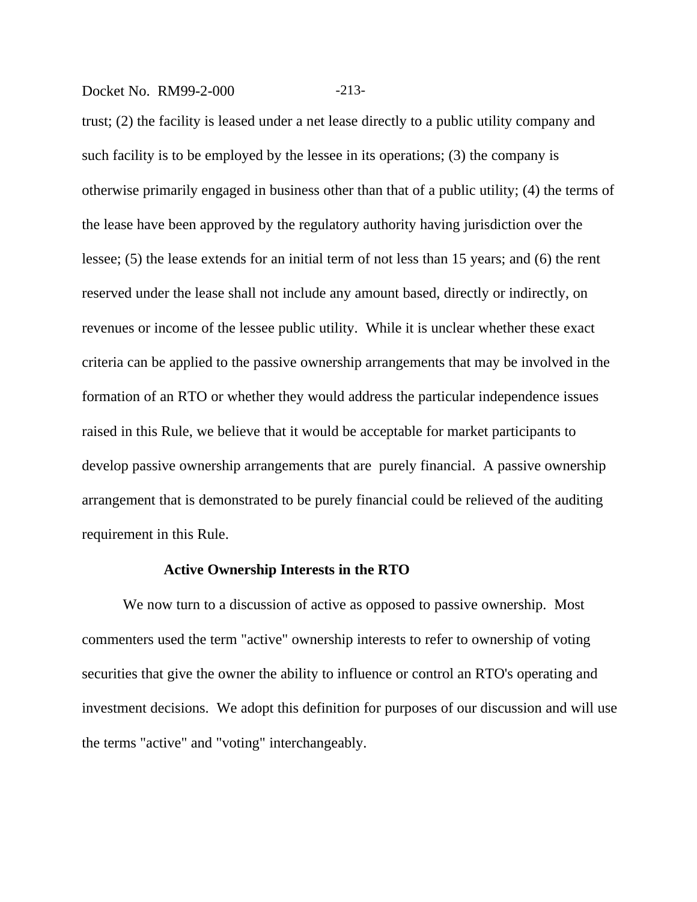## Docket No. RM99-2-000 -213-

trust; (2) the facility is leased under a net lease directly to a public utility company and such facility is to be employed by the lessee in its operations; (3) the company is otherwise primarily engaged in business other than that of a public utility; (4) the terms of the lease have been approved by the regulatory authority having jurisdiction over the lessee; (5) the lease extends for an initial term of not less than 15 years; and (6) the rent reserved under the lease shall not include any amount based, directly or indirectly, on revenues or income of the lessee public utility. While it is unclear whether these exact criteria can be applied to the passive ownership arrangements that may be involved in the formation of an RTO or whether they would address the particular independence issues raised in this Rule, we believe that it would be acceptable for market participants to develop passive ownership arrangements that are purely financial. A passive ownership arrangement that is demonstrated to be purely financial could be relieved of the auditing requirement in this Rule.

#### **Active Ownership Interests in the RTO**

We now turn to a discussion of active as opposed to passive ownership. Most commenters used the term "active" ownership interests to refer to ownership of voting securities that give the owner the ability to influence or control an RTO's operating and investment decisions. We adopt this definition for purposes of our discussion and will use the terms "active" and "voting" interchangeably.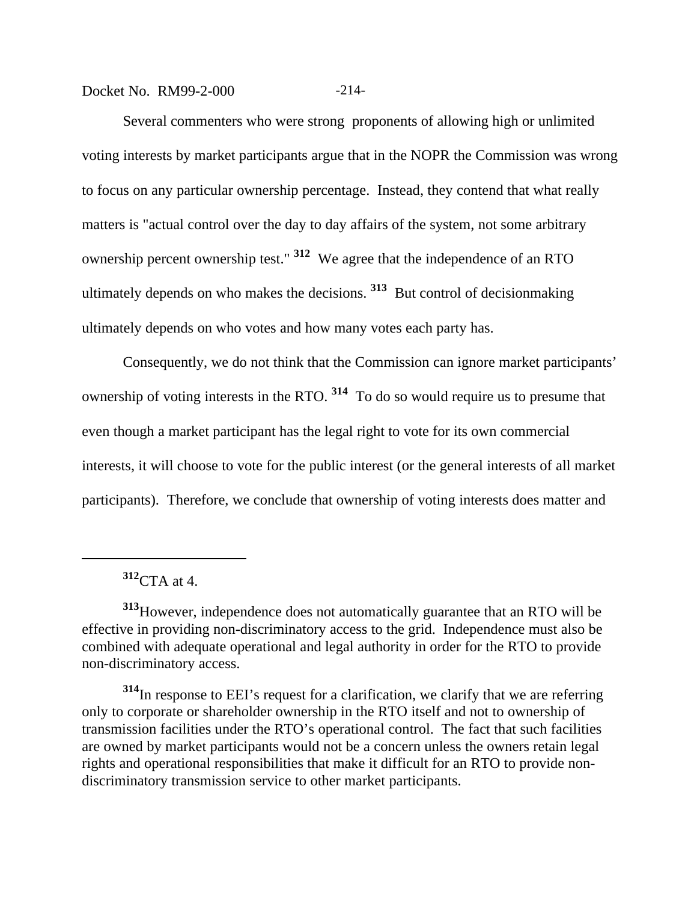## Docket No. RM99-2-000 -214-

Several commenters who were strong proponents of allowing high or unlimited voting interests by market participants argue that in the NOPR the Commission was wrong to focus on any particular ownership percentage. Instead, they contend that what really matters is "actual control over the day to day affairs of the system, not some arbitrary ownership percent ownership test." **312** We agree that the independence of an RTO ultimately depends on who makes the decisions. **313** But control of decisionmaking ultimately depends on who votes and how many votes each party has.

Consequently, we do not think that the Commission can ignore market participants' ownership of voting interests in the RTO. **314** To do so would require us to presume that even though a market participant has the legal right to vote for its own commercial interests, it will choose to vote for the public interest (or the general interests of all market participants). Therefore, we conclude that ownership of voting interests does matter and

**<sup>312</sup>**CTA at 4.

**<sup>313</sup>**However, independence does not automatically guarantee that an RTO will be effective in providing non-discriminatory access to the grid. Independence must also be combined with adequate operational and legal authority in order for the RTO to provide non-discriminatory access.

**<sup>314</sup>**In response to EEI's request for a clarification, we clarify that we are referring only to corporate or shareholder ownership in the RTO itself and not to ownership of transmission facilities under the RTO's operational control. The fact that such facilities are owned by market participants would not be a concern unless the owners retain legal rights and operational responsibilities that make it difficult for an RTO to provide nondiscriminatory transmission service to other market participants.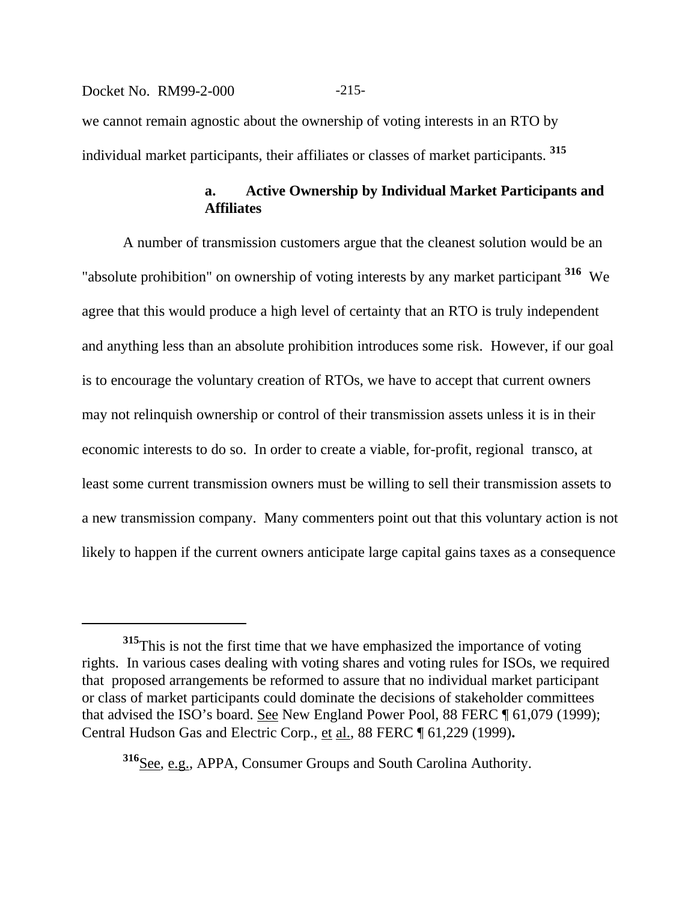# Docket No. RM99-2-000 -215we cannot remain agnostic about the ownership of voting interests in an RTO by individual market participants, their affiliates or classes of market participants. **<sup>315</sup>**

## **a. Active Ownership by Individual Market Participants and Affiliates**

A number of transmission customers argue that the cleanest solution would be an "absolute prohibition" on ownership of voting interests by any market participant **316** We agree that this would produce a high level of certainty that an RTO is truly independent and anything less than an absolute prohibition introduces some risk. However, if our goal is to encourage the voluntary creation of RTOs, we have to accept that current owners may not relinquish ownership or control of their transmission assets unless it is in their economic interests to do so. In order to create a viable, for-profit, regional transco, at least some current transmission owners must be willing to sell their transmission assets to a new transmission company. Many commenters point out that this voluntary action is not likely to happen if the current owners anticipate large capital gains taxes as a consequence

**<sup>316</sup>**See, e.g., APPA, Consumer Groups and South Carolina Authority.

**<sup>315</sup>**This is not the first time that we have emphasized the importance of voting rights. In various cases dealing with voting shares and voting rules for ISOs, we required that proposed arrangements be reformed to assure that no individual market participant or class of market participants could dominate the decisions of stakeholder committees that advised the ISO's board. See New England Power Pool, 88 FERC ¶ 61,079 (1999); Central Hudson Gas and Electric Corp., et al., 88 FERC ¶ 61,229 (1999)**.**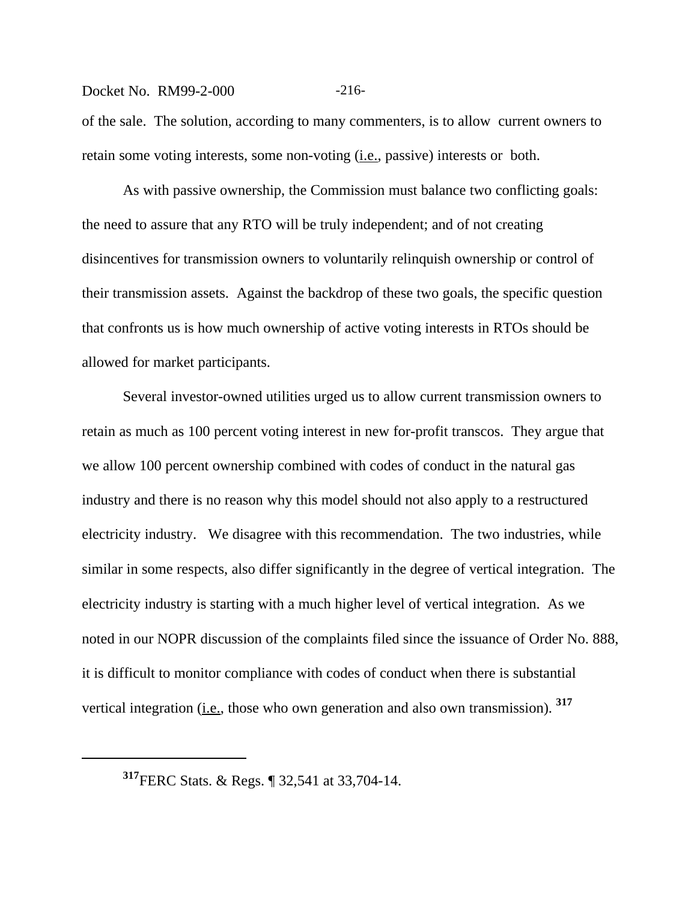#### Docket No. RM99-2-000 -216-

of the sale. The solution, according to many commenters, is to allow current owners to retain some voting interests, some non-voting (*i.e.*, passive) interests or both.

As with passive ownership, the Commission must balance two conflicting goals: the need to assure that any RTO will be truly independent; and of not creating disincentives for transmission owners to voluntarily relinquish ownership or control of their transmission assets. Against the backdrop of these two goals, the specific question that confronts us is how much ownership of active voting interests in RTOs should be allowed for market participants.

Several investor-owned utilities urged us to allow current transmission owners to retain as much as 100 percent voting interest in new for-profit transcos. They argue that we allow 100 percent ownership combined with codes of conduct in the natural gas industry and there is no reason why this model should not also apply to a restructured electricity industry. We disagree with this recommendation. The two industries, while similar in some respects, also differ significantly in the degree of vertical integration. The electricity industry is starting with a much higher level of vertical integration. As we noted in our NOPR discussion of the complaints filed since the issuance of Order No. 888, it is difficult to monitor compliance with codes of conduct when there is substantial vertical integration (i.e., those who own generation and also own transmission). <sup>317</sup>

**<sup>317</sup>**FERC Stats. & Regs. ¶ 32,541 at 33,704-14.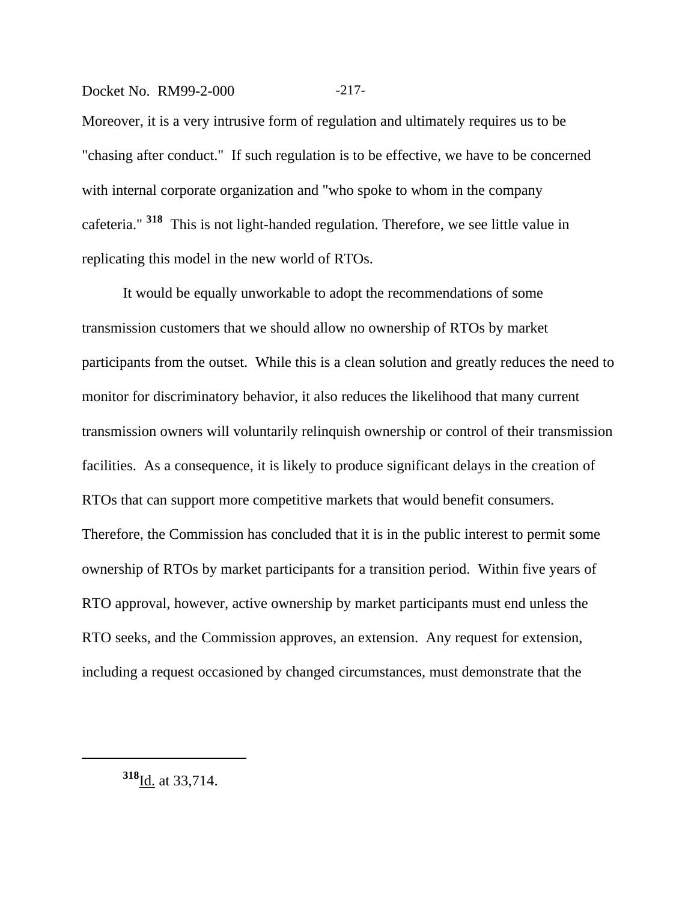## Docket No. RM99-2-000 -217-

Moreover, it is a very intrusive form of regulation and ultimately requires us to be "chasing after conduct." If such regulation is to be effective, we have to be concerned with internal corporate organization and "who spoke to whom in the company cafeteria." **318** This is not light-handed regulation. Therefore, we see little value in replicating this model in the new world of RTOs.

It would be equally unworkable to adopt the recommendations of some transmission customers that we should allow no ownership of RTOs by market participants from the outset. While this is a clean solution and greatly reduces the need to monitor for discriminatory behavior, it also reduces the likelihood that many current transmission owners will voluntarily relinquish ownership or control of their transmission facilities. As a consequence, it is likely to produce significant delays in the creation of RTOs that can support more competitive markets that would benefit consumers. Therefore, the Commission has concluded that it is in the public interest to permit some ownership of RTOs by market participants for a transition period. Within five years of RTO approval, however, active ownership by market participants must end unless the RTO seeks, and the Commission approves, an extension. Any request for extension, including a request occasioned by changed circumstances, must demonstrate that the

**<sup>318</sup>**Id. at 33,714.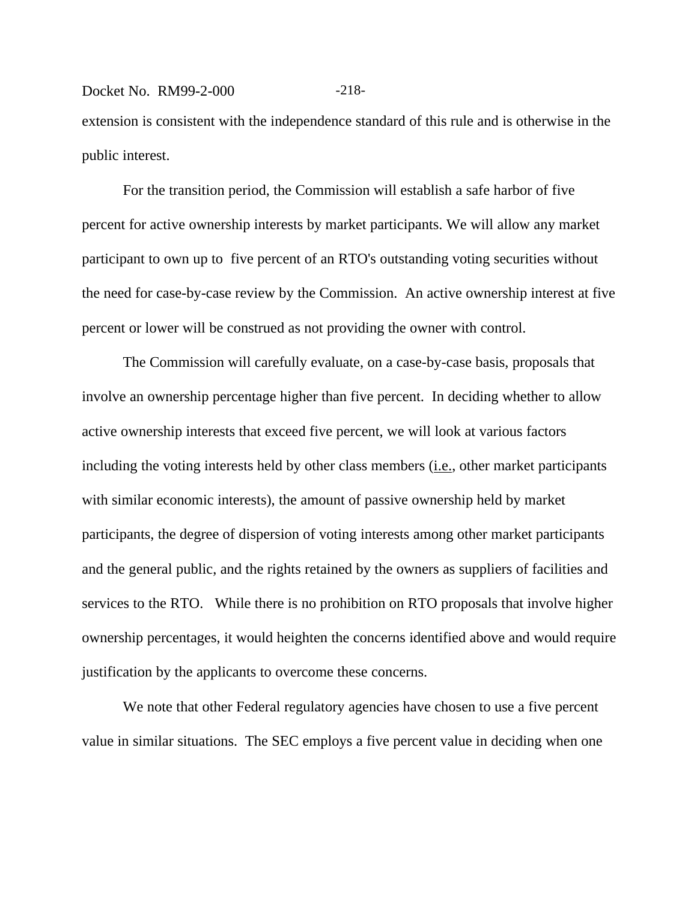## Docket No. RM99-2-000 -218extension is consistent with the independence standard of this rule and is otherwise in the public interest.

For the transition period, the Commission will establish a safe harbor of five percent for active ownership interests by market participants. We will allow any market participant to own up to five percent of an RTO's outstanding voting securities without the need for case-by-case review by the Commission. An active ownership interest at five percent or lower will be construed as not providing the owner with control.

The Commission will carefully evaluate, on a case-by-case basis, proposals that involve an ownership percentage higher than five percent. In deciding whether to allow active ownership interests that exceed five percent, we will look at various factors including the voting interests held by other class members (i.e., other market participants with similar economic interests), the amount of passive ownership held by market participants, the degree of dispersion of voting interests among other market participants and the general public, and the rights retained by the owners as suppliers of facilities and services to the RTO. While there is no prohibition on RTO proposals that involve higher ownership percentages, it would heighten the concerns identified above and would require justification by the applicants to overcome these concerns.

We note that other Federal regulatory agencies have chosen to use a five percent value in similar situations. The SEC employs a five percent value in deciding when one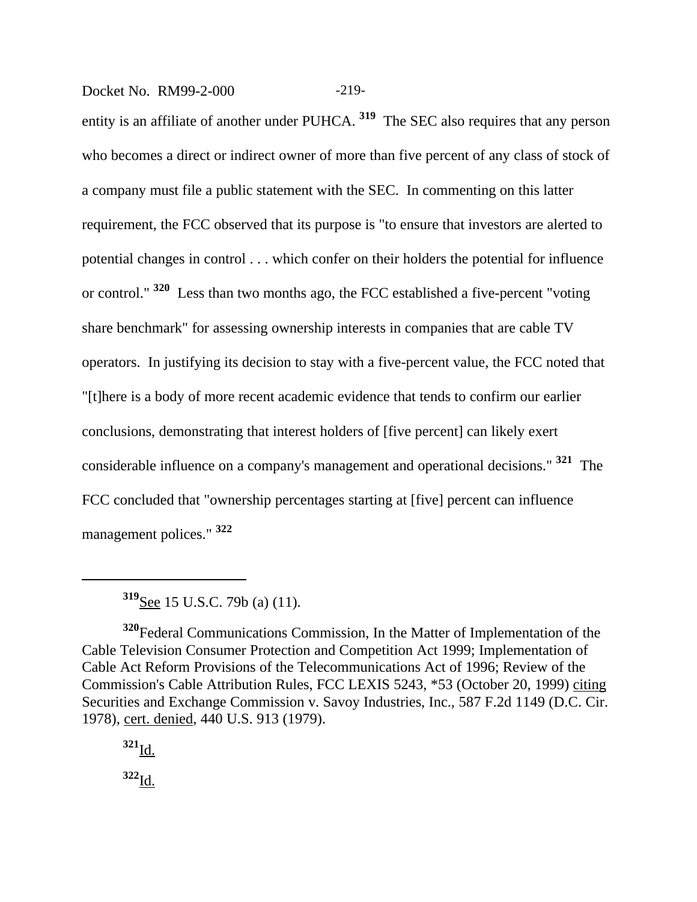Docket No. RM99-2-000 -219-

entity is an affiliate of another under PUHCA. **319** The SEC also requires that any person who becomes a direct or indirect owner of more than five percent of any class of stock of a company must file a public statement with the SEC. In commenting on this latter requirement, the FCC observed that its purpose is "to ensure that investors are alerted to potential changes in control . . . which confer on their holders the potential for influence or control." **320** Less than two months ago, the FCC established a five-percent "voting share benchmark" for assessing ownership interests in companies that are cable TV operators. In justifying its decision to stay with a five-percent value, the FCC noted that "[t]here is a body of more recent academic evidence that tends to confirm our earlier conclusions, demonstrating that interest holders of [five percent] can likely exert considerable influence on a company's management and operational decisions." **321** The FCC concluded that "ownership percentages starting at [five] percent can influence management polices." **<sup>322</sup>**

**<sup>319</sup>**See 15 U.S.C. 79b (a) (11).

**<sup>320</sup>**Federal Communications Commission, In the Matter of Implementation of the Cable Television Consumer Protection and Competition Act 1999; Implementation of Cable Act Reform Provisions of the Telecommunications Act of 1996; Review of the Commission's Cable Attribution Rules, FCC LEXIS 5243, \*53 (October 20, 1999) citing Securities and Exchange Commission v. Savoy Industries, Inc.*,* 587 F.2d 1149 (D.C. Cir. 1978), cert. denied, 440 U.S. 913 (1979).

**<sup>321</sup>**Id. **<sup>322</sup>**Id.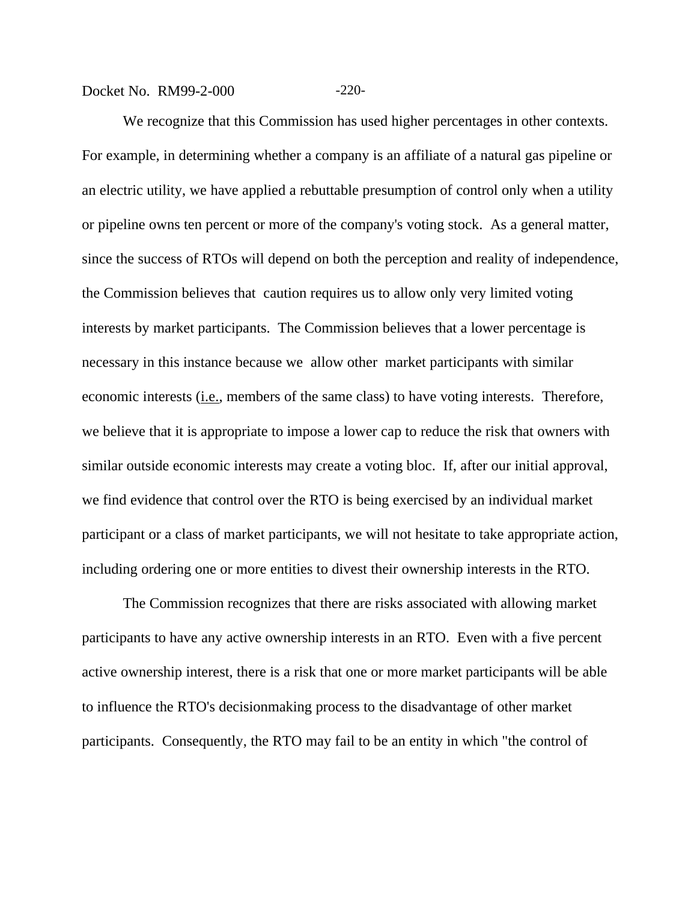Docket No. RM99-2-000 -220-

We recognize that this Commission has used higher percentages in other contexts. For example, in determining whether a company is an affiliate of a natural gas pipeline or an electric utility, we have applied a rebuttable presumption of control only when a utility or pipeline owns ten percent or more of the company's voting stock. As a general matter, since the success of RTOs will depend on both the perception and reality of independence, the Commission believes that caution requires us to allow only very limited voting interests by market participants. The Commission believes that a lower percentage is necessary in this instance because we allow other market participants with similar economic interests (i.e., members of the same class) to have voting interests. Therefore, we believe that it is appropriate to impose a lower cap to reduce the risk that owners with similar outside economic interests may create a voting bloc. If, after our initial approval, we find evidence that control over the RTO is being exercised by an individual market participant or a class of market participants, we will not hesitate to take appropriate action, including ordering one or more entities to divest their ownership interests in the RTO.

The Commission recognizes that there are risks associated with allowing market participants to have any active ownership interests in an RTO. Even with a five percent active ownership interest, there is a risk that one or more market participants will be able to influence the RTO's decisionmaking process to the disadvantage of other market participants. Consequently, the RTO may fail to be an entity in which "the control of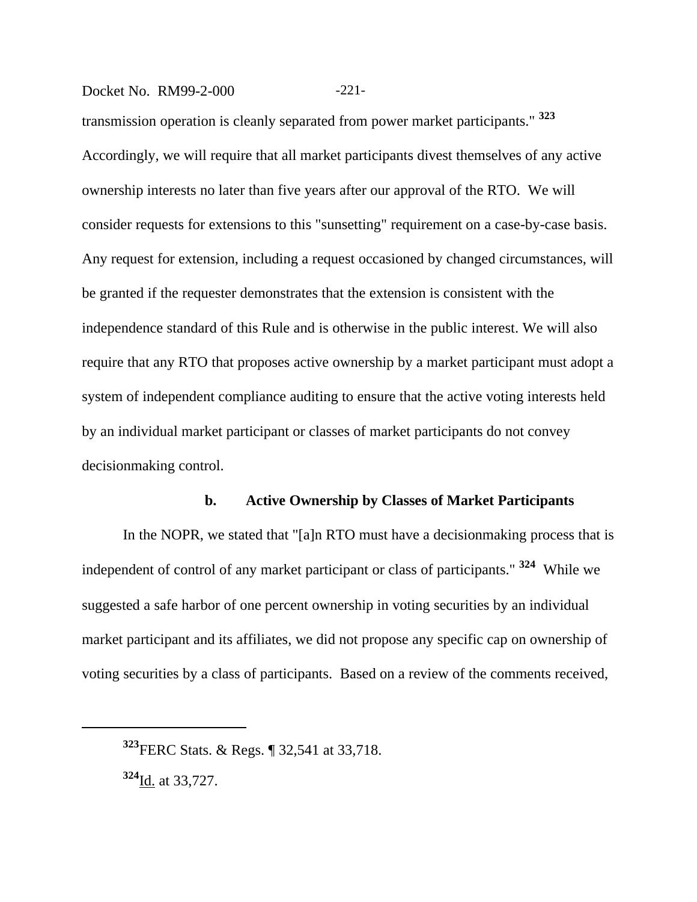## Docket No. RM99-2-000 -221-

transmission operation is cleanly separated from power market participants." **<sup>323</sup>** Accordingly, we will require that all market participants divest themselves of any active ownership interests no later than five years after our approval of the RTO. We will consider requests for extensions to this "sunsetting" requirement on a case-by-case basis. Any request for extension, including a request occasioned by changed circumstances, will be granted if the requester demonstrates that the extension is consistent with the independence standard of this Rule and is otherwise in the public interest. We will also require that any RTO that proposes active ownership by a market participant must adopt a system of independent compliance auditing to ensure that the active voting interests held by an individual market participant or classes of market participants do not convey decisionmaking control.

## **b. Active Ownership by Classes of Market Participants**

In the NOPR, we stated that "[a]n RTO must have a decisionmaking process that is independent of control of any market participant or class of participants." **<sup>324</sup>** While we suggested a safe harbor of one percent ownership in voting securities by an individual market participant and its affiliates, we did not propose any specific cap on ownership of voting securities by a class of participants. Based on a review of the comments received,

**<sup>324</sup>**Id. at 33,727.

**<sup>323</sup>**FERC Stats. & Regs. ¶ 32,541 at 33,718.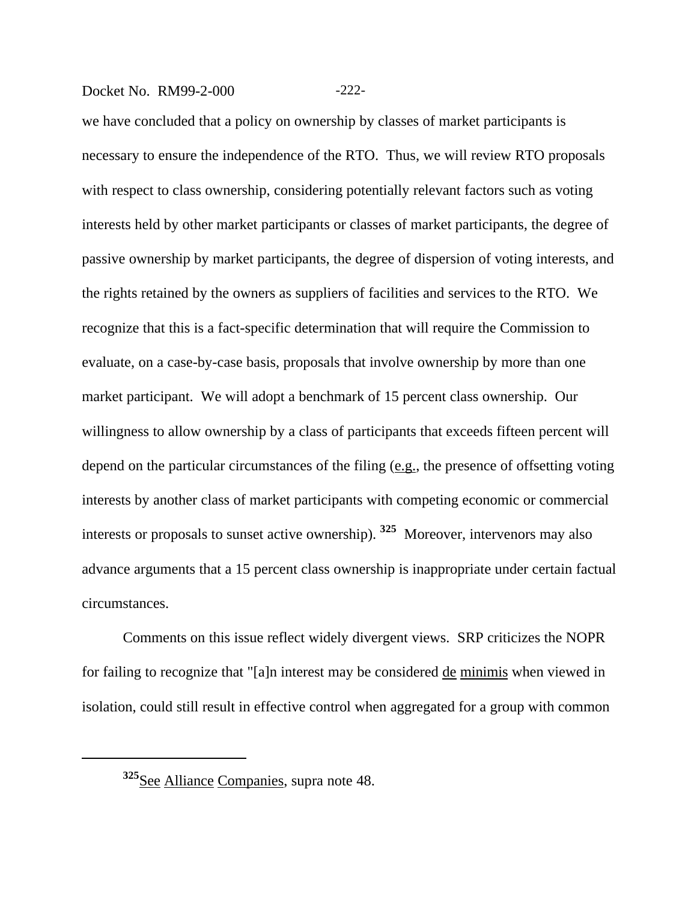## Docket No. RM99-2-000 -222-

we have concluded that a policy on ownership by classes of market participants is necessary to ensure the independence of the RTO. Thus, we will review RTO proposals with respect to class ownership, considering potentially relevant factors such as voting interests held by other market participants or classes of market participants, the degree of passive ownership by market participants, the degree of dispersion of voting interests, and the rights retained by the owners as suppliers of facilities and services to the RTO. We recognize that this is a fact-specific determination that will require the Commission to evaluate, on a case-by-case basis, proposals that involve ownership by more than one market participant. We will adopt a benchmark of 15 percent class ownership. Our willingness to allow ownership by a class of participants that exceeds fifteen percent will depend on the particular circumstances of the filing (e.g., the presence of offsetting voting interests by another class of market participants with competing economic or commercial interests or proposals to sunset active ownership). **325** Moreover, intervenors may also advance arguments that a 15 percent class ownership is inappropriate under certain factual circumstances.

Comments on this issue reflect widely divergent views. SRP criticizes the NOPR for failing to recognize that "[a]n interest may be considered de minimis when viewed in isolation, could still result in effective control when aggregated for a group with common

**<sup>325</sup>**See Alliance Companies, supra note 48.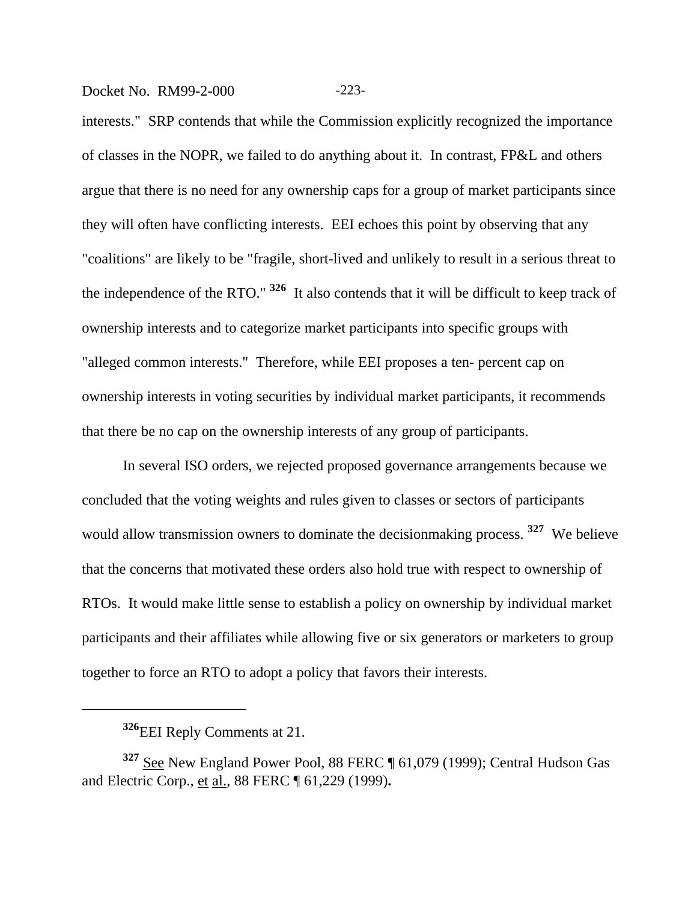Docket No. RM99-2-000 -223-

interests." SRP contends that while the Commission explicitly recognized the importance of classes in the NOPR, we failed to do anything about it. In contrast, FP&L and others argue that there is no need for any ownership caps for a group of market participants since they will often have conflicting interests. EEI echoes this point by observing that any "coalitions" are likely to be "fragile, short-lived and unlikely to result in a serious threat to the independence of the RTO." **326** It also contends that it will be difficult to keep track of ownership interests and to categorize market participants into specific groups with "alleged common interests." Therefore, while EEI proposes a ten- percent cap on ownership interests in voting securities by individual market participants, it recommends that there be no cap on the ownership interests of any group of participants.

In several ISO orders, we rejected proposed governance arrangements because we concluded that the voting weights and rules given to classes or sectors of participants would allow transmission owners to dominate the decisionmaking process. **327** We believe that the concerns that motivated these orders also hold true with respect to ownership of RTOs. It would make little sense to establish a policy on ownership by individual market participants and their affiliates while allowing five or six generators or marketers to group together to force an RTO to adopt a policy that favors their interests.

**<sup>326</sup>**EEI Reply Comments at 21.

**<sup>327</sup>** See New England Power Pool, 88 FERC ¶ 61,079 (1999); Central Hudson Gas and Electric Corp., et al., 88 FERC ¶ 61,229 (1999)**.**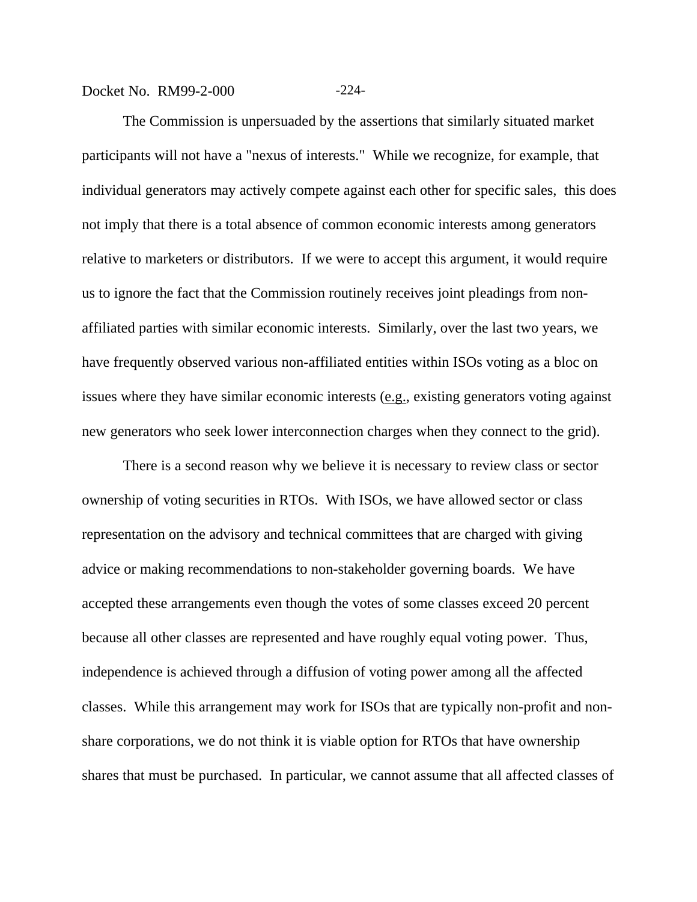## Docket No. RM99-2-000 -224-

The Commission is unpersuaded by the assertions that similarly situated market participants will not have a "nexus of interests." While we recognize, for example, that individual generators may actively compete against each other for specific sales, this does not imply that there is a total absence of common economic interests among generators relative to marketers or distributors. If we were to accept this argument, it would require us to ignore the fact that the Commission routinely receives joint pleadings from nonaffiliated parties with similar economic interests. Similarly, over the last two years, we have frequently observed various non-affiliated entities within ISOs voting as a bloc on issues where they have similar economic interests  $(e.g.,$  existing generators voting against new generators who seek lower interconnection charges when they connect to the grid).

There is a second reason why we believe it is necessary to review class or sector ownership of voting securities in RTOs. With ISOs, we have allowed sector or class representation on the advisory and technical committees that are charged with giving advice or making recommendations to non-stakeholder governing boards. We have accepted these arrangements even though the votes of some classes exceed 20 percent because all other classes are represented and have roughly equal voting power. Thus, independence is achieved through a diffusion of voting power among all the affected classes. While this arrangement may work for ISOs that are typically non-profit and nonshare corporations, we do not think it is viable option for RTOs that have ownership shares that must be purchased. In particular, we cannot assume that all affected classes of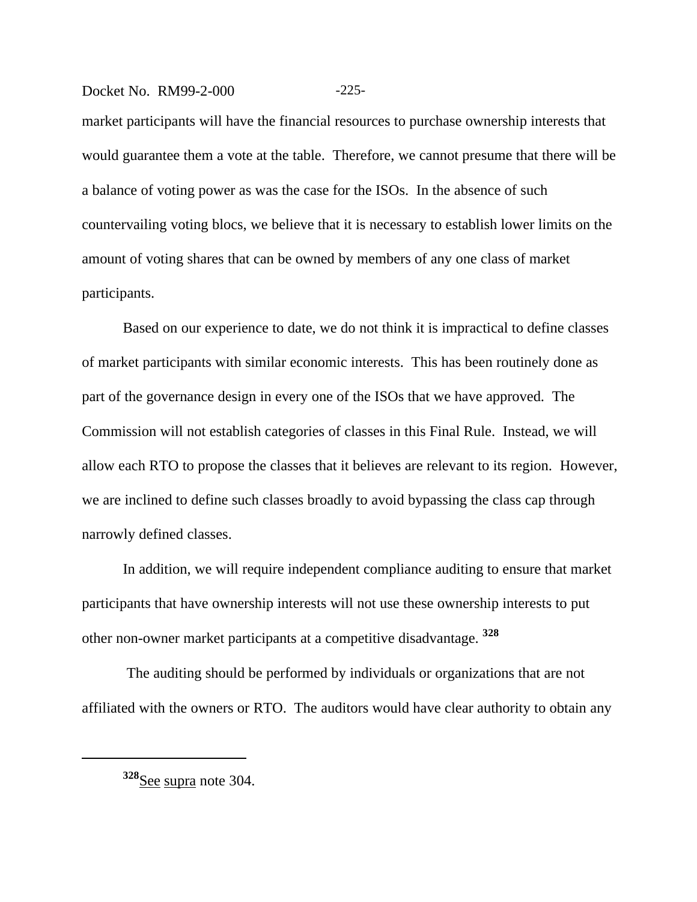## Docket No. RM99-2-000 -225-

market participants will have the financial resources to purchase ownership interests that would guarantee them a vote at the table. Therefore, we cannot presume that there will be a balance of voting power as was the case for the ISOs. In the absence of such countervailing voting blocs, we believe that it is necessary to establish lower limits on the amount of voting shares that can be owned by members of any one class of market participants.

Based on our experience to date, we do not think it is impractical to define classes of market participants with similar economic interests. This has been routinely done as part of the governance design in every one of the ISOs that we have approved. The Commission will not establish categories of classes in this Final Rule. Instead, we will allow each RTO to propose the classes that it believes are relevant to its region. However, we are inclined to define such classes broadly to avoid bypassing the class cap through narrowly defined classes.

In addition, we will require independent compliance auditing to ensure that market participants that have ownership interests will not use these ownership interests to put other non-owner market participants at a competitive disadvantage. **<sup>328</sup>**

 The auditing should be performed by individuals or organizations that are not affiliated with the owners or RTO. The auditors would have clear authority to obtain any

**<sup>328</sup>**See supra note 304.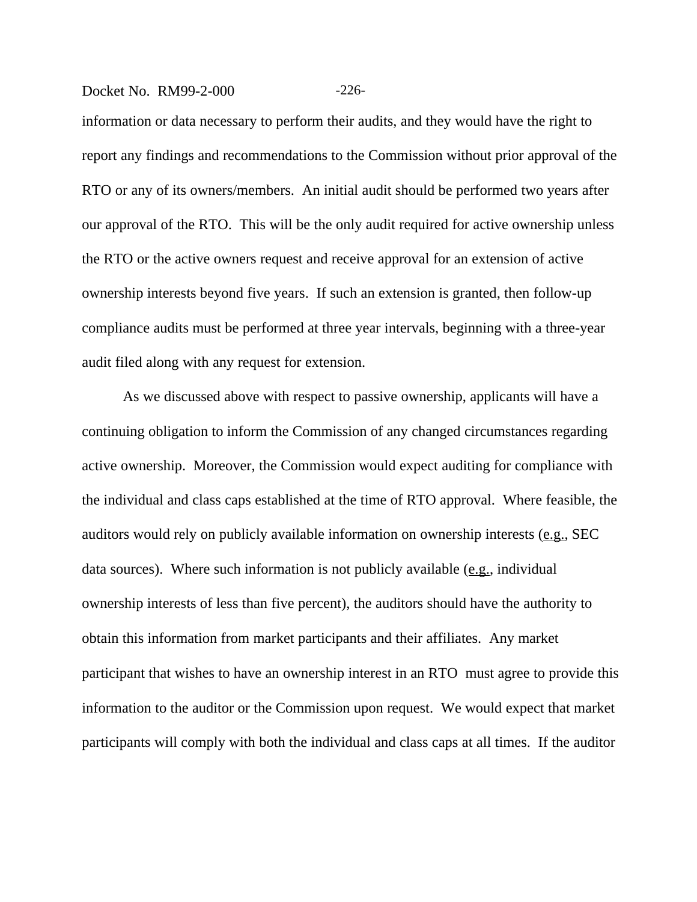### Docket No. RM99-2-000 -226-

information or data necessary to perform their audits, and they would have the right to report any findings and recommendations to the Commission without prior approval of the RTO or any of its owners/members. An initial audit should be performed two years after our approval of the RTO. This will be the only audit required for active ownership unless the RTO or the active owners request and receive approval for an extension of active ownership interests beyond five years. If such an extension is granted, then follow-up compliance audits must be performed at three year intervals, beginning with a three-year audit filed along with any request for extension.

As we discussed above with respect to passive ownership, applicants will have a continuing obligation to inform the Commission of any changed circumstances regarding active ownership. Moreover, the Commission would expect auditing for compliance with the individual and class caps established at the time of RTO approval. Where feasible, the auditors would rely on publicly available information on ownership interests (e.g., SEC data sources). Where such information is not publicly available  $(e.g.,$  individual ownership interests of less than five percent), the auditors should have the authority to obtain this information from market participants and their affiliates. Any market participant that wishes to have an ownership interest in an RTO must agree to provide this information to the auditor or the Commission upon request. We would expect that market participants will comply with both the individual and class caps at all times. If the auditor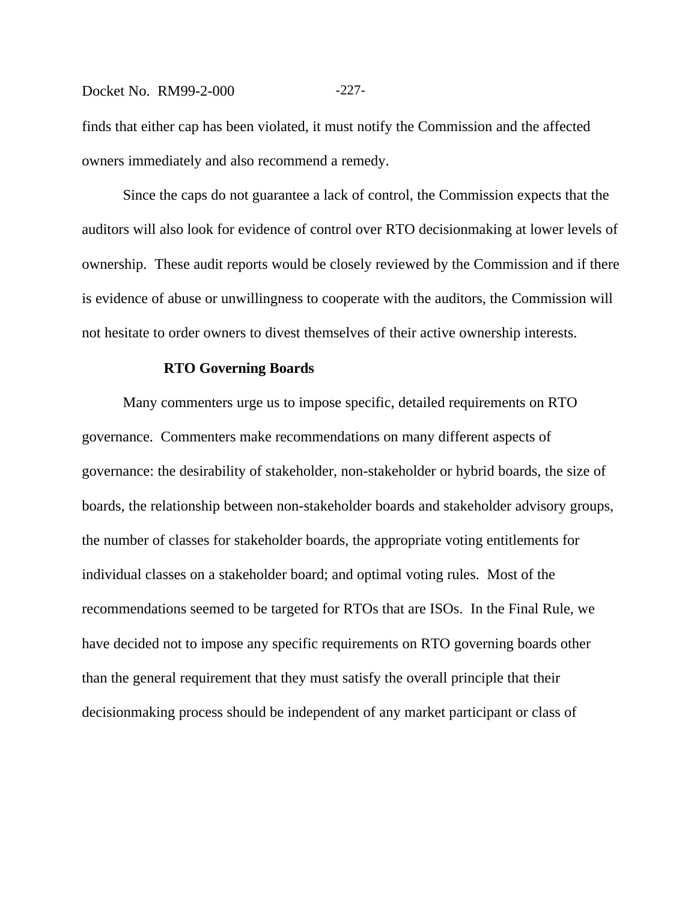## Docket No. RM99-2-000 -227-

finds that either cap has been violated, it must notify the Commission and the affected owners immediately and also recommend a remedy.

Since the caps do not guarantee a lack of control, the Commission expects that the auditors will also look for evidence of control over RTO decisionmaking at lower levels of ownership. These audit reports would be closely reviewed by the Commission and if there is evidence of abuse or unwillingness to cooperate with the auditors, the Commission will not hesitate to order owners to divest themselves of their active ownership interests.

#### **RTO Governing Boards**

Many commenters urge us to impose specific, detailed requirements on RTO governance. Commenters make recommendations on many different aspects of governance: the desirability of stakeholder, non-stakeholder or hybrid boards, the size of boards, the relationship between non-stakeholder boards and stakeholder advisory groups, the number of classes for stakeholder boards, the appropriate voting entitlements for individual classes on a stakeholder board; and optimal voting rules. Most of the recommendations seemed to be targeted for RTOs that are ISOs. In the Final Rule, we have decided not to impose any specific requirements on RTO governing boards other than the general requirement that they must satisfy the overall principle that their decisionmaking process should be independent of any market participant or class of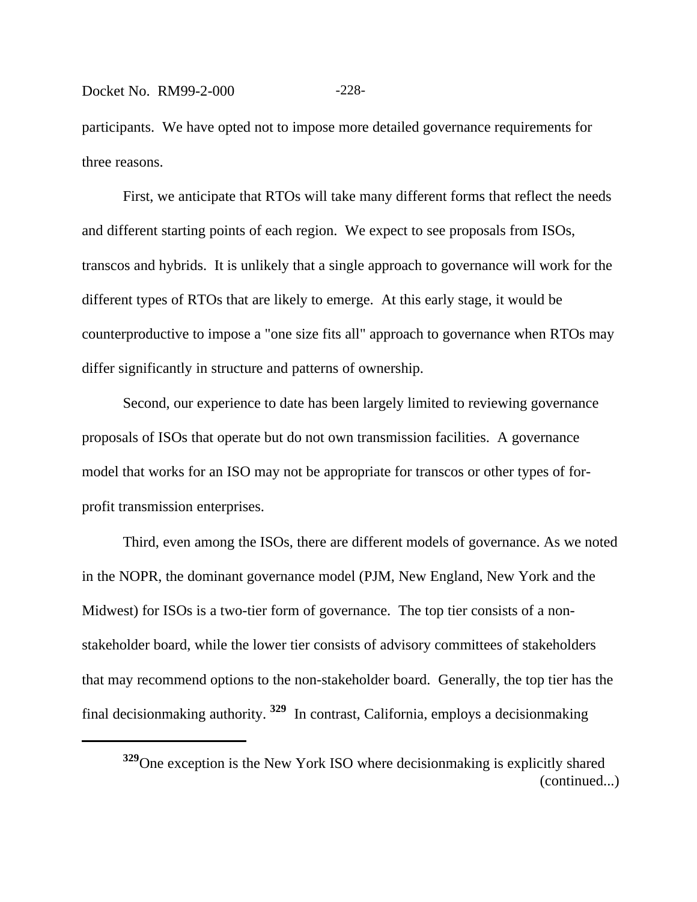## Docket No. RM99-2-000 -228-

participants.We have opted not to impose more detailed governance requirements for three reasons.

First, we anticipate that RTOs will take many different forms that reflect the needs and different starting points of each region. We expect to see proposals from ISOs, transcos and hybrids. It is unlikely that a single approach to governance will work for the different types of RTOs that are likely to emerge. At this early stage, it would be counterproductive to impose a "one size fits all" approach to governance when RTOs may differ significantly in structure and patterns of ownership.

Second, our experience to date has been largely limited to reviewing governance proposals of ISOs that operate but do not own transmission facilities. A governance model that works for an ISO may not be appropriate for transcos or other types of forprofit transmission enterprises.

Third, even among the ISOs, there are different models of governance. As we noted in the NOPR, the dominant governance model (PJM, New England, New York and the Midwest) for ISOs is a two-tier form of governance. The top tier consists of a nonstakeholder board, while the lower tier consists of advisory committees of stakeholders that may recommend options to the non-stakeholder board. Generally, the top tier has the final decisionmaking authority. **329** In contrast, California, employs a decisionmaking

**<sup>329</sup>**One exception is the New York ISO where decisionmaking is explicitly shared (continued...)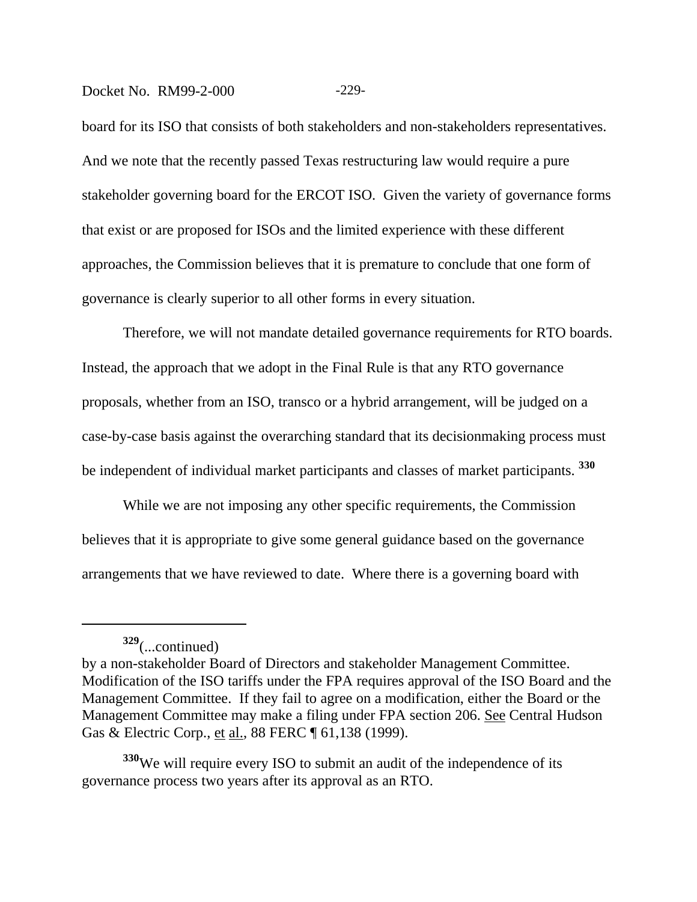#### Docket No. RM99-2-000 -229-

board for its ISO that consists of both stakeholders and non-stakeholders representatives. And we note that the recently passed Texas restructuring law would require a pure stakeholder governing board for the ERCOT ISO. Given the variety of governance forms that exist or are proposed for ISOs and the limited experience with these different approaches, the Commission believes that it is premature to conclude that one form of governance is clearly superior to all other forms in every situation.

Therefore, we will not mandate detailed governance requirements for RTO boards. Instead, the approach that we adopt in the Final Rule is that any RTO governance proposals, whether from an ISO, transco or a hybrid arrangement, will be judged on a case-by-case basis against the overarching standard that its decisionmaking process must be independent of individual market participants and classes of market participants. **<sup>330</sup>**

While we are not imposing any other specific requirements, the Commission believes that it is appropriate to give some general guidance based on the governance arrangements that we have reviewed to date. Where there is a governing board with

**<sup>330</sup>**We will require every ISO to submit an audit of the independence of its governance process two years after its approval as an RTO.

**<sup>329</sup>**(...continued)

by a non-stakeholder Board of Directors and stakeholder Management Committee. Modification of the ISO tariffs under the FPA requires approval of the ISO Board and the Management Committee. If they fail to agree on a modification, either the Board or the Management Committee may make a filing under FPA section 206. See Central Hudson Gas & Electric Corp., et al., 88 FERC ¶ 61,138 (1999).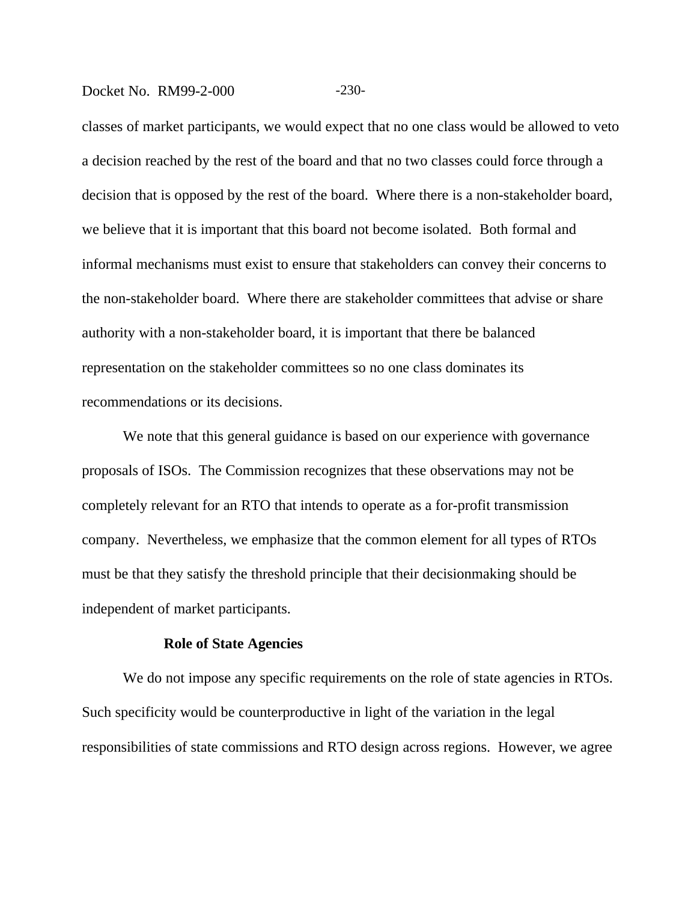## Docket No. RM99-2-000 -230-

classes of market participants, we would expect that no one class would be allowed to veto a decision reached by the rest of the board and that no two classes could force through a decision that is opposed by the rest of the board. Where there is a non-stakeholder board, we believe that it is important that this board not become isolated. Both formal and informal mechanisms must exist to ensure that stakeholders can convey their concerns to the non-stakeholder board. Where there are stakeholder committees that advise or share authority with a non-stakeholder board, it is important that there be balanced representation on the stakeholder committees so no one class dominates its recommendations or its decisions.

We note that this general guidance is based on our experience with governance proposals of ISOs. The Commission recognizes that these observations may not be completely relevant for an RTO that intends to operate as a for-profit transmission company. Nevertheless, we emphasize that the common element for all types of RTOs must be that they satisfy the threshold principle that their decisionmaking should be independent of market participants.

#### **Role of State Agencies**

We do not impose any specific requirements on the role of state agencies in RTOs. Such specificity would be counterproductive in light of the variation in the legal responsibilities of state commissions and RTO design across regions. However, we agree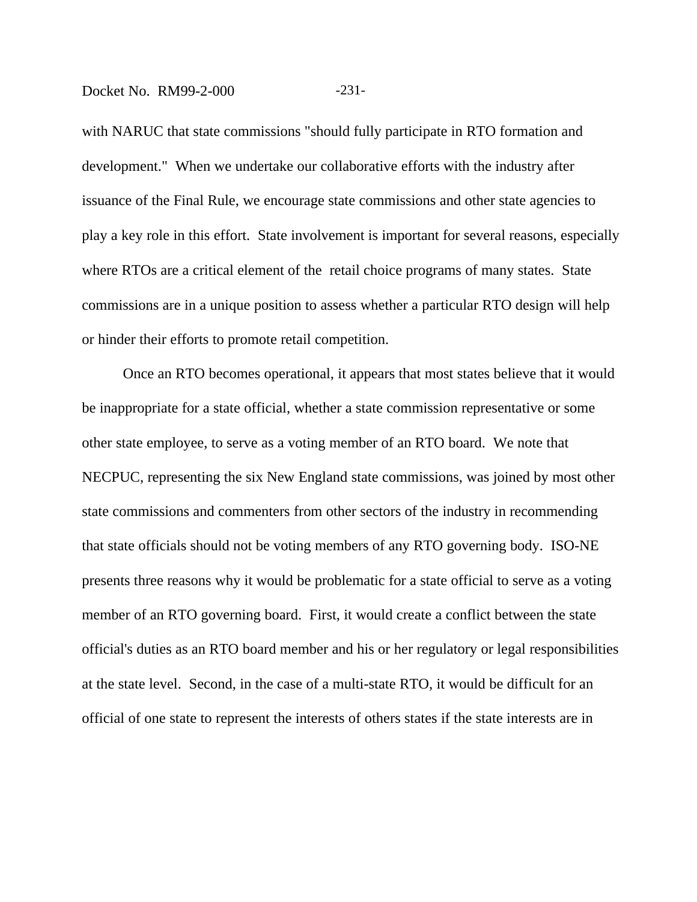#### Docket No. RM99-2-000 -231-

with NARUC that state commissions "should fully participate in RTO formation and development." When we undertake our collaborative efforts with the industry after issuance of the Final Rule, we encourage state commissions and other state agencies to play a key role in this effort. State involvement is important for several reasons, especially where RTOs are a critical element of the retail choice programs of many states. State commissions are in a unique position to assess whether a particular RTO design will help or hinder their efforts to promote retail competition.

Once an RTO becomes operational, it appears that most states believe that it would be inappropriate for a state official, whether a state commission representative or some other state employee, to serve as a voting member of an RTO board. We note that NECPUC, representing the six New England state commissions, was joined by most other state commissions and commenters from other sectors of the industry in recommending that state officials should not be voting members of any RTO governing body. ISO-NE presents three reasons why it would be problematic for a state official to serve as a voting member of an RTO governing board. First, it would create a conflict between the state official's duties as an RTO board member and his or her regulatory or legal responsibilities at the state level. Second, in the case of a multi-state RTO, it would be difficult for an official of one state to represent the interests of others states if the state interests are in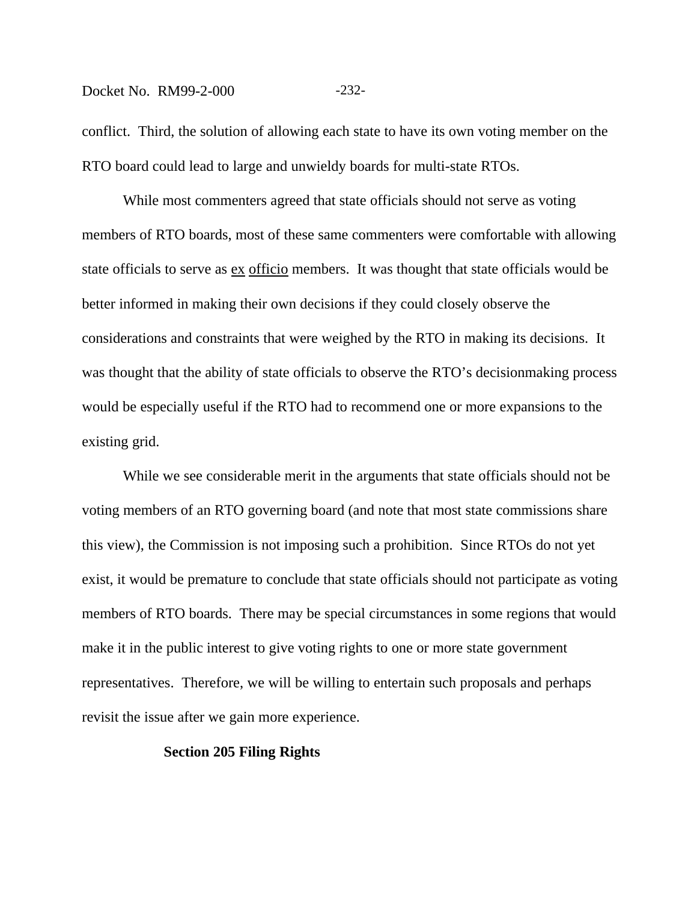#### Docket No. RM99-2-000 -232-

conflict. Third, the solution of allowing each state to have its own voting member on the RTO board could lead to large and unwieldy boards for multi-state RTOs.

While most commenters agreed that state officials should not serve as voting members of RTO boards, most of these same commenters were comfortable with allowing state officials to serve as ex officio members. It was thought that state officials would be better informed in making their own decisions if they could closely observe the considerations and constraints that were weighed by the RTO in making its decisions. It was thought that the ability of state officials to observe the RTO's decisionmaking process would be especially useful if the RTO had to recommend one or more expansions to the existing grid.

While we see considerable merit in the arguments that state officials should not be voting members of an RTO governing board (and note that most state commissions share this view), the Commission is not imposing such a prohibition. Since RTOs do not yet exist, it would be premature to conclude that state officials should not participate as voting members of RTO boards. There may be special circumstances in some regions that would make it in the public interest to give voting rights to one or more state government representatives. Therefore, we will be willing to entertain such proposals and perhaps revisit the issue after we gain more experience.

#### **Section 205 Filing Rights**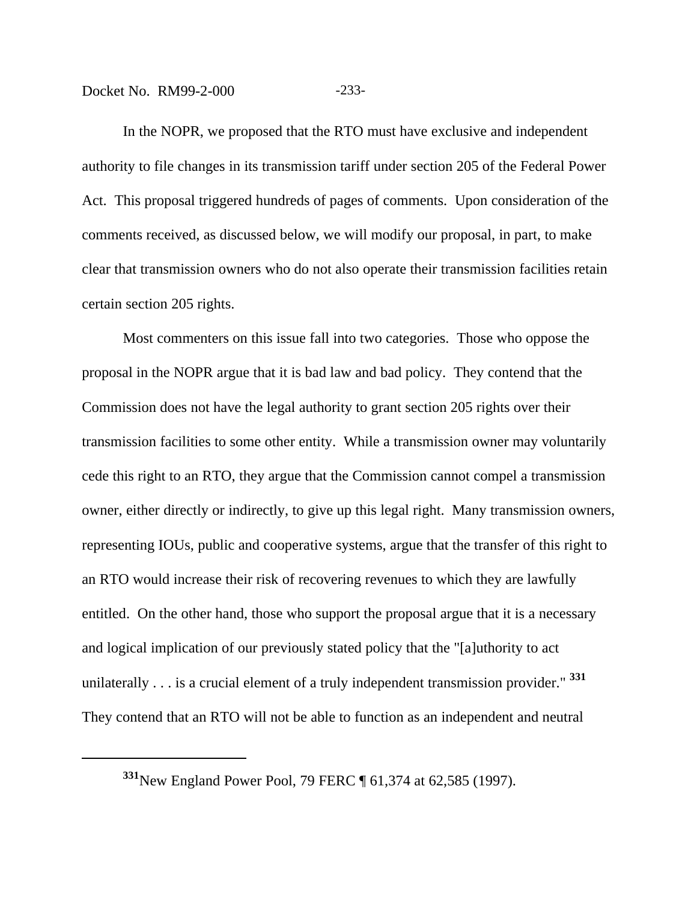## Docket No. RM99-2-000 -233-

In the NOPR, we proposed that the RTO must have exclusive and independent authority to file changes in its transmission tariff under section 205 of the Federal Power Act. This proposal triggered hundreds of pages of comments. Upon consideration of the comments received, as discussed below, we will modify our proposal, in part, to make clear that transmission owners who do not also operate their transmission facilities retain certain section 205 rights.

Most commenters on this issue fall into two categories. Those who oppose the proposal in the NOPR argue that it is bad law and bad policy. They contend that the Commission does not have the legal authority to grant section 205 rights over their transmission facilities to some other entity. While a transmission owner may voluntarily cede this right to an RTO, they argue that the Commission cannot compel a transmission owner, either directly or indirectly, to give up this legal right. Many transmission owners, representing IOUs, public and cooperative systems, argue that the transfer of this right to an RTO would increase their risk of recovering revenues to which they are lawfully entitled. On the other hand, those who support the proposal argue that it is a necessary and logical implication of our previously stated policy that the "[a]uthority to act unilaterally . . . is a crucial element of a truly independent transmission provider." **<sup>331</sup>** They contend that an RTO will not be able to function as an independent and neutral

**<sup>331</sup>**New England Power Pool, 79 FERC ¶ 61,374 at 62,585 (1997).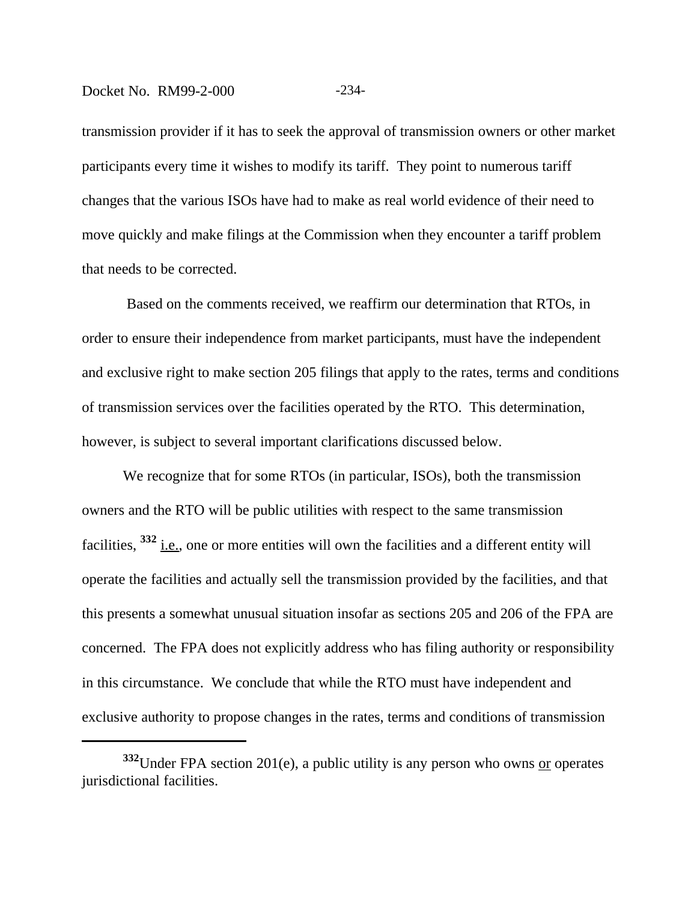#### Docket No. RM99-2-000 -234-

transmission provider if it has to seek the approval of transmission owners or other market participants every time it wishes to modify its tariff. They point to numerous tariff changes that the various ISOs have had to make as real world evidence of their need to move quickly and make filings at the Commission when they encounter a tariff problem that needs to be corrected.

 Based on the comments received, we reaffirm our determination that RTOs, in order to ensure their independence from market participants, must have the independent and exclusive right to make section 205 filings that apply to the rates, terms and conditions of transmission services over the facilities operated by the RTO. This determination, however, is subject to several important clarifications discussed below.

We recognize that for some RTOs (in particular, ISOs), both the transmission owners and the RTO will be public utilities with respect to the same transmission facilities, <sup>332</sup> i.e., one or more entities will own the facilities and a different entity will operate the facilities and actually sell the transmission provided by the facilities, and that this presents a somewhat unusual situation insofar as sections 205 and 206 of the FPA are concerned. The FPA does not explicitly address who has filing authority or responsibility in this circumstance. We conclude that while the RTO must have independent and exclusive authority to propose changes in the rates, terms and conditions of transmission

**<sup>332</sup>**Under FPA section 201(e), a public utility is any person who owns or operates jurisdictional facilities.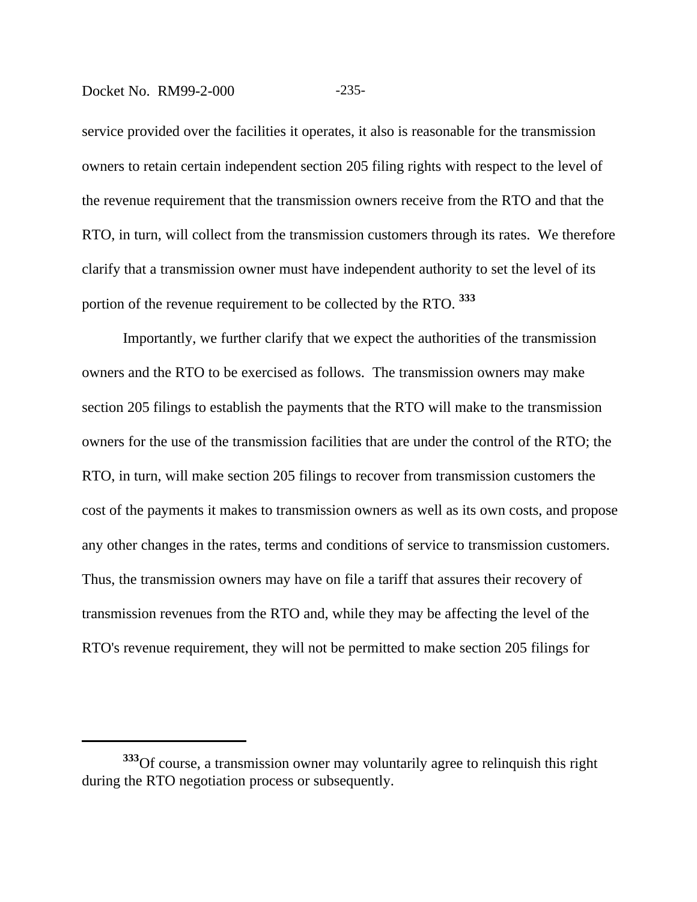#### Docket No. RM99-2-000 -235-

service provided over the facilities it operates, it also is reasonable for the transmission owners to retain certain independent section 205 filing rights with respect to the level of the revenue requirement that the transmission owners receive from the RTO and that the RTO, in turn, will collect from the transmission customers through its rates. We therefore clarify that a transmission owner must have independent authority to set the level of its portion of the revenue requirement to be collected by the RTO. **<sup>333</sup>**

Importantly, we further clarify that we expect the authorities of the transmission owners and the RTO to be exercised as follows. The transmission owners may make section 205 filings to establish the payments that the RTO will make to the transmission owners for the use of the transmission facilities that are under the control of the RTO; the RTO, in turn, will make section 205 filings to recover from transmission customers the cost of the payments it makes to transmission owners as well as its own costs, and propose any other changes in the rates, terms and conditions of service to transmission customers. Thus, the transmission owners may have on file a tariff that assures their recovery of transmission revenues from the RTO and, while they may be affecting the level of the RTO's revenue requirement, they will not be permitted to make section 205 filings for

**<sup>333</sup>**Of course, a transmission owner may voluntarily agree to relinquish this right during the RTO negotiation process or subsequently.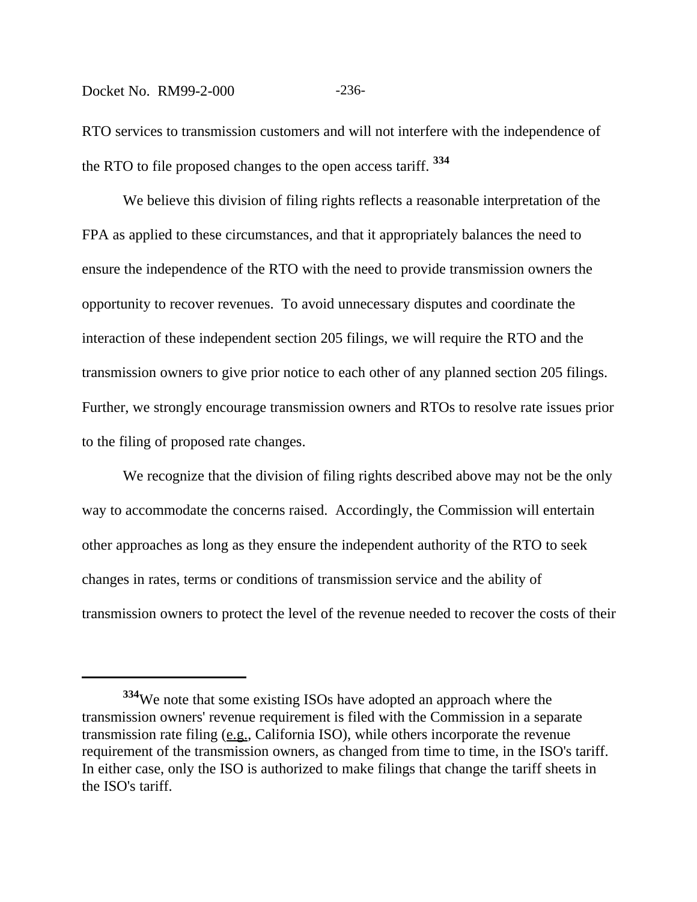#### Docket No. RM99-2-000 -236-

RTO services to transmission customers and will not interfere with the independence of the RTO to file proposed changes to the open access tariff. **<sup>334</sup>**

We believe this division of filing rights reflects a reasonable interpretation of the FPA as applied to these circumstances, and that it appropriately balances the need to ensure the independence of the RTO with the need to provide transmission owners the opportunity to recover revenues. To avoid unnecessary disputes and coordinate the interaction of these independent section 205 filings, we will require the RTO and the transmission owners to give prior notice to each other of any planned section 205 filings. Further, we strongly encourage transmission owners and RTOs to resolve rate issues prior to the filing of proposed rate changes.

We recognize that the division of filing rights described above may not be the only way to accommodate the concerns raised. Accordingly, the Commission will entertain other approaches as long as they ensure the independent authority of the RTO to seek changes in rates, terms or conditions of transmission service and the ability of transmission owners to protect the level of the revenue needed to recover the costs of their

**<sup>334</sup>**We note that some existing ISOs have adopted an approach where the transmission owners' revenue requirement is filed with the Commission in a separate transmission rate filing (e.g., California ISO), while others incorporate the revenue requirement of the transmission owners, as changed from time to time, in the ISO's tariff. In either case, only the ISO is authorized to make filings that change the tariff sheets in the ISO's tariff.